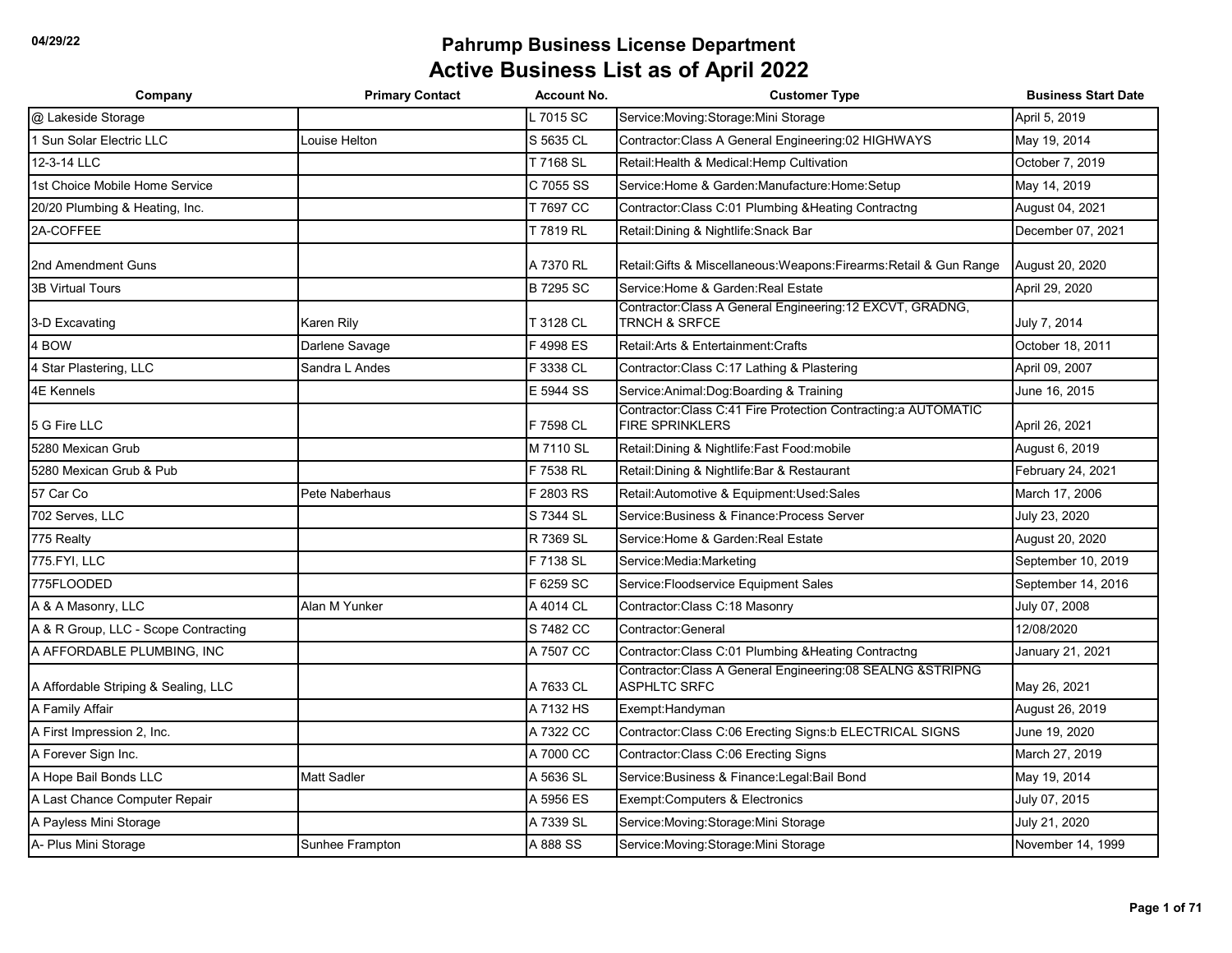| Company                              | <b>Primary Contact</b> | <b>Account No.</b> | <b>Customer Type</b>                                                                      | <b>Business Start Date</b> |
|--------------------------------------|------------------------|--------------------|-------------------------------------------------------------------------------------------|----------------------------|
| @ Lakeside Storage                   |                        | 7015 SC            | Service: Moving: Storage: Mini Storage                                                    | April 5, 2019              |
| 1 Sun Solar Electric LLC             | ouise Helton           | S 5635 CL          | Contractor: Class A General Engineering: 02 HIGHWAYS                                      | May 19, 2014               |
| 12-3-14 LLC                          |                        | T 7168 SL          | Retail: Health & Medical: Hemp Cultivation                                                | October 7, 2019            |
| 1st Choice Mobile Home Service       |                        | C 7055 SS          | Service: Home & Garden: Manufacture: Home: Setup                                          | May 14, 2019               |
| 20/20 Plumbing & Heating, Inc.       |                        | T 7697 CC          | Contractor: Class C:01 Plumbing & Heating Contractng                                      | August 04, 2021            |
| 2A-COFFEE                            |                        | T 7819 RL          | Retail: Dining & Nightlife: Snack Bar                                                     | December 07, 2021          |
| 2nd Amendment Guns                   |                        | A 7370 RL          | Retail: Gifts & Miscellaneous: Weapons: Firearms: Retail & Gun Range                      | August 20, 2020            |
| <b>3B Virtual Tours</b>              |                        | <b>B 7295 SC</b>   | Service: Home & Garden: Real Estate                                                       | April 29, 2020             |
| 3-D Excavating                       | Karen Rily             | T 3128 CL          | Contractor: Class A General Engineering: 12 EXCVT, GRADNG,<br><b>TRNCH &amp; SRFCE</b>    | July 7, 2014               |
| 4 BOW                                | Darlene Savage         | F 4998 ES          | Retail: Arts & Entertainment: Crafts                                                      | October 18, 2011           |
| 4 Star Plastering, LLC               | Sandra L Andes         | F 3338 CL          | Contractor: Class C:17 Lathing & Plastering                                               | April 09, 2007             |
| <b>4E Kennels</b>                    |                        | E 5944 SS          | Service: Animal: Dog: Boarding & Training                                                 | June 16, 2015              |
| 5 G Fire LLC                         |                        | F 7598 CL          | Contractor: Class C:41 Fire Protection Contracting: a AUTOMATIC<br><b>FIRE SPRINKLERS</b> | April 26, 2021             |
| 5280 Mexican Grub                    |                        | M 7110 SL          | Retail: Dining & Nightlife: Fast Food: mobile                                             | August 6, 2019             |
| 5280 Mexican Grub & Pub              |                        | F 7538 RL          | Retail: Dining & Nightlife: Bar & Restaurant                                              | February 24, 2021          |
| 57 Car Co                            | Pete Naberhaus         | F 2803 RS          | Retail:Automotive & Equipment:Used:Sales                                                  | March 17, 2006             |
| 702 Serves, LLC                      |                        | S 7344 SL          | Service: Business & Finance: Process Server                                               | July 23, 2020              |
| 775 Realty                           |                        | R 7369 SL          | Service: Home & Garden: Real Estate                                                       | August 20, 2020            |
| 775.FYI, LLC                         |                        | F 7138 SL          | Service: Media: Marketing                                                                 | September 10, 2019         |
| 775FLOODED                           |                        | F 6259 SC          | Service: Floodservice Equipment Sales                                                     | September 14, 2016         |
| A & A Masonry, LLC                   | Alan M Yunker          | A 4014 CL          | Contractor:Class C:18 Masonry                                                             | July 07, 2008              |
| A & R Group, LLC - Scope Contracting |                        | S 7482 CC          | Contractor: General                                                                       | 12/08/2020                 |
| A AFFORDABLE PLUMBING, INC           |                        | A 7507 CC          | Contractor:Class C:01 Plumbing & Heating Contractng                                       | January 21, 2021           |
| A Affordable Striping & Sealing, LLC |                        | A 7633 CL          | Contractor:Class A General Engineering:08 SEALNG &STRIPNG<br>ASPHLTC SRFC                 | May 26, 2021               |
| A Family Affair                      |                        | A 7132 HS          | Exempt:Handyman                                                                           | August 26, 2019            |
| A First Impression 2, Inc.           |                        | A 7322 CC          | Contractor:Class C:06 Erecting Signs:b ELECTRICAL SIGNS                                   | June 19, 2020              |
| A Forever Sign Inc.                  |                        | A 7000 CC          | Contractor: Class C:06 Erecting Signs                                                     | March 27, 2019             |
| A Hope Bail Bonds LLC                | Matt Sadler            | A 5636 SL          | Service: Business & Finance: Legal: Bail Bond                                             | May 19, 2014               |
| A Last Chance Computer Repair        |                        | A 5956 ES          | <b>Exempt:Computers &amp; Electronics</b>                                                 | July 07, 2015              |
| A Payless Mini Storage               |                        | A 7339 SL          | Service: Moving: Storage: Mini Storage                                                    | July 21, 2020              |
| A- Plus Mini Storage                 | Sunhee Frampton        | A 888 SS           | Service: Moving: Storage: Mini Storage                                                    | November 14, 1999          |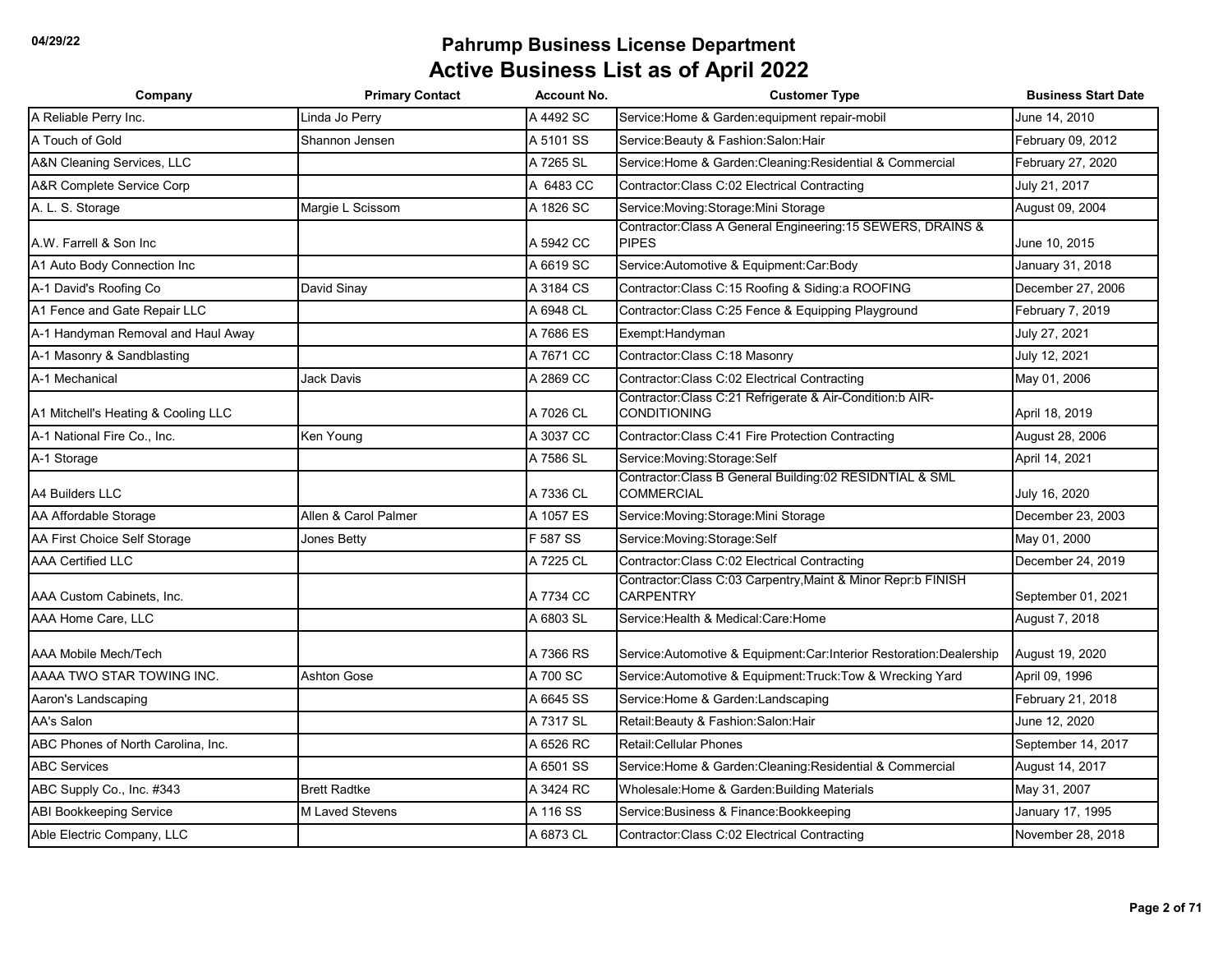| Company                             | <b>Primary Contact</b> | <b>Account No.</b> | <b>Customer Type</b>                                                              | <b>Business Start Date</b> |
|-------------------------------------|------------------------|--------------------|-----------------------------------------------------------------------------------|----------------------------|
| A Reliable Perry Inc.               | Linda Jo Perry         | A 4492 SC          | Service: Home & Garden: equipment repair-mobil                                    | June 14, 2010              |
| A Touch of Gold                     | Shannon Jensen         | A 5101 SS          | Service: Beauty & Fashion: Salon: Hair                                            | February 09, 2012          |
| A&N Cleaning Services, LLC          |                        | A 7265 SL          | Service: Home & Garden: Cleaning: Residential & Commercial                        | February 27, 2020          |
| A&R Complete Service Corp           |                        | A 6483 CC          | Contractor: Class C:02 Electrical Contracting                                     | July 21, 2017              |
| A. L. S. Storage                    | Margie L Scissom       | A 1826 SC          | Service: Moving: Storage: Mini Storage                                            | August 09, 2004            |
| A.W. Farrell & Son Inc.             |                        | A 5942 CC          | Contractor: Class A General Engineering: 15 SEWERS, DRAINS &<br><b>PIPES</b>      | June 10, 2015              |
| A1 Auto Body Connection Inc         |                        | A 6619 SC          | Service: Automotive & Equipment: Car: Body                                        | January 31, 2018           |
| A-1 David's Roofing Co              | David Sinay            | A 3184 CS          | Contractor: Class C:15 Roofing & Siding: a ROOFING                                | December 27, 2006          |
| A1 Fence and Gate Repair LLC        |                        | A 6948 CL          | Contractor: Class C:25 Fence & Equipping Playground                               | February 7, 2019           |
| A-1 Handyman Removal and Haul Away  |                        | A 7686 ES          | Exempt: Handyman                                                                  | July 27, 2021              |
| A-1 Masonry & Sandblasting          |                        | A 7671 CC          | Contractor:Class C:18 Masonry                                                     | July 12, 2021              |
| A-1 Mechanical                      | <b>Jack Davis</b>      | A 2869 CC          | Contractor: Class C:02 Electrical Contracting                                     | May 01, 2006               |
| A1 Mitchell's Heating & Cooling LLC |                        | A 7026 CL          | Contractor: Class C:21 Refrigerate & Air-Condition: b AIR-<br><b>CONDITIONING</b> | April 18, 2019             |
| A-1 National Fire Co., Inc.         | Ken Young              | A 3037 CC          | Contractor: Class C:41 Fire Protection Contracting                                | August 28, 2006            |
| A-1 Storage                         |                        | A 7586 SL          | Service: Moving: Storage: Self                                                    | April 14, 2021             |
| A4 Builders LLC                     |                        | A 7336 CL          | Contractor:Class B General Building:02 RESIDNTIAL & SML<br><b>COMMERCIAL</b>      | July 16, 2020              |
| AA Affordable Storage               | Allen & Carol Palmer   | A 1057 ES          | Service: Moving: Storage: Mini Storage                                            | December 23, 2003          |
| AA First Choice Self Storage        | Jones Betty            | F 587 SS           | Service: Moving: Storage: Self                                                    | May 01, 2000               |
| <b>AAA Certified LLC</b>            |                        | A 7225 CL          | Contractor: Class C:02 Electrical Contracting                                     | December 24, 2019          |
| AAA Custom Cabinets, Inc.           |                        | A 7734 CC          | Contractor: Class C:03 Carpentry, Maint & Minor Repr:b FINISH<br><b>CARPENTRY</b> | September 01, 2021         |
| AAA Home Care, LLC                  |                        | A 6803 SL          | Service:Health & Medical:Care:Home                                                | August 7, 2018             |
| <b>AAA Mobile Mech/Tech</b>         |                        | A 7366 RS          | Service: Automotive & Equipment: Car: Interior Restoration: Dealership            | August 19, 2020            |
| AAAA TWO STAR TOWING INC.           | Ashton Gose            | A 700 SC           | Service: Automotive & Equipment: Truck: Tow & Wrecking Yard                       | April 09, 1996             |
| Aaron's Landscaping                 |                        | A 6645 SS          | Service: Home & Garden: Landscaping                                               | February 21, 2018          |
| AA's Salon                          |                        | A 7317 SL          | Retail: Beauty & Fashion: Salon: Hair                                             | June 12, 2020              |
| ABC Phones of North Carolina, Inc.  |                        | A 6526 RC          | Retail: Cellular Phones                                                           | September 14, 2017         |
| <b>ABC Services</b>                 |                        | A 6501 SS          | Service: Home & Garden: Cleaning: Residential & Commercial                        | August 14, 2017            |
| ABC Supply Co., Inc. #343           | <b>Brett Radtke</b>    | A 3424 RC          | Wholesale: Home & Garden: Building Materials                                      | May 31, 2007               |
| <b>ABI Bookkeeping Service</b>      | M Laved Stevens        | A 116 SS           | Service: Business & Finance: Bookkeeping                                          | January 17, 1995           |
| Able Electric Company, LLC          |                        | A 6873 CL          | Contractor: Class C:02 Electrical Contracting                                     | November 28, 2018          |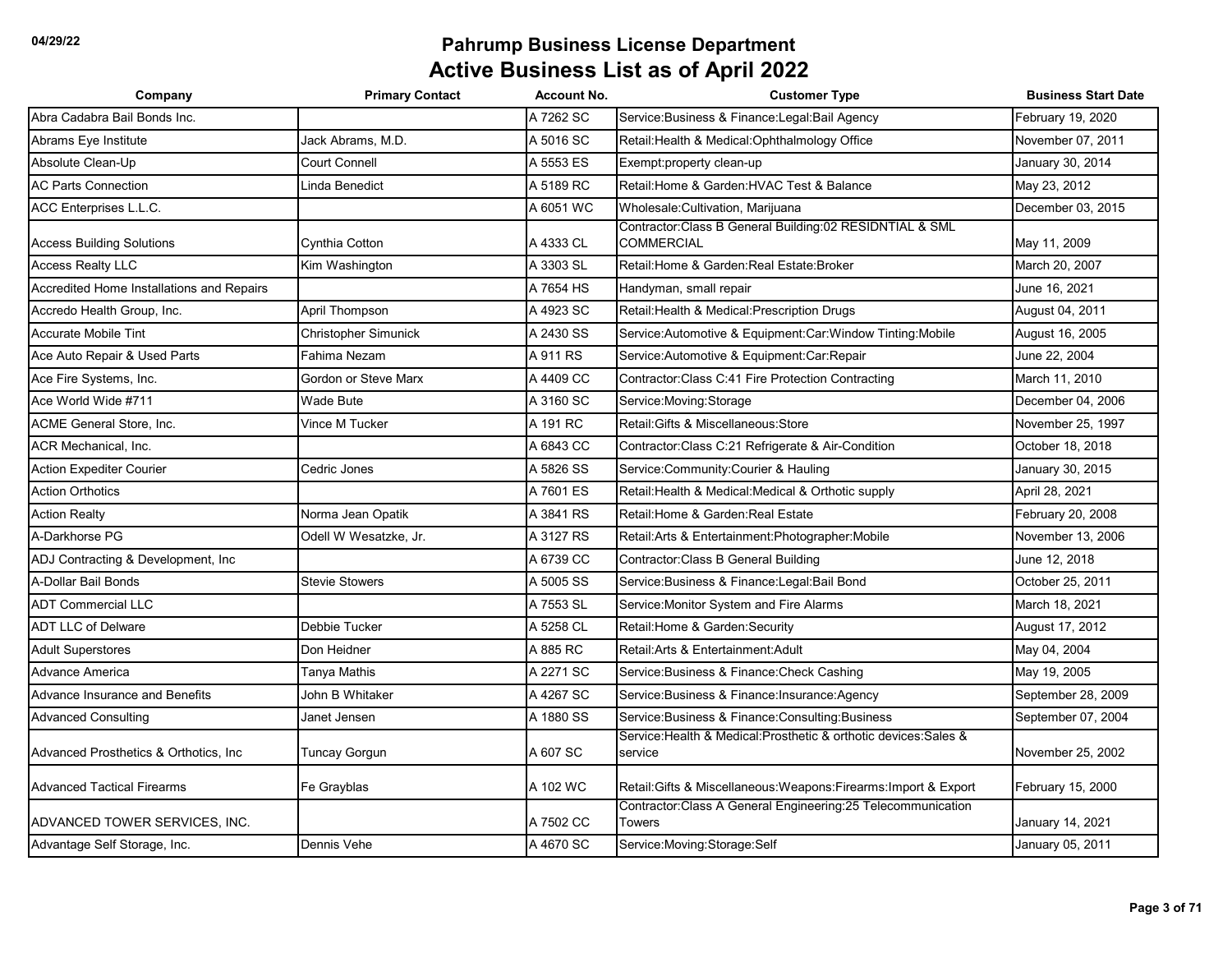| Company                                   | <b>Primary Contact</b> | <b>Account No.</b> | <b>Customer Type</b>                                                         | <b>Business Start Date</b> |
|-------------------------------------------|------------------------|--------------------|------------------------------------------------------------------------------|----------------------------|
| Abra Cadabra Bail Bonds Inc.              |                        | A 7262 SC          | Service: Business & Finance: Legal: Bail Agency                              | February 19, 2020          |
| Abrams Eye Institute                      | Jack Abrams, M.D.      | A 5016 SC          | Retail: Health & Medical: Ophthalmology Office                               | November 07, 2011          |
| Absolute Clean-Up                         | <b>Court Connell</b>   | A 5553 ES          | Exempt:property clean-up                                                     | January 30, 2014           |
| <b>AC Parts Connection</b>                | Linda Benedict         | A 5189 RC          | Retail: Home & Garden: HVAC Test & Balance                                   | May 23, 2012               |
| <b>ACC Enterprises L.L.C.</b>             |                        | A 6051 WC          | Wholesale: Cultivation, Marijuana                                            | December 03, 2015          |
| <b>Access Building Solutions</b>          | Cynthia Cotton         | A 4333 CL          | Contractor:Class B General Building:02 RESIDNTIAL & SML<br><b>COMMERCIAL</b> | May 11, 2009               |
| <b>Access Realty LLC</b>                  | Kim Washington         | A 3303 SL          | Retail: Home & Garden: Real Estate: Broker                                   | March 20, 2007             |
| Accredited Home Installations and Repairs |                        | A 7654 HS          | Handyman, small repair                                                       | June 16, 2021              |
| Accredo Health Group, Inc.                | April Thompson         | A 4923 SC          | Retail: Health & Medical: Prescription Drugs                                 | August 04, 2011            |
| <b>Accurate Mobile Tint</b>               | Christopher Simunick   | A 2430 SS          | Service:Automotive & Equipment:Car:Window Tinting:Mobile                     | August 16, 2005            |
| Ace Auto Repair & Used Parts              | Fahima Nezam           | A 911 RS           | Service: Automotive & Equipment: Car: Repair                                 | June 22, 2004              |
| Ace Fire Systems, Inc.                    | Gordon or Steve Marx   | A 4409 CC          | Contractor: Class C:41 Fire Protection Contracting                           | March 11, 2010             |
| Ace World Wide #711                       | <b>Wade Bute</b>       | A 3160 SC          | Service: Moving: Storage                                                     | December 04, 2006          |
| <b>ACME General Store, Inc.</b>           | Vince M Tucker         | A 191 RC           | Retail: Gifts & Miscellaneous: Store                                         | November 25, 1997          |
| <b>ACR Mechanical, Inc.</b>               |                        | A 6843 CC          | Contractor: Class C:21 Refrigerate & Air-Condition                           | October 18, 2018           |
| <b>Action Expediter Courier</b>           | Cedric Jones           | A 5826 SS          | Service:Community:Courier & Hauling                                          | January 30, 2015           |
| <b>Action Orthotics</b>                   |                        | A 7601 ES          | Retail: Health & Medical: Medical & Orthotic supply                          | April 28, 2021             |
| <b>Action Realty</b>                      | Norma Jean Opatik      | A 3841 RS          | Retail: Home & Garden: Real Estate                                           | February 20, 2008          |
| A-Darkhorse PG                            | Odell W Wesatzke, Jr.  | A 3127 RS          | Retail: Arts & Entertainment: Photographer: Mobile                           | November 13, 2006          |
| ADJ Contracting & Development, Inc        |                        | A 6739 CC          | Contractor: Class B General Building                                         | June 12, 2018              |
| A-Dollar Bail Bonds                       | <b>Stevie Stowers</b>  | A 5005 SS          | Service: Business & Finance: Legal: Bail Bond                                | October 25, 2011           |
| <b>ADT Commercial LLC</b>                 |                        | A 7553 SL          | Service: Monitor System and Fire Alarms                                      | March 18, 2021             |
| <b>ADT LLC of Delware</b>                 | Debbie Tucker          | A 5258 CL          | Retail: Home & Garden: Security                                              | August 17, 2012            |
| <b>Adult Superstores</b>                  | Don Heidner            | A 885 RC           | Retail: Arts & Entertainment: Adult                                          | May 04, 2004               |
| Advance America                           | Tanya Mathis           | A 2271 SC          | Service: Business & Finance: Check Cashing                                   | May 19, 2005               |
| Advance Insurance and Benefits            | John B Whitaker        | A 4267 SC          | Service: Business & Finance: Insurance: Agency                               | September 28, 2009         |
| <b>Advanced Consulting</b>                | Janet Jensen           | A 1880 SS          | Service: Business & Finance: Consulting: Business                            | September 07, 2004         |
| Advanced Prosthetics & Orthotics, Inc.    | Tuncay Gorgun          | A 607 SC           | Service: Health & Medical: Prosthetic & orthotic devices: Sales &<br>service | November 25, 2002          |
| <b>Advanced Tactical Firearms</b>         | Fe Grayblas            | A 102 WC           | Retail: Gifts & Miscellaneous: Weapons: Firearms: Import & Export            | February 15, 2000          |
| ADVANCED TOWER SERVICES. INC.             |                        | A 7502 CC          | Contractor: Class A General Engineering: 25 Telecommunication<br>Towers      | January 14, 2021           |
| Advantage Self Storage, Inc.              | Dennis Vehe            | A 4670 SC          | Service: Moving: Storage: Self                                               | January 05, 2011           |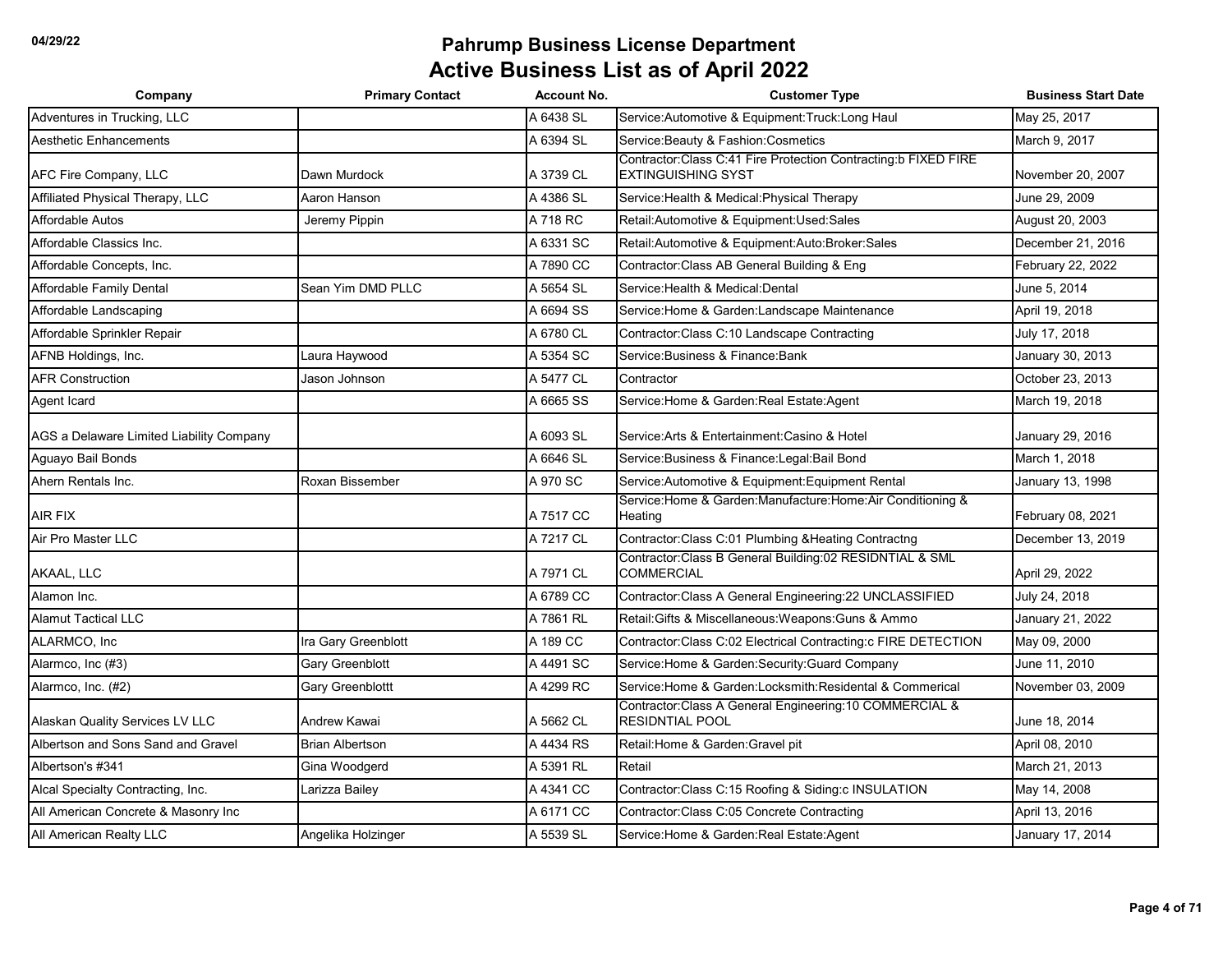| Company                                  | <b>Primary Contact</b>  | <b>Account No.</b> | <b>Customer Type</b>                                                                          | <b>Business Start Date</b> |
|------------------------------------------|-------------------------|--------------------|-----------------------------------------------------------------------------------------------|----------------------------|
| Adventures in Trucking, LLC              |                         | A 6438 SL          | Service: Automotive & Equipment: Truck: Long Haul                                             | May 25, 2017               |
| <b>Aesthetic Enhancements</b>            |                         | A 6394 SL          | Service: Beauty & Fashion: Cosmetics                                                          | March 9, 2017              |
| AFC Fire Company, LLC                    | Dawn Murdock            | A 3739 CL          | Contractor: Class C:41 Fire Protection Contracting: b FIXED FIRE<br><b>EXTINGUISHING SYST</b> | November 20, 2007          |
| Affiliated Physical Therapy, LLC         | Aaron Hanson            | A 4386 SL          | Service: Health & Medical: Physical Therapy                                                   | June 29, 2009              |
| Affordable Autos                         | Jeremy Pippin           | A 718 RC           | Retail:Automotive & Equipment:Used:Sales                                                      | August 20, 2003            |
| Affordable Classics Inc.                 |                         | A 6331 SC          | Retail: Automotive & Equipment: Auto: Broker: Sales                                           | December 21, 2016          |
| Affordable Concepts, Inc.                |                         | A 7890 CC          | Contractor: Class AB General Building & Eng                                                   | February 22, 2022          |
| Affordable Family Dental                 | Sean Yim DMD PLLC       | A 5654 SL          | Service: Health & Medical: Dental                                                             | June 5, 2014               |
| Affordable Landscaping                   |                         | A 6694 SS          | Service: Home & Garden: Landscape Maintenance                                                 | April 19, 2018             |
| Affordable Sprinkler Repair              |                         | A 6780 CL          | Contractor: Class C:10 Landscape Contracting                                                  | July 17, 2018              |
| AFNB Holdings, Inc.                      | Laura Haywood           | A 5354 SC          | Service: Business & Finance: Bank                                                             | January 30, 2013           |
| <b>AFR Construction</b>                  | Jason Johnson           | A 5477 CL          | Contractor                                                                                    | October 23, 2013           |
| Agent Icard                              |                         | A 6665 SS          | Service: Home & Garden: Real Estate: Agent                                                    | March 19, 2018             |
| AGS a Delaware Limited Liability Company |                         | A 6093 SL          | Service: Arts & Entertainment: Casino & Hotel                                                 | January 29, 2016           |
| Aguayo Bail Bonds                        |                         | A 6646 SL          | Service: Business & Finance: Legal: Bail Bond                                                 | March 1, 2018              |
| Ahern Rentals Inc.                       | Roxan Bissember         | A 970 SC           | Service: Automotive & Equipment: Equipment Rental                                             | January 13, 1998           |
| AIR FIX                                  |                         | A 7517 CC          | Service: Home & Garden: Manufacture: Home: Air Conditioning &<br>Heating                      | February 08, 2021          |
| Air Pro Master LLC                       |                         | A 7217 CL          | Contractor: Class C:01 Plumbing & Heating Contractng                                          | December 13, 2019          |
| AKAAL, LLC                               |                         | A 7971 CL          | Contractor: Class B General Building: 02 RESIDNTIAL & SML<br><b>COMMERCIAL</b>                | April 29, 2022             |
| Alamon Inc.                              |                         | A 6789 CC          | Contractor:Class A General Engineering:22 UNCLASSIFIED                                        | July 24, 2018              |
| <b>Alamut Tactical LLC</b>               |                         | A 7861 RL          | Retail: Gifts & Miscellaneous: Weapons: Guns & Ammo                                           | January 21, 2022           |
| ALARMCO, Inc                             | Ira Gary Greenblott     | A 189 CC           | Contractor:Class C:02 Electrical Contracting:c FIRE DETECTION                                 | May 09, 2000               |
| Alarmco, Inc (#3)                        | <b>Gary Greenblott</b>  | A 4491 SC          | Service: Home & Garden: Security: Guard Company                                               | June 11, 2010              |
| Alarmco, Inc. (#2)                       | <b>Gary Greenblottt</b> | A 4299 RC          | Service: Home & Garden: Locksmith: Residental & Commerical                                    | November 03, 2009          |
| Alaskan Quality Services LV LLC          | Andrew Kawai            | A 5662 CL          | Contractor: Class A General Engineering: 10 COMMERCIAL &<br><b>RESIDNTIAL POOL</b>            | June 18, 2014              |
| Albertson and Sons Sand and Gravel       | <b>Brian Albertson</b>  | A 4434 RS          | Retail: Home & Garden: Gravel pit                                                             | April 08, 2010             |
| Albertson's #341                         | Gina Woodgerd           | A 5391 RL          | Retail                                                                                        | March 21, 2013             |
| Alcal Specialty Contracting, Inc.        | Larizza Bailey          | A 4341 CC          | Contractor: Class C:15 Roofing & Siding: c INSULATION                                         | May 14, 2008               |
| All American Concrete & Masonry Inc      |                         | A 6171 CC          | Contractor: Class C:05 Concrete Contracting                                                   | April 13, 2016             |
| All American Realty LLC                  | Angelika Holzinger      | A 5539 SL          | Service: Home & Garden: Real Estate: Agent                                                    | January 17, 2014           |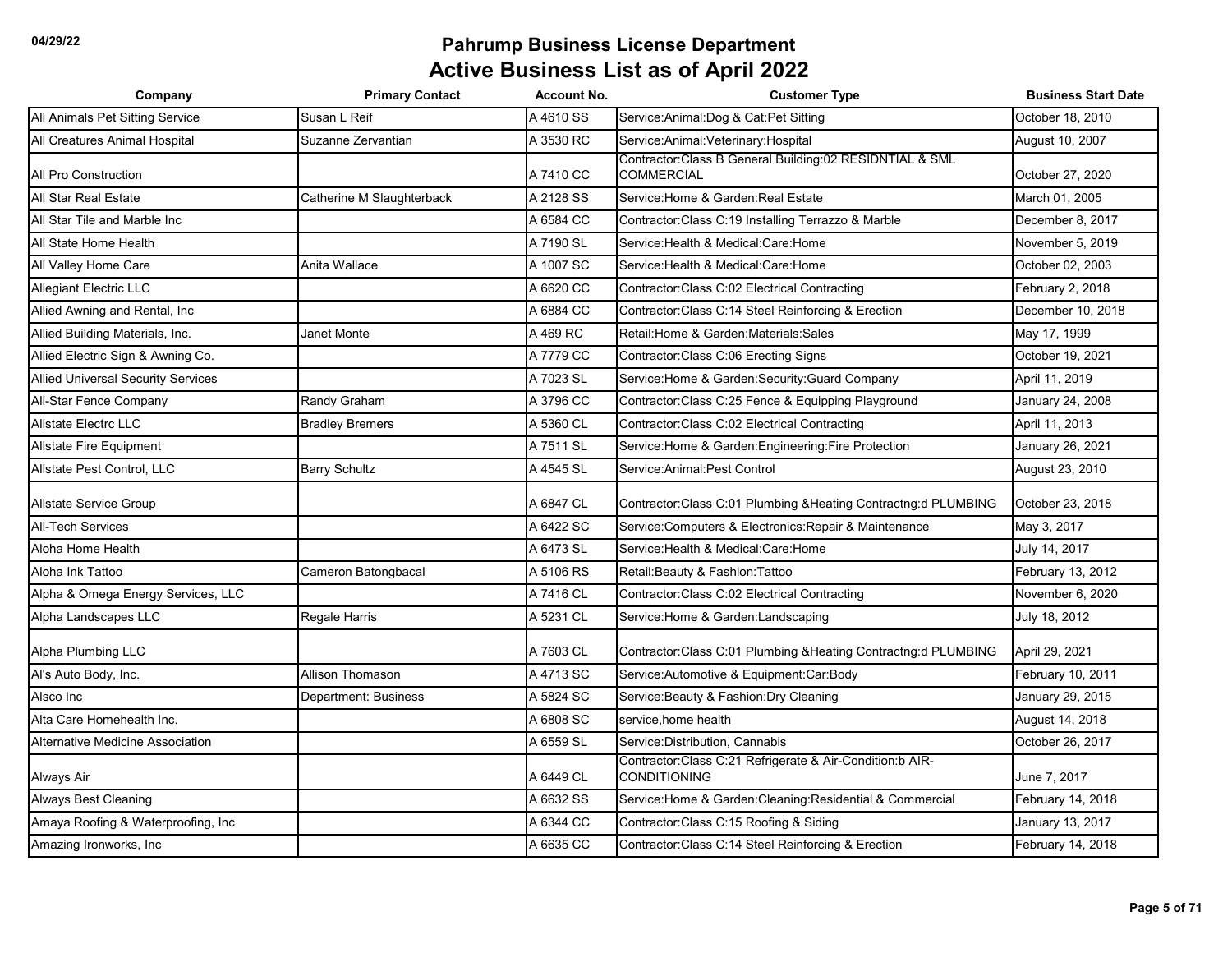| Company                                   | <b>Primary Contact</b>    | <b>Account No.</b> | <b>Customer Type</b>                                                              | <b>Business Start Date</b> |
|-------------------------------------------|---------------------------|--------------------|-----------------------------------------------------------------------------------|----------------------------|
| All Animals Pet Sitting Service           | Susan L Reif              | A 4610 SS          | Service: Animal: Dog & Cat: Pet Sitting                                           | October 18, 2010           |
| All Creatures Animal Hospital             | Suzanne Zervantian        | A 3530 RC          | Service: Animal: Veterinary: Hospital                                             | August 10, 2007            |
| All Pro Construction                      |                           | A 7410 CC          | Contractor:Class B General Building:02 RESIDNTIAL & SML<br><b>COMMERCIAL</b>      | October 27, 2020           |
| All Star Real Estate                      | Catherine M Slaughterback | A 2128 SS          | Service:Home & Garden:Real Estate                                                 | March 01, 2005             |
| All Star Tile and Marble Inc              |                           | A 6584 CC          | Contractor: Class C: 19 Installing Terrazzo & Marble                              | December 8, 2017           |
| All State Home Health                     |                           | A 7190 SL          | Service:Health & Medical:Care:Home                                                | November 5, 2019           |
| All Valley Home Care                      | Anita Wallace             | A 1007 SC          | Service:Health & Medical:Care:Home                                                | October 02, 2003           |
| Allegiant Electric LLC                    |                           | A 6620 CC          | Contractor: Class C:02 Electrical Contracting                                     | February 2, 2018           |
| Allied Awning and Rental, Inc.            |                           | A 6884 CC          | Contractor: Class C:14 Steel Reinforcing & Erection                               | December 10, 2018          |
| Allied Building Materials, Inc.           | Janet Monte               | A 469 RC           | Retail: Home & Garden: Materials: Sales                                           | May 17, 1999               |
| Allied Electric Sign & Awning Co.         |                           | A 7779 CC          | Contractor: Class C:06 Erecting Signs                                             | October 19, 2021           |
| <b>Allied Universal Security Services</b> |                           | A 7023 SL          | Service: Home & Garden: Security: Guard Company                                   | April 11, 2019             |
| All-Star Fence Company                    | Randy Graham              | A 3796 CC          | Contractor: Class C:25 Fence & Equipping Playground                               | January 24, 2008           |
| <b>Allstate Electrc LLC</b>               | <b>Bradley Bremers</b>    | A 5360 CL          | Contractor: Class C:02 Electrical Contracting                                     | April 11, 2013             |
| <b>Allstate Fire Equipment</b>            |                           | A 7511 SL          | Service: Home & Garden: Engineering: Fire Protection                              | January 26, 2021           |
| Allstate Pest Control, LLC                | <b>Barry Schultz</b>      | A 4545 SL          | Service: Animal: Pest Control                                                     | August 23, 2010            |
| Allstate Service Group                    |                           | A 6847 CL          | Contractor: Class C:01 Plumbing & Heating Contractng: d PLUMBING                  | October 23, 2018           |
| <b>All-Tech Services</b>                  |                           | A 6422 SC          | Service: Computers & Electronics: Repair & Maintenance                            | May 3, 2017                |
| Aloha Home Health                         |                           | A 6473 SL          | Service: Health & Medical: Care: Home                                             | July 14, 2017              |
| Aloha Ink Tattoo                          | Cameron Batongbacal       | A 5106 RS          | Retail: Beauty & Fashion: Tattoo                                                  | February 13, 2012          |
| Alpha & Omega Energy Services, LLC        |                           | A 7416 CL          | Contractor: Class C:02 Electrical Contracting                                     | November 6, 2020           |
| Alpha Landscapes LLC                      | Regale Harris             | A 5231 CL          | Service: Home & Garden: Landscaping                                               | July 18, 2012              |
| Alpha Plumbing LLC                        |                           | A 7603 CL          | Contractor: Class C:01 Plumbing & Heating Contractng: d PLUMBING                  | April 29, 2021             |
| Al's Auto Body, Inc.                      | Allison Thomason          | A 4713 SC          | Service: Automotive & Equipment: Car: Body                                        | February 10, 2011          |
| Alsco Inc                                 | Department: Business      | A 5824 SC          | Service: Beauty & Fashion: Dry Cleaning                                           | January 29, 2015           |
| Alta Care Homehealth Inc.                 |                           | A 6808 SC          | service,home health                                                               | August 14, 2018            |
| Alternative Medicine Association          |                           | A 6559 SL          | Service: Distribution, Cannabis                                                   | October 26, 2017           |
| Always Air                                |                           | A 6449 CL          | Contractor: Class C:21 Refrigerate & Air-Condition: b AIR-<br><b>CONDITIONING</b> | June 7, 2017               |
| <b>Always Best Cleaning</b>               |                           | A 6632 SS          | Service: Home & Garden: Cleaning: Residential & Commercial                        | February 14, 2018          |
| Amaya Roofing & Waterproofing, Inc        |                           | A 6344 CC          | Contractor: Class C:15 Roofing & Siding                                           | January 13, 2017           |
| Amazing Ironworks, Inc.                   |                           | A 6635 CC          | Contractor: Class C:14 Steel Reinforcing & Erection                               | February 14, 2018          |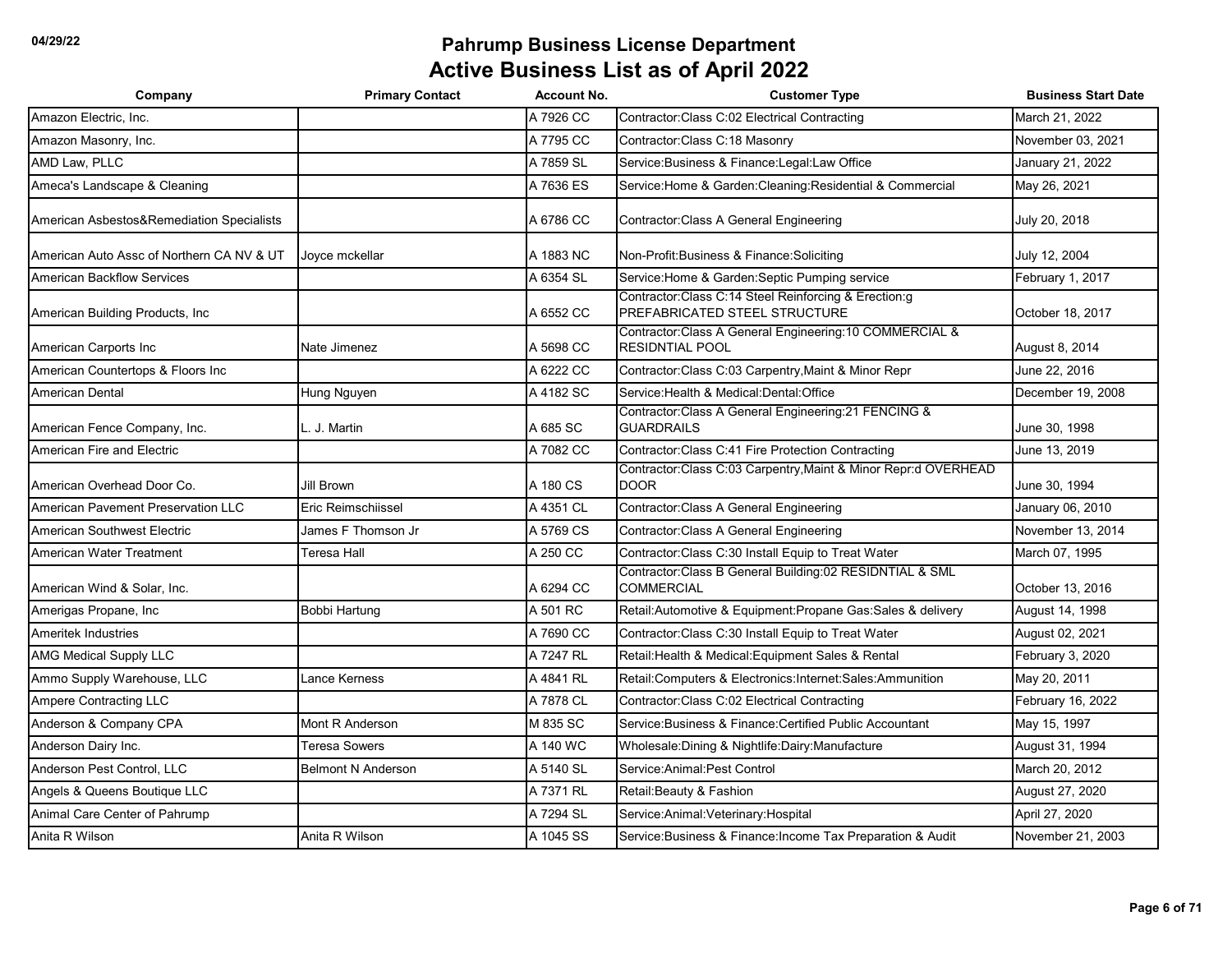| Company                                   | <b>Primary Contact</b>    | <b>Account No.</b> | <b>Customer Type</b>                                                                   | <b>Business Start Date</b> |
|-------------------------------------------|---------------------------|--------------------|----------------------------------------------------------------------------------------|----------------------------|
| Amazon Electric, Inc.                     |                           | A 7926 CC          | Contractor: Class C:02 Electrical Contracting                                          | March 21, 2022             |
| Amazon Masonry, Inc.                      |                           | A 7795 CC          | Contractor: Class C: 18 Masonry                                                        | November 03, 2021          |
| AMD Law, PLLC                             |                           | A 7859 SL          | Service: Business & Finance: Legal: Law Office                                         | January 21, 2022           |
| Ameca's Landscape & Cleaning              |                           | A 7636 ES          | Service: Home & Garden: Cleaning: Residential & Commercial                             | May 26, 2021               |
| American Asbestos&Remediation Specialists |                           | A 6786 CC          | Contractor: Class A General Engineering                                                | July 20, 2018              |
| American Auto Assc of Northern CA NV & UT | Joyce mckellar            | A 1883 NC          | Non-Profit: Business & Finance: Soliciting                                             | July 12, 2004              |
| <b>American Backflow Services</b>         |                           | A 6354 SL          | Service: Home & Garden: Septic Pumping service                                         | February 1, 2017           |
| American Building Products, Inc           |                           | A 6552 CC          | Contractor: Class C:14 Steel Reinforcing & Erection:g<br>PREFABRICATED STEEL STRUCTURE | October 18, 2017           |
| American Carports Inc                     | Nate Jimenez              | A 5698 CC          | Contractor: Class A General Engineering: 10 COMMERCIAL &<br><b>RESIDNTIAL POOL</b>     | August 8, 2014             |
| American Countertops & Floors Inc         |                           | A 6222 CC          | Contractor: Class C:03 Carpentry, Maint & Minor Repr                                   | June 22, 2016              |
| <b>American Dental</b>                    | Hung Nguyen               | A 4182 SC          | Service: Health & Medical: Dental: Office                                              | December 19, 2008          |
| American Fence Company, Inc.              | L. J. Martin              | A 685 SC           | Contractor: Class A General Engineering: 21 FENCING &<br><b>GUARDRAILS</b>             | June 30, 1998              |
| American Fire and Electric                |                           | A 7082 CC          | Contractor: Class C:41 Fire Protection Contracting                                     | June 13, 2019              |
| American Overhead Door Co.                | Jill Brown                | A 180 CS           | Contractor:Class C:03 Carpentry, Maint & Minor Repr:d OVERHEAD<br><b>DOOR</b>          | June 30, 1994              |
| American Pavement Preservation LLC        | Eric Reimschiissel        | A 4351 CL          | Contractor: Class A General Engineering                                                | January 06, 2010           |
| <b>American Southwest Electric</b>        | James F Thomson Jr        | A 5769 CS          | Contractor: Class A General Engineering                                                | November 13, 2014          |
| American Water Treatment                  | Teresa Hall               | A 250 CC           | Contractor: Class C:30 Install Equip to Treat Water                                    | March 07, 1995             |
| American Wind & Solar, Inc.               |                           | A 6294 CC          | Contractor: Class B General Building: 02 RESIDNTIAL & SML<br><b>COMMERCIAL</b>         | October 13, 2016           |
| Amerigas Propane, Inc                     | Bobbi Hartung             | A 501 RC           | Retail: Automotive & Equipment: Propane Gas: Sales & delivery                          | August 14, 1998            |
| <b>Ameritek Industries</b>                |                           | A 7690 CC          | Contractor: Class C:30 Install Equip to Treat Water                                    | August 02, 2021            |
| <b>AMG Medical Supply LLC</b>             |                           | A 7247 RL          | Retail: Health & Medical: Equipment Sales & Rental                                     | February 3, 2020           |
| Ammo Supply Warehouse, LLC                | ance Kerness              | A 4841 RL          | Retail:Computers & Electronics:Internet:Sales:Ammunition                               | May 20, 2011               |
| <b>Ampere Contracting LLC</b>             |                           | A 7878 CL          | Contractor: Class C:02 Electrical Contracting                                          | February 16, 2022          |
| Anderson & Company CPA                    | Mont R Anderson           | M 835 SC           | Service: Business & Finance: Certified Public Accountant                               | May 15, 1997               |
| Anderson Dairy Inc.                       | <b>Teresa Sowers</b>      | A 140 WC           | Wholesale: Dining & Nightlife: Dairy: Manufacture                                      | August 31, 1994            |
| Anderson Pest Control. LLC                | <b>Belmont N Anderson</b> | A 5140 SL          | Service: Animal: Pest Control                                                          | March 20, 2012             |
| Angels & Queens Boutique LLC              |                           | A 7371 RL          | Retail: Beauty & Fashion                                                               | August 27, 2020            |
| Animal Care Center of Pahrump             |                           | A 7294 SL          | Service: Animal: Veterinary: Hospital                                                  | April 27, 2020             |
| Anita R Wilson                            | Anita R Wilson            | A 1045 SS          | Service: Business & Finance: Income Tax Preparation & Audit                            | November 21, 2003          |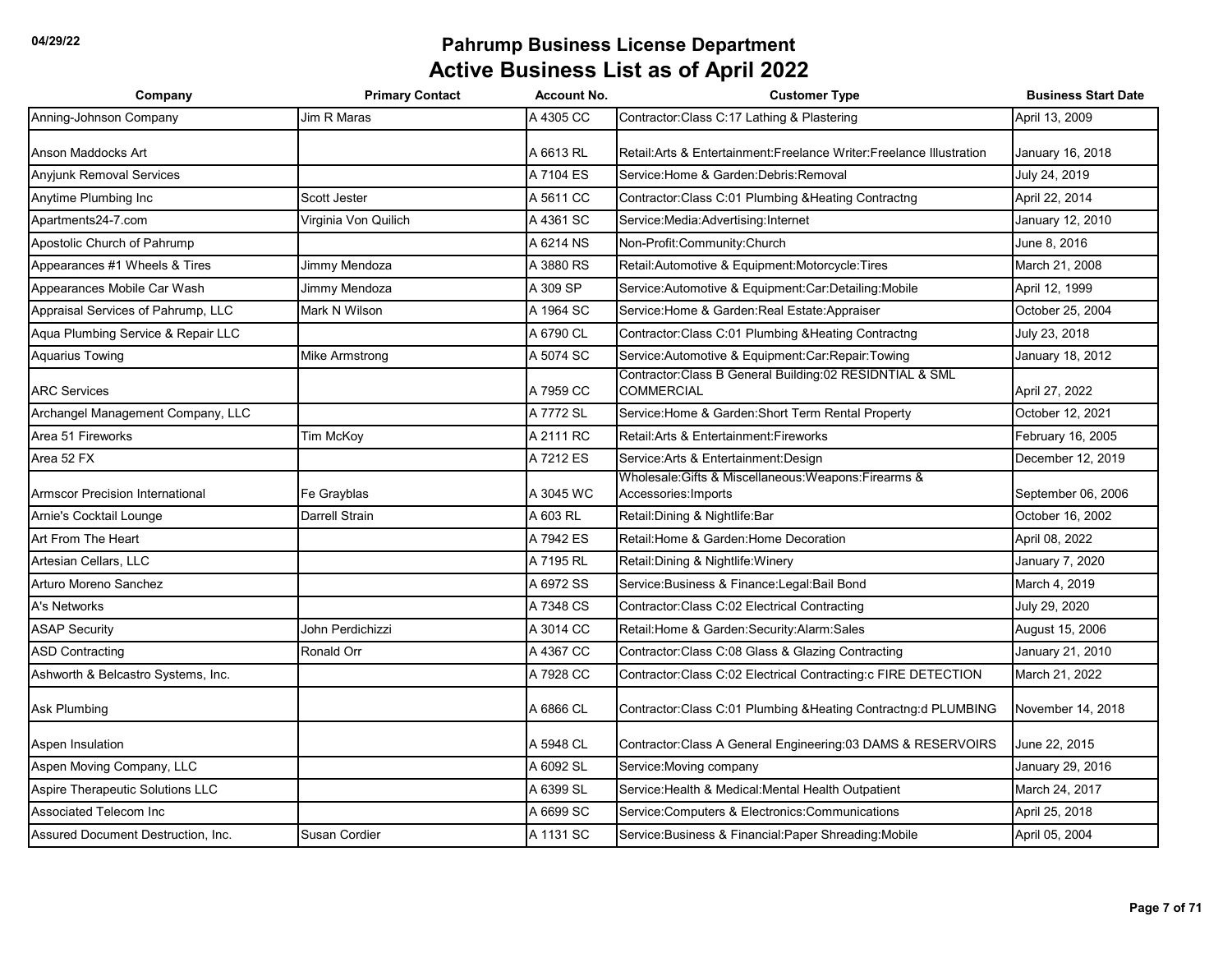| Company                            | <b>Primary Contact</b> | <b>Account No.</b> | <b>Customer Type</b>                                                          | <b>Business Start Date</b> |
|------------------------------------|------------------------|--------------------|-------------------------------------------------------------------------------|----------------------------|
| Anning-Johnson Company             | Jim R Maras            | A 4305 CC          | Contractor: Class C:17 Lathing & Plastering                                   | April 13, 2009             |
| Anson Maddocks Art                 |                        | A 6613 RL          | Retail: Arts & Entertainment: Freelance Writer: Freelance Illustration        | January 16, 2018           |
| <b>Anyjunk Removal Services</b>    |                        | A 7104 ES          | Service: Home & Garden: Debris: Removal                                       | July 24, 2019              |
| Anytime Plumbing Inc.              | Scott Jester           | A 5611 CC          | Contractor: Class C:01 Plumbing & Heating Contractng                          | April 22, 2014             |
| Apartments24-7.com                 | Virginia Von Quilich   | A 4361 SC          | Service: Media: Advertising: Internet                                         | January 12, 2010           |
| Apostolic Church of Pahrump        |                        | A 6214 NS          | Non-Profit:Community:Church                                                   | June 8, 2016               |
| Appearances #1 Wheels & Tires      | Jimmy Mendoza          | A 3880 RS          | Retail: Automotive & Equipment: Motorcycle: Tires                             | March 21, 2008             |
| Appearances Mobile Car Wash        | Jimmy Mendoza          | A 309 SP           | Service: Automotive & Equipment: Car: Detailing: Mobile                       | April 12, 1999             |
| Appraisal Services of Pahrump, LLC | Mark N Wilson          | A 1964 SC          | Service: Home & Garden: Real Estate: Appraiser                                | October 25, 2004           |
| Aqua Plumbing Service & Repair LLC |                        | A 6790 CL          | Contractor: Class C:01 Plumbing & Heating Contractng                          | July 23, 2018              |
| <b>Aquarius Towing</b>             | Mike Armstrong         | A 5074 SC          | Service: Automotive & Equipment: Car: Repair: Towing                          | January 18, 2012           |
| <b>ARC Services</b>                |                        | A 7959 CC          | Contractor:Class B General Building:02 RESIDNTIAL & SML<br><b>COMMERCIAL</b>  | April 27, 2022             |
| Archangel Management Company, LLC  |                        | A 7772 SL          | Service: Home & Garden: Short Term Rental Property                            | October 12, 2021           |
| Area 51 Fireworks                  | Tim McKoy              | A 2111 RC          | Retail: Arts & Entertainment: Fireworks                                       | February 16, 2005          |
| Area 52 FX                         |                        | A 7212 ES          | Service: Arts & Entertainment: Design                                         | December 12, 2019          |
| Armscor Precision International    | Fe Grayblas            | A 3045 WC          | Wholesale: Gifts & Miscellaneous: Weapons: Firearms &<br>Accessories: Imports | September 06, 2006         |
| Arnie's Cocktail Lounge            | Darrell Strain         | A 603 RL           | Retail: Dining & Nightlife: Bar                                               | October 16, 2002           |
| Art From The Heart                 |                        | A 7942 ES          | Retail: Home & Garden: Home Decoration                                        | April 08, 2022             |
| Artesian Cellars, LLC              |                        | A 7195 RL          | Retail: Dining & Nightlife: Winery                                            | January 7, 2020            |
| Arturo Moreno Sanchez              |                        | A 6972 SS          | Service: Business & Finance: Legal: Bail Bond                                 | March 4, 2019              |
| A's Networks                       |                        | A 7348 CS          | Contractor: Class C:02 Electrical Contracting                                 | July 29, 2020              |
| <b>ASAP Security</b>               | John Perdichizzi       | A 3014 CC          | Retail: Home & Garden: Security: Alarm: Sales                                 | August 15, 2006            |
| <b>ASD Contracting</b>             | Ronald Orr             | A 4367 CC          | Contractor: Class C:08 Glass & Glazing Contracting                            | January 21, 2010           |
| Ashworth & Belcastro Systems, Inc. |                        | A 7928 CC          | Contractor:Class C:02 Electrical Contracting:c FIRE DETECTION                 | March 21, 2022             |
| Ask Plumbing                       |                        | A 6866 CL          | Contractor:Class C:01 Plumbing &Heating Contractng:d PLUMBING                 | November 14, 2018          |
| Aspen Insulation                   |                        | A 5948 CL          | Contractor: Class A General Engineering: 03 DAMS & RESERVOIRS                 | June 22, 2015              |
| Aspen Moving Company, LLC          |                        | A 6092 SL          | Service: Moving company                                                       | January 29, 2016           |
| Aspire Therapeutic Solutions LLC   |                        | A 6399 SL          | Service: Health & Medical: Mental Health Outpatient                           | March 24, 2017             |
| Associated Telecom Inc             |                        | A 6699 SC          | Service: Computers & Electronics: Communications                              | April 25, 2018             |
| Assured Document Destruction, Inc. | Susan Cordier          | A 1131 SC          | Service: Business & Financial: Paper Shreading: Mobile                        | April 05, 2004             |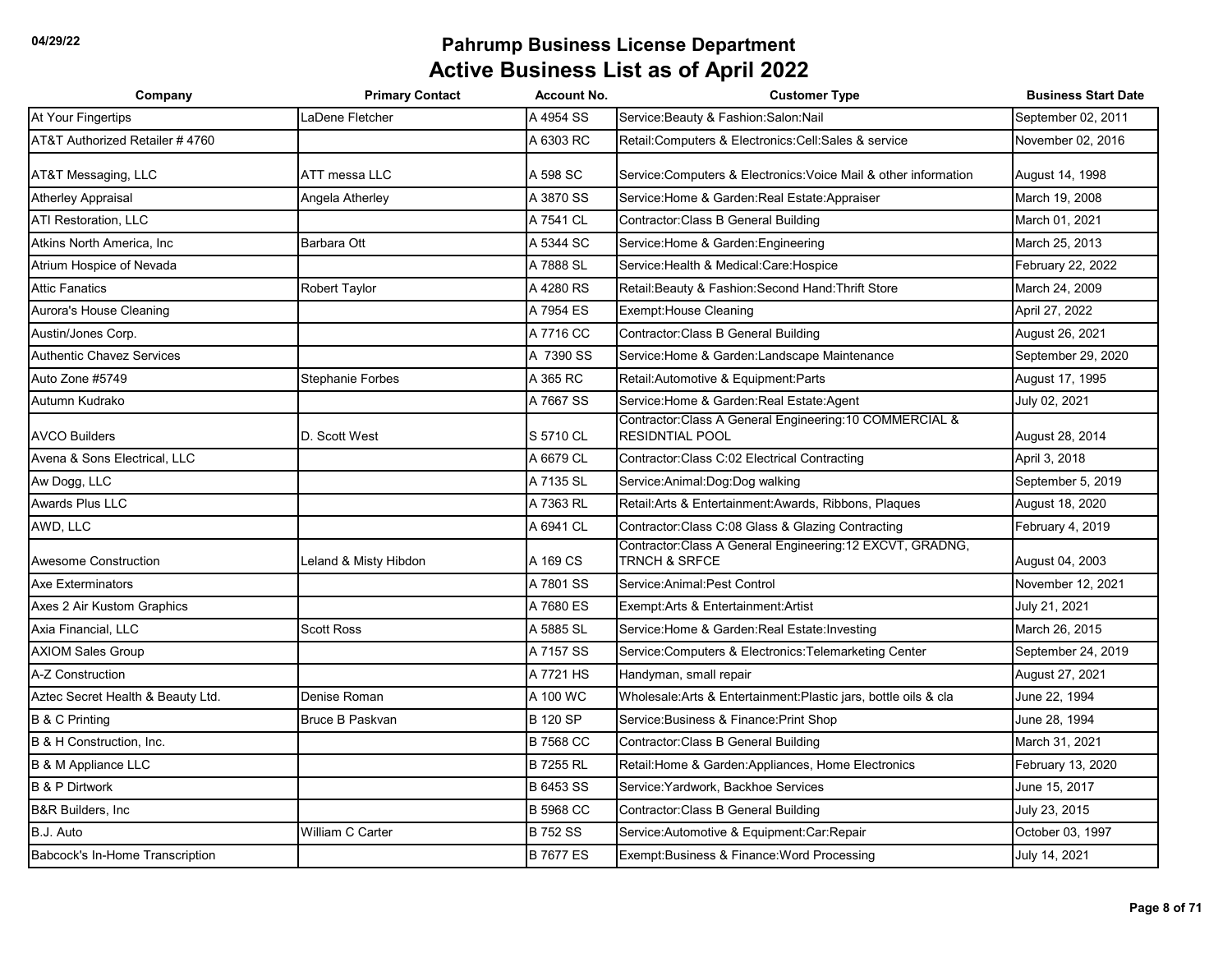| Company                           | <b>Primary Contact</b>  | <b>Account No.</b> | <b>Customer Type</b>                                                                 | <b>Business Start Date</b> |
|-----------------------------------|-------------------------|--------------------|--------------------------------------------------------------------------------------|----------------------------|
| At Your Fingertips                | LaDene Fletcher         | A 4954 SS          | Service: Beauty & Fashion: Salon: Nail                                               | September 02, 2011         |
| AT&T Authorized Retailer #4760    |                         | A 6303 RC          | Retail: Computers & Electronics: Cell: Sales & service                               | November 02, 2016          |
| AT&T Messaging, LLC               | ATT messa LLC           | A 598 SC           | Service: Computers & Electronics: Voice Mail & other information                     | August 14, 1998            |
| <b>Atherley Appraisal</b>         | Angela Atherley         | A 3870 SS          | Service: Home & Garden: Real Estate: Appraiser                                       | March 19, 2008             |
| <b>ATI Restoration, LLC</b>       |                         | A 7541 CL          | Contractor: Class B General Building                                                 | March 01, 2021             |
| Atkins North America, Inc.        | Barbara Ott             | A 5344 SC          | Service: Home & Garden: Engineering                                                  | March 25, 2013             |
| Atrium Hospice of Nevada          |                         | A 7888 SL          | Service: Health & Medical: Care: Hospice                                             | February 22, 2022          |
| <b>Attic Fanatics</b>             | Robert Taylor           | A 4280 RS          | Retail: Beauty & Fashion: Second Hand: Thrift Store                                  | March 24, 2009             |
| Aurora's House Cleaning           |                         | A 7954 ES          | Exempt: House Cleaning                                                               | April 27, 2022             |
| Austin/Jones Corp.                |                         | A 7716 CC          | Contractor: Class B General Building                                                 | August 26, 2021            |
| <b>Authentic Chavez Services</b>  |                         | A 7390 SS          | Service: Home & Garden: Landscape Maintenance                                        | September 29, 2020         |
| Auto Zone #5749                   | <b>Stephanie Forbes</b> | A 365 RC           | Retail: Automotive & Equipment: Parts                                                | August 17, 1995            |
| Autumn Kudrako                    |                         | A 7667 SS          | Service: Home & Garden: Real Estate: Agent                                           | July 02, 2021              |
| <b>AVCO Builders</b>              | D. Scott West           | S 5710 CL          | Contractor: Class A General Engineering: 10 COMMERCIAL &<br><b>RESIDNTIAL POOL</b>   | August 28, 2014            |
| Avena & Sons Electrical, LLC      |                         | A 6679 CL          | Contractor:Class C:02 Electrical Contracting                                         | April 3, 2018              |
| Aw Dogg, LLC                      |                         | A 7135 SL          | Service: Animal: Dog: Dog walking                                                    | September 5, 2019          |
| Awards Plus LLC                   |                         | A 7363 RL          | Retail: Arts & Entertainment: Awards, Ribbons, Plaques                               | August 18, 2020            |
| AWD, LLC                          |                         | A 6941 CL          | Contractor: Class C:08 Glass & Glazing Contracting                                   | February 4, 2019           |
| <b>Awesome Construction</b>       | Leland & Misty Hibdon   | A 169 CS           | Contractor:Class A General Engineering:12 EXCVT, GRADNG,<br><b>TRNCH &amp; SRFCE</b> | August 04, 2003            |
| <b>Axe Exterminators</b>          |                         | A 7801 SS          | Service: Animal: Pest Control                                                        | November 12, 2021          |
| Axes 2 Air Kustom Graphics        |                         | A 7680 ES          | Exempt: Arts & Entertainment: Artist                                                 | July 21, 2021              |
| Axia Financial, LLC               | <b>Scott Ross</b>       | A 5885 SL          | Service: Home & Garden: Real Estate: Investing                                       | March 26, 2015             |
| <b>AXIOM Sales Group</b>          |                         | A 7157 SS          | Service: Computers & Electronics: Telemarketing Center                               | September 24, 2019         |
| A-Z Construction                  |                         | A 7721 HS          | Handyman, small repair                                                               | August 27, 2021            |
| Aztec Secret Health & Beauty Ltd. | Denise Roman            | A 100 WC           | Wholesale: Arts & Entertainment: Plastic jars, bottle oils & cla                     | June 22, 1994              |
| <b>B &amp; C Printing</b>         | <b>Bruce B Paskvan</b>  | <b>B 120 SP</b>    | Service: Business & Finance: Print Shop                                              | June 28, 1994              |
| B & H Construction, Inc.          |                         | <b>B 7568 CC</b>   | Contractor: Class B General Building                                                 | March 31, 2021             |
| B & M Appliance LLC               |                         | <b>B 7255 RL</b>   | Retail: Home & Garden: Appliances, Home Electronics                                  | February 13, 2020          |
| <b>B &amp; P Dirtwork</b>         |                         | <b>B 6453 SS</b>   | Service: Yardwork, Backhoe Services                                                  | June 15, 2017              |
| <b>B&amp;R Builders, Inc.</b>     |                         | <b>B 5968 CC</b>   | Contractor: Class B General Building                                                 | July 23, 2015              |
| B.J. Auto                         | William C Carter        | <b>B752 SS</b>     | Service: Automotive & Equipment: Car: Repair                                         | October 03, 1997           |
| Babcock's In-Home Transcription   |                         | <b>B 7677 ES</b>   | Exempt: Business & Finance: Word Processing                                          | July 14, 2021              |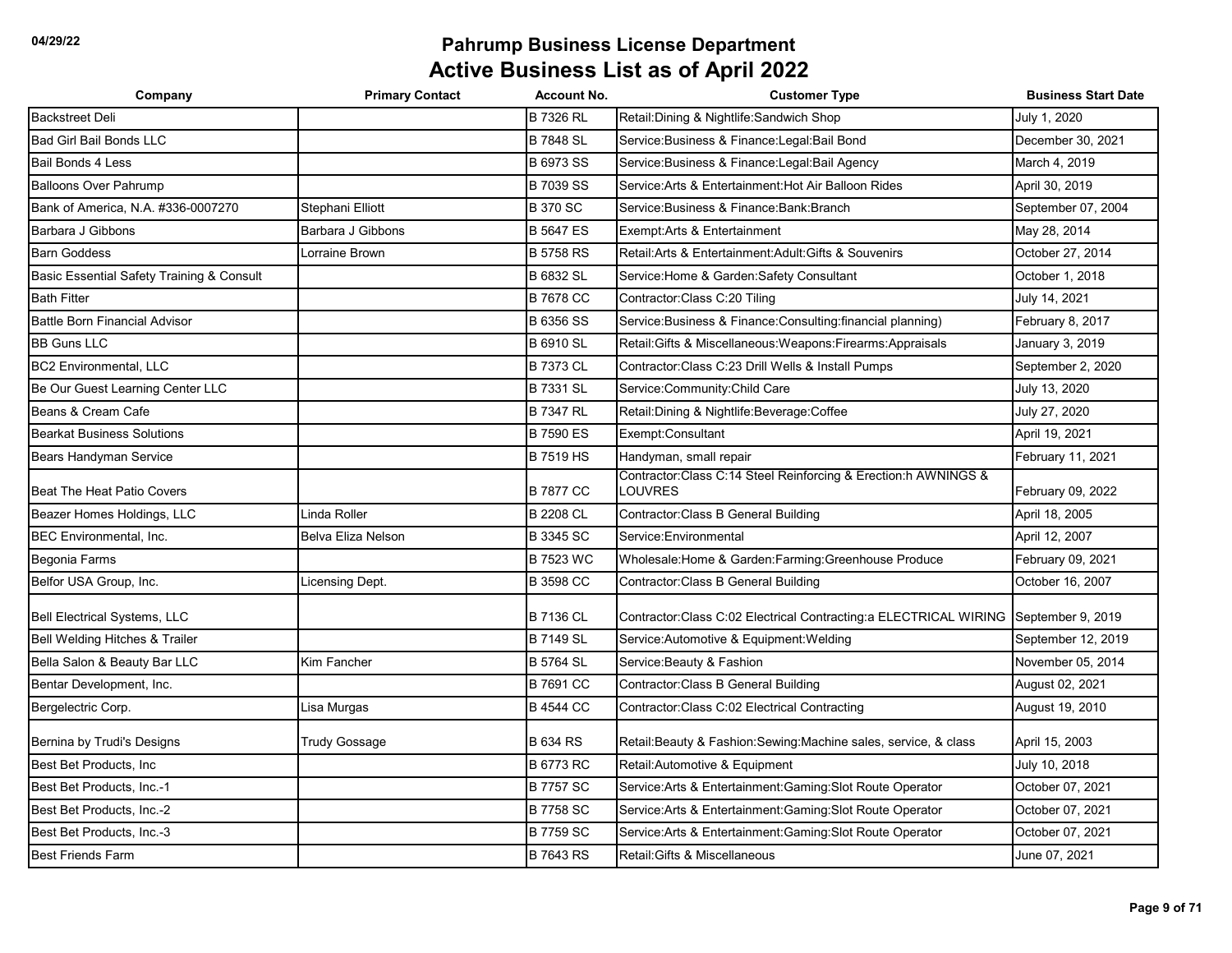| Company                                   | <b>Primary Contact</b> | <b>Account No.</b> | <b>Customer Type</b>                                                               | <b>Business Start Date</b> |
|-------------------------------------------|------------------------|--------------------|------------------------------------------------------------------------------------|----------------------------|
| <b>Backstreet Deli</b>                    |                        | <b>B 7326 RL</b>   | Retail: Dining & Nightlife: Sandwich Shop                                          | July 1, 2020               |
| <b>Bad Girl Bail Bonds LLC</b>            |                        | <b>B 7848 SL</b>   | Service: Business & Finance: Legal: Bail Bond                                      | December 30, 2021          |
| <b>Bail Bonds 4 Less</b>                  |                        | <b>B 6973 SS</b>   | Service: Business & Finance: Legal: Bail Agency                                    | March 4, 2019              |
| <b>Balloons Over Pahrump</b>              |                        | <b>B 7039 SS</b>   | Service: Arts & Entertainment: Hot Air Balloon Rides                               | April 30, 2019             |
| Bank of America, N.A. #336-0007270        | Stephani Elliott       | <b>B370 SC</b>     | Service: Business & Finance: Bank: Branch                                          | September 07, 2004         |
| Barbara J Gibbons                         | Barbara J Gibbons      | <b>B 5647 ES</b>   | Exempt: Arts & Entertainment                                                       | May 28, 2014               |
| <b>Barn Goddess</b>                       | Lorraine Brown         | <b>B 5758 RS</b>   | Retail: Arts & Entertainment: Adult: Gifts & Souvenirs                             | October 27, 2014           |
| Basic Essential Safety Training & Consult |                        | <b>B 6832 SL</b>   | Service: Home & Garden: Safety Consultant                                          | October 1, 2018            |
| <b>Bath Fitter</b>                        |                        | <b>B 7678 CC</b>   | Contractor:Class C:20 Tiling                                                       | July 14, 2021              |
| <b>Battle Born Financial Advisor</b>      |                        | <b>B 6356 SS</b>   | Service: Business & Finance: Consulting: financial planning)                       | February 8, 2017           |
| <b>BB Guns LLC</b>                        |                        | <b>B 6910 SL</b>   | Retail:Gifts & Miscellaneous:Weapons:Firearms:Appraisals                           | January 3, 2019            |
| <b>BC2 Environmental, LLC</b>             |                        | <b>B 7373 CL</b>   | Contractor: Class C:23 Drill Wells & Install Pumps                                 | September 2, 2020          |
| Be Our Guest Learning Center LLC          |                        | <b>B 7331 SL</b>   | Service:Community:Child Care                                                       | July 13, 2020              |
| Beans & Cream Cafe                        |                        | <b>B 7347 RL</b>   | Retail: Dining & Nightlife: Beverage: Coffee                                       | July 27, 2020              |
| <b>Bearkat Business Solutions</b>         |                        | <b>B 7590 ES</b>   | Exempt:Consultant                                                                  | April 19, 2021             |
| Bears Handyman Service                    |                        | <b>B 7519 HS</b>   | Handyman, small repair                                                             | February 11, 2021          |
| Beat The Heat Patio Covers                |                        | <b>B 7877 CC</b>   | Contractor: Class C:14 Steel Reinforcing & Erection:h AWNINGS &<br>LOUVRES         | February 09, 2022          |
| Beazer Homes Holdings, LLC                | Linda Roller           | <b>B 2208 CL</b>   | Contractor: Class B General Building                                               | April 18, 2005             |
| <b>BEC Environmental, Inc.</b>            | Belva Eliza Nelson     | <b>B 3345 SC</b>   | Service: Environmental                                                             | April 12, 2007             |
| Begonia Farms                             |                        | <b>B 7523 WC</b>   | Wholesale: Home & Garden: Farming: Greenhouse Produce                              | February 09, 2021          |
| Belfor USA Group, Inc.                    | Licensing Dept.        | <b>B 3598 CC</b>   | Contractor: Class B General Building                                               | October 16, 2007           |
| <b>Bell Electrical Systems, LLC</b>       |                        | <b>B 7136 CL</b>   | Contractor:Class C:02 Electrical Contracting:a ELECTRICAL WIRING September 9, 2019 |                            |
| Bell Welding Hitches & Trailer            |                        | <b>B 7149 SL</b>   | Service: Automotive & Equipment: Welding                                           | September 12, 2019         |
| Bella Salon & Beauty Bar LLC              | Kim Fancher            | <b>B 5764 SL</b>   | Service: Beauty & Fashion                                                          | November 05, 2014          |
| Bentar Development, Inc.                  |                        | <b>B 7691 CC</b>   | Contractor: Class B General Building                                               | August 02, 2021            |
| Bergelectric Corp.                        | Lisa Murgas            | <b>B 4544 CC</b>   | Contractor:Class C:02 Electrical Contracting                                       | August 19, 2010            |
| Bernina by Trudi's Designs                | <b>Trudy Gossage</b>   | <b>B 634 RS</b>    | Retail: Beauty & Fashion: Sewing: Machine sales, service, & class                  | April 15, 2003             |
| Best Bet Products, Inc.                   |                        | <b>B 6773 RC</b>   | Retail:Automotive & Equipment                                                      | July 10, 2018              |
| Best Bet Products, Inc.-1                 |                        | <b>B 7757 SC</b>   | Service: Arts & Entertainment: Gaming: Slot Route Operator                         | October 07, 2021           |
| Best Bet Products, Inc.-2                 |                        | <b>B 7758 SC</b>   | Service: Arts & Entertainment: Gaming: Slot Route Operator                         | October 07, 2021           |
| Best Bet Products, Inc.-3                 |                        | <b>B 7759 SC</b>   | Service: Arts & Entertainment: Gaming: Slot Route Operator                         | October 07, 2021           |
| <b>Best Friends Farm</b>                  |                        | <b>B 7643 RS</b>   | Retail: Gifts & Miscellaneous                                                      | June 07, 2021              |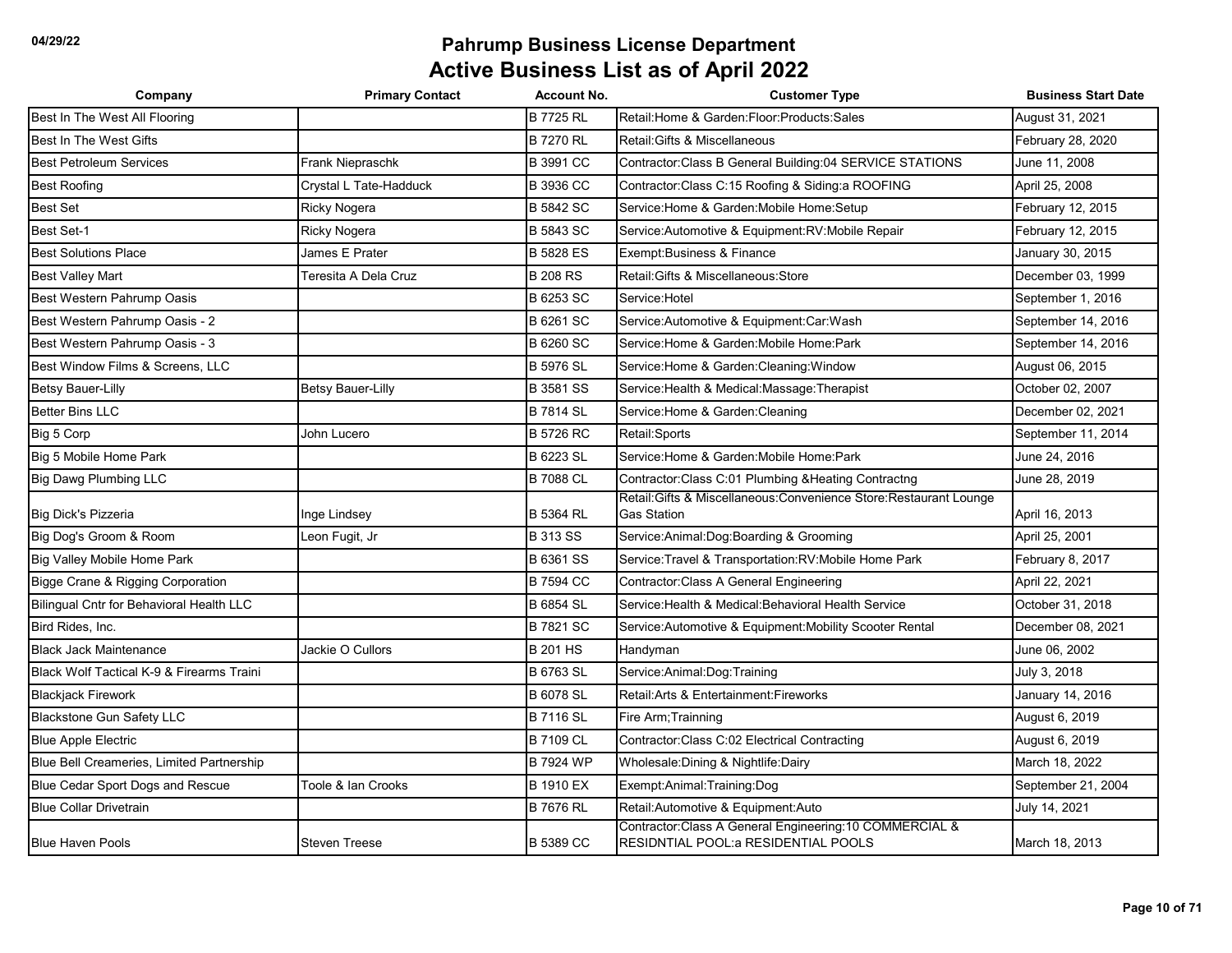| Company                                   | <b>Primary Contact</b>   | <b>Account No.</b> | <b>Customer Type</b>                                                                           | <b>Business Start Date</b> |
|-------------------------------------------|--------------------------|--------------------|------------------------------------------------------------------------------------------------|----------------------------|
| Best In The West All Flooring             |                          | <b>B 7725 RL</b>   | Retail: Home & Garden: Floor: Products: Sales                                                  | August 31, 2021            |
| Best In The West Gifts                    |                          | <b>B 7270 RL</b>   | Retail: Gifts & Miscellaneous                                                                  | February 28, 2020          |
| <b>Best Petroleum Services</b>            | Frank Niepraschk         | <b>B</b> 3991 CC   | Contractor: Class B General Building: 04 SERVICE STATIONS                                      | June 11, 2008              |
| <b>Best Roofing</b>                       | Crystal L Tate-Hadduck   | <b>B 3936 CC</b>   | Contractor: Class C:15 Roofing & Siding: a ROOFING                                             | April 25, 2008             |
| <b>Best Set</b>                           | Ricky Nogera             | <b>B 5842 SC</b>   | Service: Home & Garden: Mobile Home: Setup                                                     | February 12, 2015          |
| Best Set-1                                | Ricky Nogera             | <b>B 5843 SC</b>   | Service: Automotive & Equipment: RV: Mobile Repair                                             | February 12, 2015          |
| <b>Best Solutions Place</b>               | James E Prater           | <b>B 5828 ES</b>   | Exempt: Business & Finance                                                                     | January 30, 2015           |
| <b>Best Valley Mart</b>                   | Teresita A Dela Cruz     | <b>B 208 RS</b>    | Retail: Gifts & Miscellaneous: Store                                                           | December 03, 1999          |
| Best Western Pahrump Oasis                |                          | <b>B 6253 SC</b>   | Service: Hotel                                                                                 | September 1, 2016          |
| Best Western Pahrump Oasis - 2            |                          | <b>B</b> 6261 SC   | Service: Automotive & Equipment: Car: Wash                                                     | September 14, 2016         |
| Best Western Pahrump Oasis - 3            |                          | <b>B 6260 SC</b>   | Service: Home & Garden: Mobile Home: Park                                                      | September 14, 2016         |
| Best Window Films & Screens, LLC          |                          | <b>B 5976 SL</b>   | Service: Home & Garden: Cleaning: Window                                                       | August 06, 2015            |
| <b>Betsy Bauer-Lilly</b>                  | <b>Betsy Bauer-Lilly</b> | <b>B</b> 3581 SS   | Service: Health & Medical: Massage: Therapist                                                  | October 02, 2007           |
| <b>Better Bins LLC</b>                    |                          | <b>B</b> 7814 SL   | Service: Home & Garden: Cleaning                                                               | December 02, 2021          |
| Big 5 Corp                                | John Lucero              | <b>B 5726 RC</b>   | Retail:Sports                                                                                  | September 11, 2014         |
| Big 5 Mobile Home Park                    |                          | <b>B 6223 SL</b>   | Service: Home & Garden: Mobile Home: Park                                                      | June 24, 2016              |
| <b>Big Dawg Plumbing LLC</b>              |                          | <b>B 7088 CL</b>   | Contractor: Class C:01 Plumbing & Heating Contractng                                           | June 28, 2019              |
| <b>Big Dick's Pizzeria</b>                | Inge Lindsey             | <b>B 5364 RL</b>   | Retail: Gifts & Miscellaneous: Convenience Store: Restaurant Lounge<br><b>Gas Station</b>      | April 16, 2013             |
| Big Dog's Groom & Room                    | Leon Fugit, Jr           | <b>B 313 SS</b>    | Service: Animal: Dog: Boarding & Grooming                                                      | April 25, 2001             |
| Big Valley Mobile Home Park               |                          | <b>B</b> 6361 SS   | Service: Travel & Transportation: RV: Mobile Home Park                                         | February 8, 2017           |
| Bigge Crane & Rigging Corporation         |                          | <b>B 7594 CC</b>   | Contractor: Class A General Engineering                                                        | April 22, 2021             |
| Bilingual Cntr for Behavioral Health LLC  |                          | <b>B</b> 6854 SL   | Service: Health & Medical: Behavioral Health Service                                           | October 31, 2018           |
| Bird Rides, Inc.                          |                          | <b>B 7821 SC</b>   | Service: Automotive & Equipment: Mobility Scooter Rental                                       | December 08, 2021          |
| <b>Black Jack Maintenance</b>             | Jackie O Cullors         | <b>B 201 HS</b>    | Handyman                                                                                       | June 06, 2002              |
| Black Wolf Tactical K-9 & Firearms Traini |                          | <b>B 6763 SL</b>   | Service: Animal: Dog: Training                                                                 | July 3, 2018               |
| <b>Blackjack Firework</b>                 |                          | <b>B 6078 SL</b>   | Retail: Arts & Entertainment: Fireworks                                                        | January 14, 2016           |
| <b>Blackstone Gun Safety LLC</b>          |                          | <b>B 7116 SL</b>   | Fire Arm; Trainning                                                                            | August 6, 2019             |
| <b>Blue Apple Electric</b>                |                          | <b>B 7109 CL</b>   | Contractor: Class C:02 Electrical Contracting                                                  | August 6, 2019             |
| Blue Bell Creameries, Limited Partnership |                          | <b>B 7924 WP</b>   | Wholesale: Dining & Nightlife: Dairy                                                           | March 18, 2022             |
| Blue Cedar Sport Dogs and Rescue          | Toole & Ian Crooks       | <b>B 1910 EX</b>   | Exempt: Animal: Training: Dog                                                                  | September 21, 2004         |
| <b>Blue Collar Drivetrain</b>             |                          | <b>B 7676 RL</b>   | Retail: Automotive & Equipment: Auto                                                           | July 14, 2021              |
| <b>Blue Haven Pools</b>                   | <b>Steven Treese</b>     | <b>B 5389 CC</b>   | Contractor:Class A General Engineering:10 COMMERCIAL &<br>RESIDNTIAL POOL: a RESIDENTIAL POOLS | March 18, 2013             |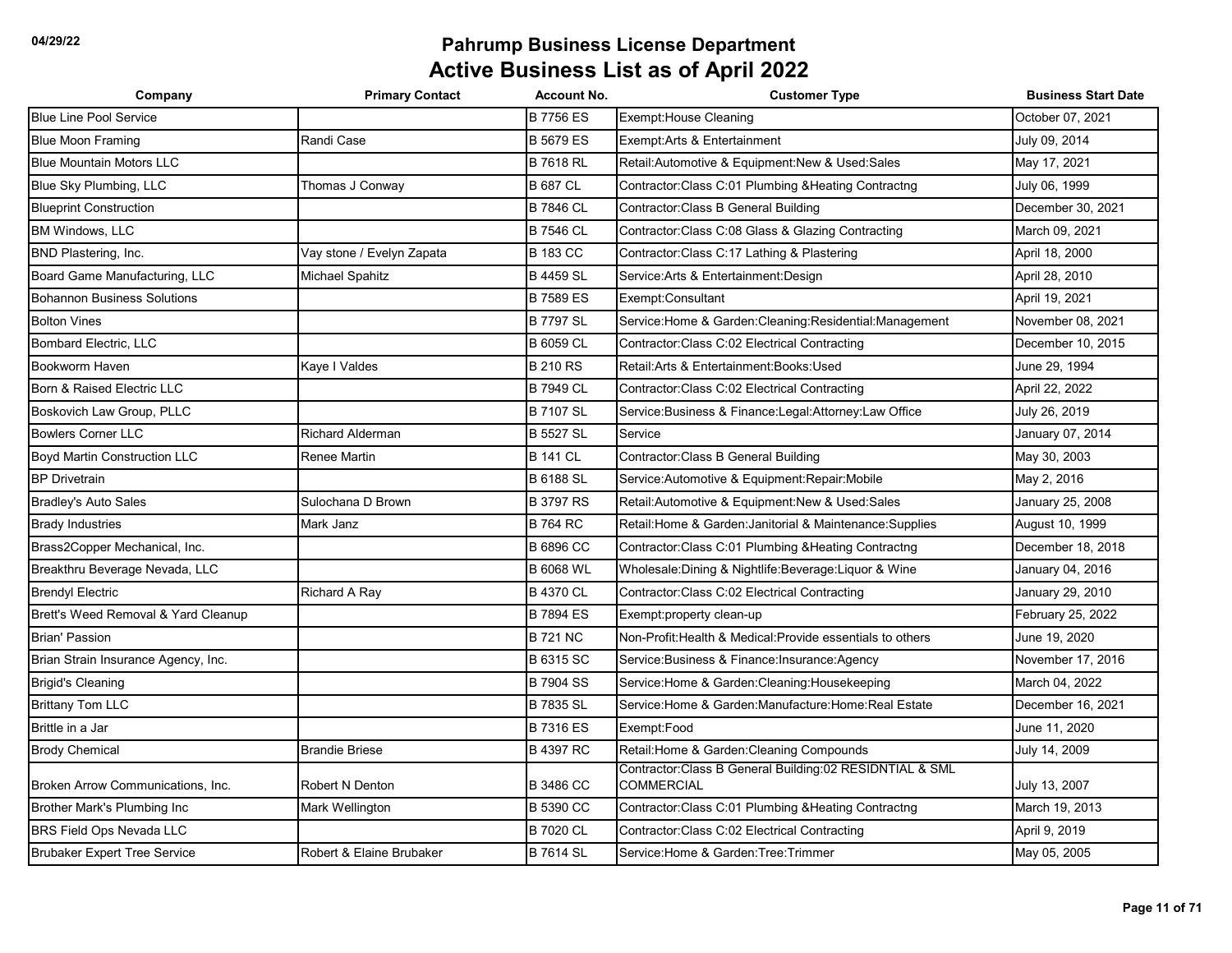| Company                             | <b>Primary Contact</b>    | <b>Account No.</b> | <b>Customer Type</b>                                                           | <b>Business Start Date</b> |
|-------------------------------------|---------------------------|--------------------|--------------------------------------------------------------------------------|----------------------------|
| <b>Blue Line Pool Service</b>       |                           | <b>B7756ES</b>     | Exempt: House Cleaning                                                         | October 07, 2021           |
| <b>Blue Moon Framing</b>            | Randi Case                | <b>B 5679 ES</b>   | Exempt: Arts & Entertainment                                                   | July 09, 2014              |
| <b>Blue Mountain Motors LLC</b>     |                           | <b>B7618 RL</b>    | Retail: Automotive & Equipment: New & Used: Sales                              | May 17, 2021               |
| Blue Sky Plumbing, LLC              | Thomas J Conway           | <b>B 687 CL</b>    | Contractor: Class C:01 Plumbing & Heating Contractng                           | July 06, 1999              |
| <b>Blueprint Construction</b>       |                           | <b>B 7846 CL</b>   | Contractor: Class B General Building                                           | December 30, 2021          |
| <b>BM Windows, LLC</b>              |                           | <b>B 7546 CL</b>   | Contractor: Class C:08 Glass & Glazing Contracting                             | March 09, 2021             |
| BND Plastering, Inc.                | Vay stone / Evelyn Zapata | <b>B 183 CC</b>    | Contractor: Class C:17 Lathing & Plastering                                    | April 18, 2000             |
| Board Game Manufacturing, LLC       | Michael Spahitz           | <b>B</b> 4459 SL   | Service: Arts & Entertainment: Design                                          | April 28, 2010             |
| <b>Bohannon Business Solutions</b>  |                           | <b>B7589 ES</b>    | Exempt:Consultant                                                              | April 19, 2021             |
| <b>Bolton Vines</b>                 |                           | <b>B 7797 SL</b>   | Service: Home & Garden: Cleaning: Residential: Management                      | November 08, 2021          |
| <b>Bombard Electric, LLC</b>        |                           | <b>B 6059 CL</b>   | Contractor: Class C:02 Electrical Contracting                                  | December 10, 2015          |
| Bookworm Haven                      | Kaye I Valdes             | <b>B 210 RS</b>    | Retail: Arts & Entertainment: Books: Used                                      | June 29, 1994              |
| Born & Raised Electric LLC          |                           | <b>B 7949 CL</b>   | Contractor: Class C:02 Electrical Contracting                                  | April 22, 2022             |
| Boskovich Law Group, PLLC           |                           | <b>B 7107 SL</b>   | Service: Business & Finance: Legal: Attorney: Law Office                       | July 26, 2019              |
| <b>Bowlers Corner LLC</b>           | <b>Richard Alderman</b>   | <b>B 5527 SL</b>   | Service                                                                        | January 07, 2014           |
| <b>Boyd Martin Construction LLC</b> | <b>Renee Martin</b>       | <b>B 141 CL</b>    | Contractor: Class B General Building                                           | May 30, 2003               |
| <b>BP Drivetrain</b>                |                           | <b>B 6188 SL</b>   | Service: Automotive & Equipment: Repair: Mobile                                | May 2, 2016                |
| <b>Bradley's Auto Sales</b>         | Sulochana D Brown         | <b>B 3797 RS</b>   | Retail: Automotive & Equipment: New & Used: Sales                              | January 25, 2008           |
| <b>Brady Industries</b>             | Mark Janz                 | <b>B 764 RC</b>    | Retail: Home & Garden: Janitorial & Maintenance: Supplies                      | August 10, 1999            |
| Brass2Copper Mechanical, Inc.       |                           | <b>B 6896 CC</b>   | Contractor:Class C:01 Plumbing & Heating Contractng                            | December 18, 2018          |
| Breakthru Beverage Nevada, LLC      |                           | <b>B 6068 WL</b>   | Wholesale: Dining & Nightlife: Beverage: Liquor & Wine                         | January 04, 2016           |
| <b>Brendyl Electric</b>             | Richard A Ray             | <b>B 4370 CL</b>   | Contractor: Class C:02 Electrical Contracting                                  | January 29, 2010           |
| Brett's Weed Removal & Yard Cleanup |                           | <b>B 7894 ES</b>   | Exempt:property clean-up                                                       | February 25, 2022          |
| <b>Brian' Passion</b>               |                           | <b>B 721 NC</b>    | Non-Profit: Health & Medical: Provide essentials to others                     | June 19, 2020              |
| Brian Strain Insurance Agency, Inc. |                           | <b>B 6315 SC</b>   | Service: Business & Finance: Insurance: Agency                                 | November 17, 2016          |
| <b>Brigid's Cleaning</b>            |                           | <b>B7904 SS</b>    | Service: Home & Garden: Cleaning: Housekeeping                                 | March 04, 2022             |
| <b>Brittany Tom LLC</b>             |                           | <b>B 7835 SL</b>   | Service: Home & Garden: Manufacture: Home: Real Estate                         | December 16, 2021          |
| Brittle in a Jar                    |                           | <b>B7316 ES</b>    | Exempt:Food                                                                    | June 11, 2020              |
| <b>Brody Chemical</b>               | <b>Brandie Briese</b>     | <b>B 4397 RC</b>   | Retail: Home & Garden: Cleaning Compounds                                      | July 14, 2009              |
| Broken Arrow Communications, Inc.   | Robert N Denton           | <b>B 3486 CC</b>   | Contractor: Class B General Building: 02 RESIDNTIAL & SML<br><b>COMMERCIAL</b> | July 13, 2007              |
| Brother Mark's Plumbing Inc         | Mark Wellington           | <b>B 5390 CC</b>   | Contractor:Class C:01 Plumbing & Heating Contractng                            | March 19, 2013             |
| BRS Field Ops Nevada LLC            |                           | <b>B 7020 CL</b>   | Contractor: Class C:02 Electrical Contracting                                  | April 9, 2019              |
| <b>Brubaker Expert Tree Service</b> | Robert & Elaine Brubaker  | <b>B 7614 SL</b>   | Service: Home & Garden: Tree: Trimmer                                          | May 05, 2005               |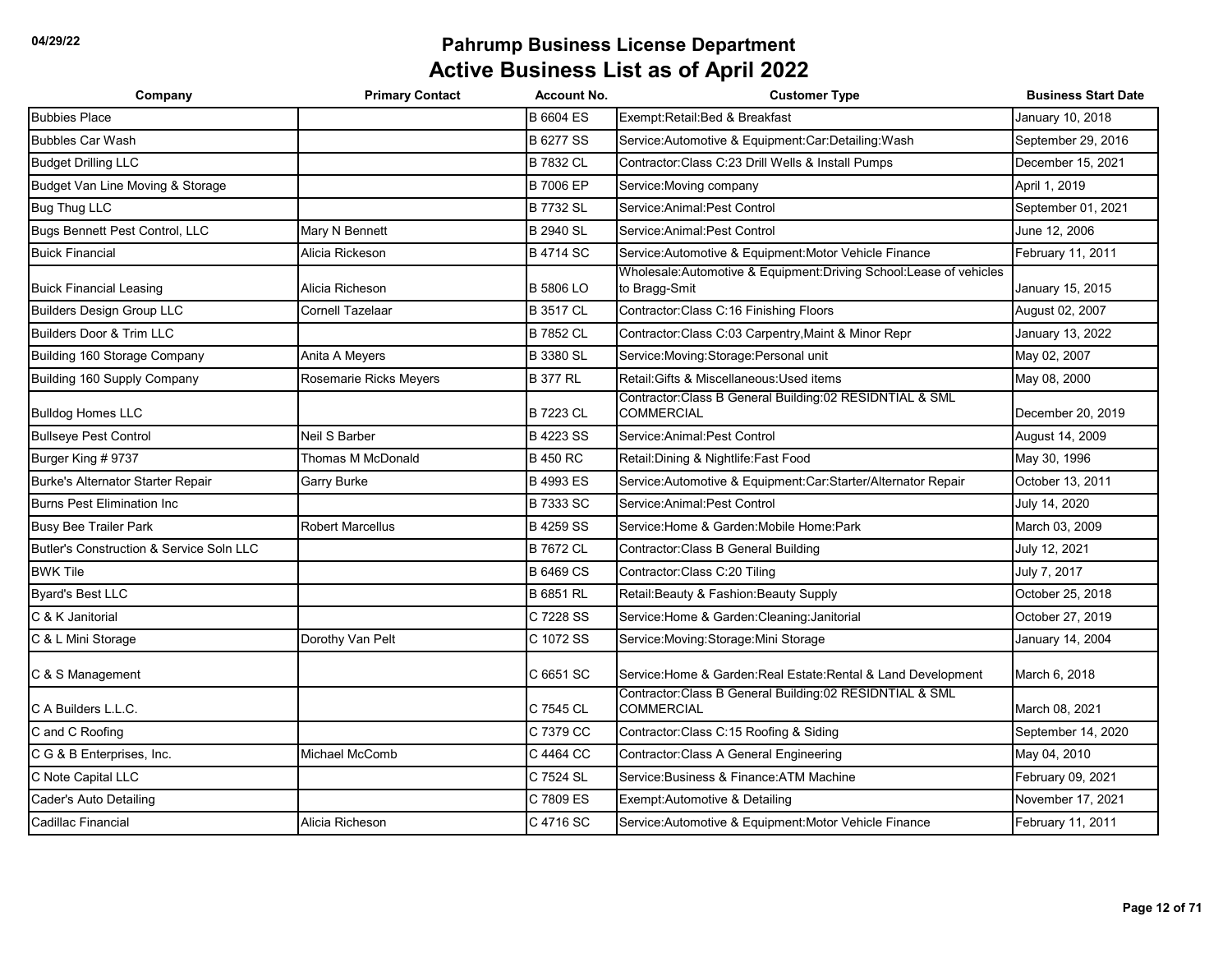| Company                                  | <b>Primary Contact</b>  | <b>Account No.</b> | <b>Customer Type</b>                                                               | <b>Business Start Date</b> |
|------------------------------------------|-------------------------|--------------------|------------------------------------------------------------------------------------|----------------------------|
| <b>Bubbies Place</b>                     |                         | <b>B 6604 ES</b>   | Exempt:Retail:Bed & Breakfast                                                      | January 10, 2018           |
| <b>Bubbles Car Wash</b>                  |                         | <b>B 6277 SS</b>   | Service: Automotive & Equipment: Car: Detailing: Wash                              | September 29, 2016         |
| <b>Budget Drilling LLC</b>               |                         | <b>B 7832 CL</b>   | Contractor: Class C:23 Drill Wells & Install Pumps                                 | December 15, 2021          |
| Budget Van Line Moving & Storage         |                         | <b>B 7006 EP</b>   | Service: Moving company                                                            | April 1, 2019              |
| <b>Bug Thug LLC</b>                      |                         | <b>B 7732 SL</b>   | Service: Animal: Pest Control                                                      | September 01, 2021         |
| Bugs Bennett Pest Control, LLC           | Mary N Bennett          | <b>B 2940 SL</b>   | Service: Animal: Pest Control                                                      | June 12, 2006              |
| <b>Buick Financial</b>                   | Alicia Rickeson         | <b>B4714 SC</b>    | Service:Automotive & Equipment:Motor Vehicle Finance                               | February 11, 2011          |
| <b>Buick Financial Leasing</b>           | Alicia Richeson         | <b>B 5806 LO</b>   | Wholesale:Automotive & Equipment:Driving School:Lease of vehicles<br>to Bragg-Smit | January 15, 2015           |
| <b>Builders Design Group LLC</b>         | Cornell Tazelaar        | <b>B 3517 CL</b>   | Contractor: Class C: 16 Finishing Floors                                           | August 02, 2007            |
| Builders Door & Trim LLC                 |                         | <b>B 7852 CL</b>   | Contractor: Class C:03 Carpentry, Maint & Minor Repr                               | January 13, 2022           |
| Building 160 Storage Company             | Anita A Meyers          | <b>B 3380 SL</b>   | Service: Moving: Storage: Personal unit                                            | May 02, 2007               |
| Building 160 Supply Company              | Rosemarie Ricks Meyers  | <b>B 377 RL</b>    | Retail: Gifts & Miscellaneous: Used items                                          | May 08, 2000               |
| <b>Bulldog Homes LLC</b>                 |                         | <b>B 7223 CL</b>   | Contractor: Class B General Building: 02 RESIDNTIAL & SML<br><b>COMMERCIAL</b>     | December 20, 2019          |
| <b>Bullseye Pest Control</b>             | Neil S Barber           | <b>B 4223 SS</b>   | Service: Animal: Pest Control                                                      | August 14, 2009            |
| Burger King # 9737                       | Thomas M McDonald       | <b>B 450 RC</b>    | Retail: Dining & Nightlife: Fast Food                                              | May 30, 1996               |
| <b>Burke's Alternator Starter Repair</b> | Garry Burke             | <b>B 4993 ES</b>   | Service: Automotive & Equipment: Car: Starter/Alternator Repair                    | October 13, 2011           |
| <b>Burns Pest Elimination Inc.</b>       |                         | <b>B 7333 SC</b>   | Service: Animal: Pest Control                                                      | July 14, 2020              |
| <b>Busy Bee Trailer Park</b>             | <b>Robert Marcellus</b> | <b>B 4259 SS</b>   | Service:Home & Garden:Mobile Home:Park                                             | March 03, 2009             |
| Butler's Construction & Service Soln LLC |                         | <b>B 7672 CL</b>   | Contractor: Class B General Building                                               | July 12, 2021              |
| <b>BWK Tile</b>                          |                         | <b>B 6469 CS</b>   | Contractor:Class C:20 Tiling                                                       | July 7, 2017               |
| <b>Byard's Best LLC</b>                  |                         | <b>B 6851 RL</b>   | Retail: Beauty & Fashion: Beauty Supply                                            | October 25, 2018           |
| C & K Janitorial                         |                         | C 7228 SS          | Service: Home & Garden: Cleaning: Janitorial                                       | October 27, 2019           |
| C & L Mini Storage                       | Dorothy Van Pelt        | C 1072 SS          | Service: Moving: Storage: Mini Storage                                             | January 14, 2004           |
| C & S Management                         |                         | C 6651 SC          | Service: Home & Garden: Real Estate: Rental & Land Development                     | March 6, 2018              |
| C A Builders L.L.C.                      |                         | C 7545 CL          | Contractor:Class B General Building:02 RESIDNTIAL & SML<br><b>COMMERCIAL</b>       | March 08, 2021             |
| C and C Roofing                          |                         | C 7379 CC          | Contractor: Class C: 15 Roofing & Siding                                           | September 14, 2020         |
| C G & B Enterprises, Inc.                | Michael McComb          | C 4464 CC          | Contractor: Class A General Engineering                                            | May 04, 2010               |
| C Note Capital LLC                       |                         | C 7524 SL          | Service: Business & Finance: ATM Machine                                           | February 09, 2021          |
| Cader's Auto Detailing                   |                         | C 7809 ES          | Exempt:Automotive & Detailing                                                      | November 17, 2021          |
| Cadillac Financial                       | Alicia Richeson         | C 4716 SC          | Service: Automotive & Equipment: Motor Vehicle Finance                             | February 11, 2011          |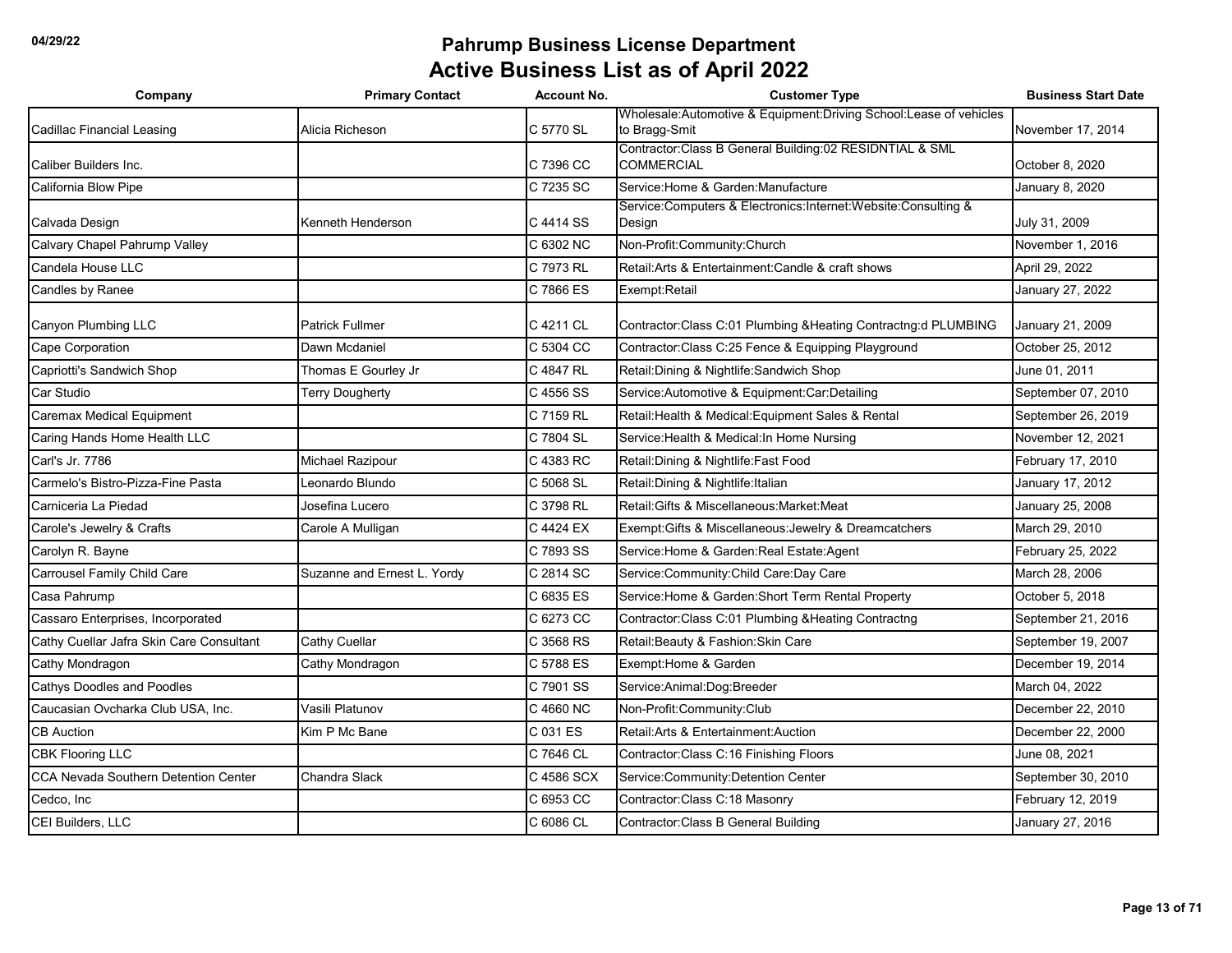| Company                                     | <b>Primary Contact</b>      | <b>Account No.</b> | <b>Customer Type</b>                                                               | <b>Business Start Date</b> |
|---------------------------------------------|-----------------------------|--------------------|------------------------------------------------------------------------------------|----------------------------|
| Cadillac Financial Leasing                  | Alicia Richeson             | C 5770 SL          | Wholesale:Automotive & Equipment:Driving School:Lease of vehicles<br>to Bragg-Smit | November 17, 2014          |
| Caliber Builders Inc.                       |                             | C 7396 CC          | Contractor: Class B General Building: 02 RESIDNTIAL & SML<br><b>COMMERCIAL</b>     | October 8, 2020            |
| California Blow Pipe                        |                             | C 7235 SC          | Service: Home & Garden: Manufacture                                                | January 8, 2020            |
| Calvada Design                              | Kenneth Henderson           | C 4414 SS          | Service:Computers & Electronics:Internet:Website:Consulting &<br>Design            | July 31, 2009              |
| Calvary Chapel Pahrump Valley               |                             | C 6302 NC          | Non-Profit:Community:Church                                                        | November 1, 2016           |
| Candela House LLC                           |                             | C 7973 RL          | Retail: Arts & Entertainment: Candle & craft shows                                 | April 29, 2022             |
| Candles by Ranee                            |                             | C 7866 ES          | Exempt:Retail                                                                      | January 27, 2022           |
| Canyon Plumbing LLC                         | <b>Patrick Fullmer</b>      | C 4211 CL          | Contractor: Class C:01 Plumbing & Heating Contractng: d PLUMBING                   | January 21, 2009           |
| Cape Corporation                            | Dawn Mcdaniel               | C 5304 CC          | Contractor: Class C:25 Fence & Equipping Playground                                | October 25, 2012           |
| Capriotti's Sandwich Shop                   | Thomas E Gourley Jr         | C 4847 RL          | Retail: Dining & Nightlife: Sandwich Shop                                          | June 01, 2011              |
| Car Studio                                  | Terry Dougherty             | C 4556 SS          | Service: Automotive & Equipment: Car: Detailing                                    | September 07, 2010         |
| <b>Caremax Medical Equipment</b>            |                             | C 7159 RL          | Retail: Health & Medical: Equipment Sales & Rental                                 | September 26, 2019         |
| Caring Hands Home Health LLC                |                             | C 7804 SL          | Service:Health & Medical:In Home Nursing                                           | November 12, 2021          |
| Carl's Jr. 7786                             | Michael Razipour            | C 4383 RC          | Retail: Dining & Nightlife: Fast Food                                              | February 17, 2010          |
| Carmelo's Bistro-Pizza-Fine Pasta           | Leonardo Blundo             | C 5068 SL          | Retail: Dining & Nightlife: Italian                                                | January 17, 2012           |
| Carniceria La Piedad                        | Josefina Lucero             | C 3798 RL          | Retail: Gifts & Miscellaneous: Market: Meat                                        | January 25, 2008           |
| Carole's Jewelry & Crafts                   | Carole A Mulligan           | C 4424 EX          | Exempt: Gifts & Miscellaneous: Jewelry & Dreamcatchers                             | March 29, 2010             |
| Carolyn R. Bayne                            |                             | C 7893 SS          | Service: Home & Garden: Real Estate: Agent                                         | February 25, 2022          |
| Carrousel Family Child Care                 | Suzanne and Ernest L. Yordy | C 2814 SC          | Service: Community: Child Care: Day Care                                           | March 28, 2006             |
| Casa Pahrump                                |                             | C 6835 ES          | Service: Home & Garden: Short Term Rental Property                                 | October 5, 2018            |
| Cassaro Enterprises, Incorporated           |                             | C 6273 CC          | Contractor: Class C:01 Plumbing & Heating Contractng                               | September 21, 2016         |
| Cathy Cuellar Jafra Skin Care Consultant    | Cathy Cuellar               | C 3568 RS          | Retail: Beauty & Fashion: Skin Care                                                | September 19, 2007         |
| Cathy Mondragon                             | Cathy Mondragon             | C 5788 ES          | Exempt: Home & Garden                                                              | December 19, 2014          |
| <b>Cathys Doodles and Poodles</b>           |                             | C 7901 SS          | Service: Animal: Dog: Breeder                                                      | March 04, 2022             |
| Caucasian Ovcharka Club USA, Inc.           | Vasili Platunov             | C 4660 NC          | Non-Profit:Community:Club                                                          | December 22, 2010          |
| <b>CB Auction</b>                           | Kim P Mc Bane               | C 031 ES           | Retail: Arts & Entertainment: Auction                                              | December 22, 2000          |
| <b>CBK Flooring LLC</b>                     |                             | C 7646 CL          | Contractor: Class C:16 Finishing Floors                                            | June 08, 2021              |
| <b>CCA Nevada Southern Detention Center</b> | Chandra Slack               | C 4586 SCX         | Service: Community: Detention Center                                               | September 30, 2010         |
| Cedco, Inc                                  |                             | C 6953 CC          | Contractor: Class C: 18 Masonry                                                    | February 12, 2019          |
| CEI Builders, LLC                           |                             | C 6086 CL          | Contractor: Class B General Building                                               | January 27, 2016           |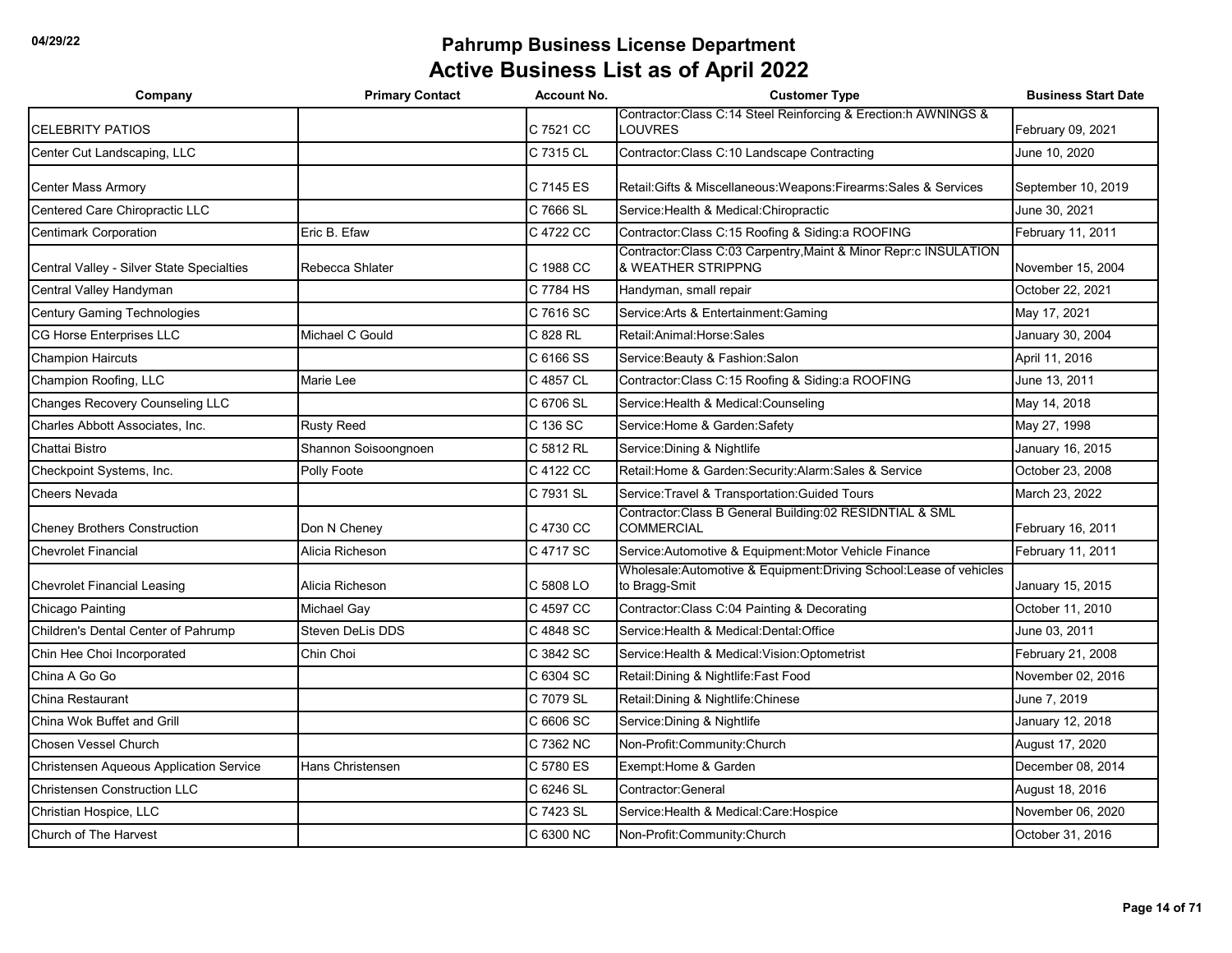| Company                                   | <b>Primary Contact</b>  | <b>Account No.</b> | <b>Customer Type</b>                                                                   | <b>Business Start Date</b> |
|-------------------------------------------|-------------------------|--------------------|----------------------------------------------------------------------------------------|----------------------------|
| <b>CELEBRITY PATIOS</b>                   |                         | C 7521 CC          | Contractor: Class C:14 Steel Reinforcing & Erection:h AWNINGS &<br><b>LOUVRES</b>      | February 09, 2021          |
| Center Cut Landscaping, LLC               |                         | C 7315 CL          | Contractor: Class C:10 Landscape Contracting                                           | June 10, 2020              |
| <b>Center Mass Armory</b>                 |                         | C 7145 ES          | Retail: Gifts & Miscellaneous: Weapons: Firearms: Sales & Services                     | September 10, 2019         |
| Centered Care Chiropractic LLC            |                         | C 7666 SL          | Service: Health & Medical: Chiropractic                                                | June 30, 2021              |
| <b>Centimark Corporation</b>              | Eric B. Efaw            | C 4722 CC          | Contractor: Class C:15 Roofing & Siding: a ROOFING                                     | February 11, 2011          |
| Central Valley - Silver State Specialties | Rebecca Shlater         | C 1988 CC          | Contractor:Class C:03 Carpentry, Maint & Minor Repr:c INSULATION<br>& WEATHER STRIPPNG | November 15, 2004          |
| Central Valley Handyman                   |                         | C 7784 HS          | Handyman, small repair                                                                 | October 22, 2021           |
| <b>Century Gaming Technologies</b>        |                         | C 7616 SC          | Service: Arts & Entertainment: Gaming                                                  | May 17, 2021               |
| CG Horse Enterprises LLC                  | Michael C Gould         | C 828 RL           | Retail:Animal:Horse:Sales                                                              | January 30, 2004           |
| <b>Champion Haircuts</b>                  |                         | C 6166 SS          | Service: Beauty & Fashion: Salon                                                       | April 11, 2016             |
| Champion Roofing, LLC                     | Marie Lee               | C 4857 CL          | Contractor: Class C:15 Roofing & Siding: a ROOFING                                     | June 13, 2011              |
| Changes Recovery Counseling LLC           |                         | C 6706 SL          | Service: Health & Medical: Counseling                                                  | May 14, 2018               |
| Charles Abbott Associates, Inc.           | <b>Rusty Reed</b>       | C 136 SC           | Service: Home & Garden: Safety                                                         | May 27, 1998               |
| Chattai Bistro                            | Shannon Soisoongnoen    | C 5812 RL          | Service: Dining & Nightlife                                                            | January 16, 2015           |
| Checkpoint Systems, Inc.                  | Polly Foote             | C 4122 CC          | Retail: Home & Garden: Security: Alarm: Sales & Service                                | October 23, 2008           |
| <b>Cheers Nevada</b>                      |                         | C 7931 SL          | Service: Travel & Transportation: Guided Tours                                         | March 23, 2022             |
| <b>Cheney Brothers Construction</b>       | Don N Cheney            | C 4730 CC          | Contractor: Class B General Building: 02 RESIDNTIAL & SML<br><b>COMMERCIAL</b>         | February 16, 2011          |
| <b>Chevrolet Financial</b>                | Alicia Richeson         | C 4717 SC          | Service: Automotive & Equipment: Motor Vehicle Finance                                 | February 11, 2011          |
| <b>Chevrolet Financial Leasing</b>        | Alicia Richeson         | C 5808 LO          | Wholesale:Automotive & Equipment:Driving School:Lease of vehicles<br>to Bragg-Smit     | January 15, 2015           |
| Chicago Painting                          | Michael Gay             | C 4597 CC          | Contractor: Class C:04 Painting & Decorating                                           | October 11, 2010           |
| Children's Dental Center of Pahrump       | <b>Steven DeLis DDS</b> | C 4848 SC          | Service: Health & Medical: Dental: Office                                              | June 03, 2011              |
| Chin Hee Choi Incorporated                | Chin Choi               | C 3842 SC          | Service: Health & Medical: Vision: Optometrist                                         | February 21, 2008          |
| China A Go Go                             |                         | C 6304 SC          | Retail: Dining & Nightlife: Fast Food                                                  | November 02, 2016          |
| China Restaurant                          |                         | C 7079 SL          | Retail: Dining & Nightlife: Chinese                                                    | June 7, 2019               |
| China Wok Buffet and Grill                |                         | C 6606 SC          | Service: Dining & Nightlife                                                            | January 12, 2018           |
| <b>Chosen Vessel Church</b>               |                         | C 7362 NC          | Non-Profit:Community:Church                                                            | August 17, 2020            |
| Christensen Aqueous Application Service   | Hans Christensen        | C 5780 ES          | Exempt: Home & Garden                                                                  | December 08, 2014          |
| <b>Christensen Construction LLC</b>       |                         | C 6246 SL          | Contractor:General                                                                     | August 18, 2016            |
| Christian Hospice, LLC                    |                         | C 7423 SL          | Service: Health & Medical: Care: Hospice                                               | November 06, 2020          |
| Church of The Harvest                     |                         | C 6300 NC          | Non-Profit:Community:Church                                                            | October 31, 2016           |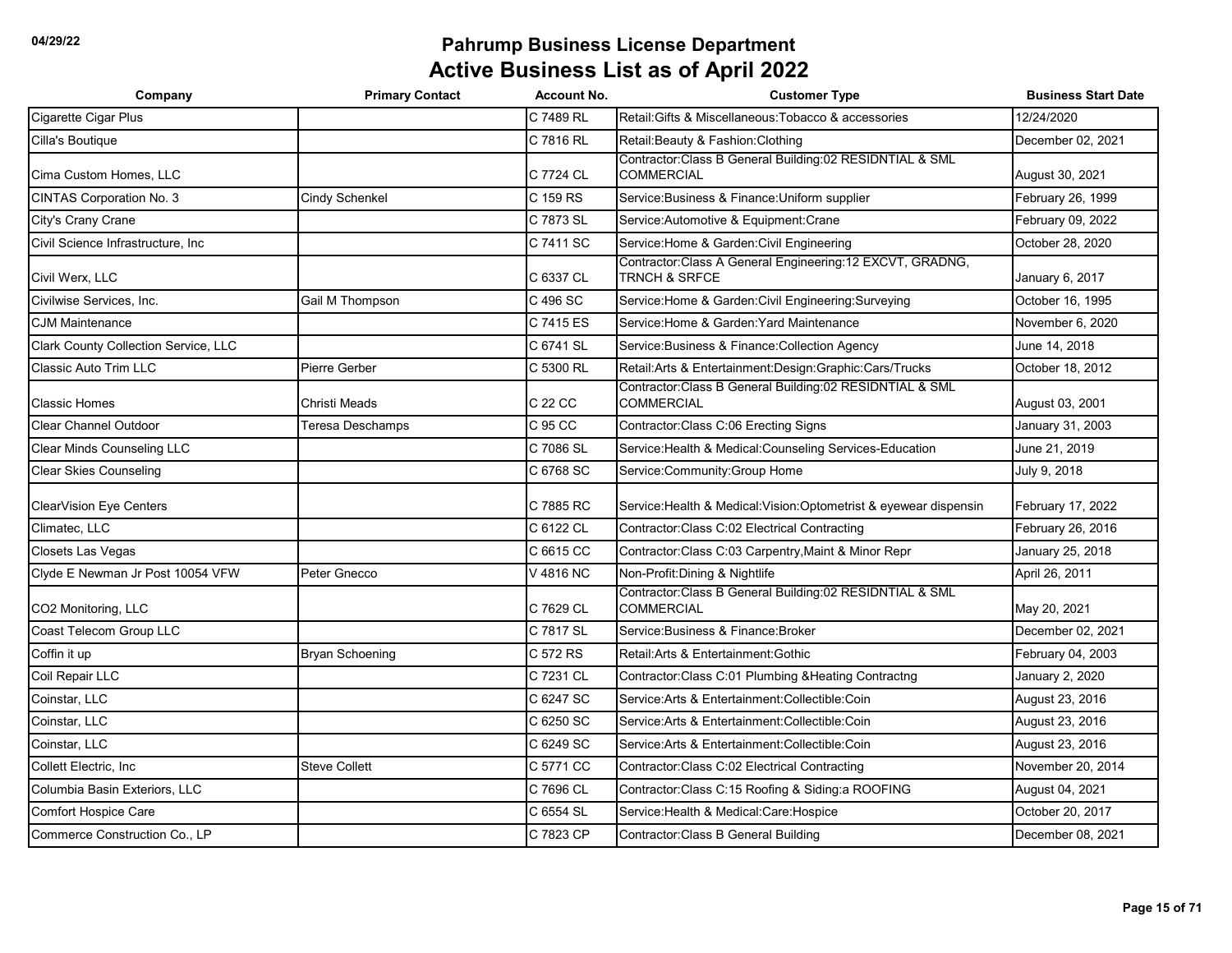| Company                              | <b>Primary Contact</b> | <b>Account No.</b> | <b>Customer Type</b>                                                                 | <b>Business Start Date</b> |
|--------------------------------------|------------------------|--------------------|--------------------------------------------------------------------------------------|----------------------------|
| Cigarette Cigar Plus                 |                        | C 7489 RL          | Retail: Gifts & Miscellaneous: Tobacco & accessories                                 | 12/24/2020                 |
| Cilla's Boutique                     |                        | C 7816 RL          | Retail: Beauty & Fashion: Clothing                                                   | December 02, 2021          |
| Cima Custom Homes, LLC               |                        | C 7724 CL          | Contractor: Class B General Building: 02 RESIDNTIAL & SML<br><b>COMMERCIAL</b>       | August 30, 2021            |
| <b>CINTAS Corporation No. 3</b>      | <b>Cindy Schenkel</b>  | C 159 RS           | Service: Business & Finance: Uniform supplier                                        | February 26, 1999          |
| City's Crany Crane                   |                        | C 7873 SL          | Service: Automotive & Equipment: Crane                                               | February 09, 2022          |
| Civil Science Infrastructure, Inc.   |                        | C 7411 SC          | Service: Home & Garden: Civil Engineering                                            | October 28, 2020           |
| Civil Werx, LLC                      |                        | C 6337 CL          | Contractor:Class A General Engineering:12 EXCVT, GRADNG,<br><b>TRNCH &amp; SRFCE</b> | January 6, 2017            |
| Civilwise Services, Inc.             | Gail M Thompson        | C 496 SC           | Service: Home & Garden: Civil Engineering: Surveying                                 | October 16, 1995           |
| <b>CJM Maintenance</b>               |                        | C 7415 ES          | Service: Home & Garden: Yard Maintenance                                             | November 6, 2020           |
| Clark County Collection Service, LLC |                        | C 6741 SL          | Service: Business & Finance: Collection Agency                                       | June 14, 2018              |
| <b>Classic Auto Trim LLC</b>         | Pierre Gerber          | C 5300 RL          | Retail:Arts & Entertainment:Design:Graphic:Cars/Trucks                               | October 18, 2012           |
| <b>Classic Homes</b>                 | Christi Meads          | C 22 CC            | Contractor:Class B General Building:02 RESIDNTIAL & SML<br><b>COMMERCIAL</b>         | August 03, 2001            |
| <b>Clear Channel Outdoor</b>         | Teresa Deschamps       | C 95 CC            | Contractor: Class C:06 Erecting Signs                                                | January 31, 2003           |
| Clear Minds Counseling LLC           |                        | C 7086 SL          | Service: Health & Medical: Counseling Services-Education                             | June 21, 2019              |
| <b>Clear Skies Counseling</b>        |                        | C 6768 SC          | Service:Community:Group Home                                                         | July 9, 2018               |
| <b>ClearVision Eye Centers</b>       |                        | C 7885 RC          | Service: Health & Medical: Vision: Optometrist & eyewear dispensin                   | February 17, 2022          |
| Climatec, LLC                        |                        | C 6122 CL          | Contractor: Class C:02 Electrical Contracting                                        | February 26, 2016          |
| Closets Las Vegas                    |                        | C 6615 CC          | Contractor: Class C:03 Carpentry, Maint & Minor Repr                                 | January 25, 2018           |
| Clyde E Newman Jr Post 10054 VFW     | Peter Gnecco           | V 4816 NC          | Non-Profit: Dining & Nightlife                                                       | April 26, 2011             |
| CO2 Monitoring, LLC                  |                        | C 7629 CL          | Contractor:Class B General Building:02 RESIDNTIAL & SML<br><b>COMMERCIAL</b>         | May 20, 2021               |
| Coast Telecom Group LLC              |                        | C 7817 SL          | Service: Business & Finance: Broker                                                  | December 02, 2021          |
| Coffin it up                         | <b>Bryan Schoening</b> | C 572 RS           | Retail: Arts & Entertainment: Gothic                                                 | February 04, 2003          |
| Coil Repair LLC                      |                        | C 7231 CL          | Contractor: Class C:01 Plumbing & Heating Contractng                                 | January 2, 2020            |
| Coinstar, LLC                        |                        | C 6247 SC          | Service:Arts & Entertainment:Collectible:Coin                                        | August 23, 2016            |
| Coinstar, LLC                        |                        | C 6250 SC          | Service: Arts & Entertainment: Collectible: Coin                                     | August 23, 2016            |
| Coinstar, LLC                        |                        | C 6249 SC          | Service: Arts & Entertainment: Collectible: Coin                                     | August 23, 2016            |
| Collett Electric, Inc.               | <b>Steve Collett</b>   | C 5771 CC          | Contractor: Class C:02 Electrical Contracting                                        | November 20, 2014          |
| Columbia Basin Exteriors, LLC        |                        | C 7696 CL          | Contractor: Class C:15 Roofing & Siding: a ROOFING                                   | August 04, 2021            |
| Comfort Hospice Care                 |                        | C 6554 SL          | Service: Health & Medical: Care: Hospice                                             | October 20, 2017           |
| Commerce Construction Co., LP        |                        | C 7823 CP          | Contractor: Class B General Building                                                 | December 08, 2021          |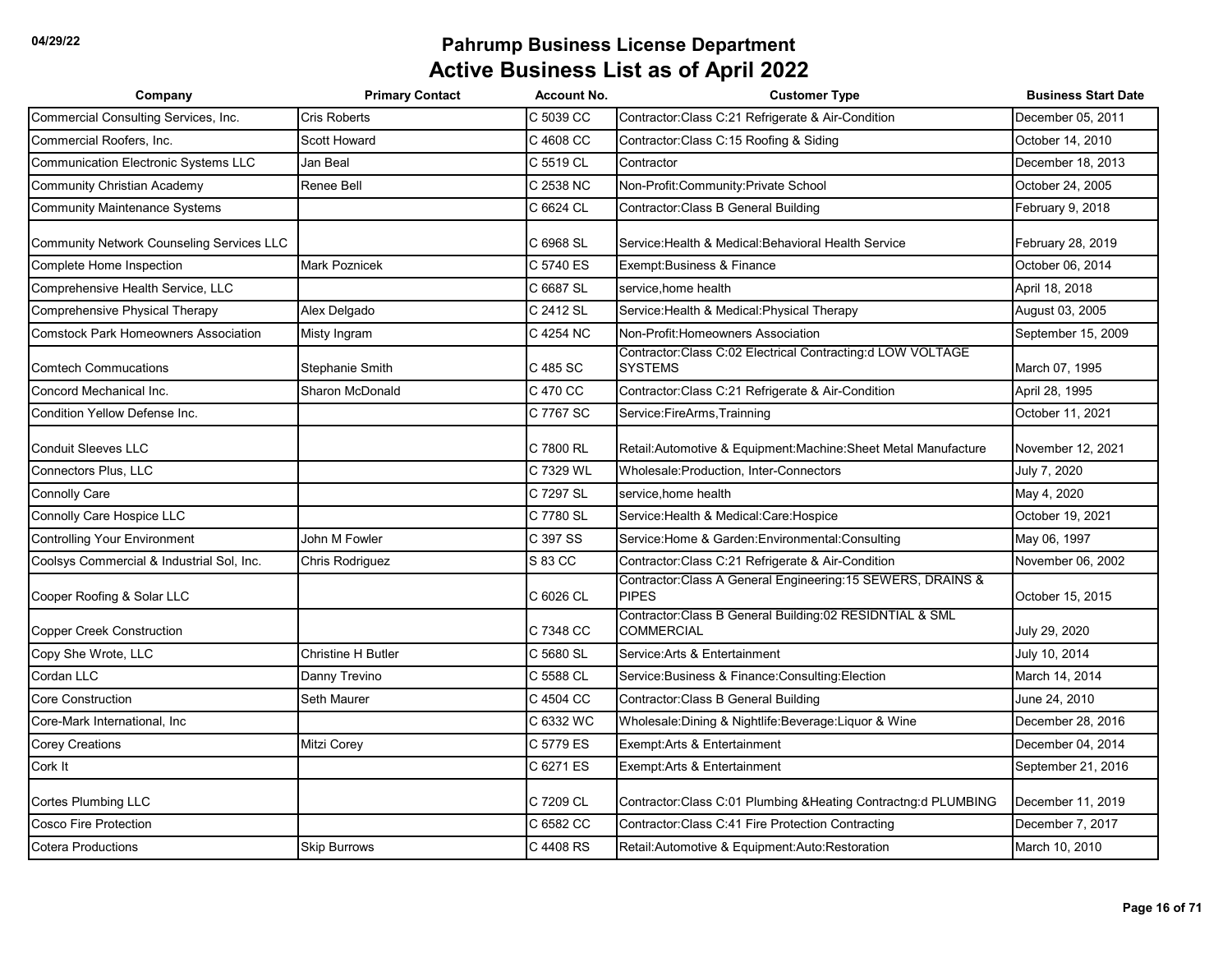| Company                                          | <b>Primary Contact</b> | <b>Account No.</b> | <b>Customer Type</b>                                                         | <b>Business Start Date</b> |
|--------------------------------------------------|------------------------|--------------------|------------------------------------------------------------------------------|----------------------------|
| Commercial Consulting Services, Inc.             | <b>Cris Roberts</b>    | C 5039 CC          | Contractor:Class C:21 Refrigerate & Air-Condition                            | December 05, 2011          |
| Commercial Roofers, Inc.                         | Scott Howard           | C 4608 CC          | Contractor: Class C: 15 Roofing & Siding                                     | October 14, 2010           |
| <b>Communication Electronic Systems LLC</b>      | Jan Beal               | C 5519 CL          | Contractor                                                                   | December 18, 2013          |
| <b>Community Christian Academy</b>               | Renee Bell             | C 2538 NC          | Non-Profit:Community:Private School                                          | October 24, 2005           |
| <b>Community Maintenance Systems</b>             |                        | C 6624 CL          | Contractor: Class B General Building                                         | February 9, 2018           |
| <b>Community Network Counseling Services LLC</b> |                        | C 6968 SL          | Service: Health & Medical: Behavioral Health Service                         | February 28, 2019          |
| Complete Home Inspection                         | <b>Mark Poznicek</b>   | C 5740 ES          | Exempt: Business & Finance                                                   | October 06, 2014           |
| Comprehensive Health Service, LLC                |                        | C 6687 SL          | service, home health                                                         | April 18, 2018             |
| Comprehensive Physical Therapy                   | Alex Delgado           | C 2412 SL          | Service: Health & Medical: Physical Therapy                                  | August 03, 2005            |
| <b>Comstock Park Homeowners Association</b>      | Misty Ingram           | C 4254 NC          | Non-Profit: Homeowners Association                                           | September 15, 2009         |
| <b>Comtech Commucations</b>                      | Stephanie Smith        | C 485 SC           | Contractor:Class C:02 Electrical Contracting:d LOW VOLTAGE<br>SYSTEMS        | March 07, 1995             |
| Concord Mechanical Inc.                          | Sharon McDonald        | C 470 CC           | Contractor: Class C:21 Refrigerate & Air-Condition                           | April 28, 1995             |
| Condition Yellow Defense Inc.                    |                        | C 7767 SC          | Service:FireArms,Trainning                                                   | October 11, 2021           |
| <b>Conduit Sleeves LLC</b>                       |                        | C 7800 RL          | Retail: Automotive & Equipment: Machine: Sheet Metal Manufacture             | November 12, 2021          |
| <b>Connectors Plus, LLC</b>                      |                        | C 7329 WL          | Wholesale:Production. Inter-Connectors                                       | July 7, 2020               |
| <b>Connolly Care</b>                             |                        | C 7297 SL          | service,home health                                                          | May 4, 2020                |
| Connolly Care Hospice LLC                        |                        | C 7780 SL          | Service: Health & Medical: Care: Hospice                                     | October 19, 2021           |
| <b>Controlling Your Environment</b>              | John M Fowler          | C 397 SS           | Service: Home & Garden: Environmental: Consulting                            | May 06, 1997               |
| Coolsys Commercial & Industrial Sol, Inc.        | Chris Rodriguez        | S 83 CC            | Contractor: Class C:21 Refrigerate & Air-Condition                           | November 06, 2002          |
| Cooper Roofing & Solar LLC                       |                        | C 6026 CL          | Contractor: Class A General Engineering: 15 SEWERS, DRAINS &<br><b>PIPES</b> | October 15, 2015           |
| <b>Copper Creek Construction</b>                 |                        | C 7348 CC          | Contractor:Class B General Building:02 RESIDNTIAL & SML<br><b>COMMERCIAL</b> | July 29, 2020              |
| Copy She Wrote, LLC                              | Christine H Butler     | C 5680 SL          | Service: Arts & Entertainment                                                | July 10, 2014              |
| Cordan LLC                                       | Danny Trevino          | C 5588 CL          | Service: Business & Finance: Consulting: Election                            | March 14, 2014             |
| Core Construction                                | Seth Maurer            | C 4504 CC          | Contractor: Class B General Building                                         | June 24, 2010              |
| Core-Mark International, Inc.                    |                        | C 6332 WC          | Wholesale: Dining & Nightlife: Beverage: Liquor & Wine                       | December 28, 2016          |
| <b>Corey Creations</b>                           | Mitzi Corey            | C 5779 ES          | Exempt: Arts & Entertainment                                                 | December 04, 2014          |
| Cork It                                          |                        | C 6271 ES          | Exempt: Arts & Entertainment                                                 | September 21, 2016         |
| Cortes Plumbing LLC                              |                        | C 7209 CL          | Contractor:Class C:01 Plumbing &Heating Contractng:d PLUMBING                | December 11, 2019          |
| Cosco Fire Protection                            |                        | C 6582 CC          | Contractor: Class C:41 Fire Protection Contracting                           | December 7, 2017           |
| <b>Cotera Productions</b>                        | <b>Skip Burrows</b>    | C 4408 RS          | Retail: Automotive & Equipment: Auto: Restoration                            | March 10, 2010             |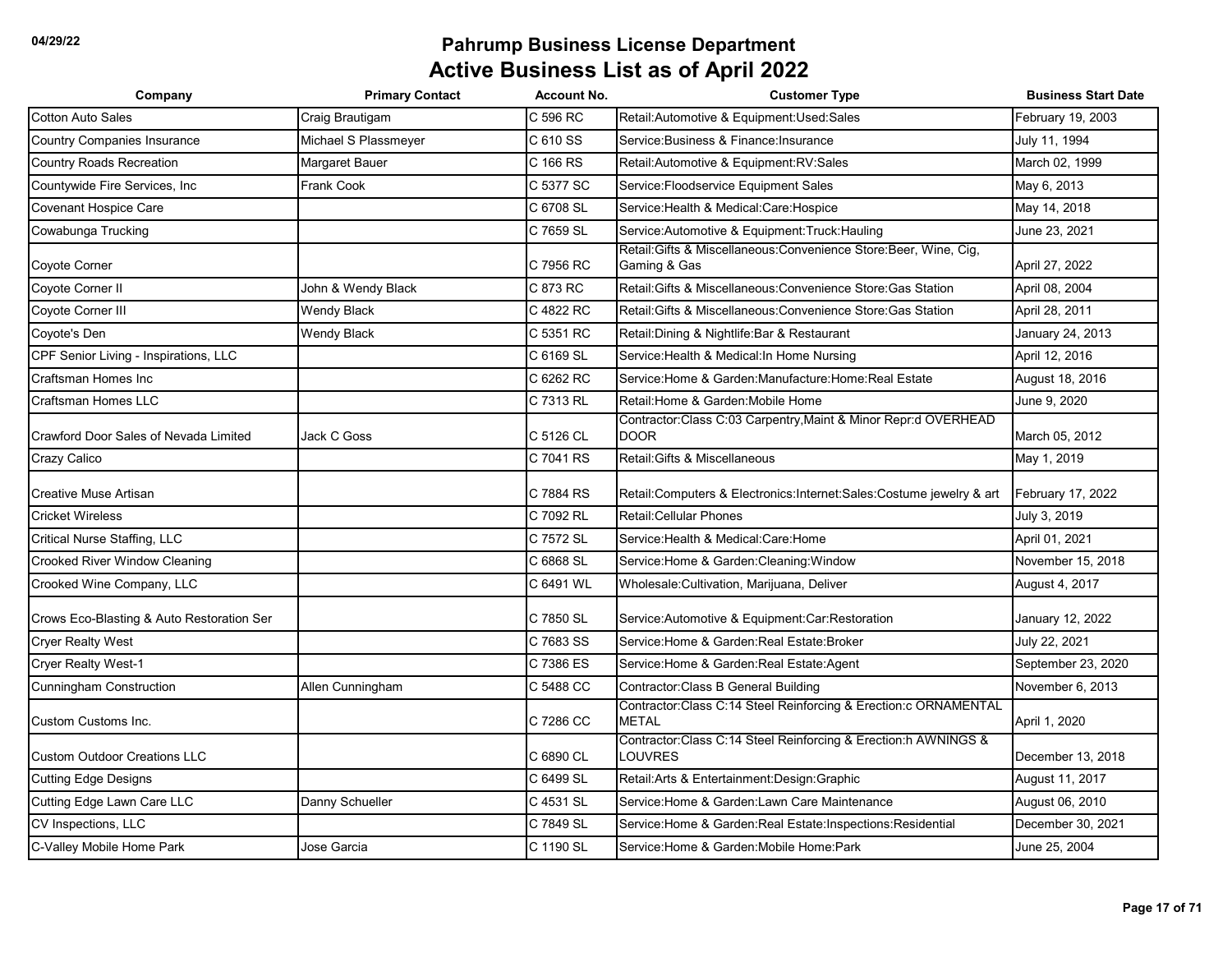| Company                                   | <b>Primary Contact</b> | <b>Account No.</b> | <b>Customer Type</b>                                                               | <b>Business Start Date</b> |
|-------------------------------------------|------------------------|--------------------|------------------------------------------------------------------------------------|----------------------------|
| <b>Cotton Auto Sales</b>                  | Craig Brautigam        | C 596 RC           | Retail: Automotive & Equipment: Used: Sales                                        | February 19, 2003          |
| <b>Country Companies Insurance</b>        | Michael S Plassmeyer   | C 610 SS           | Service: Business & Finance: Insurance                                             | July 11, 1994              |
| <b>Country Roads Recreation</b>           | Margaret Bauer         | C 166 RS           | Retail: Automotive & Equipment: RV: Sales                                          | March 02, 1999             |
| Countywide Fire Services, Inc             | Frank Cook             | C 5377 SC          | Service: Floodservice Equipment Sales                                              | May 6, 2013                |
| <b>Covenant Hospice Care</b>              |                        | C 6708 SL          | Service: Health & Medical: Care: Hospice                                           | May 14, 2018               |
| Cowabunga Trucking                        |                        | C 7659 SL          | Service: Automotive & Equipment: Truck: Hauling                                    | June 23, 2021              |
| Coyote Corner                             |                        | C 7956 RC          | Retail: Gifts & Miscellaneous: Convenience Store: Beer, Wine, Cig,<br>Gaming & Gas | April 27, 2022             |
| Coyote Corner II                          | John & Wendy Black     | C 873 RC           | Retail: Gifts & Miscellaneous: Convenience Store: Gas Station                      | April 08, 2004             |
| Coyote Corner III                         | <b>Wendy Black</b>     | C 4822 RC          | Retail: Gifts & Miscellaneous: Convenience Store: Gas Station                      | April 28, 2011             |
| Coyote's Den                              | <b>Wendy Black</b>     | C 5351 RC          | Retail: Dining & Nightlife: Bar & Restaurant                                       | January 24, 2013           |
| CPF Senior Living - Inspirations, LLC     |                        | C 6169 SL          | Service: Health & Medical: In Home Nursing                                         | April 12, 2016             |
| Craftsman Homes Inc                       |                        | C 6262 RC          | Service: Home & Garden: Manufacture: Home: Real Estate                             | August 18, 2016            |
| <b>Craftsman Homes LLC</b>                |                        | C 7313 RL          | Retail: Home & Garden: Mobile Home                                                 | June 9, 2020               |
| Crawford Door Sales of Nevada Limited     | Jack C Goss            | C 5126 CL          | Contractor:Class C:03 Carpentry, Maint & Minor Repr:d OVERHEAD<br><b>DOOR</b>      | March 05, 2012             |
| Crazy Calico                              |                        | C 7041 RS          | Retail: Gifts & Miscellaneous                                                      | May 1, 2019                |
| Creative Muse Artisan                     |                        | C 7884 RS          | Retail: Computers & Electronics: Internet: Sales: Costume jewelry & art            | February 17, 2022          |
| <b>Cricket Wireless</b>                   |                        | C 7092 RL          | Retail: Cellular Phones                                                            | July 3, 2019               |
| Critical Nurse Staffing, LLC              |                        | C 7572 SL          | Service: Health & Medical: Care: Home                                              | April 01, 2021             |
| <b>Crooked River Window Cleaning</b>      |                        | C 6868 SL          | Service: Home & Garden: Cleaning: Window                                           | November 15, 2018          |
| Crooked Wine Company, LLC                 |                        | C 6491 WL          | Wholesale: Cultivation, Marijuana, Deliver                                         | August 4, 2017             |
| Crows Eco-Blasting & Auto Restoration Ser |                        | C 7850 SL          | Service: Automotive & Equipment: Car: Restoration                                  | January 12, 2022           |
| <b>Cryer Realty West</b>                  |                        | C 7683 SS          | Service: Home & Garden: Real Estate: Broker                                        | July 22, 2021              |
| <b>Cryer Realty West-1</b>                |                        | C 7386 ES          | Service: Home & Garden: Real Estate: Agent                                         | September 23, 2020         |
| <b>Cunningham Construction</b>            | Allen Cunningham       | C 5488 CC          | Contractor: Class B General Building                                               | November 6, 2013           |
| Custom Customs Inc.                       |                        | C 7286 CC          | Contractor: Class C:14 Steel Reinforcing & Erection: c ORNAMENTAL<br><b>METAL</b>  | April 1, 2020              |
| <b>Custom Outdoor Creations LLC</b>       |                        | C 6890 CL          | Contractor: Class C:14 Steel Reinforcing & Erection:h AWNINGS &<br>LOUVRES         | December 13, 2018          |
| <b>Cutting Edge Designs</b>               |                        | C 6499 SL          | Retail:Arts & Entertainment:Design:Graphic                                         | August 11, 2017            |
| Cutting Edge Lawn Care LLC                | Danny Schueller        | C 4531 SL          | Service: Home & Garden: Lawn Care Maintenance                                      | August 06, 2010            |
| CV Inspections, LLC                       |                        | C 7849 SL          | Service: Home & Garden: Real Estate: Inspections: Residential                      | December 30, 2021          |
| C-Valley Mobile Home Park                 | Jose Garcia            | C 1190 SL          | Service: Home & Garden: Mobile Home: Park                                          | June 25, 2004              |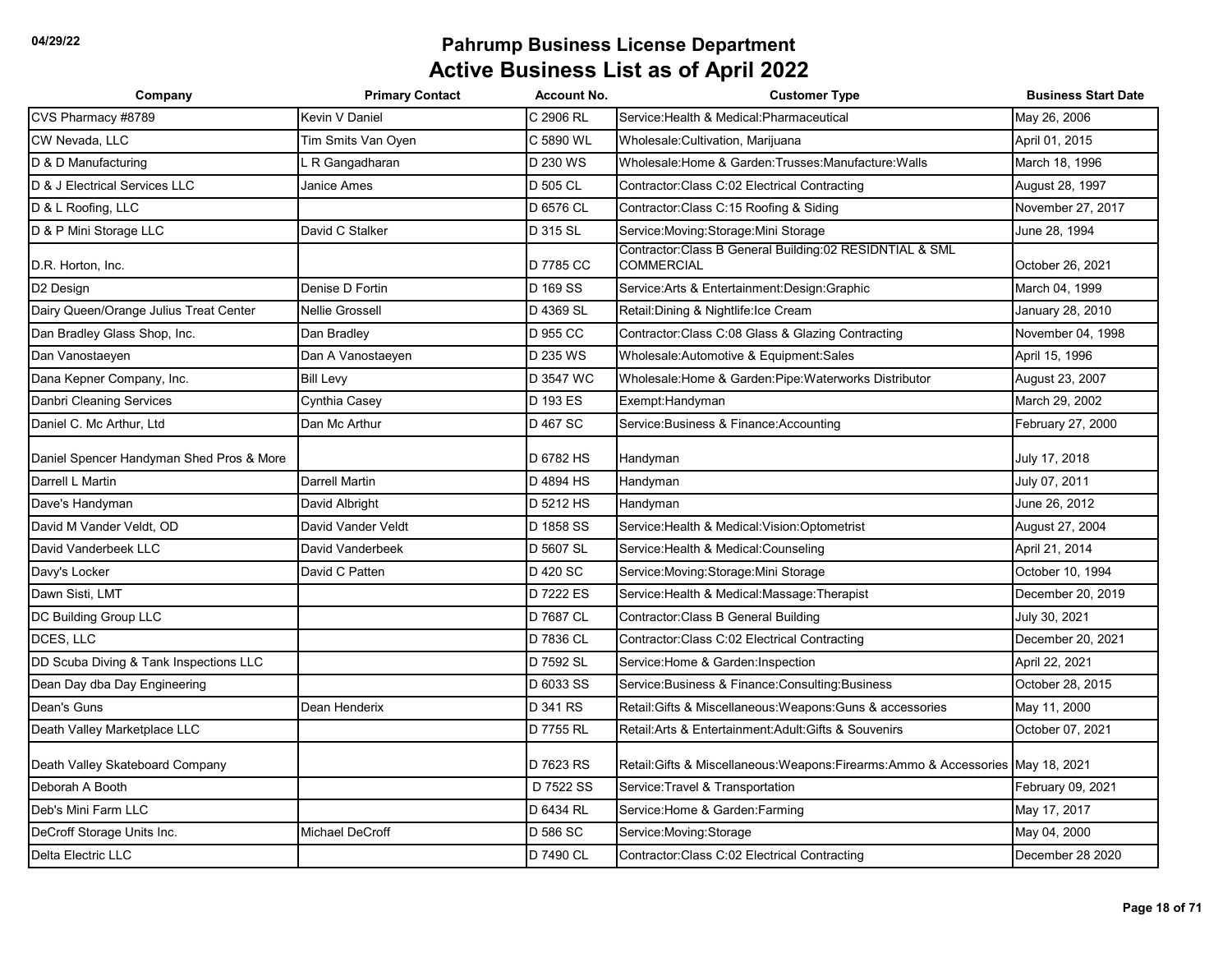| Company                                  | <b>Primary Contact</b> | <b>Account No.</b> | <b>Customer Type</b>                                                           | <b>Business Start Date</b> |
|------------------------------------------|------------------------|--------------------|--------------------------------------------------------------------------------|----------------------------|
| CVS Pharmacy #8789                       | Kevin V Daniel         | C 2906 RL          | Service: Health & Medical: Pharmaceutical                                      | May 26, 2006               |
| CW Nevada, LLC                           | Tim Smits Van Oyen     | C 5890 WL          | Wholesale: Cultivation, Marijuana                                              | April 01, 2015             |
| D & D Manufacturing                      | R Gangadharan          | D 230 WS           | Wholesale:Home & Garden:Trusses:Manufacture:Walls                              | March 18, 1996             |
| D & J Electrical Services LLC            | Janice Ames            | D 505 CL           | Contractor: Class C:02 Electrical Contracting                                  | August 28, 1997            |
| D & L Roofing, LLC                       |                        | D 6576 CL          | Contractor: Class C: 15 Roofing & Siding                                       | November 27, 2017          |
| D & P Mini Storage LLC                   | David C Stalker        | D 315 SL           | Service: Moving: Storage: Mini Storage                                         | June 28, 1994              |
| D.R. Horton, Inc.                        |                        | D 7785 CC          | Contractor: Class B General Building: 02 RESIDNTIAL & SML<br><b>COMMERCIAL</b> | October 26, 2021           |
| D <sub>2</sub> Design                    | Denise D Fortin        | D 169 SS           | Service: Arts & Entertainment: Design: Graphic                                 | March 04, 1999             |
| Dairy Queen/Orange Julius Treat Center   | <b>Nellie Grossell</b> | D 4369 SL          | Retail: Dining & Nightlife: Ice Cream                                          | January 28, 2010           |
| Dan Bradley Glass Shop, Inc.             | Dan Bradley            | D 955 CC           | Contractor: Class C:08 Glass & Glazing Contracting                             | November 04, 1998          |
| Dan Vanostaeyen                          | Dan A Vanostaeyen      | D 235 WS           | Wholesale: Automotive & Equipment: Sales                                       | April 15, 1996             |
| Dana Kepner Company, Inc.                | <b>Bill Levy</b>       | D 3547 WC          | Wholesale: Home & Garden: Pipe: Waterworks Distributor                         | August 23, 2007            |
| Danbri Cleaning Services                 | Cynthia Casey          | D 193 ES           | Exempt:Handyman                                                                | March 29, 2002             |
| Daniel C. Mc Arthur, Ltd                 | Dan Mc Arthur          | D 467 SC           | Service: Business & Finance: Accounting                                        | February 27, 2000          |
| Daniel Spencer Handyman Shed Pros & More |                        | D 6782 HS          | Handyman                                                                       | July 17, 2018              |
| Darrell L Martin                         | <b>Darrell Martin</b>  | D 4894 HS          | Handyman                                                                       | July 07, 2011              |
| Dave's Handyman                          | David Albright         | D 5212 HS          | Handyman                                                                       | June 26, 2012              |
| David M Vander Veldt, OD                 | David Vander Veldt     | D 1858 SS          | Service: Health & Medical: Vision: Optometrist                                 | August 27, 2004            |
| David Vanderbeek LLC                     | David Vanderbeek       | D 5607 SL          | Service: Health & Medical: Counseling                                          | April 21, 2014             |
| Davy's Locker                            | David C Patten         | D 420 SC           | Service: Moving: Storage: Mini Storage                                         | October 10, 1994           |
| Dawn Sisti, LMT                          |                        | D 7222 ES          | Service: Health & Medical: Massage: Therapist                                  | December 20, 2019          |
| DC Building Group LLC                    |                        | D 7687 CL          | Contractor: Class B General Building                                           | July 30, 2021              |
| DCES, LLC                                |                        | D 7836 CL          | Contractor:Class C:02 Electrical Contracting                                   | December 20, 2021          |
| DD Scuba Diving & Tank Inspections LLC   |                        | D 7592 SL          | Service: Home & Garden: Inspection                                             | April 22, 2021             |
| Dean Day dba Day Engineering             |                        | D 6033 SS          | Service: Business & Finance: Consulting: Business                              | October 28, 2015           |
| Dean's Guns                              | Dean Henderix          | D 341 RS           | Retail: Gifts & Miscellaneous: Weapons: Guns & accessories                     | May 11, 2000               |
| Death Valley Marketplace LLC             |                        | D 7755 RL          | Retail: Arts & Entertainment: Adult: Gifts & Souvenirs                         | October 07, 2021           |
| Death Valley Skateboard Company          |                        | D 7623 RS          | Retail:Gifts & Miscellaneous:Weapons:Firearms:Ammo & Accessories May 18, 2021  |                            |
| Deborah A Booth                          |                        | D 7522 SS          | Service: Travel & Transportation                                               | February 09, 2021          |
| Deb's Mini Farm LLC                      |                        | D 6434 RL          | Service: Home & Garden: Farming                                                | May 17, 2017               |
| DeCroff Storage Units Inc.               | Michael DeCroff        | D 586 SC           | Service: Moving: Storage                                                       | May 04, 2000               |
| Delta Electric LLC                       |                        | D 7490 CL          | Contractor: Class C:02 Electrical Contracting                                  | December 28 2020           |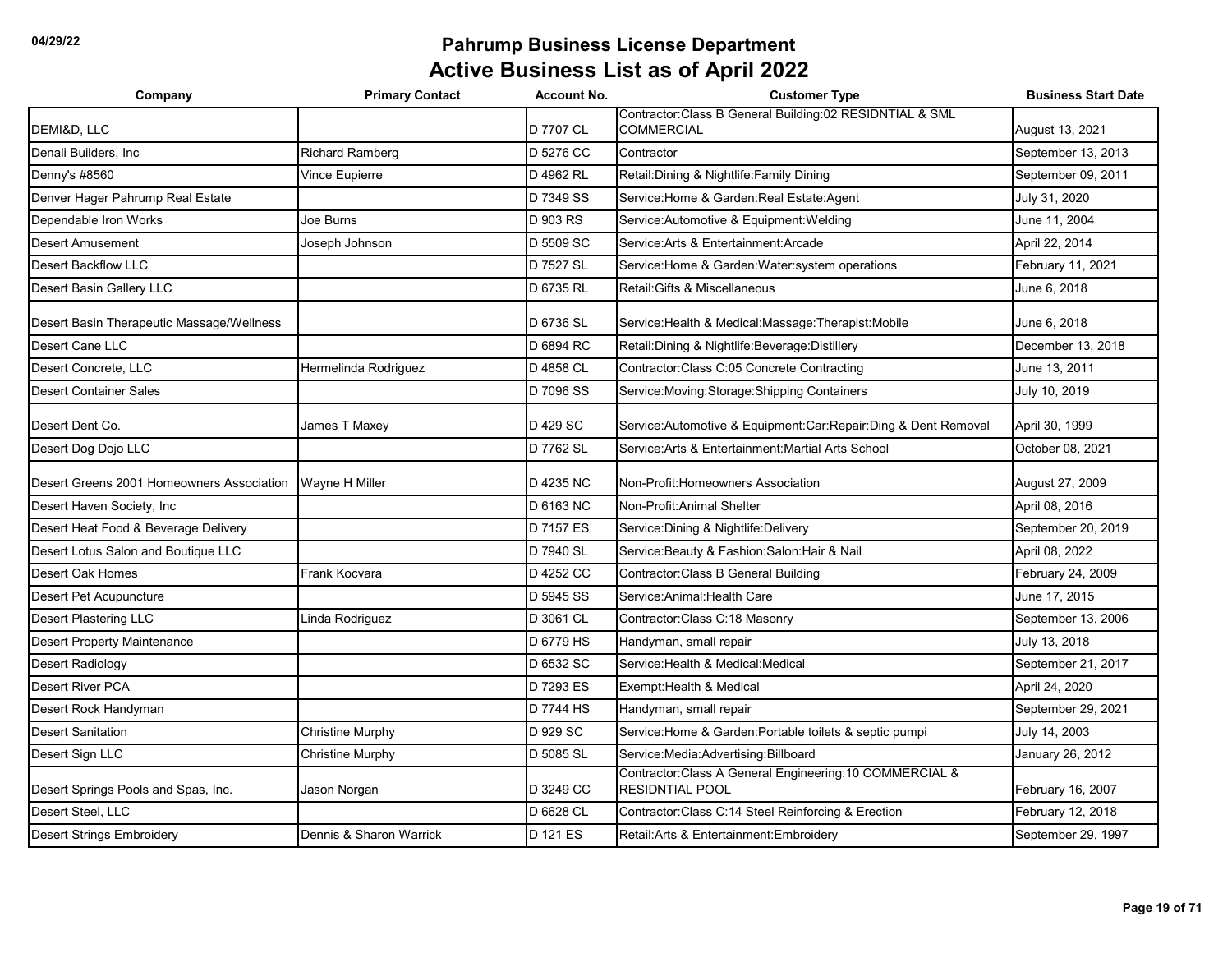| Company                                   | <b>Primary Contact</b>  | <b>Account No.</b> | <b>Customer Type</b>                                                               | <b>Business Start Date</b> |
|-------------------------------------------|-------------------------|--------------------|------------------------------------------------------------------------------------|----------------------------|
| DEMI&D, LLC                               |                         | D 7707 CL          | Contractor:Class B General Building:02 RESIDNTIAL & SML<br><b>COMMERCIAL</b>       | August 13, 2021            |
| Denali Builders, Inc.                     | <b>Richard Ramberg</b>  | D 5276 CC          | Contractor                                                                         | September 13, 2013         |
| Denny's #8560                             | Vince Eupierre          | D 4962 RL          | Retail: Dining & Nightlife: Family Dining                                          | September 09, 2011         |
| Denver Hager Pahrump Real Estate          |                         | D 7349 SS          | Service: Home & Garden: Real Estate: Agent                                         | July 31, 2020              |
| Dependable Iron Works                     | Joe Burns               | D 903 RS           | Service: Automotive & Equipment: Welding                                           | June 11, 2004              |
| <b>Desert Amusement</b>                   | Joseph Johnson          | D 5509 SC          | Service: Arts & Entertainment: Arcade                                              | April 22, 2014             |
| Desert Backflow LLC                       |                         | D 7527 SL          | Service: Home & Garden: Water: system operations                                   | February 11, 2021          |
| Desert Basin Gallery LLC                  |                         | D 6735 RL          | Retail: Gifts & Miscellaneous                                                      | June 6, 2018               |
| Desert Basin Therapeutic Massage/Wellness |                         | D 6736 SL          | Service:Health & Medical:Massage:Therapist:Mobile                                  | June 6, 2018               |
| Desert Cane LLC                           |                         | D 6894 RC          | Retail: Dining & Nightlife: Beverage: Distillery                                   | December 13, 2018          |
| Desert Concrete, LLC                      | Hermelinda Rodriguez    | D 4858 CL          | Contractor: Class C:05 Concrete Contracting                                        | June 13, 2011              |
| <b>Desert Container Sales</b>             |                         | D 7096 SS          | Service: Moving: Storage: Shipping Containers                                      | July 10, 2019              |
| Desert Dent Co.                           | James T Maxey           | D 429 SC           | Service: Automotive & Equipment: Car: Repair: Ding & Dent Removal                  | April 30, 1999             |
| Desert Dog Dojo LLC                       |                         | D 7762 SL          | Service: Arts & Entertainment: Martial Arts School                                 | October 08, 2021           |
| Desert Greens 2001 Homeowners Association | Wayne H Miller          | D 4235 NC          | Non-Profit: Homeowners Association                                                 | August 27, 2009            |
| Desert Haven Society, Inc                 |                         | D 6163 NC          | Non-Profit: Animal Shelter                                                         | April 08, 2016             |
| Desert Heat Food & Beverage Delivery      |                         | D 7157 ES          | Service: Dining & Nightlife: Delivery                                              | September 20, 2019         |
| Desert Lotus Salon and Boutique LLC       |                         | D 7940 SL          | Service: Beauty & Fashion: Salon: Hair & Nail                                      | April 08, 2022             |
| Desert Oak Homes                          | Frank Kocvara           | D 4252 CC          | Contractor: Class B General Building                                               | February 24, 2009          |
| Desert Pet Acupuncture                    |                         | D 5945 SS          | Service:Animal:Health Care                                                         | June 17, 2015              |
| <b>Desert Plastering LLC</b>              | Linda Rodriguez         | D 3061 CL          | Contractor: Class C: 18 Masonry                                                    | September 13, 2006         |
| <b>Desert Property Maintenance</b>        |                         | D 6779 HS          | Handyman, small repair                                                             | July 13, 2018              |
| Desert Radiology                          |                         | D 6532 SC          | Service: Health & Medical: Medical                                                 | September 21, 2017         |
| <b>Desert River PCA</b>                   |                         | D 7293 ES          | Exempt: Health & Medical                                                           | April 24, 2020             |
| Desert Rock Handyman                      |                         | D 7744 HS          | Handyman, small repair                                                             | September 29, 2021         |
| <b>Desert Sanitation</b>                  | <b>Christine Murphy</b> | D 929 SC           | Service: Home & Garden: Portable toilets & septic pumpi                            | July 14, 2003              |
| Desert Sign LLC                           | <b>Christine Murphy</b> | D 5085 SL          | Service: Media: Advertising: Billboard                                             | January 26, 2012           |
| Desert Springs Pools and Spas, Inc.       | Jason Norgan            | D 3249 CC          | Contractor: Class A General Engineering: 10 COMMERCIAL &<br><b>RESIDNTIAL POOL</b> | February 16, 2007          |
| Desert Steel. LLC                         |                         | D 6628 CL          | Contractor: Class C:14 Steel Reinforcing & Erection                                | February 12, 2018          |
| <b>Desert Strings Embroidery</b>          | Dennis & Sharon Warrick | D 121 ES           | Retail: Arts & Entertainment: Embroidery                                           | September 29, 1997         |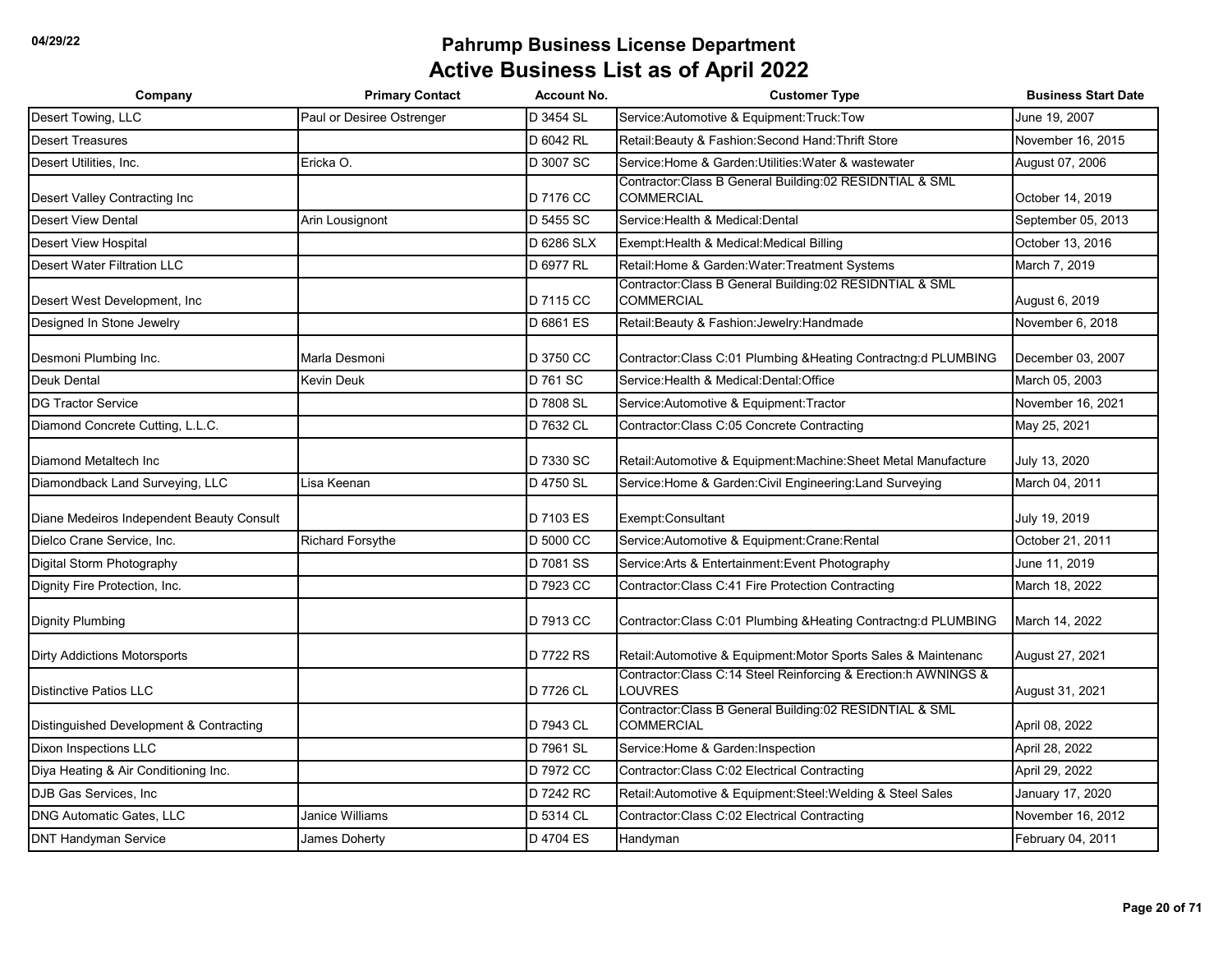| Company                                   | <b>Primary Contact</b>    | <b>Account No.</b> | <b>Customer Type</b>                                                           | <b>Business Start Date</b> |
|-------------------------------------------|---------------------------|--------------------|--------------------------------------------------------------------------------|----------------------------|
| Desert Towing, LLC                        | Paul or Desiree Ostrenger | D 3454 SL          | Service:Automotive & Equipment:Truck:Tow                                       | June 19, 2007              |
| <b>Desert Treasures</b>                   |                           | D 6042 RL          | Retail: Beauty & Fashion: Second Hand: Thrift Store                            | November 16, 2015          |
| Desert Utilities, Inc.                    | Ericka O.                 | D 3007 SC          | Service: Home & Garden: Utilities: Water & wastewater                          | August 07, 2006            |
| Desert Valley Contracting Inc             |                           | D 7176 CC          | Contractor: Class B General Building: 02 RESIDNTIAL & SML<br><b>COMMERCIAL</b> | October 14, 2019           |
| <b>Desert View Dental</b>                 | Arin Lousignont           | D 5455 SC          | Service: Health & Medical: Dental                                              | September 05, 2013         |
| <b>Desert View Hospital</b>               |                           | D 6286 SLX         | Exempt: Health & Medical: Medical Billing                                      | October 13, 2016           |
| <b>Desert Water Filtration LLC</b>        |                           | D 6977 RL          | Retail: Home & Garden: Water: Treatment Systems                                | March 7, 2019              |
| Desert West Development, Inc.             |                           | D 7115 CC          | Contractor:Class B General Building:02 RESIDNTIAL & SML<br><b>COMMERCIAL</b>   | August 6, 2019             |
| Designed In Stone Jewelry                 |                           | D 6861 ES          | Retail: Beauty & Fashion: Jewelry: Handmade                                    | November 6, 2018           |
| Desmoni Plumbing Inc.                     | Marla Desmoni             | D 3750 CC          | Contractor: Class C:01 Plumbing & Heating Contractng: d PLUMBING               | December 03, 2007          |
| <b>Deuk Dental</b>                        | <b>Kevin Deuk</b>         | D 761 SC           | Service: Health & Medical: Dental: Office                                      | March 05, 2003             |
| <b>DG Tractor Service</b>                 |                           | D 7808 SL          | Service: Automotive & Equipment: Tractor                                       | November 16, 2021          |
| Diamond Concrete Cutting, L.L.C.          |                           | D 7632 CL          | Contractor: Class C:05 Concrete Contracting                                    | May 25, 2021               |
| Diamond Metaltech Inc.                    |                           | D 7330 SC          | Retail: Automotive & Equipment: Machine: Sheet Metal Manufacture               | July 13, 2020              |
| Diamondback Land Surveying, LLC           | Lisa Keenan               | D 4750 SL          | Service: Home & Garden: Civil Engineering: Land Surveying                      | March 04, 2011             |
| Diane Medeiros Independent Beauty Consult |                           | D 7103 ES          | Exempt:Consultant                                                              | July 19, 2019              |
| Dielco Crane Service, Inc.                | <b>Richard Forsythe</b>   | D 5000 CC          | Service: Automotive & Equipment: Crane: Rental                                 | October 21, 2011           |
| Digital Storm Photography                 |                           | D 7081 SS          | Service: Arts & Entertainment: Event Photography                               | June 11, 2019              |
| Dignity Fire Protection, Inc.             |                           | D 7923 CC          | Contractor: Class C:41 Fire Protection Contracting                             | March 18, 2022             |
| <b>Dignity Plumbing</b>                   |                           | D 7913 CC          | Contractor: Class C:01 Plumbing & Heating Contractng: d PLUMBING               | March 14, 2022             |
| <b>Dirty Addictions Motorsports</b>       |                           | D 7722 RS          | Retail: Automotive & Equipment: Motor Sports Sales & Maintenanc                | August 27, 2021            |
| <b>Distinctive Patios LLC</b>             |                           | D 7726 CL          | Contractor: Class C:14 Steel Reinforcing & Erection: h AWNINGS &<br>LOUVRES    | August 31, 2021            |
| Distinguished Development & Contracting   |                           | D 7943 CL          | Contractor: Class B General Building: 02 RESIDNTIAL & SML<br><b>COMMERCIAL</b> | April 08, 2022             |
| <b>Dixon Inspections LLC</b>              |                           | D 7961 SL          | Service: Home & Garden: Inspection                                             | April 28, 2022             |
| Diya Heating & Air Conditioning Inc.      |                           | D 7972 CC          | Contractor: Class C:02 Electrical Contracting                                  | April 29, 2022             |
| DJB Gas Services, Inc.                    |                           | D 7242 RC          | Retail:Automotive & Equipment:Steel:Welding & Steel Sales                      | January 17, 2020           |
| <b>DNG Automatic Gates, LLC</b>           | Janice Williams           | D 5314 CL          | Contractor: Class C:02 Electrical Contracting                                  | November 16, 2012          |
| <b>DNT Handyman Service</b>               | James Doherty             | D 4704 ES          | Handyman                                                                       | February 04, 2011          |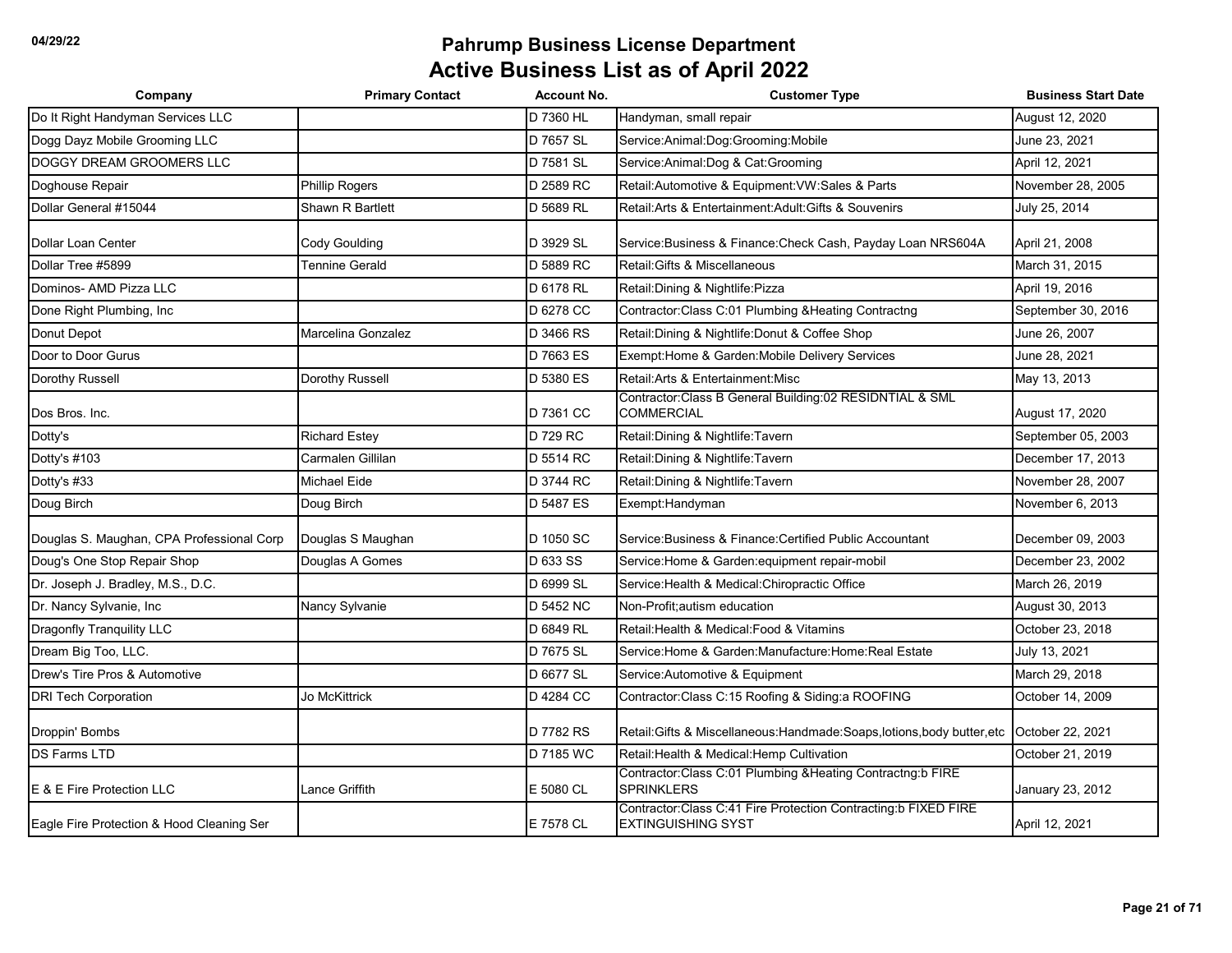| Company                                   | <b>Primary Contact</b> | <b>Account No.</b> | <b>Customer Type</b>                                                                          | <b>Business Start Date</b> |
|-------------------------------------------|------------------------|--------------------|-----------------------------------------------------------------------------------------------|----------------------------|
| Do It Right Handyman Services LLC         |                        | D 7360 HL          | Handyman, small repair                                                                        | August 12, 2020            |
| Dogg Dayz Mobile Grooming LLC             |                        | D 7657 SL          | Service: Animal: Dog: Grooming: Mobile                                                        | June 23, 2021              |
| DOGGY DREAM GROOMERS LLC                  |                        | D 7581 SL          | Service: Animal: Dog & Cat: Grooming                                                          | April 12, 2021             |
| Doghouse Repair                           | <b>Phillip Rogers</b>  | D 2589 RC          | Retail: Automotive & Equipment: VW: Sales & Parts                                             | November 28, 2005          |
| Dollar General #15044                     | Shawn R Bartlett       | D 5689 RL          | Retail: Arts & Entertainment: Adult: Gifts & Souvenirs                                        | July 25, 2014              |
| Dollar Loan Center                        | <b>Cody Goulding</b>   | D 3929 SL          | Service: Business & Finance: Check Cash, Payday Loan NRS604A                                  | April 21, 2008             |
| Dollar Tree #5899                         | <b>Tennine Gerald</b>  | D 5889 RC          | Retail: Gifts & Miscellaneous                                                                 | March 31, 2015             |
| Dominos- AMD Pizza LLC                    |                        | D 6178 RL          | Retail: Dining & Nightlife: Pizza                                                             | April 19, 2016             |
| Done Right Plumbing, Inc.                 |                        | D 6278 CC          | Contractor: Class C:01 Plumbing & Heating Contractng                                          | September 30, 2016         |
| Donut Depot                               | Marcelina Gonzalez     | D 3466 RS          | Retail: Dining & Nightlife: Donut & Coffee Shop                                               | June 26, 2007              |
| Door to Door Gurus                        |                        | D 7663 ES          | Exempt: Home & Garden: Mobile Delivery Services                                               | June 28, 2021              |
| Dorothy Russell                           | Dorothy Russell        | D 5380 ES          | Retail: Arts & Entertainment: Misc                                                            | May 13, 2013               |
| Dos Bros. Inc.                            |                        | D 7361 CC          | Contractor: Class B General Building: 02 RESIDNTIAL & SML<br><b>COMMERCIAL</b>                | August 17, 2020            |
| Dotty's                                   | <b>Richard Estey</b>   | D 729 RC           | Retail: Dining & Nightlife: Tavern                                                            | September 05, 2003         |
| Dotty's #103                              | Carmalen Gillilan      | D 5514 RC          | Retail: Dining & Nightlife: Tavern                                                            | December 17, 2013          |
| Dotty's #33                               | <b>Michael Eide</b>    | D 3744 RC          | Retail: Dining & Nightlife: Tavern                                                            | November 28, 2007          |
| Doug Birch                                | Doug Birch             | D 5487 ES          | Exempt: Handyman                                                                              | November 6, 2013           |
| Douglas S. Maughan, CPA Professional Corp | Douglas S Maughan      | D 1050 SC          | Service: Business & Finance: Certified Public Accountant                                      | December 09, 2003          |
| Doug's One Stop Repair Shop               | Douglas A Gomes        | D 633 SS           | Service: Home & Garden: equipment repair-mobil                                                | December 23, 2002          |
| Dr. Joseph J. Bradley, M.S., D.C.         |                        | D 6999 SL          | Service: Health & Medical: Chiropractic Office                                                | March 26, 2019             |
| Dr. Nancy Sylvanie, Inc                   | Nancy Sylvanie         | D 5452 NC          | Non-Profit: autism education                                                                  | August 30, 2013            |
| Dragonfly Tranquility LLC                 |                        | D 6849 RL          | Retail: Health & Medical: Food & Vitamins                                                     | October 23, 2018           |
| Dream Big Too, LLC.                       |                        | D 7675 SL          | Service: Home & Garden: Manufacture: Home: Real Estate                                        | July 13, 2021              |
| Drew's Tire Pros & Automotive             |                        | D 6677 SL          | Service: Automotive & Equipment                                                               | March 29, 2018             |
| <b>DRI Tech Corporation</b>               | <b>Jo McKittrick</b>   | D 4284 CC          | Contractor: Class C:15 Roofing & Siding: a ROOFING                                            | October 14, 2009           |
| Droppin' Bombs                            |                        | D 7782 RS          | Retail:Gifts & Miscellaneous:Handmade:Soaps,lotions,body butter,etc   October 22, 2021        |                            |
| <b>DS Farms LTD</b>                       |                        | D 7185 WC          | Retail: Health & Medical: Hemp Cultivation                                                    | October 21, 2019           |
| E & E Fire Protection LLC                 | Lance Griffith         | E 5080 CL          | Contractor: Class C:01 Plumbing & Heating Contractng: b FIRE<br><b>SPRINKLERS</b>             | January 23, 2012           |
| Eagle Fire Protection & Hood Cleaning Ser |                        | E 7578 CL          | Contractor: Class C:41 Fire Protection Contracting: b FIXED FIRE<br><b>EXTINGUISHING SYST</b> | April 12, 2021             |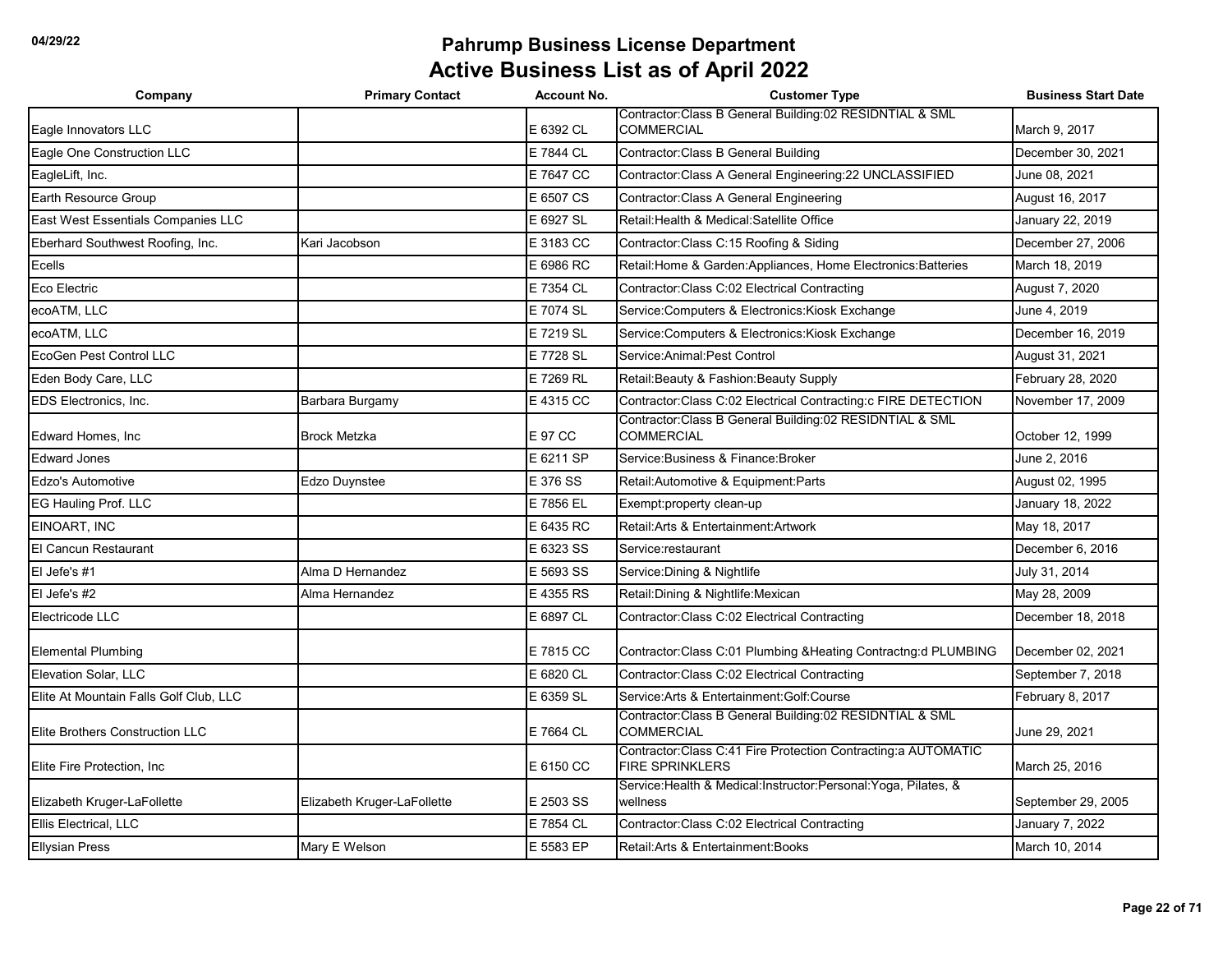| Company                                | <b>Primary Contact</b>      | <b>Account No.</b> | <b>Customer Type</b>                                                               | <b>Business Start Date</b> |
|----------------------------------------|-----------------------------|--------------------|------------------------------------------------------------------------------------|----------------------------|
| Eagle Innovators LLC                   |                             | E 6392 CL          | Contractor: Class B General Building: 02 RESIDNTIAL & SML<br><b>COMMERCIAL</b>     | March 9, 2017              |
| Eagle One Construction LLC             |                             | E 7844 CL          | Contractor: Class B General Building                                               | December 30, 2021          |
| EagleLift, Inc.                        |                             | E 7647 CC          | Contractor:Class A General Engineering:22 UNCLASSIFIED                             | June 08, 2021              |
| Earth Resource Group                   |                             | E 6507 CS          | Contractor: Class A General Engineering                                            | August 16, 2017            |
| East West Essentials Companies LLC     |                             | E 6927 SL          | Retail: Health & Medical: Satellite Office                                         | January 22, 2019           |
| Eberhard Southwest Roofing, Inc.       | Kari Jacobson               | E 3183 CC          | Contractor:Class C:15 Roofing & Siding                                             | December 27, 2006          |
| Ecells                                 |                             | E 6986 RC          | Retail: Home & Garden: Appliances, Home Electronics: Batteries                     | March 18, 2019             |
| Eco Electric                           |                             | E 7354 CL          | Contractor: Class C:02 Electrical Contracting                                      | August 7, 2020             |
| ecoATM, LLC                            |                             | E 7074 SL          | Service: Computers & Electronics: Kiosk Exchange                                   | June 4, 2019               |
| ecoATM, LLC                            |                             | E 7219 SL          | Service:Computers & Electronics:Kiosk Exchange                                     | December 16, 2019          |
| EcoGen Pest Control LLC                |                             | E 7728 SL          | Service: Animal: Pest Control                                                      | August 31, 2021            |
| Eden Body Care, LLC                    |                             | E 7269 RL          | Retail: Beauty & Fashion: Beauty Supply                                            | February 28, 2020          |
| EDS Electronics, Inc.                  | Barbara Burgamy             | E 4315 CC          | Contractor:Class C:02 Electrical Contracting:c FIRE DETECTION                      | November 17, 2009          |
| Edward Homes, Inc.                     | <b>Brock Metzka</b>         | E 97 CC            | Contractor: Class B General Building: 02 RESIDNTIAL & SML<br><b>COMMERCIAL</b>     | October 12, 1999           |
| <b>Edward Jones</b>                    |                             | E 6211 SP          | Service: Business & Finance: Broker                                                | June 2, 2016               |
| Edzo's Automotive                      | Edzo Duynstee               | E 376 SS           | Retail: Automotive & Equipment: Parts                                              | August 02, 1995            |
| EG Hauling Prof. LLC                   |                             | E 7856 EL          | Exempt:property clean-up                                                           | January 18, 2022           |
| EINOART, INC                           |                             | E 6435 RC          | Retail: Arts & Entertainment: Artwork                                              | May 18, 2017               |
| El Cancun Restaurant                   |                             | E 6323 SS          | Service:restaurant                                                                 | December 6, 2016           |
| El Jefe's #1                           | Alma D Hernandez            | E 5693 SS          | Service: Dining & Nightlife                                                        | July 31, 2014              |
| El Jefe's #2                           | Alma Hernandez              | E 4355 RS          | Retail: Dining & Nightlife: Mexican                                                | May 28, 2009               |
| Electricode LLC                        |                             | E 6897 CL          | Contractor:Class C:02 Electrical Contracting                                       | December 18, 2018          |
| <b>Elemental Plumbing</b>              |                             | E 7815 CC          | Contractor: Class C:01 Plumbing & Heating Contractng: d PLUMBING                   | December 02, 2021          |
| Elevation Solar, LLC                   |                             | E 6820 CL          | Contractor: Class C:02 Electrical Contracting                                      | September 7, 2018          |
| Elite At Mountain Falls Golf Club, LLC |                             | E 6359 SL          | Service: Arts & Entertainment: Golf: Course                                        | February 8, 2017           |
| Elite Brothers Construction LLC        |                             | E 7664 CL          | Contractor: Class B General Building: 02 RESIDNTIAL & SML<br><b>COMMERCIAL</b>     | June 29, 2021              |
| Elite Fire Protection, Inc.            |                             | E 6150 CC          | Contractor: Class C:41 Fire Protection Contracting: a AUTOMATIC<br>FIRE SPRINKLERS | March 25, 2016             |
| Elizabeth Kruger-LaFollette            | Elizabeth Kruger-LaFollette | E 2503 SS          | Service: Health & Medical: Instructor: Personal: Yoga, Pilates, &<br>wellness      | September 29, 2005         |
| Ellis Electrical, LLC                  |                             | E 7854 CL          | Contractor: Class C:02 Electrical Contracting                                      | January 7, 2022            |
| <b>Ellysian Press</b>                  | Mary E Welson               | E 5583 EP          | Retail: Arts & Entertainment: Books                                                | March 10, 2014             |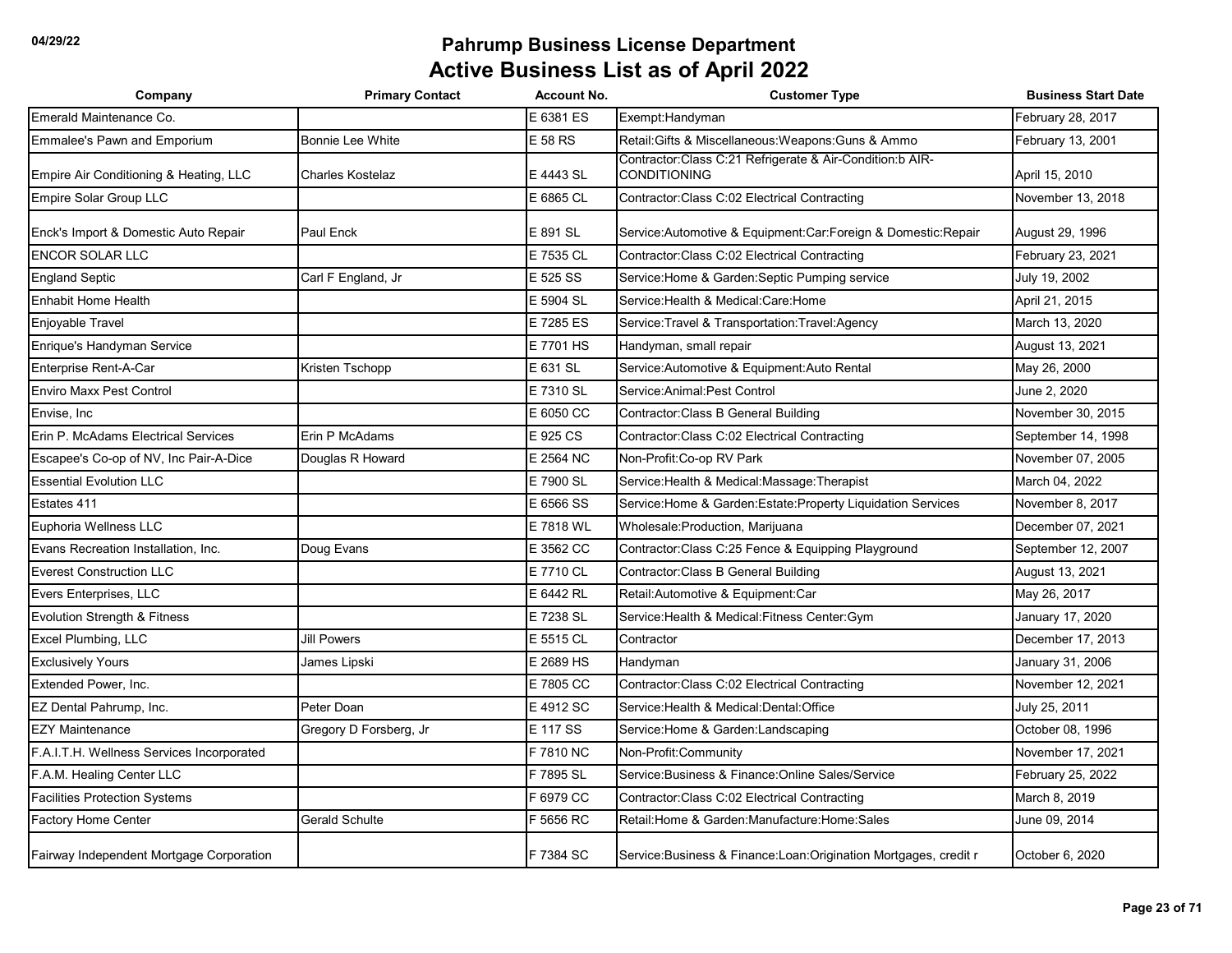| Company                                   | <b>Primary Contact</b>  | <b>Account No.</b> | <b>Customer Type</b>                                                              | <b>Business Start Date</b> |
|-------------------------------------------|-------------------------|--------------------|-----------------------------------------------------------------------------------|----------------------------|
| Emerald Maintenance Co.                   |                         | E 6381 ES          | Exempt: Handyman                                                                  | February 28, 2017          |
| <b>Emmalee's Pawn and Emporium</b>        | <b>Bonnie Lee White</b> | E 58 RS            | Retail: Gifts & Miscellaneous: Weapons: Guns & Ammo                               | February 13, 2001          |
| Empire Air Conditioning & Heating, LLC    | Charles Kostelaz        | E 4443 SL          | Contractor: Class C:21 Refrigerate & Air-Condition: b AIR-<br><b>CONDITIONING</b> | April 15, 2010             |
| Empire Solar Group LLC                    |                         | E 6865 CL          | Contractor: Class C:02 Electrical Contracting                                     | November 13, 2018          |
| Enck's Import & Domestic Auto Repair      | Paul Enck               | E 891 SL           | Service: Automotive & Equipment: Car: Foreign & Domestic: Repair                  | August 29, 1996            |
| <b>ENCOR SOLAR LLC</b>                    |                         | E 7535 CL          | Contractor:Class C:02 Electrical Contracting                                      | February 23, 2021          |
| <b>England Septic</b>                     | Carl F England, Jr      | E 525 SS           | Service: Home & Garden: Septic Pumping service                                    | July 19, 2002              |
| <b>Enhabit Home Health</b>                |                         | E 5904 SL          | Service: Health & Medical: Care: Home                                             | April 21, 2015             |
| Enjoyable Travel                          |                         | E 7285 ES          | Service: Travel & Transportation: Travel: Agency                                  | March 13, 2020             |
| Enrique's Handyman Service                |                         | E 7701 HS          | Handyman, small repair                                                            | August 13, 2021            |
| Enterprise Rent-A-Car                     | Kristen Tschopp         | E 631 SL           | Service:Automotive & Equipment:Auto Rental                                        | May 26, 2000               |
| <b>Enviro Maxx Pest Control</b>           |                         | E 7310 SL          | Service:Animal:Pest Control                                                       | June 2, 2020               |
| Envise, Inc                               |                         | E 6050 CC          | Contractor:Class B General Building                                               | November 30, 2015          |
| Erin P. McAdams Electrical Services       | Erin P McAdams          | E 925 CS           | Contractor: Class C:02 Electrical Contracting                                     | September 14, 1998         |
| Escapee's Co-op of NV, Inc Pair-A-Dice    | Douglas R Howard        | E 2564 NC          | Non-Profit: Co-op RV Park                                                         | November 07, 2005          |
| <b>Essential Evolution LLC</b>            |                         | E 7900 SL          | Service: Health & Medical: Massage: Therapist                                     | March 04, 2022             |
| Estates 411                               |                         | E 6566 SS          | Service: Home & Garden: Estate: Property Liquidation Services                     | November 8, 2017           |
| Euphoria Wellness LLC                     |                         | E 7818 WL          | Wholesale: Production, Marijuana                                                  | December 07, 2021          |
| Evans Recreation Installation, Inc.       | Doug Evans              | E 3562 CC          | Contractor: Class C:25 Fence & Equipping Playground                               | September 12, 2007         |
| <b>Everest Construction LLC</b>           |                         | E 7710 CL          | Contractor: Class B General Building                                              | August 13, 2021            |
| Evers Enterprises, LLC                    |                         | E 6442 RL          | Retail: Automotive & Equipment: Car                                               | May 26, 2017               |
| Evolution Strength & Fitness              |                         | E 7238 SL          | Service: Health & Medical: Fitness Center: Gym                                    | January 17, 2020           |
| Excel Plumbing, LLC                       | <b>Jill Powers</b>      | E 5515 CL          | Contractor                                                                        | December 17, 2013          |
| <b>Exclusively Yours</b>                  | James Lipski            | E 2689 HS          | Handyman                                                                          | January 31, 2006           |
| Extended Power, Inc.                      |                         | E 7805 CC          | Contractor: Class C:02 Electrical Contracting                                     | November 12, 2021          |
| EZ Dental Pahrump, Inc.                   | Peter Doan              | E 4912 SC          | Service:Health & Medical:Dental:Office                                            | July 25, 2011              |
| <b>EZY Maintenance</b>                    | Gregory D Forsberg, Jr  | E 117 SS           | Service: Home & Garden: Landscaping                                               | October 08, 1996           |
| F.A.I.T.H. Wellness Services Incorporated |                         | F 7810 NC          | Non-Profit:Community                                                              | November 17, 2021          |
| F.A.M. Healing Center LLC                 |                         | F 7895 SL          | Service: Business & Finance: Online Sales/Service                                 | February 25, 2022          |
| <b>Facilities Protection Systems</b>      |                         | F 6979 CC          | Contractor:Class C:02 Electrical Contracting                                      | March 8, 2019              |
| Factory Home Center                       | <b>Gerald Schulte</b>   | F 5656 RC          | Retail:Home & Garden:Manufacture:Home:Sales                                       | June 09, 2014              |
| Fairway Independent Mortgage Corporation  |                         | F 7384 SC          | Service: Business & Finance: Loan: Origination Mortgages, credit r                | October 6, 2020            |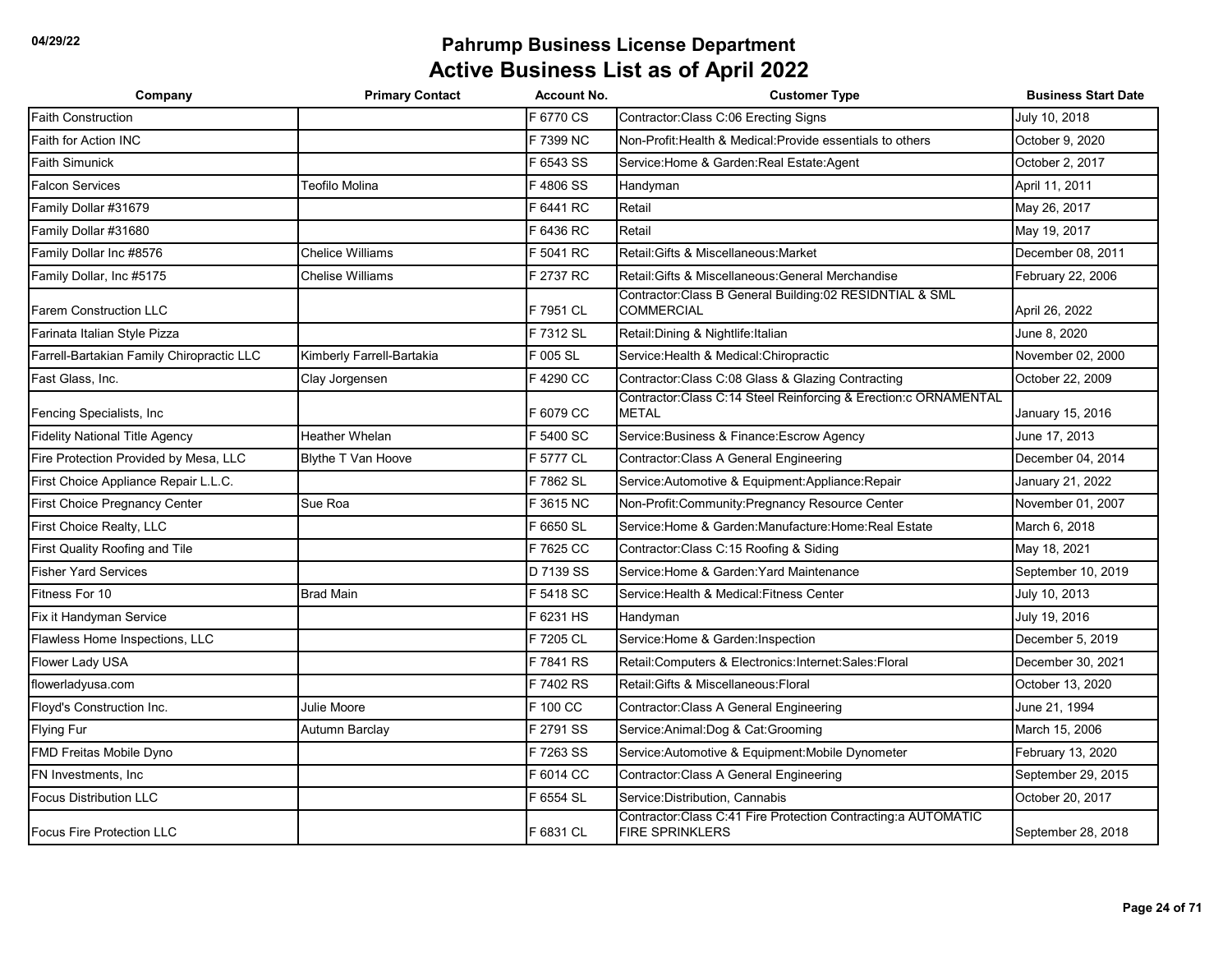| Company                                   | <b>Primary Contact</b>    | <b>Account No.</b> | <b>Customer Type</b>                                                                      | <b>Business Start Date</b> |
|-------------------------------------------|---------------------------|--------------------|-------------------------------------------------------------------------------------------|----------------------------|
| <b>Faith Construction</b>                 |                           | F 6770 CS          | Contractor: Class C:06 Erecting Signs                                                     | July 10, 2018              |
| Faith for Action INC                      |                           | F 7399 NC          | Non-Profit: Health & Medical: Provide essentials to others                                | October 9, 2020            |
| <b>Faith Simunick</b>                     |                           | F 6543 SS          | Service:Home & Garden:Real Estate:Agent                                                   | October 2, 2017            |
| <b>Falcon Services</b>                    | Teofilo Molina            | F4806 SS           | Handyman                                                                                  | April 11, 2011             |
| Family Dollar #31679                      |                           | F 6441 RC          | Retail                                                                                    | May 26, 2017               |
| Family Dollar #31680                      |                           | F 6436 RC          | Retail                                                                                    | May 19, 2017               |
| Family Dollar Inc #8576                   | <b>Chelice Williams</b>   | F 5041 RC          | Retail: Gifts & Miscellaneous: Market                                                     | December 08, 2011          |
| Family Dollar, Inc #5175                  | Chelise Williams          | F 2737 RC          | Retail: Gifts & Miscellaneous: General Merchandise                                        | February 22, 2006          |
| Farem Construction LLC                    |                           | F 7951 CL          | Contractor:Class B General Building:02 RESIDNTIAL & SML<br><b>COMMERCIAL</b>              | April 26, 2022             |
| Farinata Italian Style Pizza              |                           | F 7312 SL          | Retail: Dining & Nightlife: Italian                                                       | June 8, 2020               |
| Farrell-Bartakian Family Chiropractic LLC | Kimberly Farrell-Bartakia | F 005 SL           | Service: Health & Medical: Chiropractic                                                   | November 02, 2000          |
| Fast Glass, Inc.                          | Clay Jorgensen            | F 4290 CC          | Contractor: Class C:08 Glass & Glazing Contracting                                        | October 22, 2009           |
| Fencing Specialists, Inc                  |                           | F 6079 CC          | Contractor: Class C:14 Steel Reinforcing & Erection: c ORNAMENTAL<br><b>METAL</b>         | January 15, 2016           |
| <b>Fidelity National Title Agency</b>     | Heather Whelan            | F 5400 SC          | Service: Business & Finance: Escrow Agency                                                | June 17, 2013              |
| Fire Protection Provided by Mesa, LLC     | <b>Blythe T Van Hoove</b> | F 5777 CL          | Contractor: Class A General Engineering                                                   | December 04, 2014          |
| First Choice Appliance Repair L.L.C.      |                           | F 7862 SL          | Service: Automotive & Equipment: Appliance: Repair                                        | January 21, 2022           |
| First Choice Pregnancy Center             | Sue Roa                   | F 3615 NC          | Non-Profit:Community:Pregnancy Resource Center                                            | November 01, 2007          |
| First Choice Realty, LLC                  |                           | F 6650 SL          | Service: Home & Garden: Manufacture: Home: Real Estate                                    | March 6, 2018              |
| First Quality Roofing and Tile            |                           | F 7625 CC          | Contractor: Class C: 15 Roofing & Siding                                                  | May 18, 2021               |
| <b>Fisher Yard Services</b>               |                           | D 7139 SS          | Service: Home & Garden: Yard Maintenance                                                  | September 10, 2019         |
| Fitness For 10                            | <b>Brad Main</b>          | F 5418 SC          | Service: Health & Medical: Fitness Center                                                 | July 10, 2013              |
| Fix it Handyman Service                   |                           | F 6231 HS          | Handyman                                                                                  | July 19, 2016              |
| Flawless Home Inspections, LLC            |                           | F 7205 CL          | Service: Home & Garden: Inspection                                                        | December 5, 2019           |
| Flower Lady USA                           |                           | F 7841 RS          | Retail: Computers & Electronics: Internet: Sales: Floral                                  | December 30, 2021          |
| flowerladyusa.com                         |                           | F 7402 RS          | Retail: Gifts & Miscellaneous: Floral                                                     | October 13, 2020           |
| Floyd's Construction Inc.                 | Julie Moore               | F 100 CC           | Contractor: Class A General Engineering                                                   | June 21, 1994              |
| <b>Flying Fur</b>                         | Autumn Barclay            | F 2791 SS          | Service: Animal: Dog & Cat: Grooming                                                      | March 15, 2006             |
| FMD Freitas Mobile Dyno                   |                           | F 7263 SS          | Service: Automotive & Equipment: Mobile Dynometer                                         | February 13, 2020          |
| FN Investments, Inc.                      |                           | F 6014 CC          | Contractor: Class A General Engineering                                                   | September 29, 2015         |
| Focus Distribution LLC                    |                           | F 6554 SL          | Service:Distribution, Cannabis                                                            | October 20, 2017           |
| Focus Fire Protection LLC                 |                           | F 6831 CL          | Contractor: Class C:41 Fire Protection Contracting: a AUTOMATIC<br><b>FIRE SPRINKLERS</b> | September 28, 2018         |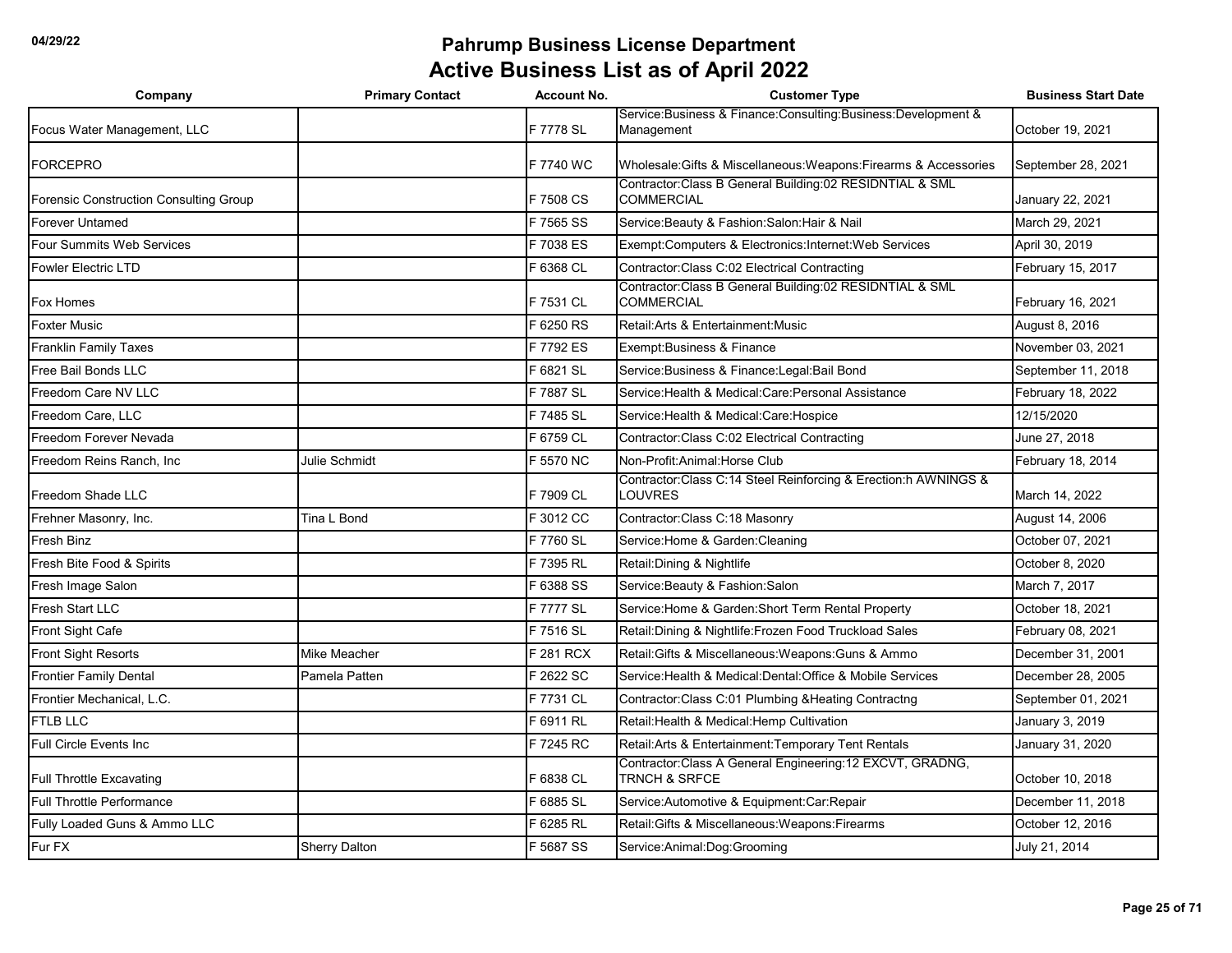| Company                                       | <b>Primary Contact</b> | <b>Account No.</b> | <b>Customer Type</b>                                                                 | <b>Business Start Date</b> |
|-----------------------------------------------|------------------------|--------------------|--------------------------------------------------------------------------------------|----------------------------|
| Focus Water Management, LLC                   |                        | F 7778 SL          | Service: Business & Finance: Consulting: Business: Development &<br>Management       | October 19, 2021           |
| FORCEPRO                                      |                        | F 7740 WC          | Wholesale:Gifts & Miscellaneous:Weapons:Firearms & Accessories                       | September 28, 2021         |
| <b>Forensic Construction Consulting Group</b> |                        | F 7508 CS          | Contractor: Class B General Building: 02 RESIDNTIAL & SML<br><b>COMMERCIAL</b>       | January 22, 2021           |
| <b>Forever Untamed</b>                        |                        | F 7565 SS          | Service: Beauty & Fashion: Salon: Hair & Nail                                        | March 29, 2021             |
| Four Summits Web Services                     |                        | F 7038 ES          | Exempt:Computers & Electronics:Internet:Web Services                                 | April 30, 2019             |
| <b>Fowler Electric LTD</b>                    |                        | F 6368 CL          | Contractor: Class C:02 Electrical Contracting                                        | February 15, 2017          |
| <b>Fox Homes</b>                              |                        | F 7531 CL          | Contractor: Class B General Building: 02 RESIDNTIAL & SML<br><b>COMMERCIAL</b>       | February 16, 2021          |
| <b>Foxter Music</b>                           |                        | F 6250 RS          | Retail: Arts & Entertainment: Music                                                  | August 8, 2016             |
| <b>Franklin Family Taxes</b>                  |                        | F 7792 ES          | Exempt: Business & Finance                                                           | November 03, 2021          |
| Free Bail Bonds LLC                           |                        | F 6821 SL          | Service: Business & Finance: Legal: Bail Bond                                        | September 11, 2018         |
| Freedom Care NV LLC                           |                        | F 7887 SL          | Service: Health & Medical: Care: Personal Assistance                                 | February 18, 2022          |
| Freedom Care, LLC                             |                        | F 7485 SL          | Service: Health & Medical: Care: Hospice                                             | 12/15/2020                 |
| Freedom Forever Nevada                        |                        | F 6759 CL          | Contractor: Class C:02 Electrical Contracting                                        | June 27, 2018              |
| Freedom Reins Ranch, Inc.                     | Julie Schmidt          | F 5570 NC          | Non-Profit:Animal:Horse Club                                                         | February 18, 2014          |
| Freedom Shade LLC                             |                        | F 7909 CL          | Contractor: Class C:14 Steel Reinforcing & Erection:h AWNINGS &<br>LOUVRES           | March 14, 2022             |
| Frehner Masonry, Inc.                         | Tina L Bond            | F 3012 CC          | Contractor:Class C:18 Masonry                                                        | August 14, 2006            |
| Fresh Binz                                    |                        | F 7760 SL          | Service: Home & Garden: Cleaning                                                     | October 07, 2021           |
| Fresh Bite Food & Spirits                     |                        | F 7395 RL          | Retail: Dining & Nightlife                                                           | October 8, 2020            |
| Fresh Image Salon                             |                        | F 6388 SS          | Service: Beauty & Fashion: Salon                                                     | March 7, 2017              |
| <b>Fresh Start LLC</b>                        |                        | F 7777 SL          | Service: Home & Garden: Short Term Rental Property                                   | October 18, 2021           |
| <b>Front Sight Cafe</b>                       |                        | F 7516 SL          | Retail: Dining & Nightlife: Frozen Food Truckload Sales                              | February 08, 2021          |
| <b>Front Sight Resorts</b>                    | Mike Meacher           | F 281 RCX          | Retail: Gifts & Miscellaneous: Weapons: Guns & Ammo                                  | December 31, 2001          |
| <b>Frontier Family Dental</b>                 | Pamela Patten          | F 2622 SC          | Service: Health & Medical: Dental: Office & Mobile Services                          | December 28, 2005          |
| Frontier Mechanical, L.C.                     |                        | F 7731 CL          | Contractor: Class C:01 Plumbing & Heating Contractng                                 | September 01, 2021         |
| <b>FTLB LLC</b>                               |                        | F 6911 RL          | Retail: Health & Medical: Hemp Cultivation                                           | January 3, 2019            |
| Full Circle Events Inc                        |                        | F 7245 RC          | Retail: Arts & Entertainment: Temporary Tent Rentals                                 | January 31, 2020           |
| <b>Full Throttle Excavating</b>               |                        | F 6838 CL          | Contractor:Class A General Engineering:12 EXCVT, GRADNG,<br><b>TRNCH &amp; SRFCE</b> | October 10, 2018           |
| <b>Full Throttle Performance</b>              |                        | F 6885 SL          | Service: Automotive & Equipment: Car: Repair                                         | December 11, 2018          |
| Fully Loaded Guns & Ammo LLC                  |                        | F 6285 RL          | Retail: Gifts & Miscellaneous: Weapons: Firearms                                     | October 12, 2016           |
| Fur FX                                        | <b>Sherry Dalton</b>   | F 5687 SS          | Service: Animal: Dog: Grooming                                                       | July 21, 2014              |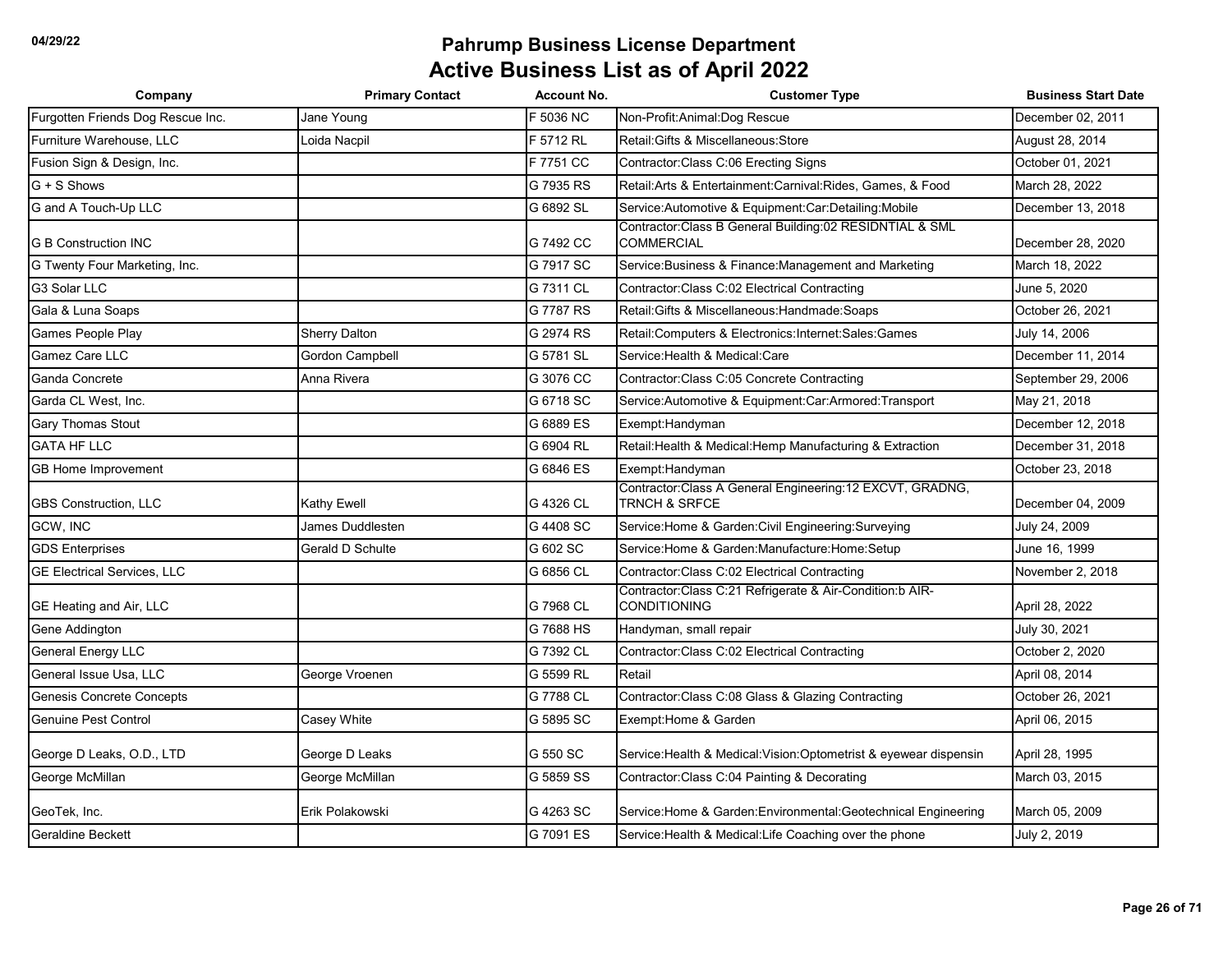| Company                            | <b>Primary Contact</b> | <b>Account No.</b> | <b>Customer Type</b>                                                                   | <b>Business Start Date</b> |
|------------------------------------|------------------------|--------------------|----------------------------------------------------------------------------------------|----------------------------|
| Furgotten Friends Dog Rescue Inc.  | Jane Young             | F 5036 NC          | Non-Profit: Animal: Dog Rescue                                                         | December 02, 2011          |
| Furniture Warehouse, LLC           | oida Nacpil            | F 5712 RL          | Retail: Gifts & Miscellaneous: Store                                                   | August 28, 2014            |
| Fusion Sign & Design, Inc.         |                        | F 7751 CC          | Contractor: Class C:06 Erecting Signs                                                  | October 01, 2021           |
| G + S Shows                        |                        | G 7935 RS          | Retail: Arts & Entertainment: Carnival: Rides, Games, & Food                           | March 28, 2022             |
| G and A Touch-Up LLC               |                        | G 6892 SL          | Service:Automotive & Equipment:Car:Detailing:Mobile                                    | December 13, 2018          |
| <b>G B Construction INC</b>        |                        | G 7492 CC          | Contractor:Class B General Building:02 RESIDNTIAL & SML<br><b>COMMERCIAL</b>           | December 28, 2020          |
| G Twenty Four Marketing, Inc.      |                        | G 7917 SC          | Service: Business & Finance: Management and Marketing                                  | March 18, 2022             |
| G3 Solar LLC                       |                        | G 7311 CL          | Contractor: Class C:02 Electrical Contracting                                          | June 5, 2020               |
| Gala & Luna Soaps                  |                        | G 7787 RS          | Retail: Gifts & Miscellaneous: Handmade: Soaps                                         | October 26, 2021           |
| Games People Play                  | <b>Sherry Dalton</b>   | G 2974 RS          | Retail:Computers & Electronics:Internet:Sales:Games                                    | July 14, 2006              |
| Gamez Care LLC                     | Gordon Campbell        | G 5781 SL          | Service: Health & Medical: Care                                                        | December 11, 2014          |
| Ganda Concrete                     | Anna Rivera            | G 3076 CC          | Contractor: Class C:05 Concrete Contracting                                            | September 29, 2006         |
| Garda CL West, Inc.                |                        | G 6718 SC          | Service:Automotive & Equipment:Car:Armored:Transport                                   | May 21, 2018               |
| <b>Gary Thomas Stout</b>           |                        | G 6889 ES          | Exempt:Handyman                                                                        | December 12, 2018          |
| <b>GATA HF LLC</b>                 |                        | G 6904 RL          | Retail: Health & Medical: Hemp Manufacturing & Extraction                              | December 31, 2018          |
| <b>GB Home Improvement</b>         |                        | G 6846 ES          | Exempt: Handyman                                                                       | October 23, 2018           |
| <b>GBS Construction, LLC</b>       | Kathy Ewell            | G 4326 CL          | Contractor: Class A General Engineering: 12 EXCVT, GRADNG,<br><b>TRNCH &amp; SRFCE</b> | December 04, 2009          |
| GCW, INC                           | James Duddlesten       | G 4408 SC          | Service: Home & Garden: Civil Engineering: Surveying                                   | July 24, 2009              |
| <b>GDS Enterprises</b>             | Gerald D Schulte       | G 602 SC           | Service: Home & Garden: Manufacture: Home: Setup                                       | June 16, 1999              |
| <b>GE Electrical Services, LLC</b> |                        | G 6856 CL          | Contractor: Class C:02 Electrical Contracting                                          | November 2, 2018           |
| GE Heating and Air, LLC            |                        | G 7968 CL          | Contractor: Class C:21 Refrigerate & Air-Condition: b AIR-<br><b>CONDITIONING</b>      | April 28, 2022             |
| Gene Addington                     |                        | G 7688 HS          | Handyman, small repair                                                                 | July 30, 2021              |
| <b>General Energy LLC</b>          |                        | G 7392 CL          | Contractor: Class C:02 Electrical Contracting                                          | October 2, 2020            |
| General Issue Usa, LLC             | George Vroenen         | G 5599 RL          | Retail                                                                                 | April 08, 2014             |
| <b>Genesis Concrete Concepts</b>   |                        | G 7788 CL          | Contractor: Class C:08 Glass & Glazing Contracting                                     | October 26, 2021           |
| Genuine Pest Control               | Casey White            | G 5895 SC          | Exempt: Home & Garden                                                                  | April 06, 2015             |
| George D Leaks, O.D., LTD          | George D Leaks         | G 550 SC           | Service: Health & Medical: Vision: Optometrist & eyewear dispensin                     | April 28, 1995             |
| George McMillan                    | George McMillan        | G 5859 SS          | Contractor: Class C:04 Painting & Decorating                                           | March 03, 2015             |
| GeoTek, Inc.                       | Erik Polakowski        | G 4263 SC          | Service: Home & Garden: Environmental: Geotechnical Engineering                        | March 05, 2009             |
| <b>Geraldine Beckett</b>           |                        | G 7091 ES          | Service: Health & Medical: Life Coaching over the phone                                | July 2, 2019               |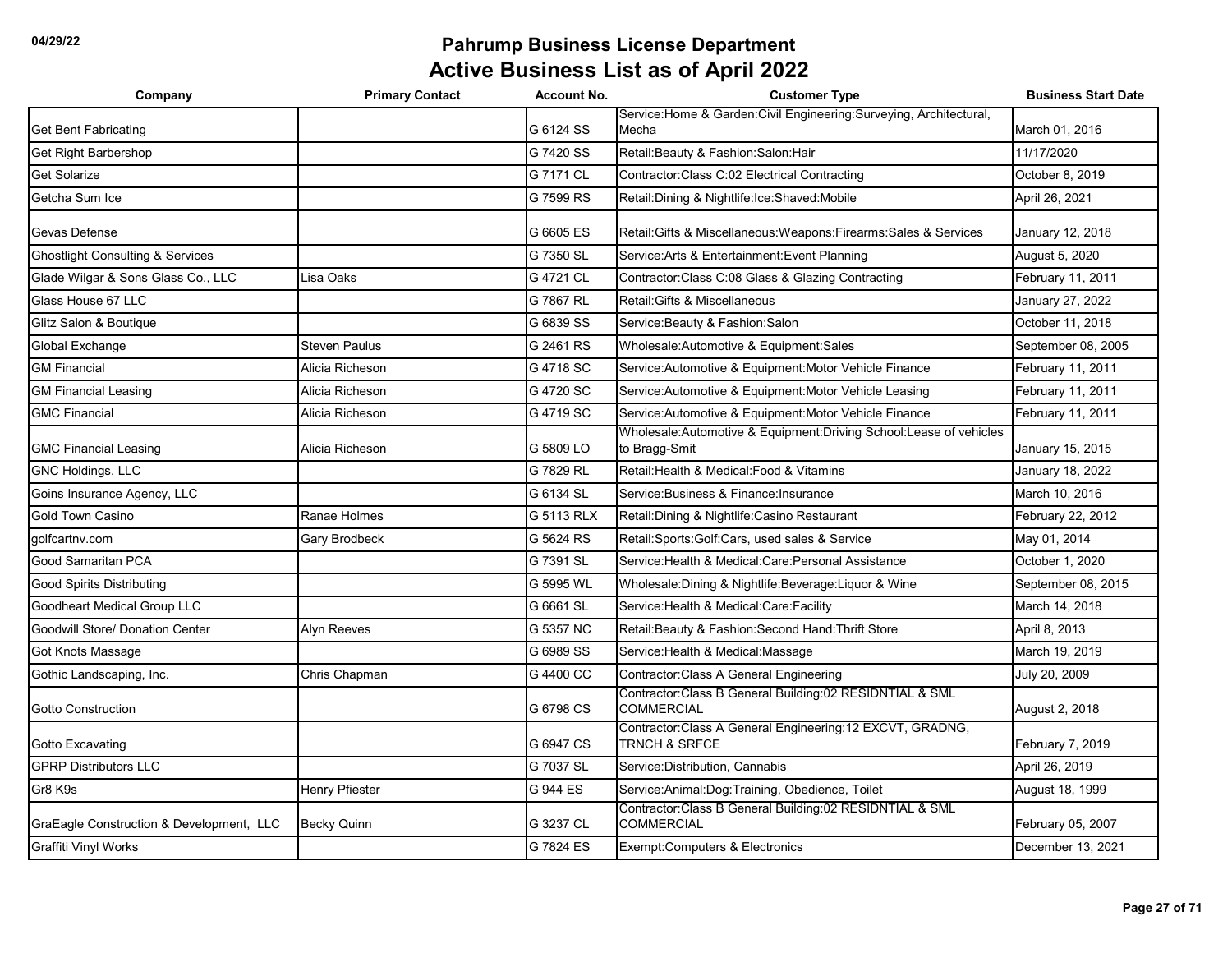| Company                                     | <b>Primary Contact</b> | <b>Account No.</b> | <b>Customer Type</b>                                                                 | <b>Business Start Date</b> |
|---------------------------------------------|------------------------|--------------------|--------------------------------------------------------------------------------------|----------------------------|
| <b>Get Bent Fabricating</b>                 |                        | G 6124 SS          | Service: Home & Garden: Civil Engineering: Surveying, Architectural,<br>Mecha        | March 01, 2016             |
| Get Right Barbershop                        |                        | G 7420 SS          | Retail: Beauty & Fashion: Salon: Hair                                                | 11/17/2020                 |
| <b>Get Solarize</b>                         |                        | G 7171 CL          | Contractor: Class C:02 Electrical Contracting                                        | October 8, 2019            |
| Getcha Sum Ice                              |                        | G 7599 RS          | Retail: Dining & Nightlife: Ice: Shaved: Mobile                                      | April 26, 2021             |
|                                             |                        |                    |                                                                                      |                            |
| Gevas Defense                               |                        | G 6605 ES          | Retail: Gifts & Miscellaneous: Weapons: Firearms: Sales & Services                   | January 12, 2018           |
| <b>Ghostlight Consulting &amp; Services</b> |                        | G 7350 SL          | Service: Arts & Entertainment: Event Planning                                        | August 5, 2020             |
| Glade Wilgar & Sons Glass Co., LLC          | Lisa Oaks              | G 4721 CL          | Contractor: Class C:08 Glass & Glazing Contracting                                   | February 11, 2011          |
| Glass House 67 LLC                          |                        | G 7867 RL          | Retail: Gifts & Miscellaneous                                                        | January 27, 2022           |
| Glitz Salon & Boutique                      |                        | G 6839 SS          | Service: Beauty & Fashion: Salon                                                     | October 11, 2018           |
| Global Exchange                             | <b>Steven Paulus</b>   | G 2461 RS          | Wholesale:Automotive & Equipment:Sales                                               | September 08, 2005         |
| <b>GM Financial</b>                         | Alicia Richeson        | G 4718 SC          | Service: Automotive & Equipment: Motor Vehicle Finance                               | February 11, 2011          |
| <b>GM Financial Leasing</b>                 | Alicia Richeson        | G 4720 SC          | Service: Automotive & Equipment: Motor Vehicle Leasing                               | February 11, 2011          |
| <b>GMC Financial</b>                        | Alicia Richeson        | G 4719 SC          | Service: Automotive & Equipment: Motor Vehicle Finance                               | February 11, 2011          |
| <b>GMC Financial Leasing</b>                | Alicia Richeson        | G 5809 LO          | Wholesale:Automotive & Equipment:Driving School:Lease of vehicles<br>to Bragg-Smit   | January 15, 2015           |
| <b>GNC Holdings, LLC</b>                    |                        | G 7829 RL          | Retail: Health & Medical: Food & Vitamins                                            | January 18, 2022           |
| Goins Insurance Agency, LLC                 |                        | G 6134 SL          | Service: Business & Finance: Insurance                                               | March 10, 2016             |
| Gold Town Casino                            | Ranae Holmes           | G 5113 RLX         | Retail: Dining & Nightlife: Casino Restaurant                                        | February 22, 2012          |
| golfcartny.com                              | <b>Gary Brodbeck</b>   | G 5624 RS          | Retail:Sports:Golf:Cars, used sales & Service                                        | May 01, 2014               |
| Good Samaritan PCA                          |                        | G 7391 SL          | Service: Health & Medical: Care: Personal Assistance                                 | October 1, 2020            |
| <b>Good Spirits Distributing</b>            |                        | G 5995 WL          | Wholesale: Dining & Nightlife: Beverage: Liquor & Wine                               | September 08, 2015         |
| Goodheart Medical Group LLC                 |                        | G 6661 SL          | Service: Health & Medical: Care: Facility                                            | March 14, 2018             |
| Goodwill Store/ Donation Center             | <b>Alyn Reeves</b>     | G 5357 NC          | Retail: Beauty & Fashion: Second Hand: Thrift Store                                  | April 8, 2013              |
| Got Knots Massage                           |                        | G 6989 SS          | Service: Health & Medical: Massage                                                   | March 19, 2019             |
| Gothic Landscaping, Inc.                    | Chris Chapman          | G 4400 CC          | Contractor: Class A General Engineering                                              | July 20, 2009              |
| <b>Gotto Construction</b>                   |                        | G 6798 CS          | Contractor: Class B General Building: 02 RESIDNTIAL & SML<br><b>COMMERCIAL</b>       | August 2, 2018             |
| Gotto Excavating                            |                        | G 6947 CS          | Contractor:Class A General Engineering:12 EXCVT, GRADNG,<br><b>TRNCH &amp; SRFCE</b> | February 7, 2019           |
| <b>GPRP Distributors LLC</b>                |                        | G 7037 SL          | Service: Distribution, Cannabis                                                      | April 26, 2019             |
| Gr8 K9s                                     | Henry Pfiester         | G 944 ES           | Service: Animal: Dog: Training, Obedience, Toilet                                    | August 18, 1999            |
| GraEagle Construction & Development, LLC    | <b>Becky Quinn</b>     | G 3237 CL          | Contractor: Class B General Building: 02 RESIDNTIAL & SML<br><b>COMMERCIAL</b>       | February 05, 2007          |
| Graffiti Vinyl Works                        |                        | G 7824 ES          | Exempt: Computers & Electronics                                                      | December 13, 2021          |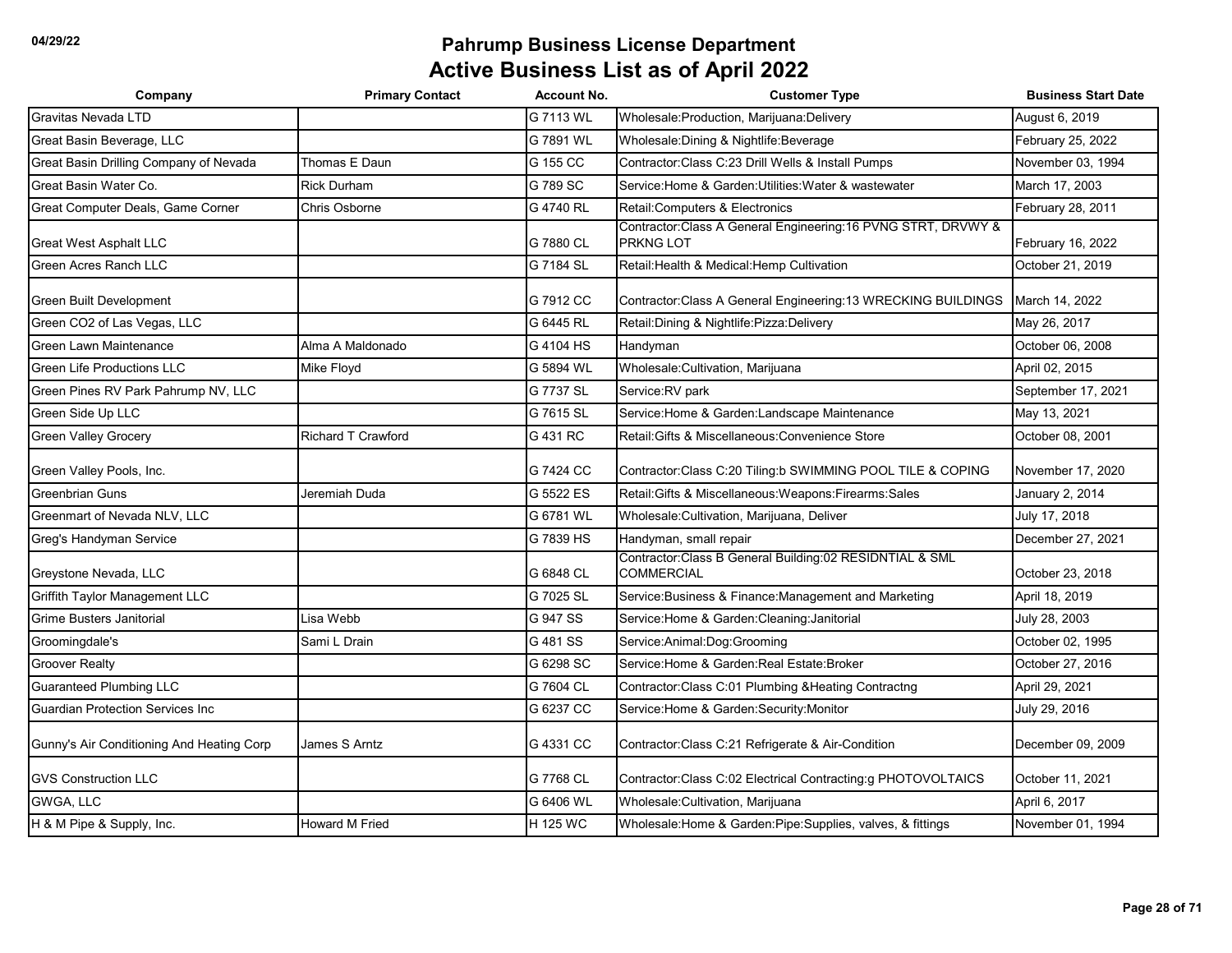| Company                                   | <b>Primary Contact</b>    | <b>Account No.</b> | <b>Customer Type</b>                                                           | <b>Business Start Date</b> |
|-------------------------------------------|---------------------------|--------------------|--------------------------------------------------------------------------------|----------------------------|
| Gravitas Nevada LTD                       |                           | G 7113 WL          | Wholesale: Production, Marijuana: Delivery                                     | August 6, 2019             |
| Great Basin Beverage, LLC                 |                           | G 7891 WL          | Wholesale:Dining & Nightlife:Beverage                                          | February 25, 2022          |
| Great Basin Drilling Company of Nevada    | Thomas E Daun             | G 155 CC           | Contractor: Class C:23 Drill Wells & Install Pumps                             | November 03, 1994          |
| Great Basin Water Co.                     | <b>Rick Durham</b>        | G 789 SC           | Service: Home & Garden: Utilities: Water & wastewater                          | March 17, 2003             |
| Great Computer Deals, Game Corner         | Chris Osborne             | G 4740 RL          | Retail: Computers & Electronics                                                | February 28, 2011          |
| <b>Great West Asphalt LLC</b>             |                           | G 7880 CL          | Contractor: Class A General Engineering: 16 PVNG STRT, DRVWY &<br>PRKNG LOT    | February 16, 2022          |
| Green Acres Ranch LLC                     |                           | G 7184 SL          | Retail: Health & Medical: Hemp Cultivation                                     | October 21, 2019           |
| Green Built Development                   |                           | G 7912 CC          | Contractor: Class A General Engineering: 13 WRECKING BUILDINGS                 | March 14, 2022             |
| Green CO2 of Las Vegas, LLC               |                           | G 6445 RL          | Retail: Dining & Nightlife: Pizza: Delivery                                    | May 26, 2017               |
| <b>Green Lawn Maintenance</b>             | Alma A Maldonado          | G 4104 HS          | Handyman                                                                       | October 06, 2008           |
| <b>Green Life Productions LLC</b>         | Mike Floyd                | G 5894 WL          | Wholesale:Cultivation, Marijuana                                               | April 02, 2015             |
| Green Pines RV Park Pahrump NV, LLC       |                           | G 7737 SL          | Service:RV park                                                                | September 17, 2021         |
| Green Side Up LLC                         |                           | G 7615 SL          | Service: Home & Garden: Landscape Maintenance                                  | May 13, 2021               |
| <b>Green Valley Grocery</b>               | <b>Richard T Crawford</b> | G 431 RC           | Retail: Gifts & Miscellaneous: Convenience Store                               | October 08, 2001           |
| Green Valley Pools, Inc.                  |                           | G 7424 CC          | Contractor: Class C:20 Tiling:b SWIMMING POOL TILE & COPING                    | November 17, 2020          |
| <b>Greenbrian Guns</b>                    | Jeremiah Duda             | G 5522 ES          | Retail:Gifts & Miscellaneous:Weapons:Firearms:Sales                            | January 2, 2014            |
| Greenmart of Nevada NLV. LLC              |                           | G 6781 WL          | Wholesale: Cultivation, Marijuana, Deliver                                     | July 17, 2018              |
| Greg's Handyman Service                   |                           | G 7839 HS          | Handyman, small repair                                                         | December 27, 2021          |
| Greystone Nevada, LLC                     |                           | G 6848 CL          | Contractor: Class B General Building: 02 RESIDNTIAL & SML<br><b>COMMERCIAL</b> | October 23, 2018           |
| Griffith Taylor Management LLC            |                           | G 7025 SL          | Service: Business & Finance: Management and Marketing                          | April 18, 2019             |
| <b>Grime Busters Janitorial</b>           | Lisa Webb                 | G 947 SS           | Service: Home & Garden: Cleaning: Janitorial                                   | July 28, 2003              |
| Groomingdale's                            | Sami L Drain              | G 481 SS           | Service: Animal: Dog: Grooming                                                 | October 02, 1995           |
| <b>Groover Realty</b>                     |                           | G 6298 SC          | Service: Home & Garden: Real Estate: Broker                                    | October 27, 2016           |
| <b>Guaranteed Plumbing LLC</b>            |                           | G 7604 CL          | Contractor: Class C:01 Plumbing & Heating Contractng                           | April 29, 2021             |
| <b>Guardian Protection Services Inc.</b>  |                           | G 6237 CC          | Service: Home & Garden: Security: Monitor                                      | July 29, 2016              |
| Gunny's Air Conditioning And Heating Corp | James S Arntz             | G 4331 CC          | Contractor: Class C:21 Refrigerate & Air-Condition                             | December 09, 2009          |
| <b>GVS Construction LLC</b>               |                           | G 7768 CL          | Contractor:Class C:02 Electrical Contracting:g PHOTOVOLTAICS                   | October 11, 2021           |
| GWGA, LLC                                 |                           | G 6406 WL          | Wholesale:Cultivation, Marijuana                                               | April 6, 2017              |
| H & M Pipe & Supply, Inc.                 | <b>Howard M Fried</b>     | H 125 WC           | Wholesale:Home & Garden:Pipe:Supplies, valves, & fittings                      | November 01, 1994          |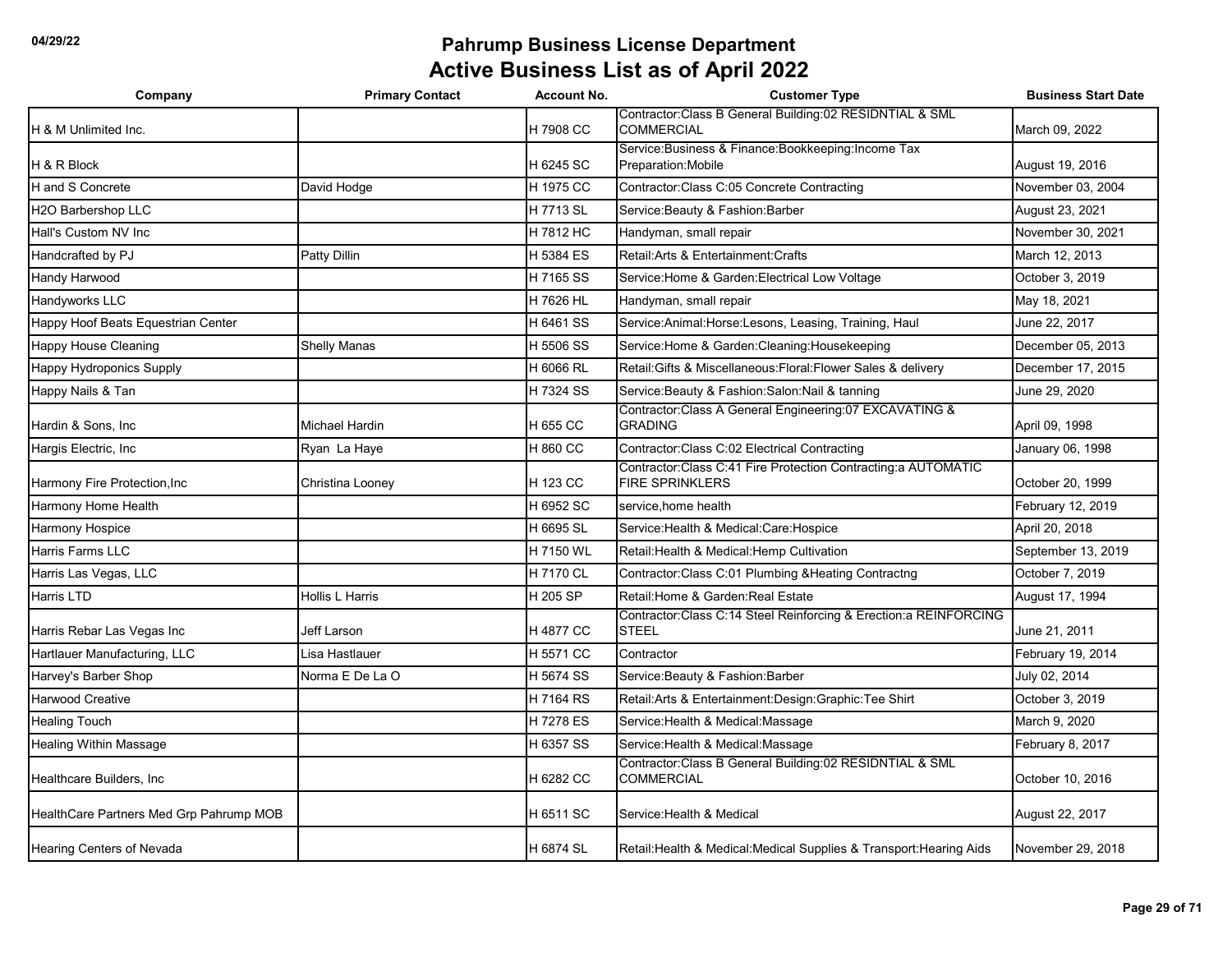| Company                                 | <b>Primary Contact</b> | <b>Account No.</b> | <b>Customer Type</b>                                                                      | <b>Business Start Date</b> |
|-----------------------------------------|------------------------|--------------------|-------------------------------------------------------------------------------------------|----------------------------|
| H & M Unlimited Inc.                    |                        | H 7908 CC          | Contractor: Class B General Building: 02 RESIDNTIAL & SML<br>COMMERCIAL                   | March 09, 2022             |
| H & R Block                             |                        | H 6245 SC          | Service: Business & Finance: Bookkeeping: Income Tax<br>Preparation:Mobile                | August 19, 2016            |
| H and S Concrete                        | David Hodge            | H 1975 CC          | Contractor: Class C:05 Concrete Contracting                                               | November 03, 2004          |
| H2O Barbershop LLC                      |                        | H 7713 SL          | Service: Beauty & Fashion: Barber                                                         | August 23, 2021            |
| Hall's Custom NV Inc                    |                        | H 7812 HC          | Handyman, small repair                                                                    | November 30, 2021          |
| Handcrafted by PJ                       | Patty Dillin           | H 5384 ES          | Retail:Arts & Entertainment:Crafts                                                        | March 12, 2013             |
| Handy Harwood                           |                        | H 7165 SS          | Service:Home & Garden:Electrical Low Voltage                                              | October 3, 2019            |
| Handyworks LLC                          |                        | H 7626 HL          | Handyman, small repair                                                                    | May 18, 2021               |
| Happy Hoof Beats Equestrian Center      |                        | H 6461 SS          | Service:Animal:Horse:Lesons, Leasing, Training, Haul                                      | June 22, 2017              |
| <b>Happy House Cleaning</b>             | <b>Shelly Manas</b>    | H 5506 SS          | Service: Home & Garden: Cleaning: Housekeeping                                            | December 05, 2013          |
| Happy Hydroponics Supply                |                        | H 6066 RL          | Retail:Gifts & Miscellaneous:Floral:Flower Sales & delivery                               | December 17, 2015          |
| Happy Nails & Tan                       |                        | H 7324 SS          | Service: Beauty & Fashion: Salon: Nail & tanning                                          | June 29, 2020              |
| Hardin & Sons. Inc                      | <b>Michael Hardin</b>  | H 655 CC           | Contractor: Class A General Engineering: 07 EXCAVATING &<br><b>GRADING</b>                | April 09, 1998             |
| Hargis Electric, Inc                    | Ryan La Haye           | H 860 CC           | Contractor: Class C:02 Electrical Contracting                                             | January 06, 1998           |
| Harmony Fire Protection, Inc            | Christina Looney       | H 123 CC           | Contractor: Class C:41 Fire Protection Contracting: a AUTOMATIC<br><b>FIRE SPRINKLERS</b> | October 20, 1999           |
| Harmony Home Health                     |                        | H 6952 SC          | service, home health                                                                      | February 12, 2019          |
| Harmony Hospice                         |                        | H 6695 SL          | Service: Health & Medical: Care: Hospice                                                  | April 20, 2018             |
| Harris Farms LLC                        |                        | H 7150 WL          | Retail: Health & Medical: Hemp Cultivation                                                | September 13, 2019         |
| Harris Las Vegas, LLC                   |                        | H 7170 CL          | Contractor:Class C:01 Plumbing & Heating Contractng                                       | October 7, 2019            |
| Harris LTD                              | Hollis L Harris        | H 205 SP           | Retail:Home & Garden:Real Estate                                                          | August 17, 1994            |
| Harris Rebar Las Vegas Inc              | Jeff Larson            | H 4877 CC          | Contractor:Class C:14 Steel Reinforcing & Erection:a REINFORCING<br><b>STEEL</b>          | June 21, 2011              |
| Hartlauer Manufacturing, LLC            | Lisa Hastlauer         | H 5571 CC          | Contractor                                                                                | February 19, 2014          |
| Harvey's Barber Shop                    | Norma E De La O        | H 5674 SS          | Service: Beauty & Fashion: Barber                                                         | July 02, 2014              |
| Harwood Creative                        |                        | H 7164 RS          | Retail: Arts & Entertainment: Design: Graphic: Tee Shirt                                  | October 3, 2019            |
| Healing Touch                           |                        | H 7278 ES          | Service:Health & Medical:Massage                                                          | March 9, 2020              |
| <b>Healing Within Massage</b>           |                        | H 6357 SS          | Service: Health & Medical: Massage                                                        | February 8, 2017           |
| Healthcare Builders, Inc.               |                        | H 6282 CC          | Contractor: Class B General Building: 02 RESIDNTIAL & SML<br>COMMERCIAL                   | October 10, 2016           |
| HealthCare Partners Med Grp Pahrump MOB |                        | H 6511 SC          | Service: Health & Medical                                                                 | August 22, 2017            |
| Hearing Centers of Nevada               |                        | H 6874 SL          | Retail:Health & Medical:Medical Supplies & Transport:Hearing Aids                         | November 29, 2018          |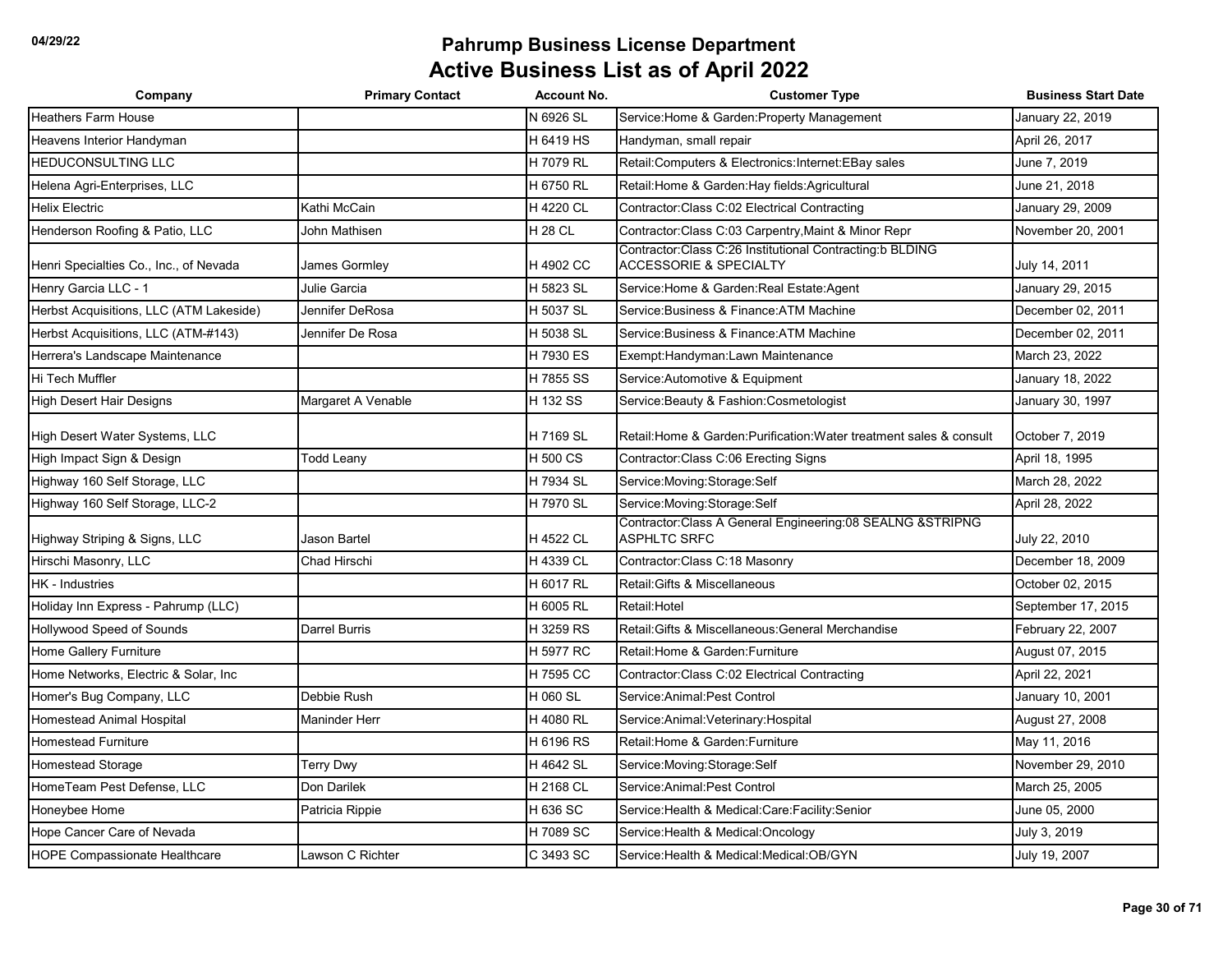| Company                                 | <b>Primary Contact</b> | <b>Account No.</b> | <b>Customer Type</b>                                                                          | <b>Business Start Date</b> |
|-----------------------------------------|------------------------|--------------------|-----------------------------------------------------------------------------------------------|----------------------------|
| <b>Heathers Farm House</b>              |                        | N 6926 SL          | Service: Home & Garden: Property Management                                                   | January 22, 2019           |
| Heavens Interior Handyman               |                        | H 6419 HS          | Handyman, small repair                                                                        | April 26, 2017             |
| <b>HEDUCONSULTING LLC</b>               |                        | H 7079 RL          | Retail: Computers & Electronics: Internet: EBay sales                                         | June 7, 2019               |
| Helena Agri-Enterprises, LLC            |                        | H 6750 RL          | Retail: Home & Garden: Hay fields: Agricultural                                               | June 21, 2018              |
| <b>Helix Electric</b>                   | Kathi McCain           | H 4220 CL          | Contractor: Class C:02 Electrical Contracting                                                 | January 29, 2009           |
| Henderson Roofing & Patio, LLC          | John Mathisen          | <b>H28 CL</b>      | Contractor: Class C:03 Carpentry, Maint & Minor Repr                                          | November 20, 2001          |
| Henri Specialties Co., Inc., of Nevada  | James Gormley          | H 4902 CC          | Contractor:Class C:26 Institutional Contracting:b BLDING<br><b>ACCESSORIE &amp; SPECIALTY</b> | July 14, 2011              |
| Henry Garcia LLC - 1                    | Julie Garcia           | H 5823 SL          | Service: Home & Garden: Real Estate: Agent                                                    | January 29, 2015           |
| Herbst Acquisitions, LLC (ATM Lakeside) | Jennifer DeRosa        | H 5037 SL          | Service: Business & Finance: ATM Machine                                                      | December 02, 2011          |
| Herbst Acquisitions, LLC (ATM-#143)     | Jennifer De Rosa       | H 5038 SL          | Service: Business & Finance: ATM Machine                                                      | December 02, 2011          |
| Herrera's Landscape Maintenance         |                        | H 7930 ES          | Exempt: Handyman: Lawn Maintenance                                                            | March 23, 2022             |
| Hi Tech Muffler                         |                        | H 7855 SS          | Service: Automotive & Equipment                                                               | January 18, 2022           |
| <b>High Desert Hair Designs</b>         | Margaret A Venable     | H 132 SS           | Service: Beauty & Fashion: Cosmetologist                                                      | January 30, 1997           |
| High Desert Water Systems, LLC          |                        | H 7169 SL          | Retail: Home & Garden: Purification: Water treatment sales & consult                          | October 7, 2019            |
| High Impact Sign & Design               | <b>Todd Leany</b>      | H 500 CS           | Contractor: Class C:06 Erecting Signs                                                         | April 18, 1995             |
| Highway 160 Self Storage, LLC           |                        | H 7934 SL          | Service: Moving: Storage: Self                                                                | March 28, 2022             |
| Highway 160 Self Storage, LLC-2         |                        | H 7970 SL          | Service: Moving: Storage: Self                                                                | April 28, 2022             |
| Highway Striping & Signs, LLC           | Jason Bartel           | H 4522 CL          | Contractor: Class A General Engineering: 08 SEALNG & STRIPNG<br><b>ASPHLTC SRFC</b>           | July 22, 2010              |
| Hirschi Masonry, LLC                    | Chad Hirschi           | H 4339 CL          | Contractor: Class C: 18 Masonry                                                               | December 18, 2009          |
| HK - Industries                         |                        | H 6017 RL          | Retail: Gifts & Miscellaneous                                                                 | October 02, 2015           |
| Holiday Inn Express - Pahrump (LLC)     |                        | H 6005 RL          | Retail: Hotel                                                                                 | September 17, 2015         |
| Hollywood Speed of Sounds               | <b>Darrel Burris</b>   | H 3259 RS          | Retail: Gifts & Miscellaneous: General Merchandise                                            | February 22, 2007          |
| Home Gallery Furniture                  |                        | H 5977 RC          | Retail: Home & Garden: Furniture                                                              | August 07, 2015            |
| Home Networks, Electric & Solar, Inc.   |                        | H 7595 CC          | Contractor: Class C:02 Electrical Contracting                                                 | April 22, 2021             |
| Homer's Bug Company, LLC                | Debbie Rush            | H 060 SL           | Service: Animal: Pest Control                                                                 | January 10, 2001           |
| <b>Homestead Animal Hospital</b>        | <b>Maninder Herr</b>   | H 4080 RL          | Service: Animal: Veterinary: Hospital                                                         | August 27, 2008            |
| <b>Homestead Furniture</b>              |                        | H 6196 RS          | Retail: Home & Garden: Furniture                                                              | May 11, 2016               |
| <b>Homestead Storage</b>                | <b>Terry Dwy</b>       | H 4642 SL          | Service: Moving: Storage: Self                                                                | November 29, 2010          |
| HomeTeam Pest Defense, LLC              | Don Darilek            | H 2168 CL          | Service: Animal: Pest Control                                                                 | March 25, 2005             |
| Honeybee Home                           | Patricia Rippie        | H 636 SC           | Service: Health & Medical: Care: Facility: Senior                                             | June 05, 2000              |
| Hope Cancer Care of Nevada              |                        | H 7089 SC          | Service: Health & Medical: Oncology                                                           | July 3, 2019               |
| <b>HOPE Compassionate Healthcare</b>    | Lawson C Richter       | C 3493 SC          | Service: Health & Medical: Medical: OB/GYN                                                    | July 19, 2007              |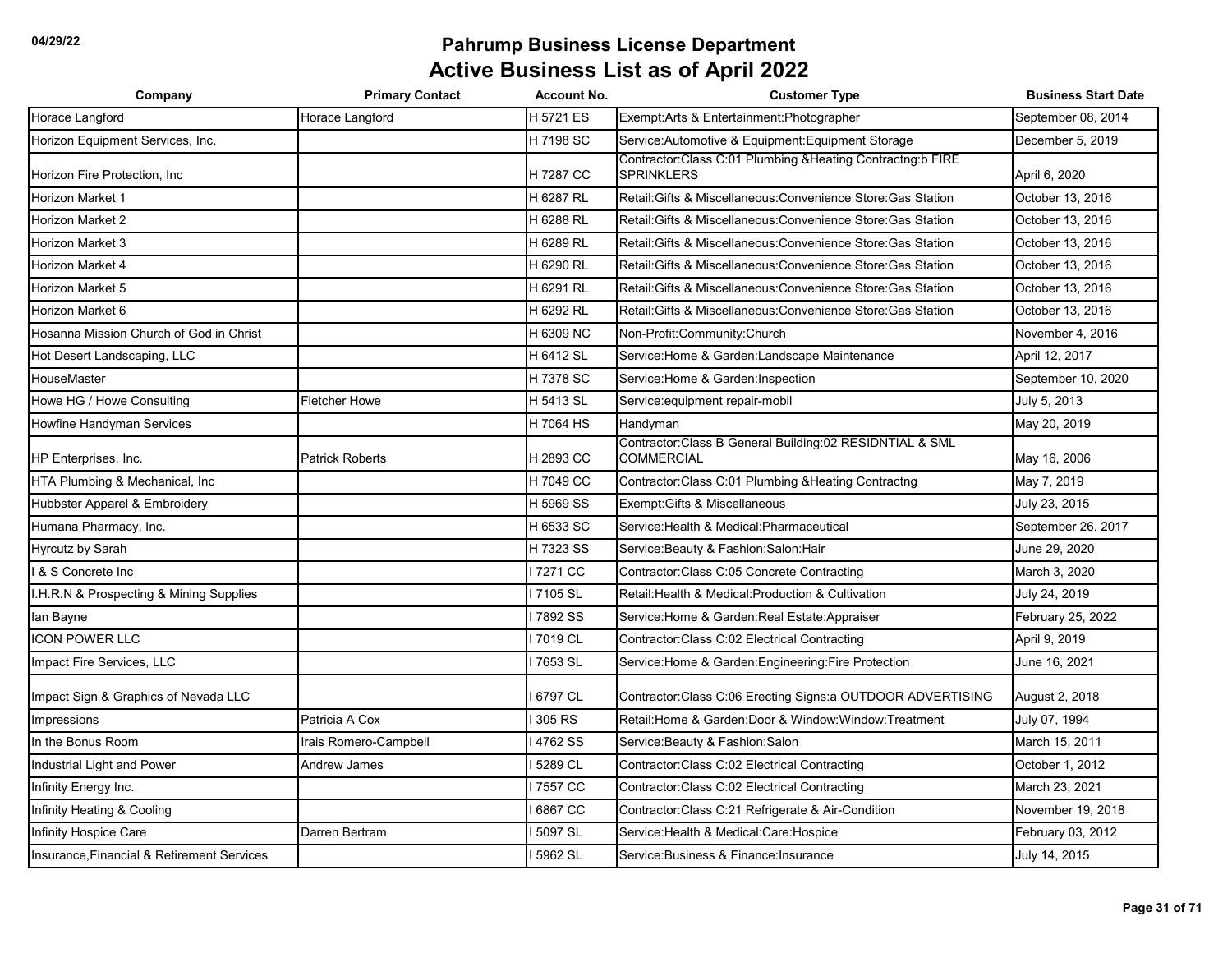| Company                                    | <b>Primary Contact</b> | <b>Account No.</b> | <b>Customer Type</b>                                                              | <b>Business Start Date</b> |
|--------------------------------------------|------------------------|--------------------|-----------------------------------------------------------------------------------|----------------------------|
| Horace Langford                            | Horace Langford        | H 5721 ES          | Exempt:Arts & Entertainment:Photographer                                          | September 08, 2014         |
| Horizon Equipment Services, Inc.           |                        | H 7198 SC          | Service: Automotive & Equipment: Equipment Storage                                | December 5, 2019           |
| Horizon Fire Protection, Inc.              |                        | H 7287 CC          | Contractor: Class C:01 Plumbing & Heating Contractng: b FIRE<br><b>SPRINKLERS</b> | April 6, 2020              |
| <b>Horizon Market 1</b>                    |                        | H 6287 RL          | Retail: Gifts & Miscellaneous: Convenience Store: Gas Station                     | October 13, 2016           |
| <b>Horizon Market 2</b>                    |                        | H 6288 RL          | Retail: Gifts & Miscellaneous: Convenience Store: Gas Station                     | October 13, 2016           |
| Horizon Market 3                           |                        | H 6289 RL          | Retail: Gifts & Miscellaneous: Convenience Store: Gas Station                     | October 13, 2016           |
| Horizon Market 4                           |                        | H 6290 RL          | Retail: Gifts & Miscellaneous: Convenience Store: Gas Station                     | October 13, 2016           |
| Horizon Market 5                           |                        | H 6291 RL          | Retail: Gifts & Miscellaneous: Convenience Store: Gas Station                     | October 13, 2016           |
| Horizon Market 6                           |                        | H 6292 RL          | Retail: Gifts & Miscellaneous: Convenience Store: Gas Station                     | October 13, 2016           |
| Hosanna Mission Church of God in Christ    |                        | H 6309 NC          | Non-Profit:Community:Church                                                       | November 4, 2016           |
| Hot Desert Landscaping, LLC                |                        | H 6412 SL          | Service: Home & Garden: Landscape Maintenance                                     | April 12, 2017             |
| <b>HouseMaster</b>                         |                        | H 7378 SC          | Service: Home & Garden: Inspection                                                | September 10, 2020         |
| Howe HG / Howe Consulting                  | Fletcher Howe          | H 5413 SL          | Service: equipment repair-mobil                                                   | July 5, 2013               |
| Howfine Handyman Services                  |                        | H 7064 HS          | Handyman                                                                          | May 20, 2019               |
| HP Enterprises, Inc.                       | <b>Patrick Roberts</b> | H 2893 CC          | Contractor: Class B General Building: 02 RESIDNTIAL & SML<br><b>COMMERCIAL</b>    | May 16, 2006               |
| HTA Plumbing & Mechanical, Inc.            |                        | H 7049 CC          | Contractor:Class C:01 Plumbing & Heating Contractng                               | May 7, 2019                |
| Hubbster Apparel & Embroidery              |                        | H 5969 SS          | Exempt: Gifts & Miscellaneous                                                     | July 23, 2015              |
| Humana Pharmacy, Inc.                      |                        | H 6533 SC          | Service: Health & Medical: Pharmaceutical                                         | September 26, 2017         |
| <b>Hyrcutz by Sarah</b>                    |                        | H 7323 SS          | Service: Beauty & Fashion: Salon: Hair                                            | June 29, 2020              |
| 1 & S Concrete Inc.                        |                        | 7271 CC            | Contractor: Class C:05 Concrete Contracting                                       | March 3, 2020              |
| I.H.R.N & Prospecting & Mining Supplies    |                        | 7105 SL            | Retail: Health & Medical: Production & Cultivation                                | July 24, 2019              |
| lan Bayne                                  |                        | 7892 SS            | Service: Home & Garden: Real Estate: Appraiser                                    | February 25, 2022          |
| <b>ICON POWER LLC</b>                      |                        | 7019 CL            | Contractor: Class C:02 Electrical Contracting                                     | April 9, 2019              |
| Impact Fire Services, LLC                  |                        | 7653 SL            | Service: Home & Garden: Engineering: Fire Protection                              | June 16, 2021              |
| Impact Sign & Graphics of Nevada LLC       |                        | 6797 CL            | Contractor: Class C:06 Erecting Signs: a OUTDOOR ADVERTISING                      | August 2, 2018             |
| Impressions                                | Patricia A Cox         | 305 RS             | Retail: Home & Garden: Door & Window: Window: Treatment                           | July 07, 1994              |
| In the Bonus Room                          | Irais Romero-Campbell  | 4762 SS            | Service: Beauty & Fashion: Salon                                                  | March 15, 2011             |
| Industrial Light and Power                 | Andrew James           | 5289 CL            | Contractor: Class C:02 Electrical Contracting                                     | October 1, 2012            |
| Infinity Energy Inc.                       |                        | 7557 CC            | Contractor: Class C:02 Electrical Contracting                                     | March 23, 2021             |
| Infinity Heating & Cooling                 |                        | 6867 CC            | Contractor: Class C:21 Refrigerate & Air-Condition                                | November 19, 2018          |
| Infinity Hospice Care                      | Darren Bertram         | 5097 SL            | Service: Health & Medical: Care: Hospice                                          | February 03, 2012          |
| Insurance, Financial & Retirement Services |                        | 5962 SL            | Service: Business & Finance: Insurance                                            | July 14, 2015              |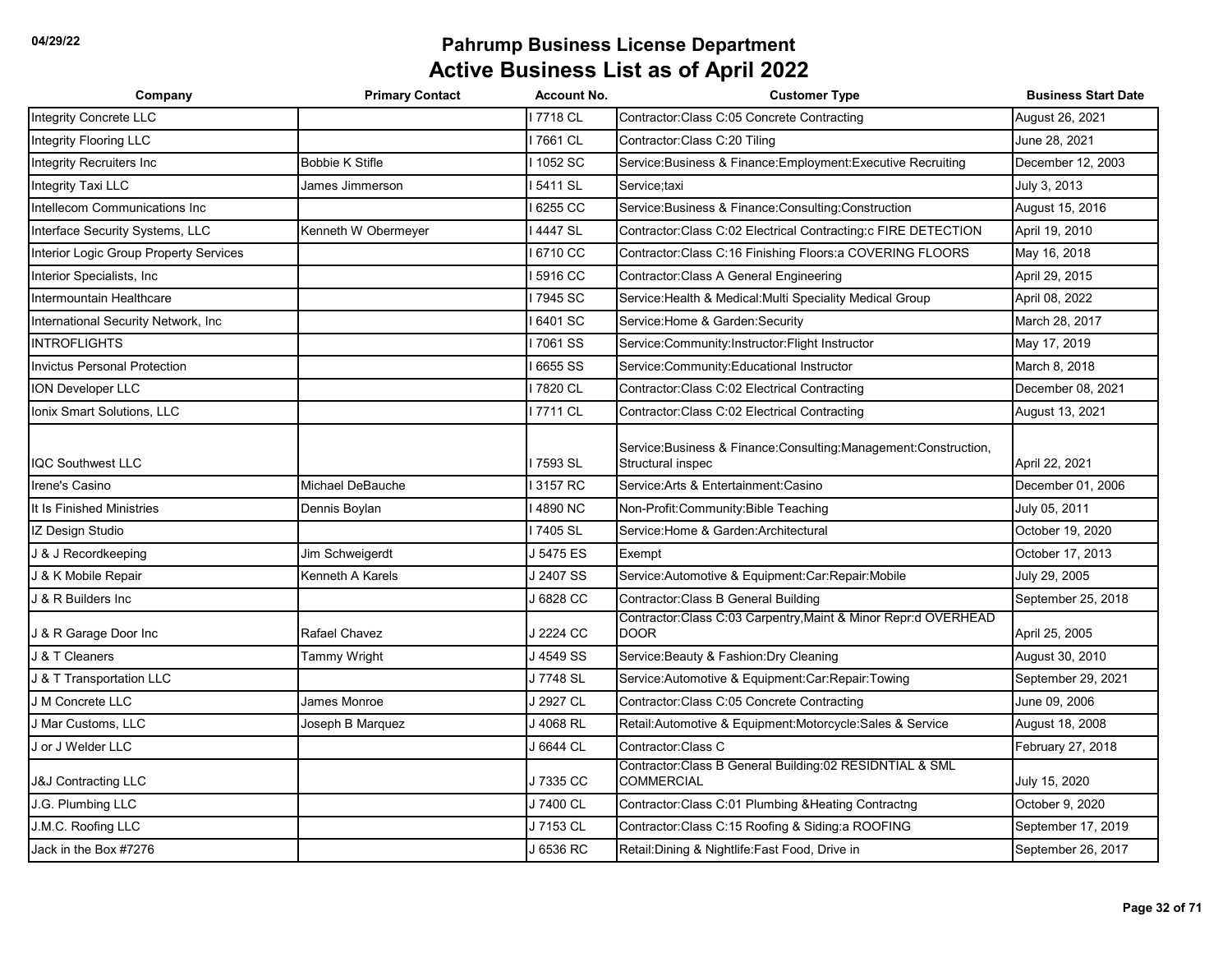| Company                                | <b>Primary Contact</b> | <b>Account No.</b> | <b>Customer Type</b>                                                                    | <b>Business Start Date</b> |
|----------------------------------------|------------------------|--------------------|-----------------------------------------------------------------------------------------|----------------------------|
| <b>Integrity Concrete LLC</b>          |                        | 7718 CL            | Contractor: Class C:05 Concrete Contracting                                             | August 26, 2021            |
| Integrity Flooring LLC                 |                        | 7661 CL            | Contractor:Class C:20 Tiling                                                            | June 28, 2021              |
| Integrity Recruiters Inc               | <b>Bobbie K Stifle</b> | 1052 SC            | Service: Business & Finance: Employment: Executive Recruiting                           | December 12, 2003          |
| Integrity Taxi LLC                     | James Jimmerson        | 5411 SL            | Service;taxi                                                                            | July 3, 2013               |
| Intellecom Communications Inc          |                        | 6255 CC            | Service: Business & Finance: Consulting: Construction                                   | August 15, 2016            |
| Interface Security Systems, LLC        | Kenneth W Obermeyer    | 4447 SL            | Contractor:Class C:02 Electrical Contracting:c FIRE DETECTION                           | April 19, 2010             |
| Interior Logic Group Property Services |                        | 6710 CC            | Contractor: Class C:16 Finishing Floors: a COVERING FLOORS                              | May 16, 2018               |
| Interior Specialists, Inc              |                        | 5916 CC            | Contractor: Class A General Engineering                                                 | April 29, 2015             |
| Intermountain Healthcare               |                        | 7945 SC            | Service:Health & Medical:Multi Speciality Medical Group                                 | April 08, 2022             |
| International Security Network, Inc    |                        | 6401 SC            | Service: Home & Garden: Security                                                        | March 28, 2017             |
| <b>INTROFLIGHTS</b>                    |                        | 7061 SS            | Service: Community: Instructor: Flight Instructor                                       | May 17, 2019               |
| <b>Invictus Personal Protection</b>    |                        | 6655 SS            | Service:Community:Educational Instructor                                                | March 8, 2018              |
| <b>ION Developer LLC</b>               |                        | 7820 CL            | Contractor: Class C:02 Electrical Contracting                                           | December 08, 2021          |
| Ionix Smart Solutions, LLC             |                        | 7711 CL            | Contractor: Class C:02 Electrical Contracting                                           | August 13, 2021            |
| <b>IQC Southwest LLC</b>               |                        | 7593 SL            | Service: Business & Finance: Consulting: Management: Construction,<br>Structural inspec | April 22, 2021             |
| Irene's Casino                         | Michael DeBauche       | 3157 RC            | Service: Arts & Entertainment: Casino                                                   | December 01, 2006          |
| It Is Finished Ministries              | Dennis Boylan          | 4890 NC            | Non-Profit: Community: Bible Teaching                                                   | July 05, 2011              |
| IZ Design Studio                       |                        | 7405 SL            | Service: Home & Garden: Architectural                                                   | October 19, 2020           |
| J & J Recordkeeping                    | Jim Schweigerdt        | J 5475 ES          | Exempt                                                                                  | October 17, 2013           |
| J & K Mobile Repair                    | Kenneth A Karels       | J 2407 SS          | Service: Automotive & Equipment: Car: Repair: Mobile                                    | July 29, 2005              |
| J & R Builders Inc                     |                        | 6828 CC            | Contractor: Class B General Building                                                    | September 25, 2018         |
| J & R Garage Door Inc                  | Rafael Chavez          | J 2224 CC          | Contractor: Class C:03 Carpentry, Maint & Minor Repr: d OVERHEAD<br><b>DOOR</b>         | April 25, 2005             |
| J & T Cleaners                         | Tammy Wright           | J 4549 SS          | Service: Beauty & Fashion: Dry Cleaning                                                 | August 30, 2010            |
| J & T Transportation LLC               |                        | J 7748 SL          | Service: Automotive & Equipment: Car: Repair: Towing                                    | September 29, 2021         |
| J M Concrete LLC                       | James Monroe           | 12927 CL           | Contractor: Class C:05 Concrete Contracting                                             | June 09, 2006              |
| J Mar Customs, LLC                     | Joseph B Marquez       | J 4068 RL          | Retail:Automotive & Equipment:Motorcycle:Sales & Service                                | August 18, 2008            |
| J or J Welder LLC                      |                        | J 6644 CL          | Contractor: Class C                                                                     | February 27, 2018          |
| <b>J&amp;J Contracting LLC</b>         |                        | J 7335 CC          | Contractor: Class B General Building: 02 RESIDNTIAL & SML<br><b>COMMERCIAL</b>          | July 15, 2020              |
| J.G. Plumbing LLC                      |                        | J 7400 CL          | Contractor: Class C:01 Plumbing & Heating Contractng                                    | October 9, 2020            |
| J.M.C. Roofing LLC                     |                        | J 7153 CL          | Contractor: Class C:15 Roofing & Siding: a ROOFING                                      | September 17, 2019         |
| Jack in the Box #7276                  |                        | J 6536 RC          | Retail: Dining & Nightlife: Fast Food, Drive in                                         | September 26, 2017         |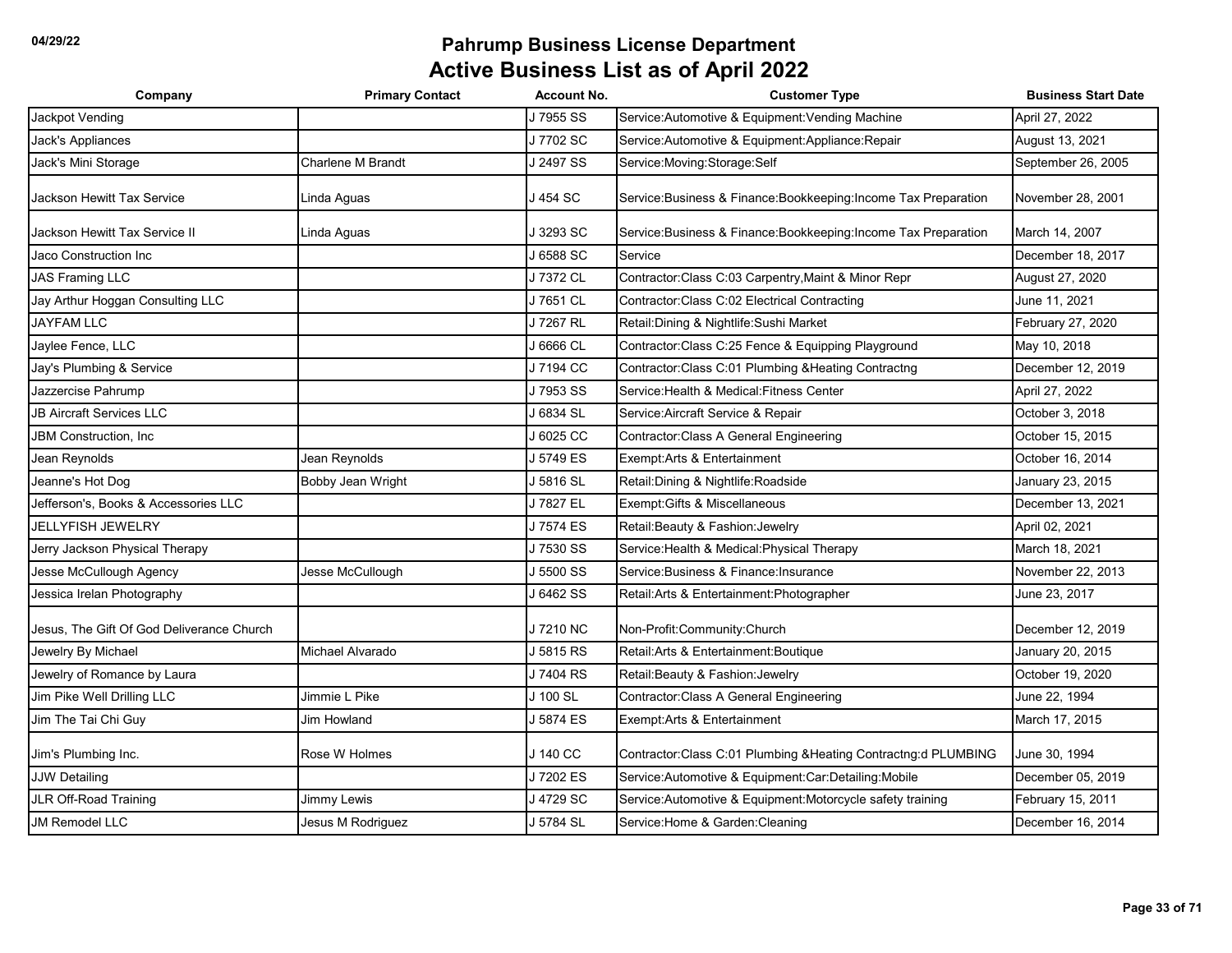| Company                                   | <b>Primary Contact</b> | <b>Account No.</b> | <b>Customer Type</b>                                             | <b>Business Start Date</b> |
|-------------------------------------------|------------------------|--------------------|------------------------------------------------------------------|----------------------------|
| Jackpot Vending                           |                        | J 7955 SS          | Service: Automotive & Equipment: Vending Machine                 | April 27, 2022             |
| Jack's Appliances                         |                        | J 7702 SC          | Service: Automotive & Equipment: Appliance: Repair               | August 13, 2021            |
| Jack's Mini Storage                       | Charlene M Brandt      | J 2497 SS          | Service: Moving: Storage: Self                                   | September 26, 2005         |
| Jackson Hewitt Tax Service                | Linda Aguas            | J 454 SC           | Service: Business & Finance: Bookkeeping: Income Tax Preparation | November 28, 2001          |
| Jackson Hewitt Tax Service II             | Linda Aquas            | J 3293 SC          | Service: Business & Finance: Bookkeeping: Income Tax Preparation | March 14, 2007             |
| Jaco Construction Inc                     |                        | J 6588 SC          | Service                                                          | December 18, 2017          |
| <b>JAS Framing LLC</b>                    |                        | J 7372 CL          | Contractor: Class C:03 Carpentry, Maint & Minor Repr             | August 27, 2020            |
| Jay Arthur Hoggan Consulting LLC          |                        | J 7651 CL          | Contractor: Class C:02 Electrical Contracting                    | June 11, 2021              |
| <b>JAYFAM LLC</b>                         |                        | J 7267 RL          | Retail: Dining & Nightlife: Sushi Market                         | February 27, 2020          |
| Jaylee Fence, LLC                         |                        | J 6666 CL          | Contractor: Class C:25 Fence & Equipping Playground              | May 10, 2018               |
| Jay's Plumbing & Service                  |                        | J 7194 CC          | Contractor: Class C:01 Plumbing & Heating Contractng             | December 12, 2019          |
| Jazzercise Pahrump                        |                        | J 7953 SS          | Service: Health & Medical: Fitness Center                        | April 27, 2022             |
| <b>JB Aircraft Services LLC</b>           |                        | J 6834 SL          | Service: Aircraft Service & Repair                               | October 3, 2018            |
| <b>JBM Construction, Inc</b>              |                        | J 6025 CC          | Contractor: Class A General Engineering                          | October 15, 2015           |
| Jean Reynolds                             | Jean Reynolds          | J 5749 ES          | Exempt:Arts & Entertainment                                      | October 16, 2014           |
| Jeanne's Hot Dog                          | Bobby Jean Wright      | J 5816 SL          | Retail: Dining & Nightlife: Roadside                             | January 23, 2015           |
| Jefferson's, Books & Accessories LLC      |                        | J 7827 EL          | Exempt: Gifts & Miscellaneous                                    | December 13, 2021          |
| <b>JELLYFISH JEWELRY</b>                  |                        | J 7574 ES          | Retail: Beauty & Fashion: Jewelry                                | April 02, 2021             |
| Jerry Jackson Physical Therapy            |                        | J 7530 SS          | Service: Health & Medical: Physical Therapy                      | March 18, 2021             |
| Jesse McCullough Agency                   | Jesse McCullough       | J 5500 SS          | Service: Business & Finance: Insurance                           | November 22, 2013          |
| Jessica Irelan Photography                |                        | J 6462 SS          | Retail: Arts & Entertainment: Photographer                       | June 23, 2017              |
| Jesus. The Gift Of God Deliverance Church |                        | J 7210 NC          | Non-Profit:Community:Church                                      | December 12, 2019          |
| Jewelry By Michael                        | Michael Alvarado       | J 5815 RS          | Retail: Arts & Entertainment: Boutique                           | January 20, 2015           |
| Jewelry of Romance by Laura               |                        | J 7404 RS          | Retail: Beauty & Fashion: Jewelry                                | October 19, 2020           |
| Jim Pike Well Drilling LLC                | Jimmie L Pike          | J 100 SL           | Contractor: Class A General Engineering                          | June 22, 1994              |
| Jim The Tai Chi Guy                       | <b>Jim Howland</b>     | J 5874 ES          | Exempt:Arts & Entertainment                                      | March 17, 2015             |
| Jim's Plumbing Inc.                       | Rose W Holmes          | J 140 CC           | Contractor:Class C:01 Plumbing & Heating Contractng:d PLUMBING   | June 30, 1994              |
| <b>JJW Detailing</b>                      |                        | J 7202 ES          | Service:Automotive & Equipment:Car:Detailing:Mobile              | December 05, 2019          |
| <b>JLR Off-Road Training</b>              | Jimmy Lewis            | J 4729 SC          | Service: Automotive & Equipment: Motorcycle safety training      | February 15, 2011          |
| <b>JM Remodel LLC</b>                     | Jesus M Rodriguez      | J 5784 SL          | Service: Home & Garden: Cleaning                                 | December 16, 2014          |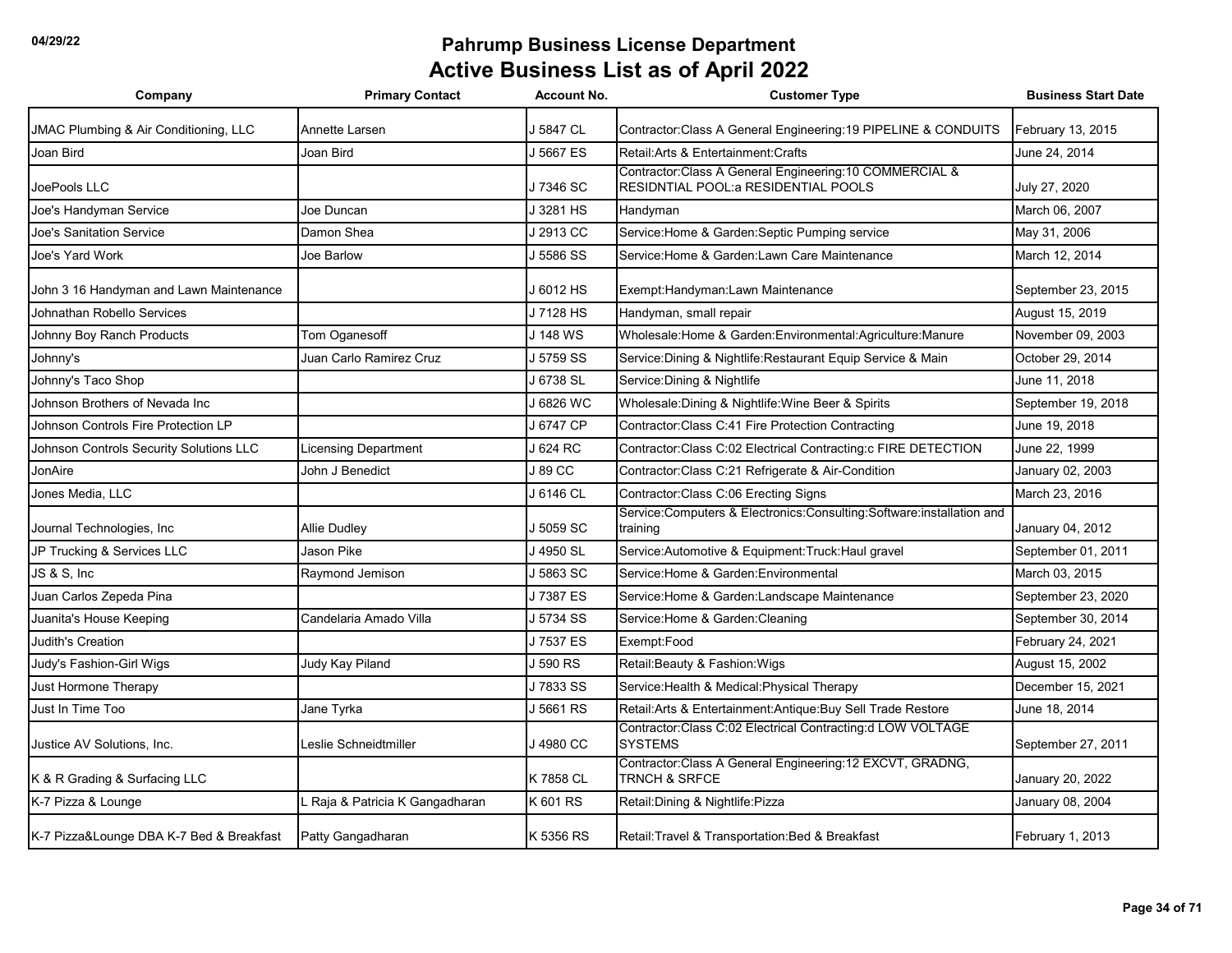| Company                                  | <b>Primary Contact</b>          | <b>Account No.</b> | <b>Customer Type</b>                                                                             | <b>Business Start Date</b> |
|------------------------------------------|---------------------------------|--------------------|--------------------------------------------------------------------------------------------------|----------------------------|
| JMAC Plumbing & Air Conditioning, LLC    | Annette Larsen                  | J 5847 CL          | Contractor: Class A General Engineering: 19 PIPELINE & CONDUITS                                  | February 13, 2015          |
| Joan Bird                                | Joan Bird                       | J 5667 ES          | Retail: Arts & Entertainment: Crafts                                                             | June 24, 2014              |
| JoePools LLC                             |                                 | J 7346 SC          | Contractor: Class A General Engineering: 10 COMMERCIAL &<br>RESIDNTIAL POOL: a RESIDENTIAL POOLS | July 27, 2020              |
| Joe's Handyman Service                   | Joe Duncan                      | J 3281 HS          | Handyman                                                                                         | March 06, 2007             |
| Joe's Sanitation Service                 | Damon Shea                      | J 2913 CC          | Service: Home & Garden: Septic Pumping service                                                   | May 31, 2006               |
| Joe's Yard Work                          | Joe Barlow                      | J 5586 SS          | Service: Home & Garden: Lawn Care Maintenance                                                    | March 12, 2014             |
| John 3 16 Handyman and Lawn Maintenance  |                                 | J 6012 HS          | Exempt:Handyman:Lawn Maintenance                                                                 | September 23, 2015         |
| Johnathan Robello Services               |                                 | J 7128 HS          | Handyman, small repair                                                                           | August 15, 2019            |
| Johnny Boy Ranch Products                | Tom Oganesoff                   | J 148 WS           | Wholesale: Home & Garden: Environmental: Agriculture: Manure                                     | November 09, 2003          |
| Johnny's                                 | Juan Carlo Ramirez Cruz         | J 5759 SS          | Service: Dining & Nightlife: Restaurant Equip Service & Main                                     | October 29, 2014           |
| Johnny's Taco Shop                       |                                 | J 6738 SL          | Service: Dining & Nightlife                                                                      | June 11, 2018              |
| Johnson Brothers of Nevada Inc           |                                 | J 6826 WC          | Wholesale: Dining & Nightlife: Wine Beer & Spirits                                               | September 19, 2018         |
| Johnson Controls Fire Protection LP      |                                 | J 6747 CP          | Contractor: Class C:41 Fire Protection Contracting                                               | June 19, 2018              |
| Johnson Controls Security Solutions LLC  | Licensing Department            | J 624 RC           | Contractor:Class C:02 Electrical Contracting:c FIRE DETECTION                                    | June 22, 1999              |
| JonAire                                  | John J Benedict                 | J 89 CC            | Contractor:Class C:21 Refrigerate & Air-Condition                                                | January 02, 2003           |
| Jones Media, LLC                         |                                 | J 6146 CL          | Contractor: Class C:06 Erecting Signs                                                            | March 23, 2016             |
| Journal Technologies, Inc                | <b>Allie Dudley</b>             | J 5059 SC          | Service:Computers & Electronics:Consulting:Software:installation and<br>training                 | January 04, 2012           |
| JP Trucking & Services LLC               | Jason Pike                      | J 4950 SL          | Service: Automotive & Equipment: Truck: Haul gravel                                              | September 01, 2011         |
| JS & S, Inc                              | Raymond Jemison                 | J 5863 SC          | Service: Home & Garden: Environmental                                                            | March 03, 2015             |
| Juan Carlos Zepeda Pina                  |                                 | J 7387 ES          | Service: Home & Garden: Landscape Maintenance                                                    | September 23, 2020         |
| Juanita's House Keeping                  | Candelaria Amado Villa          | J 5734 SS          | Service:Home & Garden:Cleaning                                                                   | September 30, 2014         |
| <b>Judith's Creation</b>                 |                                 | J 7537 ES          | Exempt:Food                                                                                      | February 24, 2021          |
| Judy's Fashion-Girl Wigs                 | Judy Kay Piland                 | J 590 RS           | Retail: Beauty & Fashion: Wigs                                                                   | August 15, 2002            |
| Just Hormone Therapy                     |                                 | J 7833 SS          | Service: Health & Medical: Physical Therapy                                                      | December 15, 2021          |
| Just In Time Too                         | Jane Tyrka                      | J 5661 RS          | Retail: Arts & Entertainment: Antique: Buy Sell Trade Restore                                    | June 18, 2014              |
| Justice AV Solutions, Inc.               | Leslie Schneidtmiller           | J 4980 CC          | Contractor:Class C:02 Electrical Contracting:d LOW VOLTAGE<br><b>SYSTEMS</b>                     | September 27, 2011         |
| K & R Grading & Surfacing LLC            |                                 | K 7858 CL          | Contractor: Class A General Engineering: 12 EXCVT, GRADNG,<br><b>TRNCH &amp; SRFCE</b>           | January 20, 2022           |
| K-7 Pizza & Lounge                       | . Raja & Patricia K Gangadharan | K 601 RS           | Retail: Dining & Nightlife: Pizza                                                                | January 08, 2004           |
| K-7 Pizza&Lounge DBA K-7 Bed & Breakfast | Patty Gangadharan               | K 5356 RS          | Retail: Travel & Transportation: Bed & Breakfast                                                 | February 1, 2013           |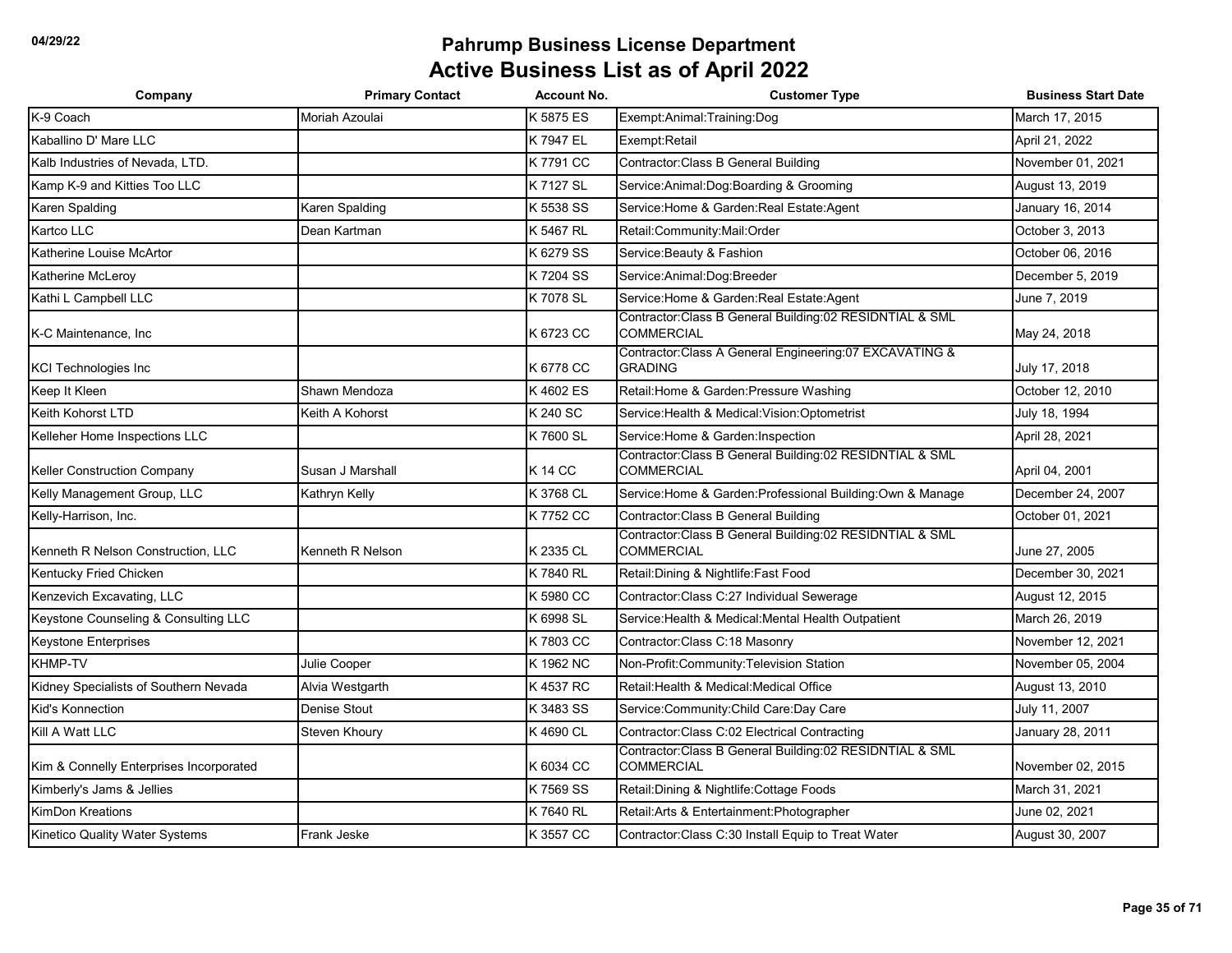| Company                                 | <b>Primary Contact</b> | <b>Account No.</b> | <b>Customer Type</b>                                                           | <b>Business Start Date</b> |
|-----------------------------------------|------------------------|--------------------|--------------------------------------------------------------------------------|----------------------------|
| K-9 Coach                               | Moriah Azoulai         | K 5875 ES          | Exempt:Animal:Training:Dog                                                     | March 17, 2015             |
| Kaballino D' Mare LLC                   |                        | K 7947 EL          | Exempt:Retail                                                                  | April 21, 2022             |
| Kalb Industries of Nevada, LTD.         |                        | K 7791 CC          | Contractor: Class B General Building                                           | November 01, 2021          |
| Kamp K-9 and Kitties Too LLC            |                        | K 7127 SL          | Service: Animal: Dog: Boarding & Grooming                                      | August 13, 2019            |
| Karen Spalding                          | Karen Spalding         | K 5538 SS          | Service: Home & Garden: Real Estate: Agent                                     | January 16, 2014           |
| Kartco LLC                              | Dean Kartman           | K 5467 RL          | Retail:Community:Mail:Order                                                    | October 3, 2013            |
| Katherine Louise McArtor                |                        | K 6279 SS          | Service: Beauty & Fashion                                                      | October 06, 2016           |
| Katherine McLeroy                       |                        | K 7204 SS          | Service: Animal: Dog: Breeder                                                  | December 5, 2019           |
| Kathi L Campbell LLC                    |                        | K 7078 SL          | Service: Home & Garden: Real Estate: Agent                                     | June 7, 2019               |
| K-C Maintenance, Inc                    |                        | K 6723 CC          | Contractor: Class B General Building: 02 RESIDNTIAL & SML<br>COMMERCIAL        | May 24, 2018               |
| <b>KCI Technologies Inc</b>             |                        | K 6778 CC          | Contractor: Class A General Engineering: 07 EXCAVATING &<br>GRADING            | July 17, 2018              |
| Keep It Kleen                           | Shawn Mendoza          | K 4602 ES          | Retail: Home & Garden: Pressure Washing                                        | October 12, 2010           |
| Keith Kohorst LTD                       | Keith A Kohorst        | K 240 SC           | Service: Health & Medical: Vision: Optometrist                                 | July 18, 1994              |
| Kelleher Home Inspections LLC           |                        | K 7600 SL          | Service: Home & Garden: Inspection                                             | April 28, 2021             |
| Keller Construction Company             | Susan J Marshall       | K 14 CC            | Contractor: Class B General Building: 02 RESIDNTIAL & SML<br><b>COMMERCIAL</b> | April 04, 2001             |
| Kelly Management Group, LLC             | Kathryn Kelly          | K 3768 CL          | Service: Home & Garden: Professional Building: Own & Manage                    | December 24, 2007          |
| Kelly-Harrison, Inc.                    |                        | K 7752 CC          | Contractor: Class B General Building                                           | October 01, 2021           |
| Kenneth R Nelson Construction, LLC      | Kenneth R Nelson       | K 2335 CL          | Contractor: Class B General Building: 02 RESIDNTIAL & SML<br>COMMERCIAL        | June 27, 2005              |
| Kentucky Fried Chicken                  |                        | K 7840 RL          | Retail: Dining & Nightlife: Fast Food                                          | December 30, 2021          |
| Kenzevich Excavating, LLC               |                        | K 5980 CC          | Contractor: Class C:27 Individual Sewerage                                     | August 12, 2015            |
| Keystone Counseling & Consulting LLC    |                        | K 6998 SL          | Service:Health & Medical:Mental Health Outpatient                              | March 26, 2019             |
| Keystone Enterprises                    |                        | K 7803 CC          | Contractor: Class C: 18 Masonry                                                | November 12, 2021          |
| KHMP-TV                                 | Julie Cooper           | K 1962 NC          | Non-Profit:Community:Television Station                                        | November 05, 2004          |
| Kidney Specialists of Southern Nevada   | Alvia Westgarth        | K 4537 RC          | Retail: Health & Medical: Medical Office                                       | August 13, 2010            |
| Kid's Konnection                        | Denise Stout           | K 3483 SS          | Service: Community: Child Care: Day Care                                       | July 11, 2007              |
| Kill A Watt LLC                         | Steven Khoury          | K 4690 CL          | Contractor: Class C:02 Electrical Contracting                                  | January 28, 2011           |
| Kim & Connelly Enterprises Incorporated |                        | K 6034 CC          | Contractor: Class B General Building: 02 RESIDNTIAL & SML<br><b>COMMERCIAL</b> | November 02, 2015          |
| Kimberly's Jams & Jellies               |                        | K 7569 SS          | Retail: Dining & Nightlife: Cottage Foods                                      | March 31, 2021             |
| <b>KimDon Kreations</b>                 |                        | K 7640 RL          | Retail: Arts & Entertainment: Photographer                                     | June 02, 2021              |
| Kinetico Quality Water Systems          | Frank Jeske            | K 3557 CC          | Contractor: Class C:30 Install Equip to Treat Water                            | August 30, 2007            |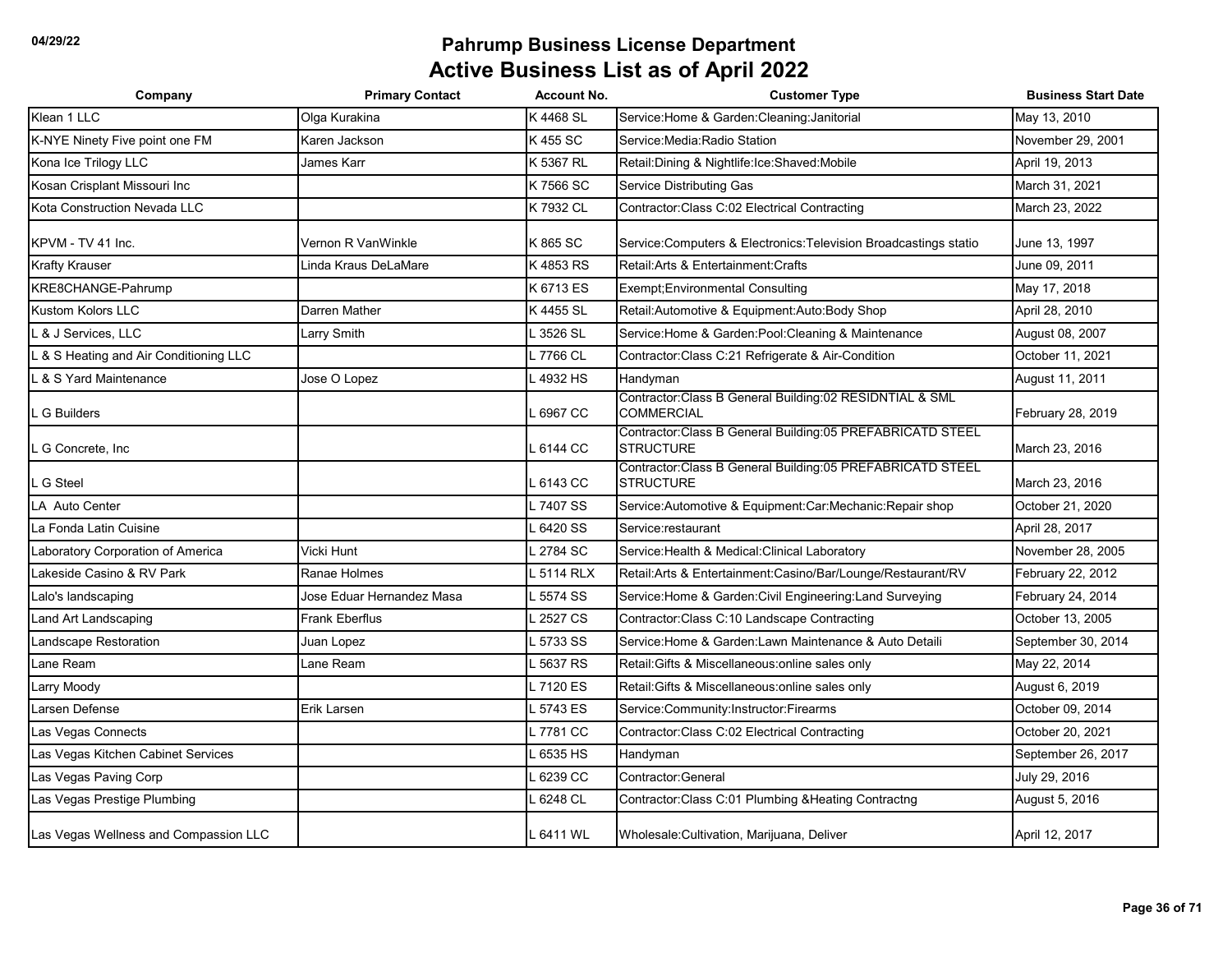| Company                                | <b>Primary Contact</b>    | <b>Account No.</b> | <b>Customer Type</b>                                                          | <b>Business Start Date</b> |
|----------------------------------------|---------------------------|--------------------|-------------------------------------------------------------------------------|----------------------------|
| Klean 1 LLC                            | Olga Kurakina             | K 4468 SL          | Service: Home & Garden: Cleaning: Janitorial                                  | May 13, 2010               |
| K-NYE Ninety Five point one FM         | Karen Jackson             | K 455 SC           | Service: Media: Radio Station                                                 | November 29, 2001          |
| Kona Ice Trilogy LLC                   | James Karr                | K 5367 RL          | Retail: Dining & Nightlife: Ice: Shaved: Mobile                               | April 19, 2013             |
| Kosan Crisplant Missouri Inc           |                           | K 7566 SC          | Service Distributing Gas                                                      | March 31, 2021             |
| Kota Construction Nevada LLC           |                           | K 7932 CL          | Contractor: Class C:02 Electrical Contracting                                 | March 23, 2022             |
| KPVM - TV 41 Inc.                      | Vernon R VanWinkle        | K 865 SC           | Service: Computers & Electronics: Television Broadcastings statio             | June 13, 1997              |
| <b>Krafty Krauser</b>                  | Linda Kraus DeLaMare      | K 4853 RS          | Retail: Arts & Entertainment: Crafts                                          | June 09, 2011              |
| KRE8CHANGE-Pahrump                     |                           | K 6713 ES          | <b>Exempt; Environmental Consulting</b>                                       | May 17, 2018               |
| Kustom Kolors LLC                      | Darren Mather             | K 4455 SL          | Retail: Automotive & Equipment: Auto: Body Shop                               | April 28, 2010             |
| 8 J Services, LLC                      | Larry Smith               | 3526 SL            | Service: Home & Garden: Pool: Cleaning & Maintenance                          | August 08, 2007            |
| L & S Heating and Air Conditioning LLC |                           | _7766 CL           | Contractor: Class C:21 Refrigerate & Air-Condition                            | October 11, 2021           |
| . & S Yard Maintenance                 | Jose O Lopez              | 4932 HS            | Handyman                                                                      | August 11, 2011            |
| <b>G</b> Builders                      |                           | 5967 CC            | Contractor:Class B General Building:02 RESIDNTIAL & SML<br><b>COMMERCIAL</b>  | February 28, 2019          |
| L G Concrete, Inc                      |                           | 5144 CC            | Contractor:Class B General Building:05 PREFABRICATD STEEL<br><b>STRUCTURE</b> | March 23, 2016             |
| G Steel                                |                           | $-6143$ CC         | Contractor:Class B General Building:05 PREFABRICATD STEEL<br><b>STRUCTURE</b> | March 23, 2016             |
| LA Auto Center                         |                           | _7407 SS           | Service:Automotive & Equipment:Car:Mechanic:Repair shop                       | October 21, 2020           |
| La Fonda Latin Cuisine                 |                           | 6420 SS            | Service:restaurant                                                            | April 28, 2017             |
| Laboratory Corporation of America      | Vicki Hunt                | 2784 SC            | Service: Health & Medical: Clinical Laboratory                                | November 28, 2005          |
| Lakeside Casino & RV Park              | Ranae Holmes              | 5114 RLX           | Retail: Arts & Entertainment: Casino/Bar/Lounge/Restaurant/RV                 | February 22, 2012          |
| Lalo's landscaping                     | Jose Eduar Hernandez Masa | 5574 SS            | Service: Home & Garden: Civil Engineering: Land Surveying                     | February 24, 2014          |
| Land Art Landscaping                   | Frank Eberflus            | 2527 CS            | Contractor: Class C:10 Landscape Contracting                                  | October 13, 2005           |
| Landscape Restoration                  | Juan Lopez                | 5733 SS            | Service: Home & Garden: Lawn Maintenance & Auto Detaili                       | September 30, 2014         |
| Lane Ream                              | Lane Ream                 | 5637 RS            | Retail: Gifts & Miscellaneous: online sales only                              | May 22, 2014               |
| Larry Moody                            |                           | _7120 ES           | Retail: Gifts & Miscellaneous: online sales only                              | August 6, 2019             |
| Larsen Defense                         | Erik Larsen               | 5743 ES            | Service:Community:Instructor:Firearms                                         | October 09, 2014           |
| Las Vegas Connects                     |                           | .7781 CC           | Contractor: Class C:02 Electrical Contracting                                 | October 20, 2021           |
| Las Vegas Kitchen Cabinet Services     |                           | 6535 HS            | Handyman                                                                      | September 26, 2017         |
| Las Vegas Paving Corp                  |                           | 6239 CC            | Contractor:General                                                            | July 29, 2016              |
| Las Vegas Prestige Plumbing            |                           | 6248 CL            | Contractor: Class C:01 Plumbing & Heating Contractng                          | August 5, 2016             |
| Las Vegas Wellness and Compassion LLC  |                           | - 6411 WL          | Wholesale: Cultivation, Marijuana, Deliver                                    | April 12, 2017             |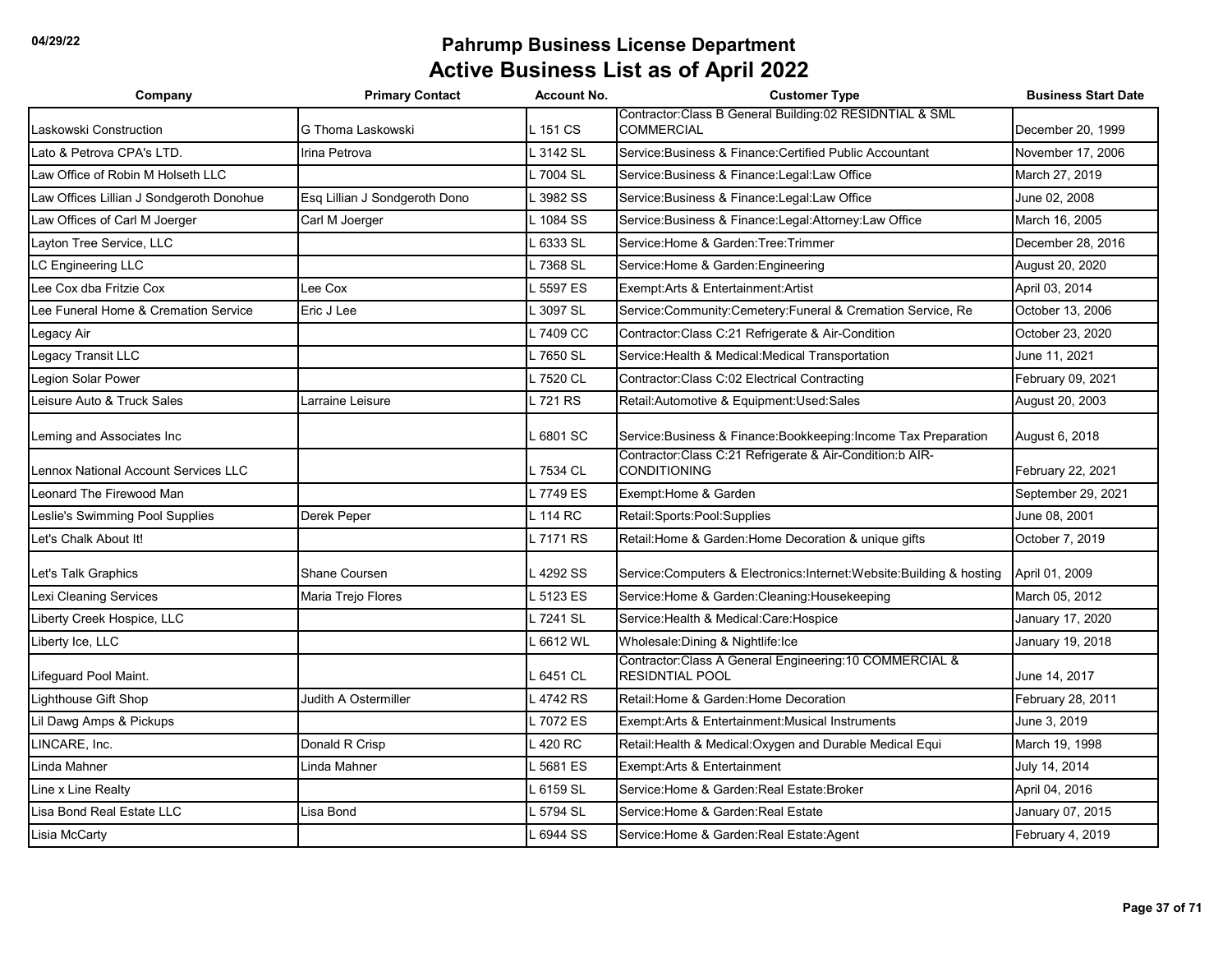| Company                                  | <b>Primary Contact</b>        | <b>Account No.</b> | <b>Customer Type</b>                                                               | <b>Business Start Date</b> |
|------------------------------------------|-------------------------------|--------------------|------------------------------------------------------------------------------------|----------------------------|
|                                          |                               |                    | Contractor: Class B General Building: 02 RESIDNTIAL & SML                          |                            |
| Laskowski Construction                   | G Thoma Laskowski             | L 151 CS           | <b>COMMERCIAL</b>                                                                  | December 20, 1999          |
| Lato & Petrova CPA's LTD.                | Irina Petrova                 | _3142 SL           | Service: Business & Finance: Certified Public Accountant                           | November 17, 2006          |
| Law Office of Robin M Holseth LLC        |                               | _7004 SL           | Service: Business & Finance: Legal: Law Office                                     | March 27, 2019             |
| Law Offices Lillian J Sondgeroth Donohue | Esq Lillian J Sondgeroth Dono | 3982 SS            | Service: Business & Finance: Legal: Law Office                                     | June 02, 2008              |
| Law Offices of Carl M Joerger            | Carl M Joerger                | 1084 SS            | Service: Business & Finance: Legal: Attorney: Law Office                           | March 16, 2005             |
| Layton Tree Service, LLC                 |                               | 6333 SL            | Service: Home & Garden: Tree: Trimmer                                              | December 28, 2016          |
| LC Engineering LLC                       |                               | - 7368 SL          | Service: Home & Garden: Engineering                                                | August 20, 2020            |
| Lee Cox dba Fritzie Cox                  | Lee Cox                       | 5597 ES            | Exempt: Arts & Entertainment: Artist                                               | April 03, 2014             |
| Lee Funeral Home & Cremation Service     | Eric J Lee                    | 3097 SL            | Service: Community: Cemetery: Funeral & Cremation Service, Re                      | October 13, 2006           |
| Legacy Air                               |                               | _7409 CC           | Contractor: Class C:21 Refrigerate & Air-Condition                                 | October 23, 2020           |
| Legacy Transit LLC                       |                               | - 7650 SL          | Service: Health & Medical: Medical Transportation                                  | June 11, 2021              |
| Legion Solar Power                       |                               | .7520 CL           | Contractor: Class C:02 Electrical Contracting                                      | February 09, 2021          |
| Leisure Auto & Truck Sales               | Larraine Leisure              | L 721 RS           | Retail:Automotive & Equipment:Used:Sales                                           | August 20, 2003            |
| Leming and Associates Inc                |                               | 56801 SC           | Service: Business & Finance: Bookkeeping: Income Tax Preparation                   | August 6, 2018             |
| Lennox National Account Services LLC     |                               | L 7534 CL          | Contractor:Class C:21 Refrigerate & Air-Condition:b AIR-<br><b>CONDITIONING</b>    | February 22, 2021          |
| Leonard The Firewood Man                 |                               | L 7749 ES          | Exempt:Home & Garden                                                               | September 29, 2021         |
| Leslie's Swimming Pool Supplies          | Derek Peper                   | L 114 RC           | Retail:Sports:Pool:Supplies                                                        | June 08, 2001              |
| Let's Chalk About It!                    |                               | L 7171 RS          | Retail: Home & Garden: Home Decoration & unique gifts                              | October 7, 2019            |
| Let's Talk Graphics                      | Shane Coursen                 | 4292 SS            | Service:Computers & Electronics:Internet:Website:Building & hosting                | April 01, 2009             |
| Lexi Cleaning Services                   | Maria Trejo Flores            | 5123 ES            | Service: Home & Garden: Cleaning: Housekeeping                                     | March 05, 2012             |
| Liberty Creek Hospice, LLC               |                               | . 7241 SL          | Service: Health & Medical: Care: Hospice                                           | January 17, 2020           |
| Liberty Ice, LLC                         |                               | .6612 WL           | Wholesale: Dining & Nightlife: Ice                                                 | January 19, 2018           |
| Lifeguard Pool Maint.                    |                               | 6451 CL            | Contractor: Class A General Engineering: 10 COMMERCIAL &<br><b>RESIDNTIAL POOL</b> | June 14, 2017              |
| Lighthouse Gift Shop                     | Judith A Ostermiller          | 4742 RS            | Retail: Home & Garden: Home Decoration                                             | February 28, 2011          |
| Lil Dawg Amps & Pickups                  |                               | .7072 ES           | Exempt: Arts & Entertainment: Musical Instruments                                  | June 3, 2019               |
| LINCARE, Inc.                            | Donald R Crisp                | 420 RC             | Retail: Health & Medical: Oxygen and Durable Medical Equi                          | March 19, 1998             |
| Linda Mahner                             | Linda Mahner                  | 5681 ES            | Exempt:Arts & Entertainment                                                        | July 14, 2014              |
| Line x Line Realty                       |                               | 6159 SL            | Service: Home & Garden: Real Estate: Broker                                        | April 04, 2016             |
| Lisa Bond Real Estate LLC                | Lisa Bond                     | 5794 SL            | Service:Home & Garden:Real Estate                                                  | January 07, 2015           |
| Lisia McCarty                            |                               | 6944 SS            | Service: Home & Garden: Real Estate: Agent                                         | February 4, 2019           |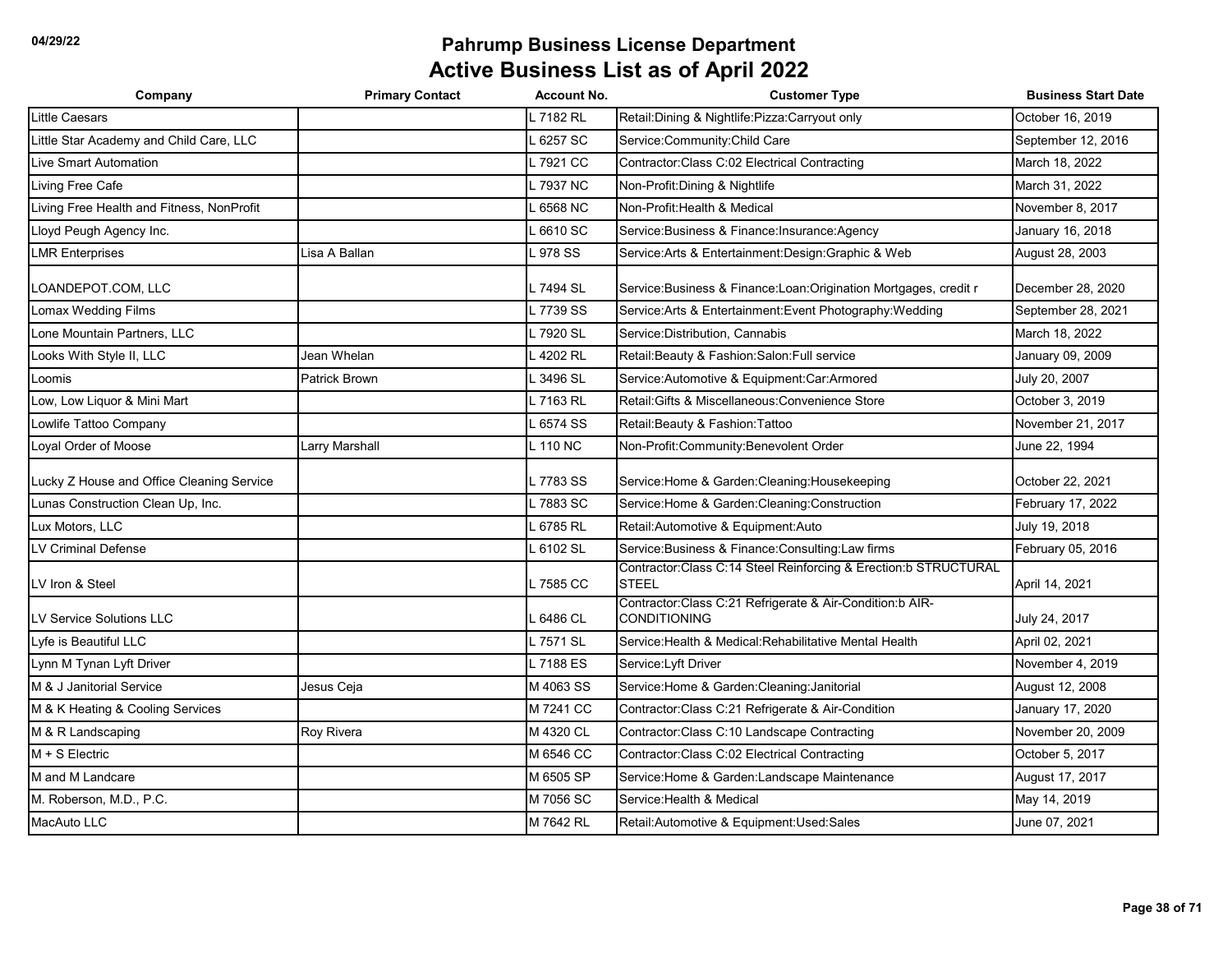| Company                                   | <b>Primary Contact</b> | <b>Account No.</b> | <b>Customer Type</b>                                                              | <b>Business Start Date</b> |
|-------------------------------------------|------------------------|--------------------|-----------------------------------------------------------------------------------|----------------------------|
| <b>Little Caesars</b>                     |                        | .7182 RL           | Retail: Dining & Nightlife: Pizza: Carryout only                                  | October 16, 2019           |
| Little Star Academy and Child Care, LLC   |                        | 6257 SC            | Service: Community: Child Care                                                    | September 12, 2016         |
| <b>Live Smart Automation</b>              |                        | .7921 CC           | Contractor: Class C:02 Electrical Contracting                                     | March 18, 2022             |
| Living Free Cafe                          |                        | .7937 NC           | Non-Profit: Dining & Nightlife                                                    | March 31, 2022             |
| Living Free Health and Fitness, NonProfit |                        | 6568 NC            | Non-Profit: Health & Medical                                                      | November 8, 2017           |
| Lloyd Peugh Agency Inc.                   |                        | 6610 SC            | Service: Business & Finance: Insurance: Agency                                    | January 16, 2018           |
| <b>LMR Enterprises</b>                    | Lisa A Ballan          | 978 SS             | Service: Arts & Entertainment: Design: Graphic & Web                              | August 28, 2003            |
| LOANDEPOT.COM, LLC                        |                        | L 7494 SL          | Service: Business & Finance: Loan: Origination Mortgages, credit r                | December 28, 2020          |
| Lomax Wedding Films                       |                        | L 7739 SS          | Service: Arts & Entertainment: Event Photography: Wedding                         | September 28, 2021         |
| Lone Mountain Partners, LLC               |                        | .7920 SL           | Service: Distribution, Cannabis                                                   | March 18, 2022             |
| Looks With Style II, LLC                  | Jean Whelan            | 4202 RL            | Retail: Beauty & Fashion: Salon: Full service                                     | January 09, 2009           |
| Loomis                                    | Patrick Brown          | 3496 SL            | Service: Automotive & Equipment: Car: Armored                                     | July 20, 2007              |
| Low, Low Liquor & Mini Mart               |                        | L 7163 RL          | Retail: Gifts & Miscellaneous: Convenience Store                                  | October 3, 2019            |
| Lowlife Tattoo Company                    |                        | 6574 SS            | Retail: Beauty & Fashion: Tattoo                                                  | November 21, 2017          |
| Loyal Order of Moose                      | Larry Marshall         | L 110 NC           | Non-Profit:Community:Benevolent Order                                             | June 22, 1994              |
| Lucky Z House and Office Cleaning Service |                        | L 7783 SS          | Service: Home & Garden: Cleaning: Housekeeping                                    | October 22, 2021           |
| Lunas Construction Clean Up, Inc.         |                        | L 7883 SC          | Service: Home & Garden: Cleaning: Construction                                    | February 17, 2022          |
| Lux Motors, LLC                           |                        | .6785 RL           | Retail: Automotive & Equipment: Auto                                              | July 19, 2018              |
| LV Criminal Defense                       |                        | . 6102 SL          | Service: Business & Finance: Consulting: Law firms                                | February 05, 2016          |
| LV Iron & Steel                           |                        | L 7585 CC          | Contractor:Class C:14 Steel Reinforcing & Erection:b STRUCTURAL<br><b>STEEL</b>   | April 14, 2021             |
| LV Service Solutions LLC                  |                        | 6486 CL            | Contractor: Class C:21 Refrigerate & Air-Condition: b AIR-<br><b>CONDITIONING</b> | July 24, 2017              |
| Lyfe is Beautiful LLC                     |                        | .7571 SL           | Service: Health & Medical: Rehabilitative Mental Health                           | April 02, 2021             |
| Lynn M Tynan Lyft Driver                  |                        | L 7188 ES          | Service: Lyft Driver                                                              | November 4, 2019           |
| M & J Janitorial Service                  | Jesus Ceja             | M 4063 SS          | Service: Home & Garden: Cleaning: Janitorial                                      | August 12, 2008            |
| M & K Heating & Cooling Services          |                        | M 7241 CC          | Contractor: Class C:21 Refrigerate & Air-Condition                                | January 17, 2020           |
| M & R Landscaping                         | Roy Rivera             | M 4320 CL          | Contractor: Class C:10 Landscape Contracting                                      | November 20, 2009          |
| $M + S$ Electric                          |                        | M 6546 CC          | Contractor:Class C:02 Electrical Contracting                                      | October 5, 2017            |
| M and M Landcare                          |                        | M 6505 SP          | Service: Home & Garden: Landscape Maintenance                                     | August 17, 2017            |
| M. Roberson, M.D., P.C.                   |                        | M 7056 SC          | Service: Health & Medical                                                         | May 14, 2019               |
| MacAuto LLC                               |                        | M 7642 RL          | Retail:Automotive & Equipment:Used:Sales                                          | June 07, 2021              |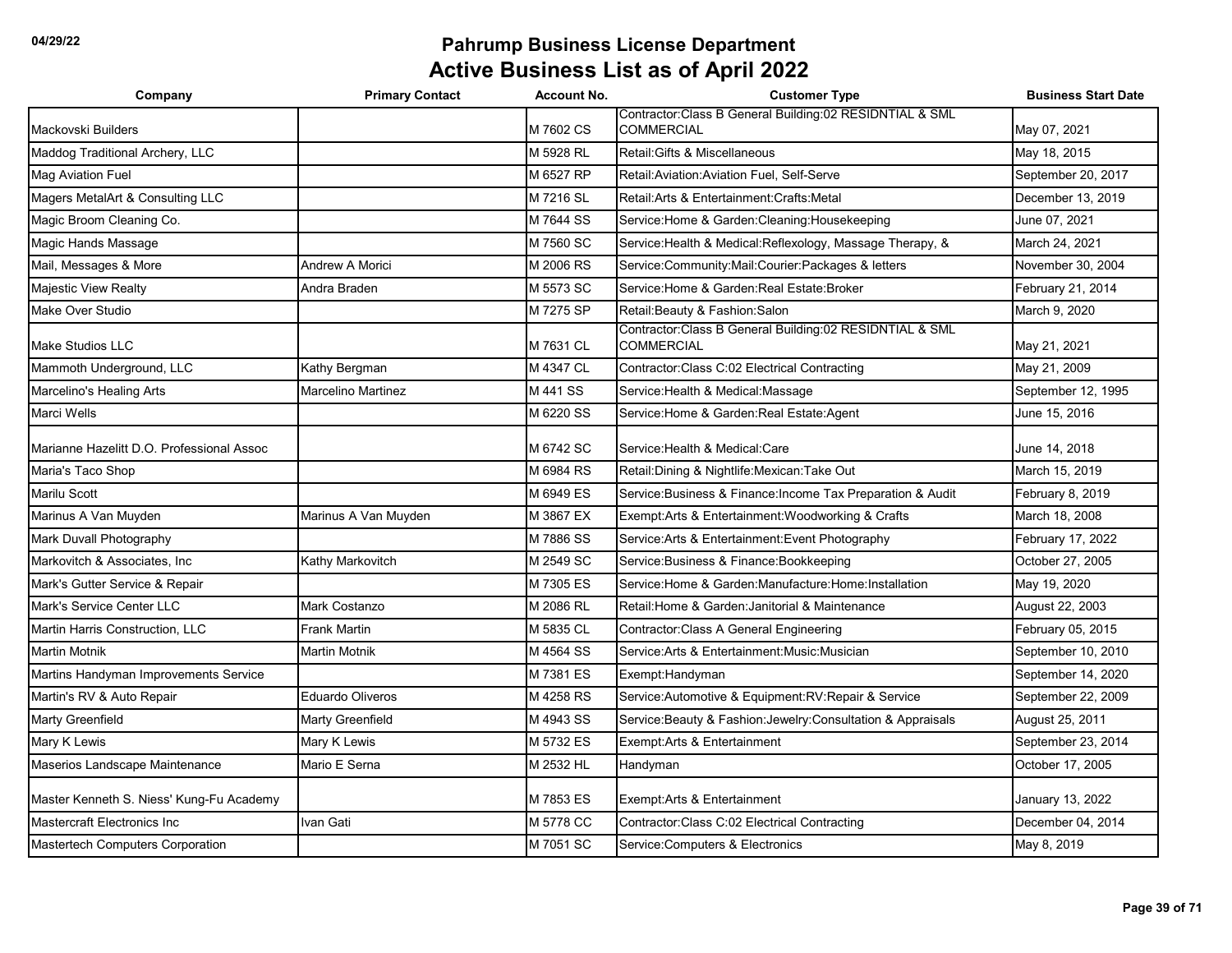| Company                                   | <b>Primary Contact</b>    | <b>Account No.</b>     | <b>Customer Type</b>                                                         | <b>Business Start Date</b> |
|-------------------------------------------|---------------------------|------------------------|------------------------------------------------------------------------------|----------------------------|
|                                           |                           |                        | Contractor: Class B General Building: 02 RESIDNTIAL & SML                    |                            |
| Mackovski Builders                        |                           | M 7602 CS<br>M 5928 RL | <b>COMMERCIAL</b><br>Retail: Gifts & Miscellaneous                           | May 07, 2021               |
| Maddog Traditional Archery, LLC           |                           |                        |                                                                              | May 18, 2015               |
| Mag Aviation Fuel                         |                           | M 6527 RP              | Retail: Aviation: Aviation Fuel, Self-Serve                                  | September 20, 2017         |
| Magers MetalArt & Consulting LLC          |                           | M 7216 SL              | Retail: Arts & Entertainment: Crafts: Metal                                  | December 13, 2019          |
| Magic Broom Cleaning Co.                  |                           | M 7644 SS              | Service: Home & Garden: Cleaning: Housekeeping                               | June 07, 2021              |
| Magic Hands Massage                       |                           | M 7560 SC              | Service: Health & Medical: Reflexology, Massage Therapy, &                   | March 24, 2021             |
| Mail, Messages & More                     | Andrew A Morici           | M 2006 RS              | Service: Community: Mail: Courier: Packages & letters                        | November 30, 2004          |
| Majestic View Realty                      | Andra Braden              | M 5573 SC              | Service: Home & Garden: Real Estate: Broker                                  | February 21, 2014          |
| Make Over Studio                          |                           | M 7275 SP              | Retail: Beauty & Fashion: Salon                                              | March 9, 2020              |
| Make Studios LLC                          |                           | M 7631 CL              | Contractor:Class B General Building:02 RESIDNTIAL & SML<br><b>COMMERCIAL</b> | May 21, 2021               |
| Mammoth Underground, LLC                  | Kathy Bergman             | M 4347 CL              | Contractor: Class C:02 Electrical Contracting                                | May 21, 2009               |
| Marcelino's Healing Arts                  | <b>Marcelino Martinez</b> | M 441 SS               | Service: Health & Medical: Massage                                           | September 12, 1995         |
| Marci Wells                               |                           | M 6220 SS              | Service: Home & Garden: Real Estate: Agent                                   | June 15, 2016              |
| Marianne Hazelitt D.O. Professional Assoc |                           | M 6742 SC              | Service: Health & Medical: Care                                              | June 14, 2018              |
| Maria's Taco Shop                         |                           | M 6984 RS              | Retail: Dining & Nightlife: Mexican: Take Out                                | March 15, 2019             |
| <b>Marilu Scott</b>                       |                           | M 6949 ES              | Service: Business & Finance: Income Tax Preparation & Audit                  | February 8, 2019           |
| Marinus A Van Muyden                      | Marinus A Van Muyden      | M 3867 EX              | Exempt: Arts & Entertainment: Woodworking & Crafts                           | March 18, 2008             |
| Mark Duvall Photography                   |                           | M 7886 SS              | Service: Arts & Entertainment: Event Photography                             | February 17, 2022          |
| Markovitch & Associates, Inc.             | Kathy Markovitch          | M 2549 SC              | Service: Business & Finance: Bookkeeping                                     | October 27, 2005           |
| Mark's Gutter Service & Repair            |                           | M 7305 ES              | Service:Home & Garden:Manufacture:Home:Installation                          | May 19, 2020               |
| Mark's Service Center LLC                 | Mark Costanzo             | M 2086 RL              | Retail: Home & Garden: Janitorial & Maintenance                              | August 22, 2003            |
| Martin Harris Construction, LLC           | <b>Frank Martin</b>       | M 5835 CL              | Contractor: Class A General Engineering                                      | February 05, 2015          |
| <b>Martin Motnik</b>                      | <b>Martin Motnik</b>      | M 4564 SS              | Service: Arts & Entertainment: Music: Musician                               | September 10, 2010         |
| Martins Handyman Improvements Service     |                           | M 7381 ES              | Exempt:Handyman                                                              | September 14, 2020         |
| Martin's RV & Auto Repair                 | <b>Eduardo Oliveros</b>   | M 4258 RS              | Service:Automotive & Equipment:RV:Repair & Service                           | September 22, 2009         |
| Marty Greenfield                          | Marty Greenfield          | M 4943 SS              | Service: Beauty & Fashion: Jewelry: Consultation & Appraisals                | August 25, 2011            |
| Mary K Lewis                              | Mary K Lewis              | M 5732 ES              | Exempt: Arts & Entertainment                                                 | September 23, 2014         |
| Maserios Landscape Maintenance            | Mario E Serna             | M 2532 HL              | Handyman                                                                     | October 17, 2005           |
| Master Kenneth S. Niess' Kung-Fu Academy  |                           | M 7853 ES              | Exempt: Arts & Entertainment                                                 | January 13, 2022           |
| Mastercraft Electronics Inc.              | Ivan Gati                 | M 5778 CC              | Contractor: Class C:02 Electrical Contracting                                | December 04, 2014          |
| Mastertech Computers Corporation          |                           | M 7051 SC              | Service: Computers & Electronics                                             | May 8, 2019                |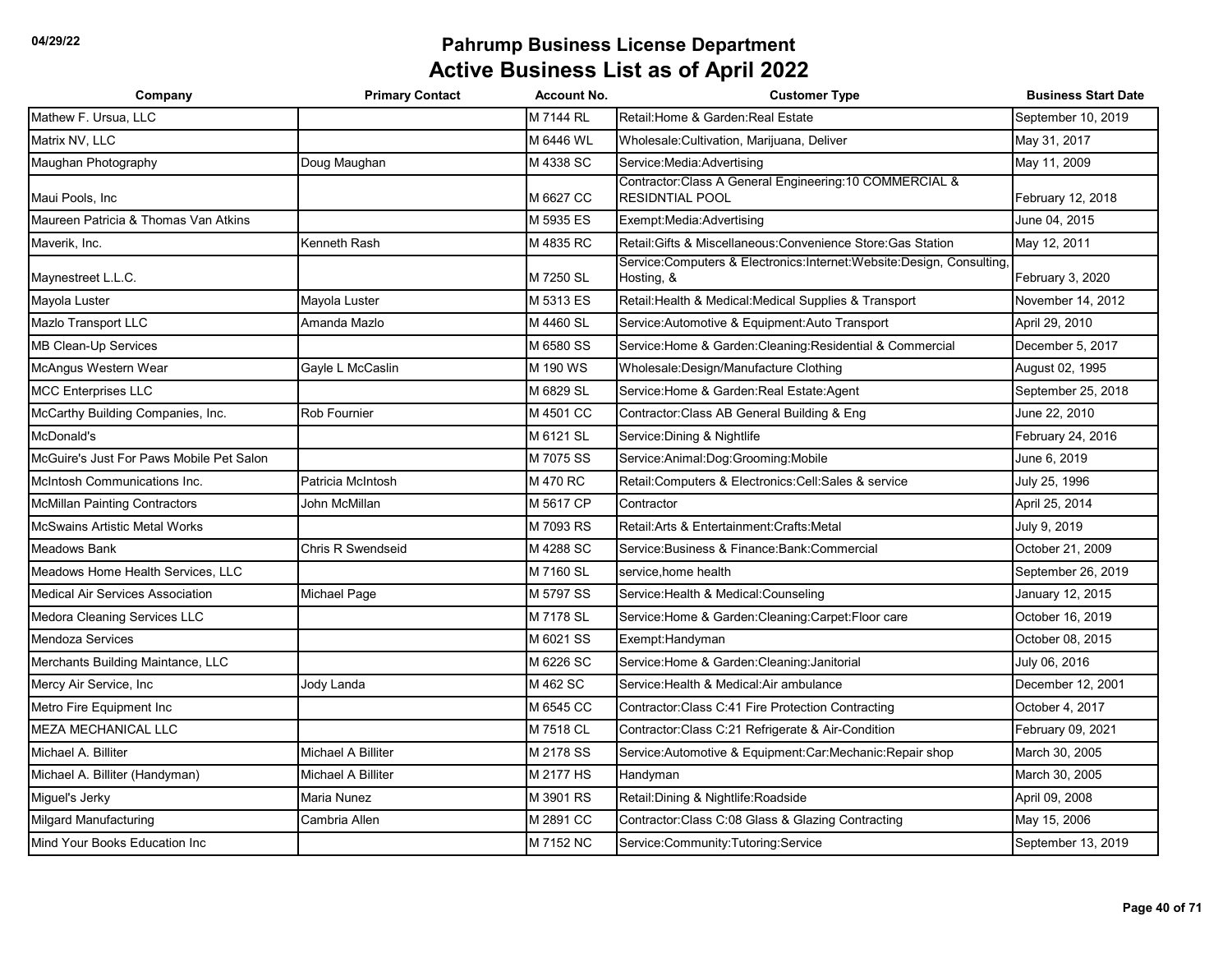| Company                                  | <b>Primary Contact</b>    | <b>Account No.</b> | <b>Customer Type</b>                                                                   | <b>Business Start Date</b> |
|------------------------------------------|---------------------------|--------------------|----------------------------------------------------------------------------------------|----------------------------|
| Mathew F. Ursua, LLC                     |                           | M 7144 RL          | Retail: Home & Garden: Real Estate                                                     | September 10, 2019         |
| Matrix NV, LLC                           |                           | M 6446 WL          | Wholesale:Cultivation, Marijuana, Deliver                                              | May 31, 2017               |
| Maughan Photography                      | Doug Maughan              | M 4338 SC          | Service: Media: Advertising                                                            | May 11, 2009               |
| Maui Pools, Inc.                         |                           | M 6627 CC          | Contractor: Class A General Engineering: 10 COMMERCIAL &<br><b>RESIDNTIAL POOL</b>     | February 12, 2018          |
| Maureen Patricia & Thomas Van Atkins     |                           | M 5935 ES          | Exempt:Media:Advertising                                                               | June 04, 2015              |
| Maverik, Inc.                            | Kenneth Rash              | M 4835 RC          | Retail: Gifts & Miscellaneous: Convenience Store: Gas Station                          | May 12, 2011               |
| Maynestreet L.L.C.                       |                           | M 7250 SL          | Service: Computers & Electronics: Internet: Website: Design, Consulting,<br>Hosting, & | February 3, 2020           |
| Mayola Luster                            | Mayola Luster             | M 5313 ES          | Retail: Health & Medical: Medical Supplies & Transport                                 | November 14, 2012          |
| Mazlo Transport LLC                      | Amanda Mazlo              | M 4460 SL          | Service: Automotive & Equipment: Auto Transport                                        | April 29, 2010             |
| <b>MB Clean-Up Services</b>              |                           | M 6580 SS          | Service: Home & Garden: Cleaning: Residential & Commercial                             | December 5, 2017           |
| McAngus Western Wear                     | Gayle L McCaslin          | M 190 WS           | Wholesale:Design/Manufacture Clothing                                                  | August 02, 1995            |
| <b>MCC Enterprises LLC</b>               |                           | M 6829 SL          | Service: Home & Garden: Real Estate: Agent                                             | September 25, 2018         |
| McCarthy Building Companies, Inc.        | Rob Fournier              | M 4501 CC          | Contractor: Class AB General Building & Eng                                            | June 22, 2010              |
| McDonald's                               |                           | M 6121 SL          | Service:Dining & Nightlife                                                             | February 24, 2016          |
| McGuire's Just For Paws Mobile Pet Salon |                           | M 7075 SS          | Service:Animal:Dog:Grooming:Mobile                                                     | June 6, 2019               |
| <b>McIntosh Communications Inc.</b>      | Patricia McIntosh         | M 470 RC           | Retail:Computers & Electronics:Cell:Sales & service                                    | July 25, 1996              |
| <b>McMillan Painting Contractors</b>     | John McMillan             | M 5617 CP          | Contractor                                                                             | April 25, 2014             |
| <b>McSwains Artistic Metal Works</b>     |                           | M 7093 RS          | Retail: Arts & Entertainment: Crafts: Metal                                            | July 9, 2019               |
| Meadows Bank                             | Chris R Swendseid         | M 4288 SC          | Service: Business & Finance: Bank: Commercial                                          | October 21, 2009           |
| Meadows Home Health Services, LLC        |                           | M 7160 SL          | service.home health                                                                    | September 26, 2019         |
| <b>Medical Air Services Association</b>  | Michael Page              | M 5797 SS          | Service: Health & Medical: Counseling                                                  | January 12, 2015           |
| Medora Cleaning Services LLC             |                           | M 7178 SL          | Service: Home & Garden: Cleaning: Carpet: Floor care                                   | October 16, 2019           |
| <b>Mendoza Services</b>                  |                           | M 6021 SS          | Exempt:Handyman                                                                        | October 08, 2015           |
| Merchants Building Maintance, LLC        |                           | M 6226 SC          | Service: Home & Garden: Cleaning: Janitorial                                           | July 06, 2016              |
| Mercy Air Service, Inc                   | Jody Landa                | M 462 SC           | Service: Health & Medical: Air ambulance                                               | December 12, 2001          |
| Metro Fire Equipment Inc                 |                           | M 6545 CC          | Contractor: Class C:41 Fire Protection Contracting                                     | October 4, 2017            |
| <b>MEZA MECHANICAL LLC</b>               |                           | M 7518 CL          | Contractor: Class C:21 Refrigerate & Air-Condition                                     | February 09, 2021          |
| Michael A. Billiter                      | <b>Michael A Billiter</b> | M 2178 SS          | Service:Automotive & Equipment:Car:Mechanic:Repair shop                                | March 30, 2005             |
| Michael A. Billiter (Handyman)           | Michael A Billiter        | M 2177 HS          | Handyman                                                                               | March 30, 2005             |
| Miguel's Jerky                           | Maria Nunez               | M 3901 RS          | Retail: Dining & Nightlife: Roadside                                                   | April 09, 2008             |
| <b>Milgard Manufacturing</b>             | Cambria Allen             | M 2891 CC          | Contractor: Class C:08 Glass & Glazing Contracting                                     | May 15, 2006               |
| Mind Your Books Education Inc            |                           | M 7152 NC          | Service:Community:Tutoring:Service                                                     | September 13, 2019         |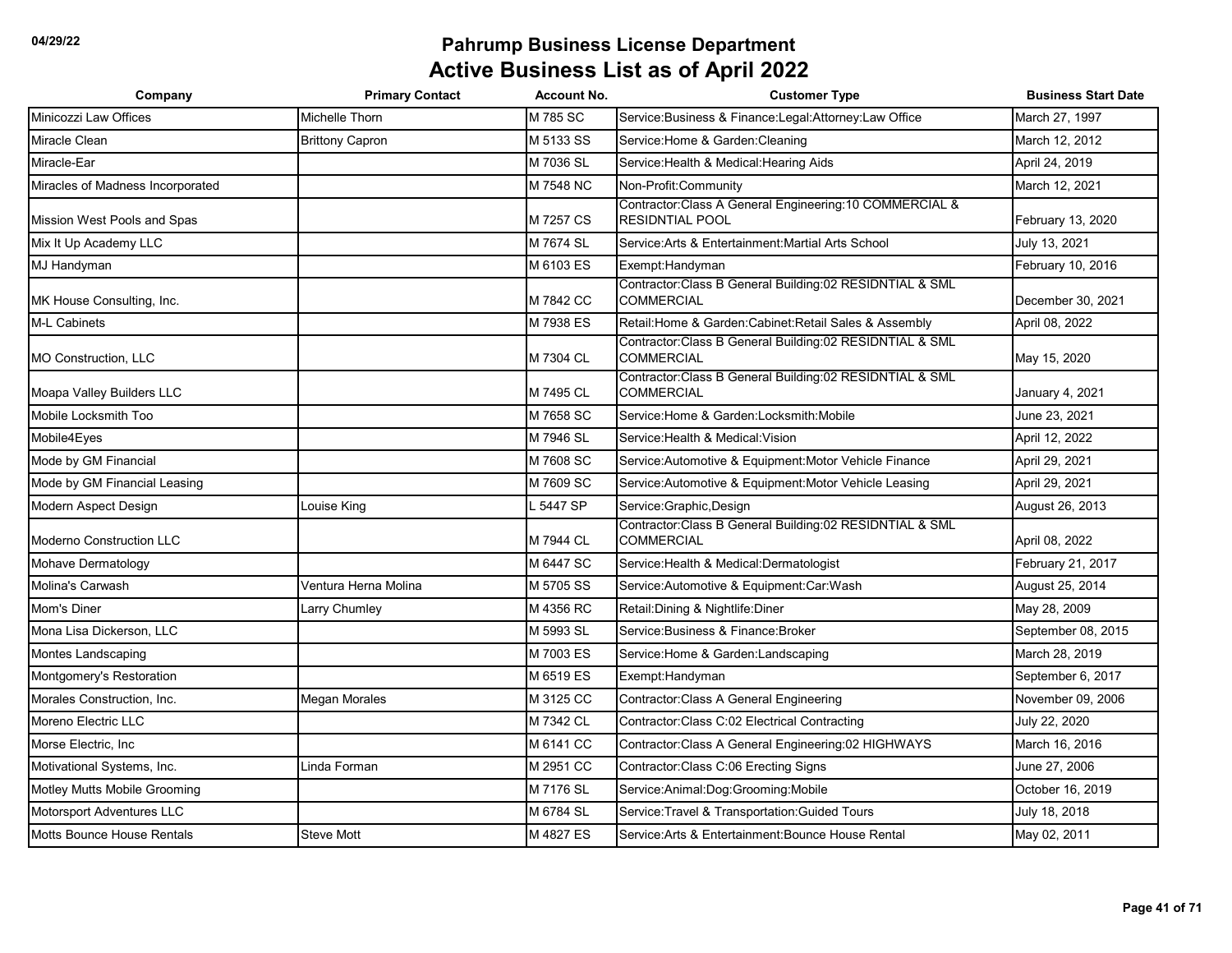| Company                          | <b>Primary Contact</b> | <b>Account No.</b> | <b>Customer Type</b>                                                               | <b>Business Start Date</b> |
|----------------------------------|------------------------|--------------------|------------------------------------------------------------------------------------|----------------------------|
| Minicozzi Law Offices            | Michelle Thorn         | M 785 SC           | Service: Business & Finance: Legal: Attorney: Law Office                           | March 27, 1997             |
| Miracle Clean                    | <b>Brittony Capron</b> | M 5133 SS          | Service: Home & Garden: Cleaning                                                   | March 12, 2012             |
| Miracle-Ear                      |                        | M 7036 SL          | Service: Health & Medical: Hearing Aids                                            | April 24, 2019             |
| Miracles of Madness Incorporated |                        | M 7548 NC          | Non-Profit:Community                                                               | March 12, 2021             |
| Mission West Pools and Spas      |                        | M 7257 CS          | Contractor: Class A General Engineering: 10 COMMERCIAL &<br><b>RESIDNTIAL POOL</b> | February 13, 2020          |
| Mix It Up Academy LLC            |                        | M 7674 SL          | Service: Arts & Entertainment: Martial Arts School                                 | July 13, 2021              |
| MJ Handyman                      |                        | M 6103 ES          | Exempt:Handyman                                                                    | February 10, 2016          |
| MK House Consulting, Inc.        |                        | M 7842 CC          | Contractor:Class B General Building:02 RESIDNTIAL & SML<br><b>COMMERCIAL</b>       | December 30, 2021          |
| <b>M-L Cabinets</b>              |                        | M 7938 ES          | Retail: Home & Garden: Cabinet: Retail Sales & Assembly                            | April 08, 2022             |
| MO Construction, LLC             |                        | M 7304 CL          | Contractor:Class B General Building:02 RESIDNTIAL & SML<br><b>COMMERCIAL</b>       | May 15, 2020               |
| Moapa Valley Builders LLC        |                        | M 7495 CL          | Contractor: Class B General Building: 02 RESIDNTIAL & SML<br><b>COMMERCIAL</b>     | January 4, 2021            |
| Mobile Locksmith Too             |                        | M 7658 SC          | Service: Home & Garden: Locksmith: Mobile                                          | June 23, 2021              |
| Mobile4Eyes                      |                        | M 7946 SL          | Service: Health & Medical: Vision                                                  | April 12, 2022             |
| Mode by GM Financial             |                        | M 7608 SC          | Service: Automotive & Equipment: Motor Vehicle Finance                             | April 29, 2021             |
| Mode by GM Financial Leasing     |                        | M 7609 SC          | Service: Automotive & Equipment: Motor Vehicle Leasing                             | April 29, 2021             |
| Modern Aspect Design             | Louise King            | 5447 SP            | Service:Graphic,Design                                                             | August 26, 2013            |
| <b>Moderno Construction LLC</b>  |                        | M 7944 CL          | Contractor: Class B General Building: 02 RESIDNTIAL & SML<br><b>COMMERCIAL</b>     | April 08, 2022             |
| Mohave Dermatology               |                        | M 6447 SC          | Service: Health & Medical: Dermatologist                                           | February 21, 2017          |
| Molina's Carwash                 | Ventura Herna Molina   | M 5705 SS          | Service: Automotive & Equipment: Car: Wash                                         | August 25, 2014            |
| Mom's Diner                      | Larry Chumley          | M 4356 RC          | Retail: Dining & Nightlife: Diner                                                  | May 28, 2009               |
| Mona Lisa Dickerson, LLC         |                        | M 5993 SL          | Service: Business & Finance: Broker                                                | September 08, 2015         |
| Montes Landscaping               |                        | M 7003 ES          | Service: Home & Garden: Landscaping                                                | March 28, 2019             |
| Montgomery's Restoration         |                        | M 6519 ES          | Exempt:Handyman                                                                    | September 6, 2017          |
| Morales Construction, Inc.       | Megan Morales          | M 3125 CC          | Contractor: Class A General Engineering                                            | November 09, 2006          |
| Moreno Electric LLC              |                        | M 7342 CL          | Contractor: Class C:02 Electrical Contracting                                      | July 22, 2020              |
| Morse Electric, Inc.             |                        | M 6141 CC          | Contractor: Class A General Engineering: 02 HIGHWAYS                               | March 16, 2016             |
| Motivational Systems, Inc.       | Linda Forman           | M 2951 CC          | Contractor: Class C:06 Erecting Signs                                              | June 27, 2006              |
| Motley Mutts Mobile Grooming     |                        | M 7176 SL          | Service:Animal:Dog:Grooming:Mobile                                                 | October 16, 2019           |
| <b>Motorsport Adventures LLC</b> |                        | M 6784 SL          | Service: Travel & Transportation: Guided Tours                                     | July 18, 2018              |
| Motts Bounce House Rentals       | <b>Steve Mott</b>      | M 4827 ES          | Service: Arts & Entertainment: Bounce House Rental                                 | May 02, 2011               |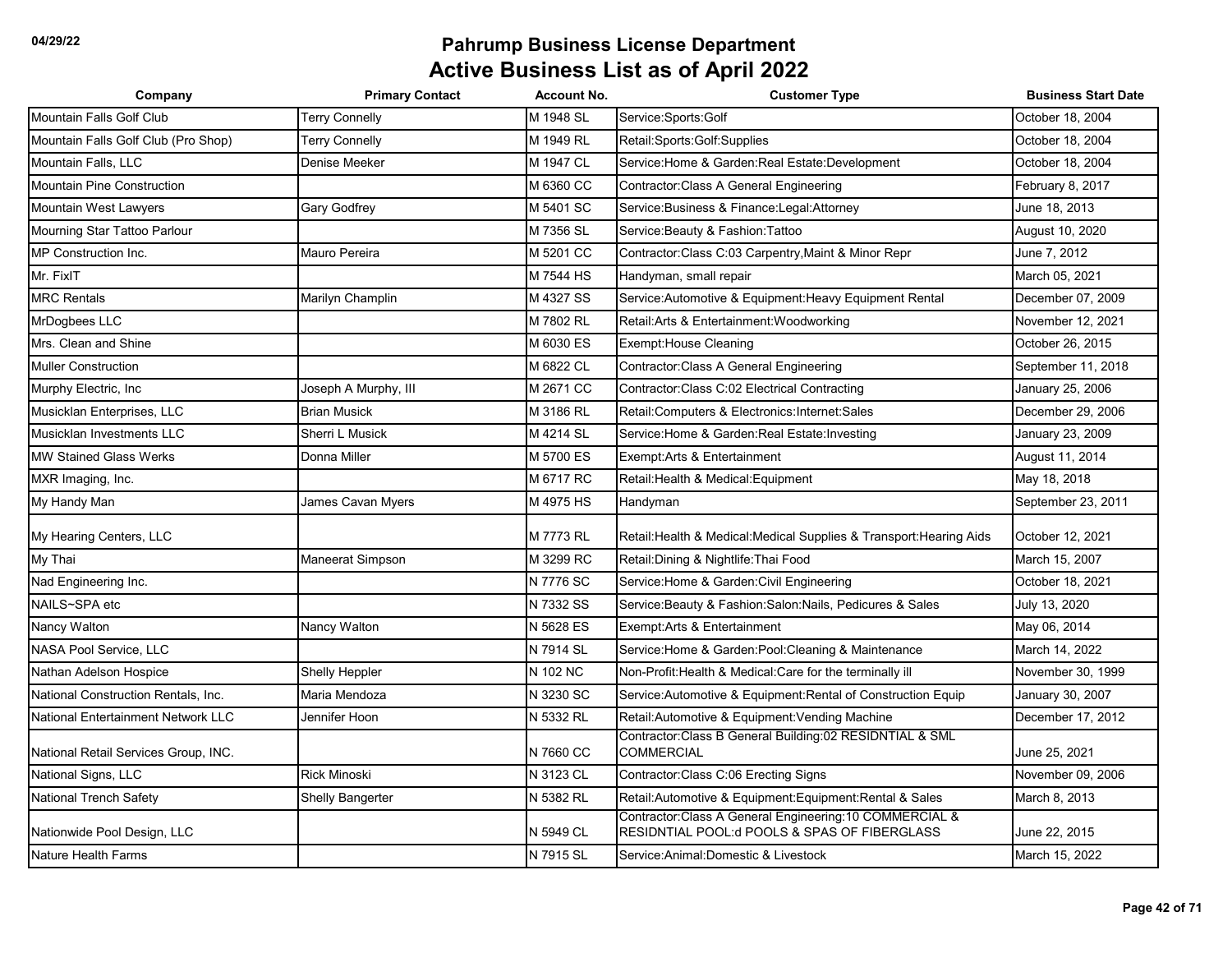| M 1948 SL<br><b>Mountain Falls Golf Club</b><br><b>Terry Connelly</b><br>Service: Sports: Golf<br>Mountain Falls Golf Club (Pro Shop)<br><b>Terry Connelly</b><br>M 1949 RL<br>Retail:Sports:Golf:Supplies<br>Mountain Falls, LLC<br>Denise Meeker<br>M 1947 CL<br>Service: Home & Garden: Real Estate: Development<br><b>Mountain Pine Construction</b><br>M 6360 CC<br>Contractor: Class A General Engineering<br>Mountain West Lawyers<br>Gary Godfrey<br>M 5401 SC<br>Service: Business & Finance: Legal: Attorney<br>Service: Beauty & Fashion: Tattoo<br>Mourning Star Tattoo Parlour<br>M 7356 SL<br>Contractor: Class C:03 Carpentry, Maint & Minor Repr<br><b>MP</b> Construction Inc.<br>Mauro Pereira<br>M 5201 CC | October 18, 2004<br>October 18, 2004<br>October 18, 2004<br>February 8, 2017<br>June 18, 2013 |
|-------------------------------------------------------------------------------------------------------------------------------------------------------------------------------------------------------------------------------------------------------------------------------------------------------------------------------------------------------------------------------------------------------------------------------------------------------------------------------------------------------------------------------------------------------------------------------------------------------------------------------------------------------------------------------------------------------------------------------|-----------------------------------------------------------------------------------------------|
|                                                                                                                                                                                                                                                                                                                                                                                                                                                                                                                                                                                                                                                                                                                               |                                                                                               |
|                                                                                                                                                                                                                                                                                                                                                                                                                                                                                                                                                                                                                                                                                                                               |                                                                                               |
|                                                                                                                                                                                                                                                                                                                                                                                                                                                                                                                                                                                                                                                                                                                               |                                                                                               |
|                                                                                                                                                                                                                                                                                                                                                                                                                                                                                                                                                                                                                                                                                                                               |                                                                                               |
|                                                                                                                                                                                                                                                                                                                                                                                                                                                                                                                                                                                                                                                                                                                               |                                                                                               |
|                                                                                                                                                                                                                                                                                                                                                                                                                                                                                                                                                                                                                                                                                                                               | August 10, 2020                                                                               |
|                                                                                                                                                                                                                                                                                                                                                                                                                                                                                                                                                                                                                                                                                                                               | June 7, 2012                                                                                  |
| Mr. FixIT<br>M 7544 HS<br>Handyman, small repair                                                                                                                                                                                                                                                                                                                                                                                                                                                                                                                                                                                                                                                                              | March 05, 2021                                                                                |
| <b>MRC Rentals</b><br>Service: Automotive & Equipment: Heavy Equipment Rental<br>Marilyn Champlin<br>M 4327 SS                                                                                                                                                                                                                                                                                                                                                                                                                                                                                                                                                                                                                | December 07, 2009                                                                             |
| MrDogbees LLC<br>M 7802 RL<br>Retail:Arts & Entertainment:Woodworking                                                                                                                                                                                                                                                                                                                                                                                                                                                                                                                                                                                                                                                         | November 12, 2021                                                                             |
| Mrs. Clean and Shine<br>M 6030 ES<br>Exempt:House Cleaning                                                                                                                                                                                                                                                                                                                                                                                                                                                                                                                                                                                                                                                                    | October 26, 2015                                                                              |
| <b>Muller Construction</b><br>M 6822 CL<br>Contractor: Class A General Engineering                                                                                                                                                                                                                                                                                                                                                                                                                                                                                                                                                                                                                                            | September 11, 2018                                                                            |
| M 2671 CC<br>Murphy Electric, Inc.<br>Contractor:Class C:02 Electrical Contracting<br>Joseph A Murphy, III                                                                                                                                                                                                                                                                                                                                                                                                                                                                                                                                                                                                                    | January 25, 2006                                                                              |
| Musicklan Enterprises, LLC<br><b>Brian Musick</b><br>M 3186 RL<br>Retail:Computers & Electronics:Internet:Sales                                                                                                                                                                                                                                                                                                                                                                                                                                                                                                                                                                                                               | December 29, 2006                                                                             |
| Musicklan Investments LLC<br>Sherri L Musick<br>M 4214 SL<br>Service:Home & Garden:Real Estate:Investing                                                                                                                                                                                                                                                                                                                                                                                                                                                                                                                                                                                                                      | January 23, 2009                                                                              |
| <b>MW Stained Glass Werks</b><br>Donna Miller<br>M 5700 ES<br>Exempt:Arts & Entertainment                                                                                                                                                                                                                                                                                                                                                                                                                                                                                                                                                                                                                                     | August 11, 2014                                                                               |
| M 6717 RC<br>MXR Imaging, Inc.<br>Retail: Health & Medical: Equipment                                                                                                                                                                                                                                                                                                                                                                                                                                                                                                                                                                                                                                                         | May 18, 2018                                                                                  |
| M 4975 HS<br>My Handy Man<br>James Cavan Myers<br>Handyman                                                                                                                                                                                                                                                                                                                                                                                                                                                                                                                                                                                                                                                                    | September 23, 2011                                                                            |
| M 7773 RL<br>My Hearing Centers, LLC<br>Retail:Health & Medical:Medical Supplies & Transport:Hearing Aids                                                                                                                                                                                                                                                                                                                                                                                                                                                                                                                                                                                                                     | October 12, 2021                                                                              |
| My Thai<br>Maneerat Simpson<br>M 3299 RC<br>Retail: Dining & Nightlife: Thai Food                                                                                                                                                                                                                                                                                                                                                                                                                                                                                                                                                                                                                                             | March 15, 2007                                                                                |
| N 7776 SC<br>Nad Engineering Inc.<br>Service: Home & Garden: Civil Engineering                                                                                                                                                                                                                                                                                                                                                                                                                                                                                                                                                                                                                                                | October 18, 2021                                                                              |
| NAILS~SPA etc<br>N 7332 SS<br>Service:Beauty & Fashion:Salon:Nails, Pedicures & Sales                                                                                                                                                                                                                                                                                                                                                                                                                                                                                                                                                                                                                                         | July 13, 2020                                                                                 |
| Nancy Walton<br>Nancy Walton<br>N 5628 ES<br>Exempt:Arts & Entertainment                                                                                                                                                                                                                                                                                                                                                                                                                                                                                                                                                                                                                                                      | May 06, 2014                                                                                  |
| <b>NASA Pool Service, LLC</b><br>N 7914 SL<br>Service: Home & Garden: Pool: Cleaning & Maintenance                                                                                                                                                                                                                                                                                                                                                                                                                                                                                                                                                                                                                            | March 14, 2022                                                                                |
| Nathan Adelson Hospice<br>Shelly Heppler<br>N 102 NC<br>Non-Profit:Health & Medical:Care for the terminally ill                                                                                                                                                                                                                                                                                                                                                                                                                                                                                                                                                                                                               | November 30, 1999                                                                             |
| National Construction Rentals, Inc.<br>Maria Mendoza<br>N 3230 SC<br>Service:Automotive & Equipment:Rental of Construction Equip                                                                                                                                                                                                                                                                                                                                                                                                                                                                                                                                                                                              | January 30, 2007                                                                              |
| N 5332 RL<br>Retail: Automotive & Equipment: Vending Machine<br>National Entertainment Network LLC<br>Jennifer Hoon                                                                                                                                                                                                                                                                                                                                                                                                                                                                                                                                                                                                           | December 17, 2012                                                                             |
| Contractor: Class B General Building: 02 RESIDNTIAL & SML<br>N 7660 CC<br>National Retail Services Group, INC.<br>COMMERCIAL                                                                                                                                                                                                                                                                                                                                                                                                                                                                                                                                                                                                  | June 25, 2021                                                                                 |
| National Signs, LLC<br><b>Rick Minoski</b><br>N 3123 CL<br>Contractor: Class C:06 Erecting Signs                                                                                                                                                                                                                                                                                                                                                                                                                                                                                                                                                                                                                              | November 09, 2006                                                                             |
| <b>National Trench Safety</b><br>Shelly Bangerter<br>N 5382 RL<br>Retail:Automotive & Equipment:Equipment:Rental & Sales                                                                                                                                                                                                                                                                                                                                                                                                                                                                                                                                                                                                      | March 8, 2013                                                                                 |
| Contractor: Class A General Engineering: 10 COMMERCIAL &<br>RESIDNTIAL POOL:d POOLS & SPAS OF FIBERGLASS<br>Nationwide Pool Design, LLC<br>N 5949 CL                                                                                                                                                                                                                                                                                                                                                                                                                                                                                                                                                                          | June 22, 2015                                                                                 |
| N 7915 SL<br><b>Nature Health Farms</b><br>Service: Animal: Domestic & Livestock                                                                                                                                                                                                                                                                                                                                                                                                                                                                                                                                                                                                                                              | March 15, 2022                                                                                |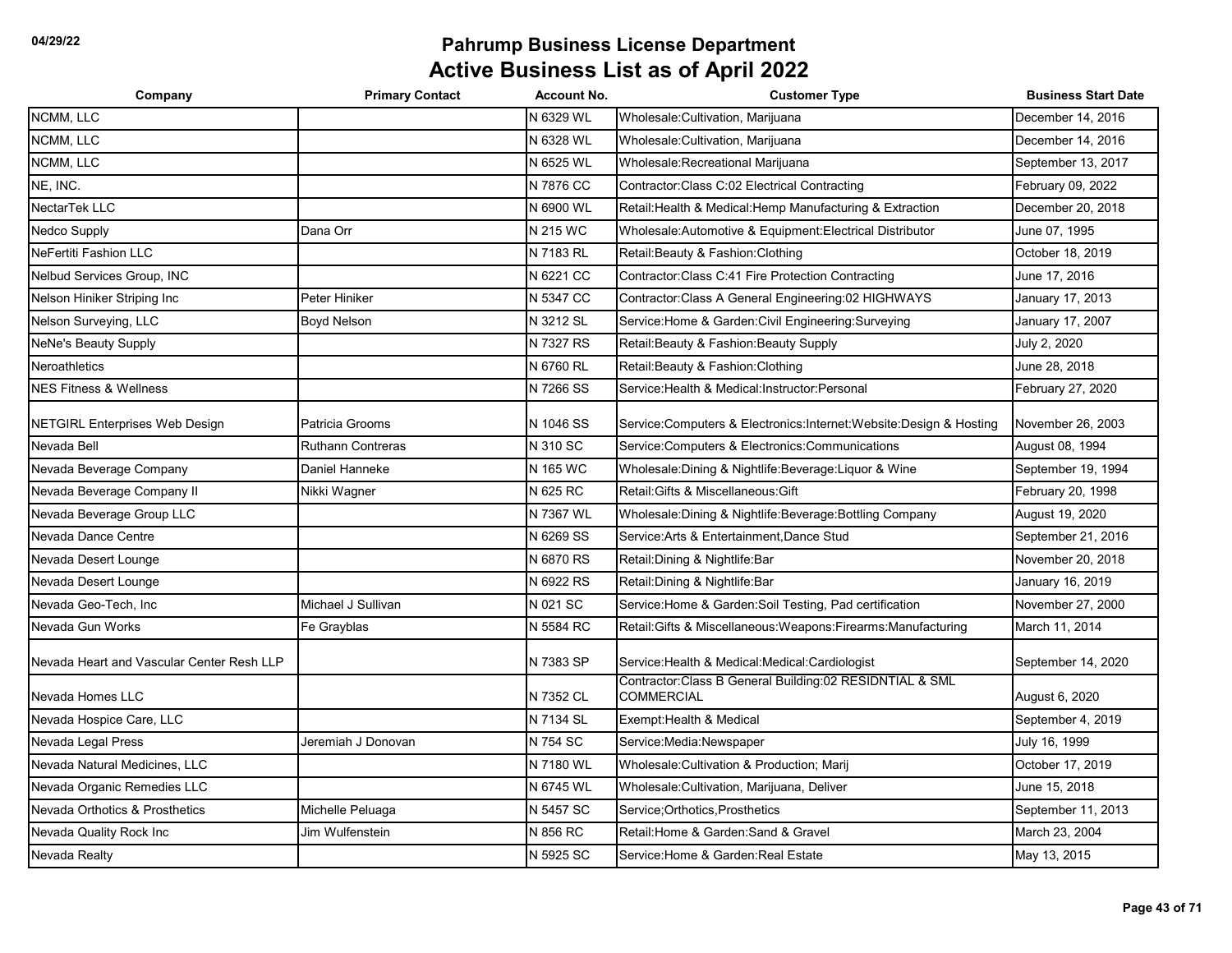| Company                                   | <b>Primary Contact</b>   | <b>Account No.</b> | <b>Customer Type</b>                                                           | <b>Business Start Date</b> |
|-------------------------------------------|--------------------------|--------------------|--------------------------------------------------------------------------------|----------------------------|
| NCMM, LLC                                 |                          | N 6329 WL          | Wholesale: Cultivation, Marijuana                                              | December 14, 2016          |
| NCMM, LLC                                 |                          | N 6328 WL          | Wholesale: Cultivation, Marijuana                                              | December 14, 2016          |
| NCMM, LLC                                 |                          | N 6525 WL          | Wholesale:Recreational Marijuana                                               | September 13, 2017         |
| NE, INC.                                  |                          | N 7876 CC          | Contractor:Class C:02 Electrical Contracting                                   | February 09, 2022          |
| NectarTek LLC                             |                          | N 6900 WL          | Retail: Health & Medical: Hemp Manufacturing & Extraction                      | December 20, 2018          |
| Nedco Supply                              | Dana Orr                 | N 215 WC           | Wholesale:Automotive & Equipment:Electrical Distributor                        | June 07, 1995              |
| <b>NeFertiti Fashion LLC</b>              |                          | N 7183 RL          | Retail: Beauty & Fashion: Clothing                                             | October 18, 2019           |
| Nelbud Services Group, INC                |                          | N 6221 CC          | Contractor: Class C:41 Fire Protection Contracting                             | June 17, 2016              |
| Nelson Hiniker Striping Inc               | Peter Hiniker            | N 5347 CC          | Contractor: Class A General Engineering: 02 HIGHWAYS                           | January 17, 2013           |
| Nelson Surveying, LLC                     | Boyd Nelson              | N 3212 SL          | Service: Home & Garden: Civil Engineering: Surveying                           | January 17, 2007           |
| <b>NeNe's Beauty Supply</b>               |                          | N 7327 RS          | Retail: Beauty & Fashion: Beauty Supply                                        | July 2, 2020               |
| <b>Neroathletics</b>                      |                          | N 6760 RL          | Retail: Beauty & Fashion: Clothing                                             | June 28, 2018              |
| <b>NES Fitness &amp; Wellness</b>         |                          | N 7266 SS          | Service: Health & Medical: Instructor: Personal                                | February 27, 2020          |
| <b>NETGIRL Enterprises Web Design</b>     | Patricia Grooms          | N 1046 SS          | Service:Computers & Electronics:Internet:Website:Design & Hosting              | November 26, 2003          |
| Nevada Bell                               | <b>Ruthann Contreras</b> | N 310 SC           | Service:Computers & Electronics:Communications                                 | August 08, 1994            |
| Nevada Beverage Company                   | Daniel Hanneke           | N 165 WC           | Wholesale: Dining & Nightlife: Beverage: Liquor & Wine                         | September 19, 1994         |
| Nevada Beverage Company II                | Nikki Wagner             | N 625 RC           | Retail: Gifts & Miscellaneous: Gift                                            | February 20, 1998          |
| Nevada Beverage Group LLC                 |                          | N 7367 WL          | Wholesale: Dining & Nightlife: Beverage: Bottling Company                      | August 19, 2020            |
| Nevada Dance Centre                       |                          | N 6269 SS          | Service:Arts & Entertainment,Dance Stud                                        | September 21, 2016         |
| Nevada Desert Lounge                      |                          | N 6870 RS          | Retail:Dining & Nightlife:Bar                                                  | November 20, 2018          |
| Nevada Desert Lounge                      |                          | N 6922 RS          | Retail: Dining & Nightlife: Bar                                                | January 16, 2019           |
| Nevada Geo-Tech, Inc                      | Michael J Sullivan       | N 021 SC           | Service: Home & Garden: Soil Testing, Pad certification                        | November 27, 2000          |
| Nevada Gun Works                          | Fe Grayblas              | N 5584 RC          | Retail:Gifts & Miscellaneous:Weapons:Firearms:Manufacturing                    | March 11, 2014             |
| Nevada Heart and Vascular Center Resh LLP |                          | N 7383 SP          | Service:Health & Medical:Medical:Cardiologist                                  | September 14, 2020         |
| Nevada Homes LLC                          |                          | N 7352 CL          | Contractor: Class B General Building: 02 RESIDNTIAL & SML<br><b>COMMERCIAL</b> | August 6, 2020             |
| Nevada Hospice Care, LLC                  |                          | N 7134 SL          | Exempt:Health & Medical                                                        | September 4, 2019          |
| Nevada Legal Press                        | Jeremiah J Donovan       | N 754 SC           | Service: Media: Newspaper                                                      | July 16, 1999              |
| Nevada Natural Medicines, LLC             |                          | N 7180 WL          | Wholesale: Cultivation & Production; Marij                                     | October 17, 2019           |
| Nevada Organic Remedies LLC               |                          | N 6745 WL          | Wholesale: Cultivation, Marijuana, Deliver                                     | June 15, 2018              |
| Nevada Orthotics & Prosthetics            | Michelle Peluaga         | N 5457 SC          | Service;Orthotics,Prosthetics                                                  | September 11, 2013         |
| Nevada Quality Rock Inc                   | Jim Wulfenstein          | N 856 RC           | Retail:Home & Garden:Sand & Gravel                                             | March 23, 2004             |
| Nevada Realty                             |                          | N 5925 SC          | Service: Home & Garden: Real Estate                                            | May 13, 2015               |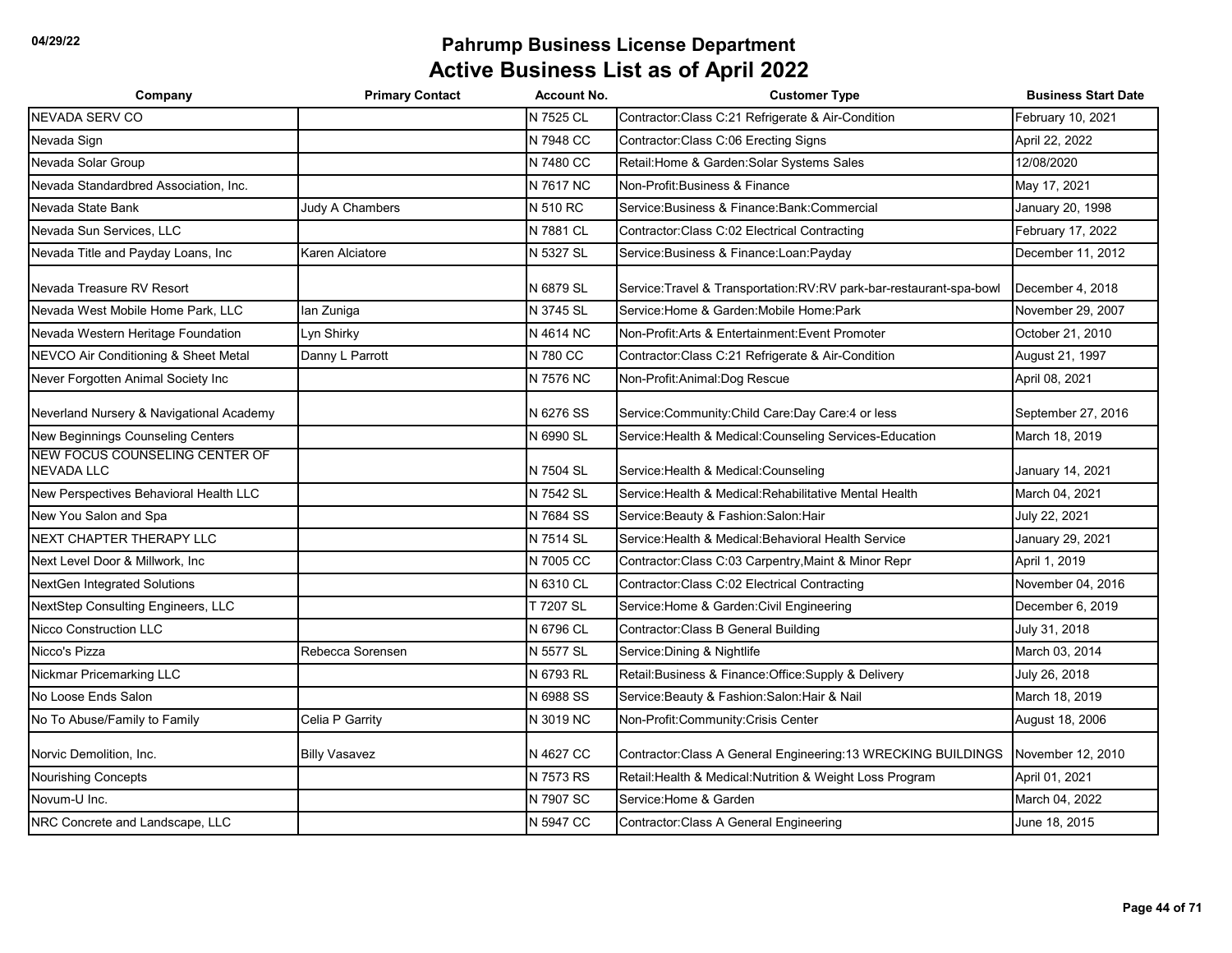| Company                                             | <b>Primary Contact</b> | <b>Account No.</b> | <b>Customer Type</b>                                                  | <b>Business Start Date</b> |
|-----------------------------------------------------|------------------------|--------------------|-----------------------------------------------------------------------|----------------------------|
| NEVADA SERV CO                                      |                        | N 7525 CL          | Contractor: Class C:21 Refrigerate & Air-Condition                    | February 10, 2021          |
| Nevada Sign                                         |                        | N 7948 CC          | Contractor: Class C:06 Erecting Signs                                 | April 22, 2022             |
| Nevada Solar Group                                  |                        | N 7480 CC          | Retail: Home & Garden: Solar Systems Sales                            | 12/08/2020                 |
| Nevada Standardbred Association, Inc.               |                        | N 7617 NC          | Non-Profit: Business & Finance                                        | May 17, 2021               |
| Nevada State Bank                                   | Judy A Chambers        | N 510 RC           | Service: Business & Finance: Bank: Commercial                         | January 20, 1998           |
| Nevada Sun Services, LLC                            |                        | N 7881 CL          | Contractor: Class C:02 Electrical Contracting                         | February 17, 2022          |
| Nevada Title and Payday Loans, Inc                  | Karen Alciatore        | N 5327 SL          | Service: Business & Finance: Loan: Payday                             | December 11, 2012          |
| Nevada Treasure RV Resort                           |                        | N 6879 SL          | Service: Travel & Transportation: RV: RV park-bar-restaurant-spa-bowl | December 4, 2018           |
| Nevada West Mobile Home Park, LLC                   | lan Zuniga             | N 3745 SL          | Service: Home & Garden: Mobile Home: Park                             | November 29, 2007          |
| Nevada Western Heritage Foundation                  | Lyn Shirky             | N 4614 NC          | Non-Profit: Arts & Entertainment: Event Promoter                      | October 21, 2010           |
| NEVCO Air Conditioning & Sheet Metal                | Danny L Parrott        | N 780 CC           | Contractor: Class C:21 Refrigerate & Air-Condition                    | August 21, 1997            |
| Never Forgotten Animal Society Inc                  |                        | N 7576 NC          | Non-Profit:Animal:Dog Rescue                                          | April 08, 2021             |
| Neverland Nursery & Navigational Academy            |                        | N 6276 SS          | Service: Community: Child Care: Day Care: 4 or less                   | September 27, 2016         |
| New Beginnings Counseling Centers                   |                        | N 6990 SL          | Service: Health & Medical: Counseling Services-Education              | March 18, 2019             |
| NEW FOCUS COUNSELING CENTER OF<br><b>NEVADA LLC</b> |                        | N 7504 SL          | Service: Health & Medical: Counseling                                 | January 14, 2021           |
| New Perspectives Behavioral Health LLC              |                        | N 7542 SL          | Service: Health & Medical: Rehabilitative Mental Health               | March 04, 2021             |
| New You Salon and Spa                               |                        | N 7684 SS          | Service: Beauty & Fashion: Salon: Hair                                | July 22, 2021              |
| NEXT CHAPTER THERAPY LLC                            |                        | N 7514 SL          | Service: Health & Medical: Behavioral Health Service                  | January 29, 2021           |
| Next Level Door & Millwork, Inc.                    |                        | N 7005 CC          | Contractor: Class C:03 Carpentry, Maint & Minor Repr                  | April 1, 2019              |
| <b>NextGen Integrated Solutions</b>                 |                        | N 6310 CL          | Contractor: Class C:02 Electrical Contracting                         | November 04, 2016          |
| NextStep Consulting Engineers, LLC                  |                        | T 7207 SL          | Service: Home & Garden: Civil Engineering                             | December 6, 2019           |
| <b>Nicco Construction LLC</b>                       |                        | N 6796 CL          | <b>Contractor: Class B General Building</b>                           | July 31, 2018              |
| Nicco's Pizza                                       | Rebecca Sorensen       | N 5577 SL          | Service: Dining & Nightlife                                           | March 03, 2014             |
| Nickmar Pricemarking LLC                            |                        | N 6793 RL          | Retail: Business & Finance: Office: Supply & Delivery                 | July 26, 2018              |
| No Loose Ends Salon                                 |                        | N 6988 SS          | Service: Beauty & Fashion: Salon: Hair & Nail                         | March 18, 2019             |
| No To Abuse/Family to Family                        | Celia P Garrity        | N 3019 NC          | Non-Profit:Community:Crisis Center                                    | August 18, 2006            |
| Norvic Demolition, Inc.                             | <b>Billy Vasavez</b>   | N 4627 CC          | Contractor: Class A General Engineering: 13 WRECKING BUILDINGS        | November 12, 2010          |
| <b>Nourishing Concepts</b>                          |                        | N 7573 RS          | Retail: Health & Medical: Nutrition & Weight Loss Program             | April 01, 2021             |
| Novum-U Inc.                                        |                        | N 7907 SC          | Service: Home & Garden                                                | March 04, 2022             |
| NRC Concrete and Landscape, LLC                     |                        | N 5947 CC          | Contractor: Class A General Engineering                               | June 18, 2015              |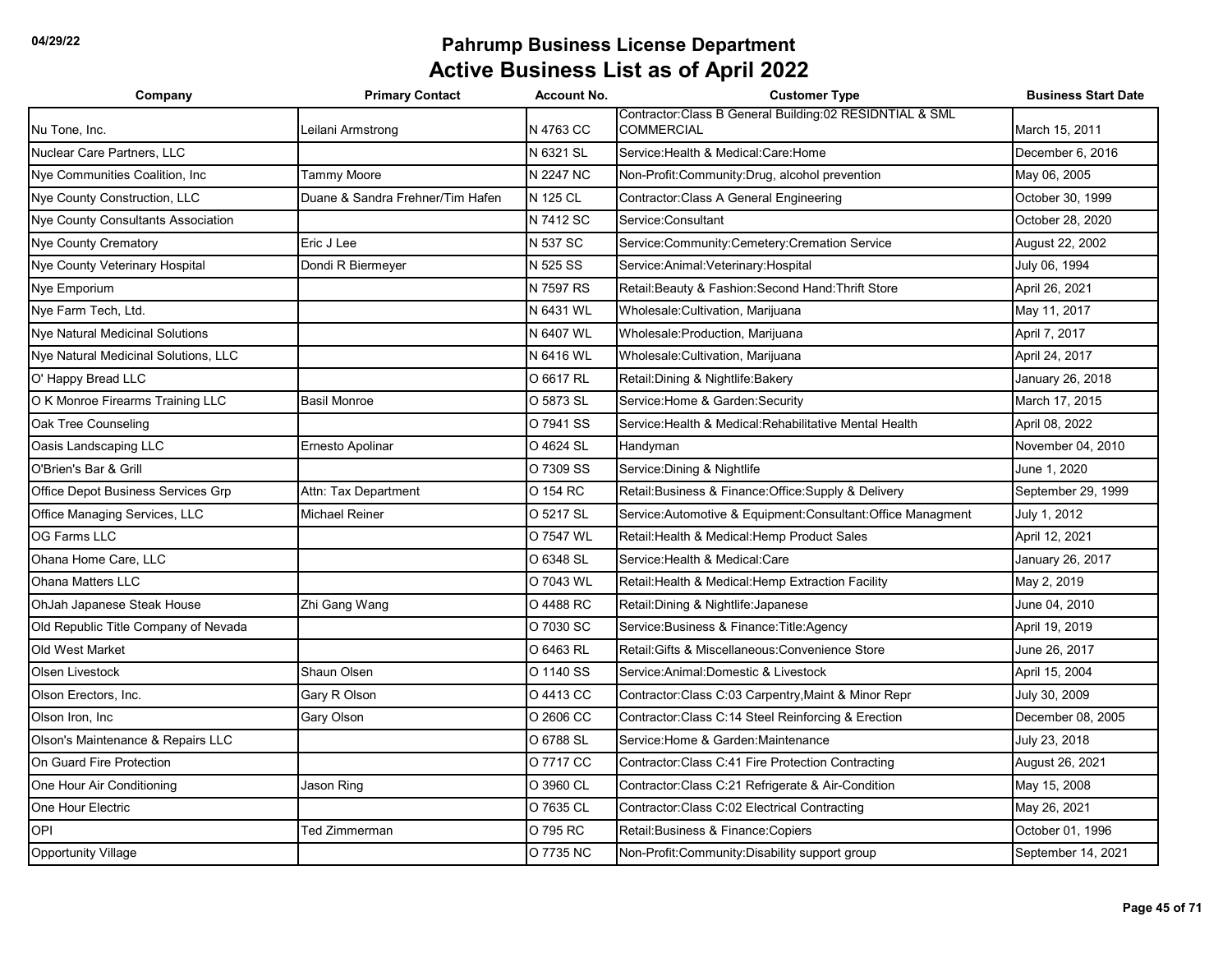| Company                                   | <b>Primary Contact</b>           | <b>Account No.</b> | <b>Customer Type</b>                                                         | <b>Business Start Date</b> |
|-------------------------------------------|----------------------------------|--------------------|------------------------------------------------------------------------------|----------------------------|
| Nu Tone, Inc.                             | Leilani Armstrong                | N 4763 CC          | Contractor:Class B General Building:02 RESIDNTIAL & SML<br><b>COMMERCIAL</b> | March 15, 2011             |
| Nuclear Care Partners, LLC                |                                  | N 6321 SL          | Service: Health & Medical: Care: Home                                        | December 6, 2016           |
| Nye Communities Coalition, Inc            | Tammy Moore                      | N 2247 NC          | Non-Profit:Community:Drug, alcohol prevention                                | May 06, 2005               |
| Nye County Construction, LLC              | Duane & Sandra Frehner/Tim Hafen | N 125 CL           | <b>Contractor:Class A General Engineering</b>                                | October 30, 1999           |
| <b>Nye County Consultants Association</b> |                                  | N 7412 SC          | Service:Consultant                                                           | October 28, 2020           |
| <b>Nye County Crematory</b>               | Eric J Lee                       | N 537 SC           | Service:Community:Cemetery:Cremation Service                                 | August 22, 2002            |
| Nye County Veterinary Hospital            | Dondi R Biermeyer                | N 525 SS           | Service: Animal: Veterinary: Hospital                                        | July 06, 1994              |
| Nye Emporium                              |                                  | N 7597 RS          | Retail: Beauty & Fashion: Second Hand: Thrift Store                          | April 26, 2021             |
| Nye Farm Tech, Ltd.                       |                                  | N 6431 WL          | Wholesale:Cultivation, Marijuana                                             | May 11, 2017               |
| <b>Nye Natural Medicinal Solutions</b>    |                                  | N 6407 WL          | Wholesale: Production, Marijuana                                             | April 7, 2017              |
| Nye Natural Medicinal Solutions, LLC      |                                  | N 6416 WL          | Wholesale: Cultivation, Marijuana                                            | April 24, 2017             |
| O' Happy Bread LLC                        |                                  | O 6617 RL          | Retail: Dining & Nightlife: Bakery                                           | January 26, 2018           |
| O K Monroe Firearms Training LLC          | <b>Basil Monroe</b>              | O 5873 SL          | Service: Home & Garden: Security                                             | March 17, 2015             |
| Oak Tree Counseling                       |                                  | O 7941 SS          | Service: Health & Medical: Rehabilitative Mental Health                      | April 08, 2022             |
| Oasis Landscaping LLC                     | Ernesto Apolinar                 | O 4624 SL          | Handyman                                                                     | November 04, 2010          |
| O'Brien's Bar & Grill                     |                                  | O 7309 SS          | Service: Dining & Nightlife                                                  | June 1, 2020               |
| Office Depot Business Services Grp        | Attn: Tax Department             | O 154 RC           | Retail: Business & Finance: Office: Supply & Delivery                        | September 29, 1999         |
| Office Managing Services, LLC             | <b>Michael Reiner</b>            | O 5217 SL          | Service: Automotive & Equipment: Consultant: Office Managment                | July 1, 2012               |
| OG Farms LLC                              |                                  | O 7547 WL          | Retail:Health & Medical:Hemp Product Sales                                   | April 12, 2021             |
| Ohana Home Care, LLC                      |                                  | O 6348 SL          | Service: Health & Medical: Care                                              | January 26, 2017           |
| <b>Ohana Matters LLC</b>                  |                                  | O 7043 WL          | Retail: Health & Medical: Hemp Extraction Facility                           | May 2, 2019                |
| OhJah Japanese Steak House                | Zhi Gang Wang                    | O 4488 RC          | Retail: Dining & Nightlife: Japanese                                         | June 04, 2010              |
| Old Republic Title Company of Nevada      |                                  | O 7030 SC          | Service: Business & Finance: Title: Agency                                   | April 19, 2019             |
| Old West Market                           |                                  | O 6463 RL          | Retail: Gifts & Miscellaneous: Convenience Store                             | June 26, 2017              |
| <b>Olsen Livestock</b>                    | Shaun Olsen                      | O 1140 SS          | Service:Animal:Domestic & Livestock                                          | April 15, 2004             |
| Olson Erectors, Inc.                      | Gary R Olson                     | O 4413 CC          | Contractor:Class C:03 Carpentry, Maint & Minor Repr                          | July 30, 2009              |
| Olson Iron, Inc.                          | Gary Olson                       | O 2606 CC          | Contractor: Class C: 14 Steel Reinforcing & Erection                         | December 08, 2005          |
| Olson's Maintenance & Repairs LLC         |                                  | O 6788 SL          | Service: Home & Garden: Maintenance                                          | July 23, 2018              |
| On Guard Fire Protection                  |                                  | O 7717 CC          | Contractor: Class C:41 Fire Protection Contracting                           | August 26, 2021            |
| One Hour Air Conditioning                 | Jason Ring                       | O 3960 CL          | Contractor: Class C:21 Refrigerate & Air-Condition                           | May 15, 2008               |
| One Hour Electric                         |                                  | O 7635 CL          | Contractor: Class C:02 Electrical Contracting                                | May 26, 2021               |
| OPI                                       | Ted Zimmerman                    | O 795 RC           | Retail: Business & Finance: Copiers                                          | October 01, 1996           |
| Opportunity Village                       |                                  | O 7735 NC          | Non-Profit:Community:Disability support group                                | September 14, 2021         |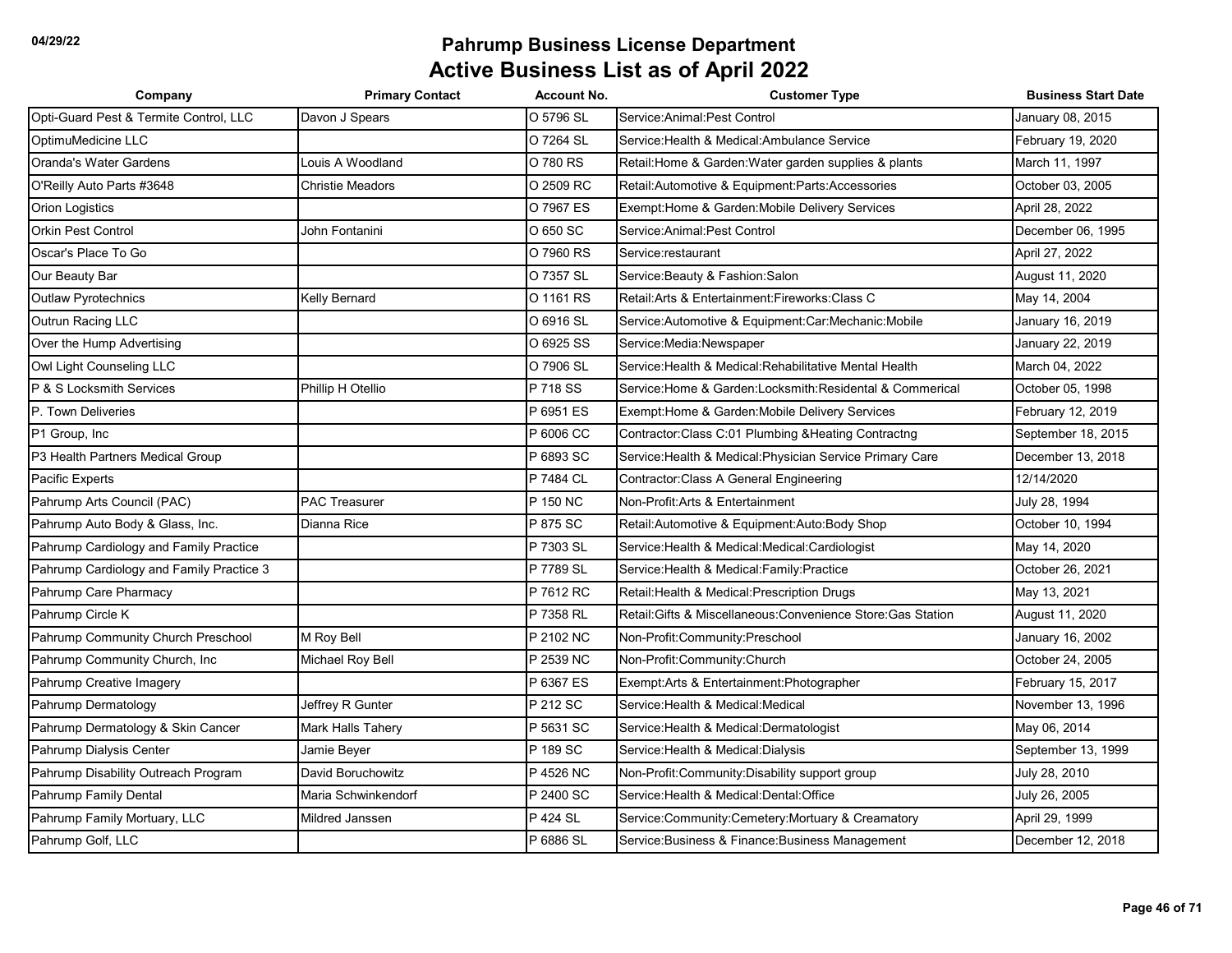| O 5796 SL<br>Opti-Guard Pest & Termite Control, LLC<br>Davon J Spears<br>Service: Animal: Pest Control<br>O 7264 SL<br>OptimuMedicine LLC<br>Service:Health & Medical:Ambulance Service | January 08, 2015<br>February 19, 2020<br>March 11, 1997<br>October 03, 2005 |
|-----------------------------------------------------------------------------------------------------------------------------------------------------------------------------------------|-----------------------------------------------------------------------------|
|                                                                                                                                                                                         |                                                                             |
|                                                                                                                                                                                         |                                                                             |
| O 780 RS<br><b>Oranda's Water Gardens</b><br>Louis A Woodland<br>Retail: Home & Garden: Water garden supplies & plants                                                                  |                                                                             |
| O'Reilly Auto Parts #3648<br><b>Christie Meadors</b><br>O 2509 RC<br>Retail: Automotive & Equipment: Parts: Accessories                                                                 |                                                                             |
| O 7967 ES<br>Exempt: Home & Garden: Mobile Delivery Services<br>Orion Logistics                                                                                                         | April 28, 2022                                                              |
| Orkin Pest Control<br>O 650 SC<br>Service: Animal: Pest Control<br>John Fontanini                                                                                                       | December 06, 1995                                                           |
| Oscar's Place To Go<br>O 7960 RS<br>Service:restaurant                                                                                                                                  | April 27, 2022                                                              |
| Our Beauty Bar<br>O 7357 SL<br>Service: Beauty & Fashion: Salon                                                                                                                         | August 11, 2020                                                             |
| Retail: Arts & Entertainment: Fireworks: Class C<br><b>Outlaw Pyrotechnics</b><br>Kelly Bernard<br>O 1161 RS                                                                            | May 14, 2004                                                                |
| Outrun Racing LLC<br>O 6916 SL<br>Service: Automotive & Equipment: Car: Mechanic: Mobile                                                                                                | January 16, 2019                                                            |
| Over the Hump Advertising<br>O 6925 SS<br>Service: Media: Newspaper                                                                                                                     | January 22, 2019                                                            |
| O 7906 SL<br>Owl Light Counseling LLC<br>Service: Health & Medical: Rehabilitative Mental Health                                                                                        | March 04, 2022                                                              |
| P & S Locksmith Services<br>Phillip H Otellio<br>P 718 SS<br>Service: Home & Garden: Locksmith: Residental & Commerical                                                                 | October 05, 1998                                                            |
| P. Town Deliveries<br>P 6951 ES<br>Exempt: Home & Garden: Mobile Delivery Services                                                                                                      | February 12, 2019                                                           |
| P 6006 CC<br>Contractor: Class C:01 Plumbing & Heating Contractng<br>P1 Group, Inc.                                                                                                     | September 18, 2015                                                          |
| P3 Health Partners Medical Group<br>P 6893 SC<br>Service: Health & Medical: Physician Service Primary Care                                                                              | December 13, 2018                                                           |
| Pacific Experts<br>P 7484 CL<br>Contractor: Class A General Engineering                                                                                                                 | 12/14/2020                                                                  |
| Pahrump Arts Council (PAC)<br><b>PAC Treasurer</b><br>P 150 NC<br>Non-Profit: Arts & Entertainment                                                                                      | July 28, 1994                                                               |
| Pahrump Auto Body & Glass, Inc.<br>Dianna Rice<br>P 875 SC<br>Retail: Automotive & Equipment: Auto: Body Shop                                                                           | October 10, 1994                                                            |
| Pahrump Cardiology and Family Practice<br>P 7303 SL<br>Service: Health & Medical: Medical: Cardiologist                                                                                 | May 14, 2020                                                                |
| Pahrump Cardiology and Family Practice 3<br>P 7789 SL<br>Service: Health & Medical: Family: Practice                                                                                    | October 26, 2021                                                            |
| P 7612 RC<br>Pahrump Care Pharmacy<br>Retail: Health & Medical: Prescription Drugs                                                                                                      | May 13, 2021                                                                |
| Retail: Gifts & Miscellaneous: Convenience Store: Gas Station<br>Pahrump Circle K<br>P 7358 RL                                                                                          | August 11, 2020                                                             |
| Pahrump Community Church Preschool<br>P 2102 NC<br>M Roy Bell<br>Non-Profit:Community:Preschool                                                                                         | January 16, 2002                                                            |
| Pahrump Community Church, Inc<br>P 2539 NC<br>Non-Profit:Community:Church<br>Michael Roy Bell                                                                                           | October 24, 2005                                                            |
| Pahrump Creative Imagery<br>P 6367 ES<br>Exempt:Arts & Entertainment:Photographer                                                                                                       | February 15, 2017                                                           |
| Pahrump Dermatology<br>Jeffrey R Gunter<br>P 212 SC<br>Service: Health & Medical: Medical                                                                                               | November 13, 1996                                                           |
| Pahrump Dermatology & Skin Cancer<br>Mark Halls Tahery<br>P 5631 SC<br>Service: Health & Medical: Dermatologist                                                                         | May 06, 2014                                                                |
| Pahrump Dialysis Center<br>P 189 SC<br>Jamie Beyer<br>Service: Health & Medical: Dialysis                                                                                               | September 13, 1999                                                          |
| Pahrump Disability Outreach Program<br>David Boruchowitz<br>P 4526 NC<br>Non-Profit: Community: Disability support group                                                                | July 28, 2010                                                               |
| Pahrump Family Dental<br>Maria Schwinkendorf<br>P 2400 SC<br>Service:Health & Medical:Dental:Office                                                                                     | July 26, 2005                                                               |
| Pahrump Family Mortuary, LLC<br>Mildred Janssen<br>P 424 SL<br>Service:Community:Cemetery:Mortuary & Creamatory                                                                         | April 29, 1999                                                              |
| Pahrump Golf, LLC<br>P 6886 SL<br>Service: Business & Finance: Business Management                                                                                                      | December 12, 2018                                                           |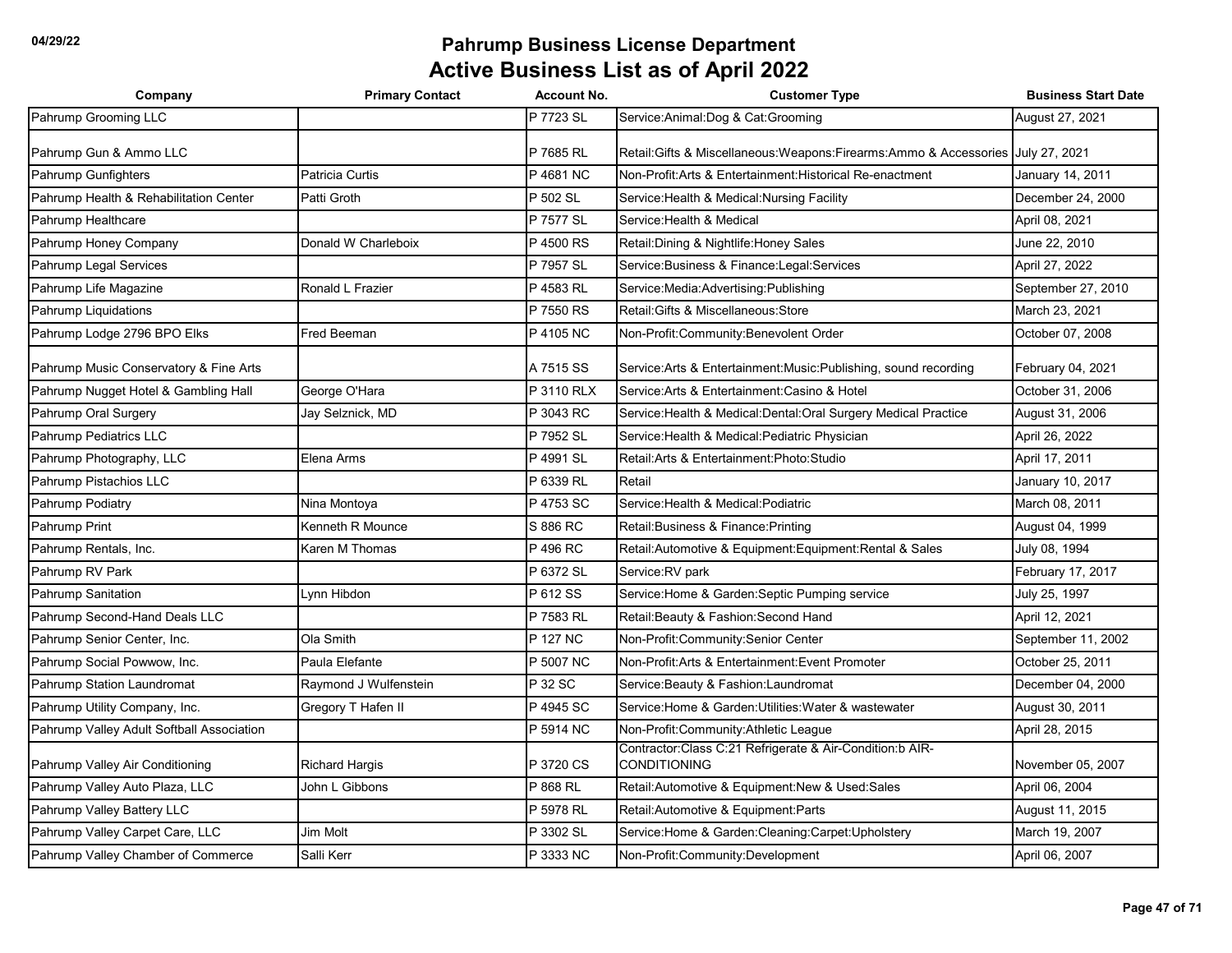| Company                                   | <b>Primary Contact</b> | <b>Account No.</b> | <b>Customer Type</b>                                                              | <b>Business Start Date</b> |
|-------------------------------------------|------------------------|--------------------|-----------------------------------------------------------------------------------|----------------------------|
| Pahrump Grooming LLC                      |                        | P 7723 SL          | Service: Animal: Dog & Cat: Grooming                                              | August 27, 2021            |
| Pahrump Gun & Ammo LLC                    |                        | P 7685 RL          | Retail:Gifts & Miscellaneous:Weapons:Firearms:Ammo & Accessories  July 27, 2021   |                            |
| Pahrump Gunfighters                       | Patricia Curtis        | P4681 NC           | Non-Profit: Arts & Entertainment: Historical Re-enactment                         | January 14, 2011           |
| Pahrump Health & Rehabilitation Center    | Patti Groth            | P 502 SL           | Service: Health & Medical: Nursing Facility                                       | December 24, 2000          |
| Pahrump Healthcare                        |                        | P 7577 SL          | Service: Health & Medical                                                         | April 08, 2021             |
| Pahrump Honey Company                     | Donald W Charleboix    | P 4500 RS          | Retail: Dining & Nightlife: Honey Sales                                           | June 22, 2010              |
| Pahrump Legal Services                    |                        | P 7957 SL          | Service: Business & Finance: Legal: Services                                      | April 27, 2022             |
| Pahrump Life Magazine                     | Ronald L Frazier       | P 4583 RL          | Service: Media: Advertising: Publishing                                           | September 27, 2010         |
| Pahrump Liquidations                      |                        | P 7550 RS          | Retail: Gifts & Miscellaneous: Store                                              | March 23, 2021             |
| Pahrump Lodge 2796 BPO Elks               | Fred Beeman            | P 4105 NC          | Non-Profit:Community:Benevolent Order                                             | October 07, 2008           |
| Pahrump Music Conservatory & Fine Arts    |                        | A 7515 SS          | Service: Arts & Entertainment: Music: Publishing, sound recording                 | February 04, 2021          |
| Pahrump Nugget Hotel & Gambling Hall      | George O'Hara          | P 3110 RLX         | Service: Arts & Entertainment: Casino & Hotel                                     | October 31, 2006           |
| Pahrump Oral Surgery                      | Jay Selznick, MD       | P 3043 RC          | Service:Health & Medical:Dental:Oral Surgery Medical Practice                     | August 31, 2006            |
| Pahrump Pediatrics LLC                    |                        | P 7952 SL          | Service: Health & Medical: Pediatric Physician                                    | April 26, 2022             |
| Pahrump Photography, LLC                  | Elena Arms             | P 4991 SL          | Retail: Arts & Entertainment: Photo: Studio                                       | April 17, 2011             |
| Pahrump Pistachios LLC                    |                        | P 6339 RL          | Retail                                                                            | January 10, 2017           |
| Pahrump Podiatry                          | Nina Montoya           | P 4753 SC          | Service: Health & Medical: Podiatric                                              | March 08, 2011             |
| Pahrump Print                             | Kenneth R Mounce       | S 886 RC           | Retail: Business & Finance: Printing                                              | August 04, 1999            |
| Pahrump Rentals, Inc.                     | Karen M Thomas         | P 496 RC           | Retail: Automotive & Equipment: Equipment: Rental & Sales                         | July 08, 1994              |
| Pahrump RV Park                           |                        | P 6372 SL          | Service:RV park                                                                   | February 17, 2017          |
| Pahrump Sanitation                        | Lynn Hibdon            | P 612 SS           | Service: Home & Garden: Septic Pumping service                                    | July 25, 1997              |
| Pahrump Second-Hand Deals LLC             |                        | P 7583 RL          | Retail: Beauty & Fashion: Second Hand                                             | April 12, 2021             |
| Pahrump Senior Center, Inc.               | Ola Smith              | P 127 NC           | Non-Profit:Community:Senior Center                                                | September 11, 2002         |
| Pahrump Social Powwow, Inc.               | Paula Elefante         | P 5007 NC          | Non-Profit: Arts & Entertainment: Event Promoter                                  | October 25, 2011           |
| Pahrump Station Laundromat                | Raymond J Wulfenstein  | P 32 SC            | Service: Beauty & Fashion: Laundromat                                             | December 04, 2000          |
| Pahrump Utility Company, Inc.             | Gregory T Hafen II     | P 4945 SC          | Service: Home & Garden: Utilities: Water & wastewater                             | August 30, 2011            |
| Pahrump Valley Adult Softball Association |                        | P 5914 NC          | Non-Profit:Community:Athletic League                                              | April 28, 2015             |
| Pahrump Valley Air Conditioning           | <b>Richard Hargis</b>  | P 3720 CS          | Contractor: Class C:21 Refrigerate & Air-Condition: b AIR-<br><b>CONDITIONING</b> | November 05, 2007          |
| Pahrump Valley Auto Plaza, LLC            | John L Gibbons         | P 868 RL           | Retail: Automotive & Equipment: New & Used: Sales                                 | April 06, 2004             |
| Pahrump Valley Battery LLC                |                        | P 5978 RL          | Retail: Automotive & Equipment: Parts                                             | August 11, 2015            |
| Pahrump Valley Carpet Care, LLC           | Jim Molt               | P 3302 SL          | Service: Home & Garden: Cleaning: Carpet: Upholstery                              | March 19, 2007             |
| Pahrump Valley Chamber of Commerce        | Salli Kerr             | P 3333 NC          | Non-Profit:Community:Development                                                  | April 06, 2007             |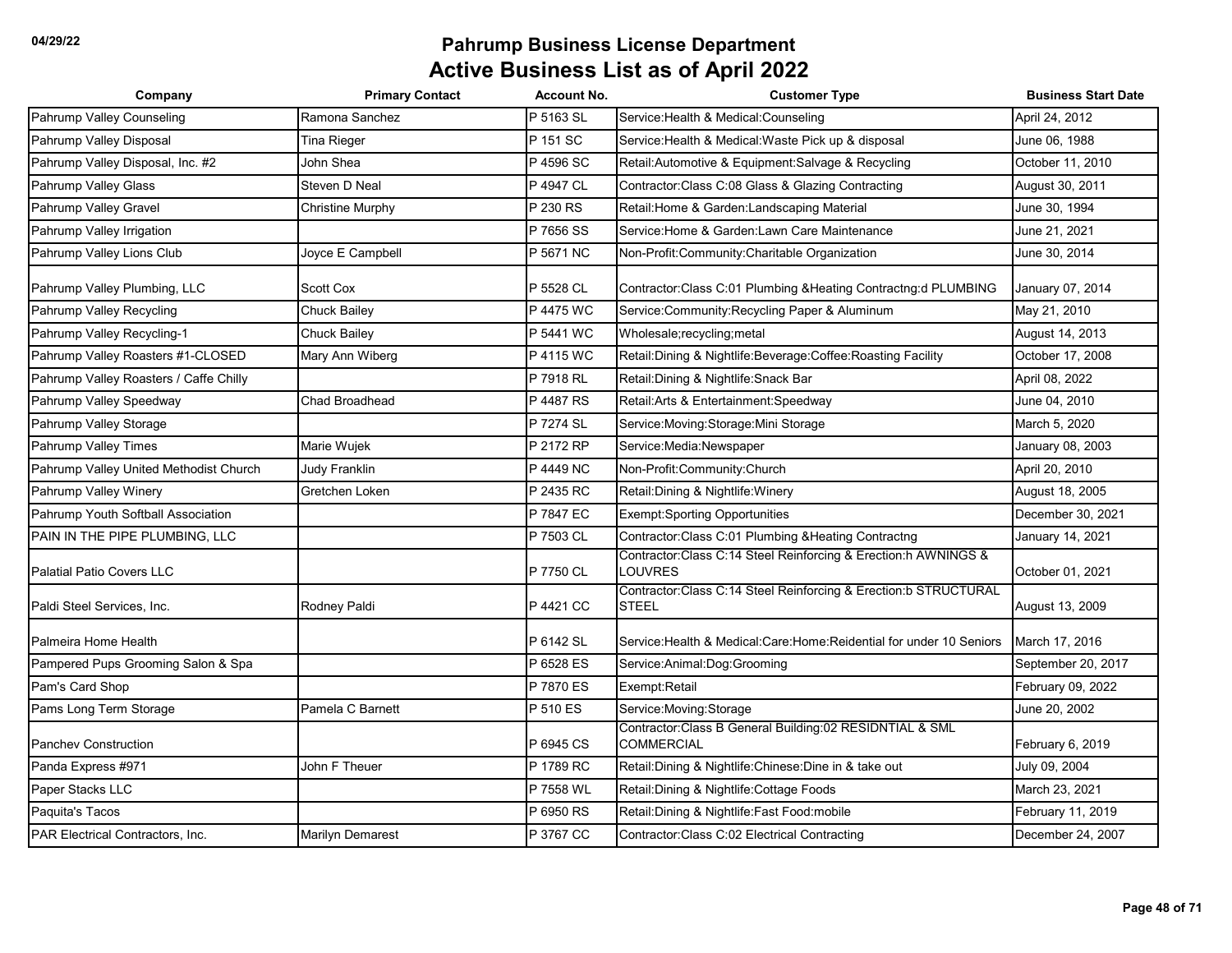| Company                                | <b>Primary Contact</b>  | <b>Account No.</b> | <b>Customer Type</b>                                                           | <b>Business Start Date</b> |
|----------------------------------------|-------------------------|--------------------|--------------------------------------------------------------------------------|----------------------------|
| Pahrump Valley Counseling              | Ramona Sanchez          | P 5163 SL          | Service: Health & Medical: Counseling                                          | April 24, 2012             |
| Pahrump Valley Disposal                | Tina Rieger             | P 151 SC           | Service: Health & Medical: Waste Pick up & disposal                            | June 06, 1988              |
| Pahrump Valley Disposal, Inc. #2       | John Shea               | P 4596 SC          | Retail: Automotive & Equipment: Salvage & Recycling                            | October 11, 2010           |
| Pahrump Valley Glass                   | Steven D Neal           | P 4947 CL          | Contractor: Class C:08 Glass & Glazing Contracting                             | August 30, 2011            |
| Pahrump Valley Gravel                  | <b>Christine Murphy</b> | P 230 RS           | Retail: Home & Garden: Landscaping Material                                    | June 30, 1994              |
| Pahrump Valley Irrigation              |                         | P 7656 SS          | Service: Home & Garden: Lawn Care Maintenance                                  | June 21, 2021              |
| Pahrump Valley Lions Club              | Joyce E Campbell        | P 5671 NC          | Non-Profit:Community:Charitable Organization                                   | June 30, 2014              |
| Pahrump Valley Plumbing, LLC           | Scott Cox               | P 5528 CL          | Contractor: Class C:01 Plumbing & Heating Contractng: d PLUMBING               | January 07, 2014           |
| Pahrump Valley Recycling               | <b>Chuck Bailey</b>     | P 4475 WC          | Service: Community: Recycling Paper & Aluminum                                 | May 21, 2010               |
| Pahrump Valley Recycling-1             | Chuck Bailey            | P 5441 WC          | Wholesale;recycling;metal                                                      | August 14, 2013            |
| Pahrump Valley Roasters #1-CLOSED      | Mary Ann Wiberg         | P 4115 WC          | Retail: Dining & Nightlife: Beverage: Coffee: Roasting Facility                | October 17, 2008           |
| Pahrump Valley Roasters / Caffe Chilly |                         | P 7918 RL          | Retail: Dining & Nightlife: Snack Bar                                          | April 08, 2022             |
| Pahrump Valley Speedway                | Chad Broadhead          | P 4487 RS          | Retail: Arts & Entertainment: Speedway                                         | June 04, 2010              |
| Pahrump Valley Storage                 |                         | P 7274 SL          | Service: Moving: Storage: Mini Storage                                         | March 5, 2020              |
| Pahrump Valley Times                   | Marie Wujek             | P 2172 RP          | Service: Media: Newspaper                                                      | January 08, 2003           |
| Pahrump Valley United Methodist Church | <b>Judy Franklin</b>    | P 4449 NC          | Non-Profit:Community:Church                                                    | April 20, 2010             |
| Pahrump Valley Winery                  | Gretchen Loken          | P 2435 RC          | Retail: Dining & Nightlife: Winery                                             | August 18, 2005            |
| Pahrump Youth Softball Association     |                         | P 7847 EC          | <b>Exempt:Sporting Opportunities</b>                                           | December 30, 2021          |
| PAIN IN THE PIPE PLUMBING, LLC         |                         | P 7503 CL          | Contractor: Class C:01 Plumbing & Heating Contractng                           | January 14, 2021           |
| <b>Palatial Patio Covers LLC</b>       |                         | P 7750 CL          | Contractor:Class C:14 Steel Reinforcing & Erection:h AWNINGS &<br>LOUVRES      | October 01, 2021           |
| Paldi Steel Services, Inc.             | Rodney Paldi            | P 4421 CC          | Contractor:Class C:14 Steel Reinforcing & Erection:b STRUCTURAL<br>STEEL       | August 13, 2009            |
| Palmeira Home Health                   |                         | P 6142 SL          | Service: Health & Medical: Care: Home: Reidential for under 10 Seniors         | March 17, 2016             |
| Pampered Pups Grooming Salon & Spa     |                         | P 6528 ES          | Service: Animal: Dog: Grooming                                                 | September 20, 2017         |
| Pam's Card Shop                        |                         | P 7870 ES          | Exempt:Retail                                                                  | February 09, 2022          |
| Pams Long Term Storage                 | Pamela C Barnett        | P 510 ES           | Service: Moving: Storage                                                       | June 20, 2002              |
| <b>Panchev Construction</b>            |                         | P 6945 CS          | Contractor: Class B General Building: 02 RESIDNTIAL & SML<br><b>COMMERCIAL</b> | February 6, 2019           |
| Panda Express #971                     | John F Theuer           | P 1789 RC          | Retail: Dining & Nightlife: Chinese: Dine in & take out                        | July 09, 2004              |
| Paper Stacks LLC                       |                         | P 7558 WL          | Retail: Dining & Nightlife: Cottage Foods                                      | March 23, 2021             |
| Paquita's Tacos                        |                         | P 6950 RS          | Retail: Dining & Nightlife: Fast Food: mobile                                  | February 11, 2019          |
| PAR Electrical Contractors, Inc.       | Marilyn Demarest        | P 3767 CC          | Contractor: Class C:02 Electrical Contracting                                  | December 24, 2007          |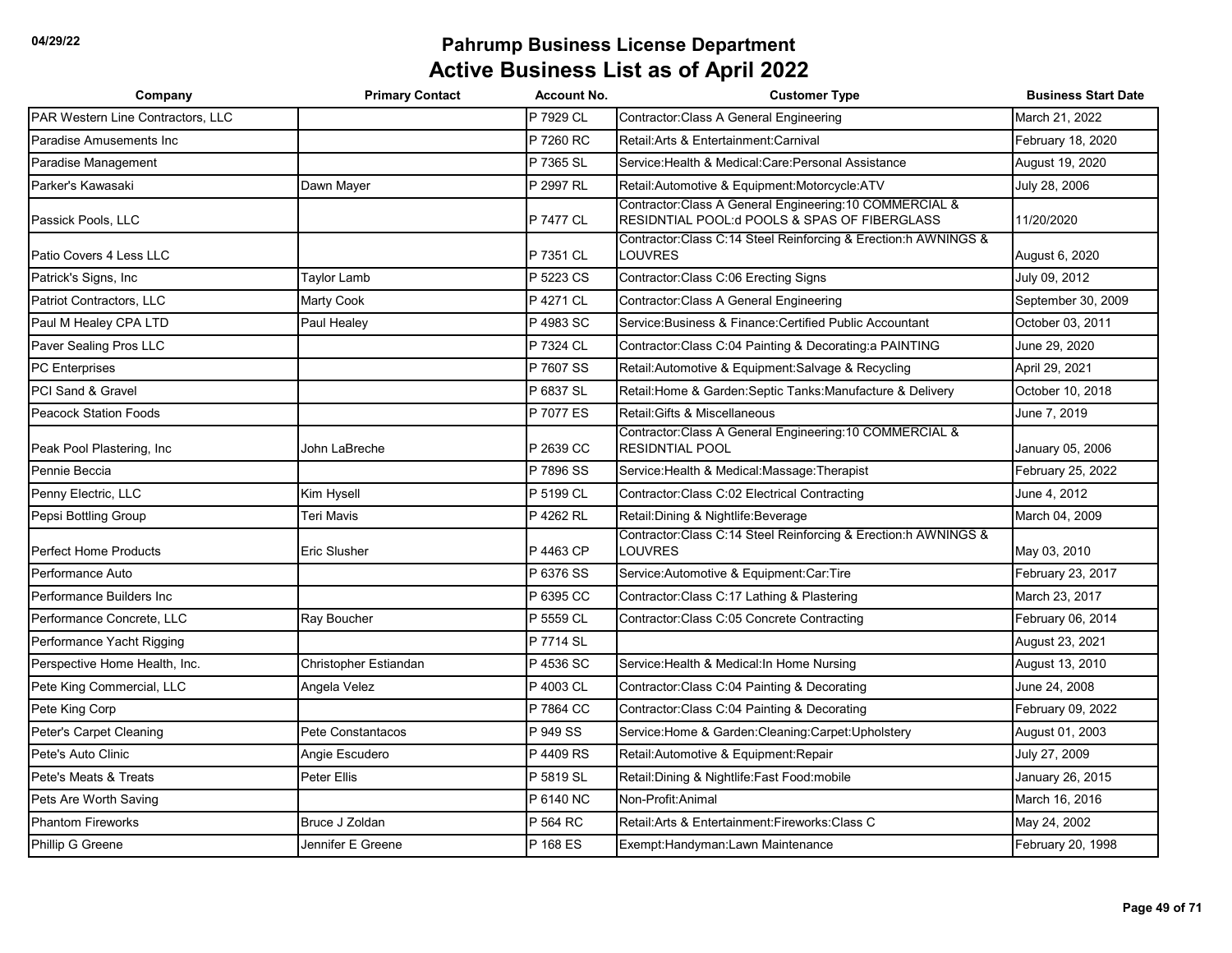| Company                           | <b>Primary Contact</b> | <b>Account No.</b> | <b>Customer Type</b>                                                                                      | <b>Business Start Date</b> |
|-----------------------------------|------------------------|--------------------|-----------------------------------------------------------------------------------------------------------|----------------------------|
| PAR Western Line Contractors, LLC |                        | P 7929 CL          | Contractor: Class A General Engineering                                                                   | March 21, 2022             |
| Paradise Amusements Inc           |                        | P 7260 RC          | Retail: Arts & Entertainment: Carnival                                                                    | February 18, 2020          |
| Paradise Management               |                        | P 7365 SL          | Service: Health & Medical: Care: Personal Assistance                                                      | August 19, 2020            |
| Parker's Kawasaki                 | Dawn Mayer             | P 2997 RL          | Retail:Automotive & Equipment:Motorcycle:ATV                                                              | July 28, 2006              |
| Passick Pools, LLC                |                        | P 7477 CL          | Contractor: Class A General Engineering: 10 COMMERCIAL &<br>RESIDNTIAL POOL: d POOLS & SPAS OF FIBERGLASS | 11/20/2020                 |
| Patio Covers 4 Less LLC           |                        | P 7351 CL          | Contractor: Class C:14 Steel Reinforcing & Erection:h AWNINGS &<br><b>LOUVRES</b>                         | August 6, 2020             |
| Patrick's Signs, Inc              | Taylor Lamb            | P 5223 CS          | Contractor: Class C:06 Erecting Signs                                                                     | July 09, 2012              |
| Patriot Contractors, LLC          | Marty Cook             | P 4271 CL          | <b>Contractor:Class A General Engineering</b>                                                             | September 30, 2009         |
| Paul M Healey CPA LTD             | Paul Healey            | P 4983 SC          | Service: Business & Finance: Certified Public Accountant                                                  | October 03, 2011           |
| Paver Sealing Pros LLC            |                        | P 7324 CL          | Contractor:Class C:04 Painting & Decorating:a PAINTING                                                    | June 29, 2020              |
| PC Enterprises                    |                        | P 7607 SS          | Retail: Automotive & Equipment: Salvage & Recycling                                                       | April 29, 2021             |
| PCI Sand & Gravel                 |                        | P 6837 SL          | Retail: Home & Garden: Septic Tanks: Manufacture & Delivery                                               | October 10, 2018           |
| <b>Peacock Station Foods</b>      |                        | P 7077 ES          | Retail: Gifts & Miscellaneous                                                                             | June 7, 2019               |
| Peak Pool Plastering, Inc.        | John LaBreche          | P 2639 CC          | Contractor: Class A General Engineering: 10 COMMERCIAL &<br><b>RESIDNTIAL POOL</b>                        | January 05, 2006           |
| Pennie Beccia                     |                        | P 7896 SS          | Service: Health & Medical: Massage: Therapist                                                             | February 25, 2022          |
| Penny Electric, LLC               | Kim Hysell             | P 5199 CL          | Contractor: Class C:02 Electrical Contracting                                                             | June 4, 2012               |
| Pepsi Bottling Group              | <b>Teri Mavis</b>      | P 4262 RL          | Retail: Dining & Nightlife: Beverage                                                                      | March 04, 2009             |
| <b>Perfect Home Products</b>      | <b>Eric Slusher</b>    | P 4463 CP          | Contractor: Class C:14 Steel Reinforcing & Erection:h AWNINGS &<br><b>LOUVRES</b>                         | May 03, 2010               |
| Performance Auto                  |                        | P 6376 SS          | Service: Automotive & Equipment: Car: Tire                                                                | February 23, 2017          |
| Performance Builders Inc          |                        | P 6395 CC          | Contractor: Class C:17 Lathing & Plastering                                                               | March 23, 2017             |
| Performance Concrete, LLC         | Ray Boucher            | P 5559 CL          | Contractor:Class C:05 Concrete Contracting                                                                | February 06, 2014          |
| Performance Yacht Rigging         |                        | P 7714 SL          |                                                                                                           | August 23, 2021            |
| Perspective Home Health, Inc.     | Christopher Estiandan  | P 4536 SC          | Service: Health & Medical: In Home Nursing                                                                | August 13, 2010            |
| Pete King Commercial, LLC         | Angela Velez           | P 4003 CL          | Contractor: Class C:04 Painting & Decorating                                                              | June 24, 2008              |
| Pete King Corp                    |                        | P 7864 CC          | Contractor: Class C:04 Painting & Decorating                                                              | February 09, 2022          |
| Peter's Carpet Cleaning           | Pete Constantacos      | P 949 SS           | Service: Home & Garden: Cleaning: Carpet: Upholstery                                                      | August 01, 2003            |
| Pete's Auto Clinic                | Angie Escudero         | P 4409 RS          | Retail: Automotive & Equipment: Repair                                                                    | July 27, 2009              |
| Pete's Meats & Treats             | Peter Ellis            | P 5819 SL          | Retail: Dining & Nightlife: Fast Food: mobile                                                             | January 26, 2015           |
| Pets Are Worth Saving             |                        | P 6140 NC          | Non-Profit:Animal                                                                                         | March 16, 2016             |
| <b>Phantom Fireworks</b>          | Bruce J Zoldan         | P 564 RC           | Retail: Arts & Entertainment: Fireworks: Class C                                                          | May 24, 2002               |
| Phillip G Greene                  | Jennifer E Greene      | P 168 ES           | Exempt: Handyman: Lawn Maintenance                                                                        | February 20, 1998          |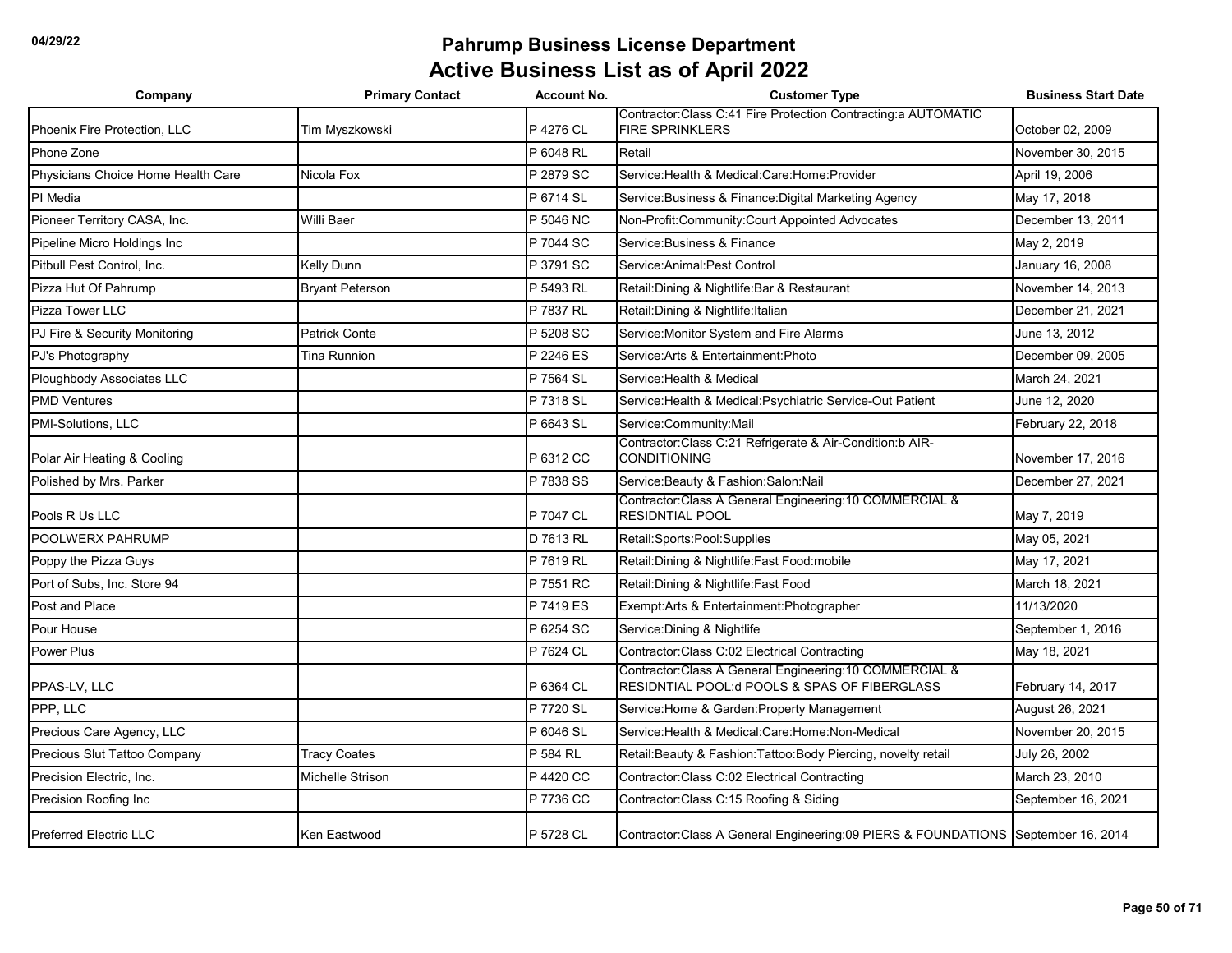| Company                            | <b>Primary Contact</b> | <b>Account No.</b> | <b>Customer Type</b>                                                                                      | <b>Business Start Date</b> |
|------------------------------------|------------------------|--------------------|-----------------------------------------------------------------------------------------------------------|----------------------------|
| Phoenix Fire Protection, LLC       | Tim Myszkowski         | P 4276 CL          | Contractor:Class C:41 Fire Protection Contracting:a AUTOMATIC<br><b>FIRE SPRINKLERS</b>                   | October 02, 2009           |
| Phone Zone                         |                        | P 6048 RL          | Retail                                                                                                    | November 30, 2015          |
| Physicians Choice Home Health Care | Nicola Fox             | P 2879 SC          | Service: Health & Medical: Care: Home: Provider                                                           | April 19, 2006             |
| PI Media                           |                        | P 6714 SL          | Service: Business & Finance: Digital Marketing Agency                                                     | May 17, 2018               |
| Pioneer Territory CASA, Inc.       | Willi Baer             | P 5046 NC          | Non-Profit:Community:Court Appointed Advocates                                                            | December 13, 2011          |
| Pipeline Micro Holdings Inc        |                        | P 7044 SC          | Service: Business & Finance                                                                               | May 2, 2019                |
| Pitbull Pest Control, Inc.         | Kelly Dunn             | P 3791 SC          | Service: Animal: Pest Control                                                                             | January 16, 2008           |
| Pizza Hut Of Pahrump               | <b>Bryant Peterson</b> | P 5493 RL          | Retail: Dining & Nightlife: Bar & Restaurant                                                              | November 14, 2013          |
| Pizza Tower LLC                    |                        | P 7837 RL          | Retail: Dining & Nightlife: Italian                                                                       | December 21, 2021          |
| PJ Fire & Security Monitoring      | <b>Patrick Conte</b>   | P 5208 SC          | Service: Monitor System and Fire Alarms                                                                   | June 13, 2012              |
| PJ's Photography                   | Tina Runnion           | P 2246 ES          | Service: Arts & Entertainment: Photo                                                                      | December 09, 2005          |
| Ploughbody Associates LLC          |                        | P 7564 SL          | Service: Health & Medical                                                                                 | March 24, 2021             |
| <b>PMD Ventures</b>                |                        | P 7318 SL          | Service: Health & Medical: Psychiatric Service-Out Patient                                                | June 12, 2020              |
| PMI-Solutions, LLC                 |                        | P 6643 SL          | Service:Community:Mail                                                                                    | February 22, 2018          |
| Polar Air Heating & Cooling        |                        | P 6312 CC          | Contractor: Class C:21 Refrigerate & Air-Condition: b AIR-<br><b>CONDITIONING</b>                         | November 17, 2016          |
| Polished by Mrs. Parker            |                        | P 7838 SS          | Service: Beauty & Fashion: Salon: Nail                                                                    | December 27, 2021          |
| Pools R Us LLC                     |                        | P 7047 CL          | Contractor: Class A General Engineering: 10 COMMERCIAL &<br><b>RESIDNTIAL POOL</b>                        | May 7, 2019                |
| POOLWERX PAHRUMP                   |                        | D 7613 RL          | Retail:Sports:Pool:Supplies                                                                               | May 05, 2021               |
| Poppy the Pizza Guys               |                        | P 7619 RL          | Retail: Dining & Nightlife: Fast Food: mobile                                                             | May 17, 2021               |
| Port of Subs, Inc. Store 94        |                        | P 7551 RC          | Retail: Dining & Nightlife: Fast Food                                                                     | March 18, 2021             |
| Post and Place                     |                        | P 7419 ES          | Exempt:Arts & Entertainment:Photographer                                                                  | 11/13/2020                 |
| Pour House                         |                        | P 6254 SC          | Service: Dining & Nightlife                                                                               | September 1, 2016          |
| Power Plus                         |                        | P 7624 CL          | Contractor:Class C:02 Electrical Contracting                                                              | May 18, 2021               |
| PPAS-LV, LLC                       |                        | P 6364 CL          | Contractor: Class A General Engineering: 10 COMMERCIAL &<br>RESIDNTIAL POOL: d POOLS & SPAS OF FIBERGLASS | February 14, 2017          |
| PPP. LLC                           |                        | P 7720 SL          | Service: Home & Garden: Property Management                                                               | August 26, 2021            |
| Precious Care Agency, LLC          |                        | P 6046 SL          | Service: Health & Medical: Care: Home: Non-Medical                                                        | November 20, 2015          |
| Precious Slut Tattoo Company       | <b>Tracy Coates</b>    | P 584 RL           | Retail: Beauty & Fashion: Tattoo: Body Piercing, novelty retail                                           | July 26, 2002              |
| Precision Electric, Inc.           | Michelle Strison       | P 4420 CC          | Contractor: Class C:02 Electrical Contracting                                                             | March 23, 2010             |
| Precision Roofing Inc              |                        | P 7736 CC          | Contractor:Class C:15 Roofing & Siding                                                                    | September 16, 2021         |
| <b>Preferred Electric LLC</b>      | Ken Eastwood           | P 5728 CL          | Contractor:Class A General Engineering:09 PIERS & FOUNDATIONS September 16, 2014                          |                            |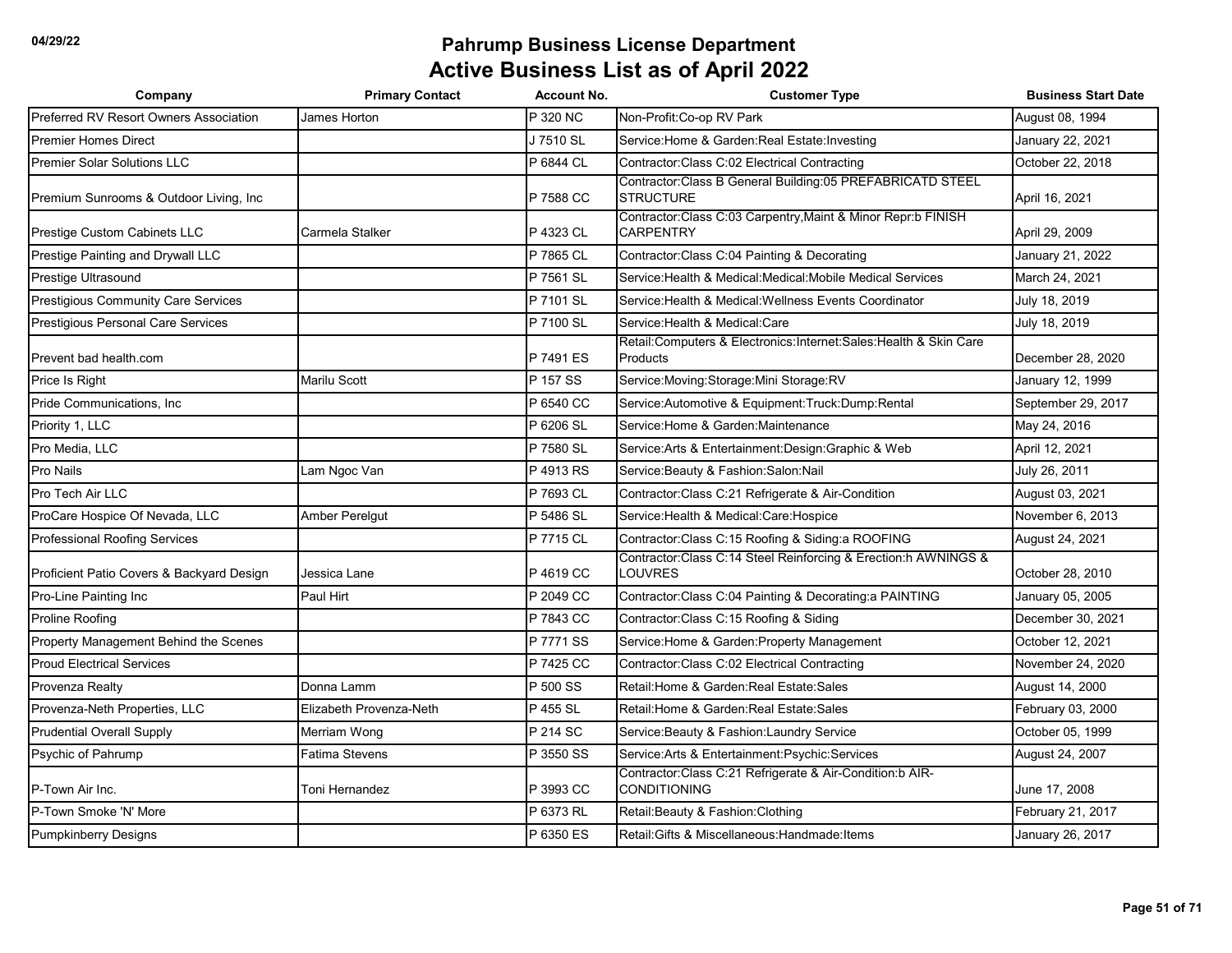| Company                                   | <b>Primary Contact</b>  | <b>Account No.</b> | <b>Customer Type</b>                                                               | <b>Business Start Date</b> |
|-------------------------------------------|-------------------------|--------------------|------------------------------------------------------------------------------------|----------------------------|
| Preferred RV Resort Owners Association    | James Horton            | P 320 NC           | Non-Profit:Co-op RV Park                                                           | August 08, 1994            |
| <b>Premier Homes Direct</b>               |                         | J 7510 SL          | Service: Home & Garden: Real Estate: Investing                                     | January 22, 2021           |
| <b>Premier Solar Solutions LLC</b>        |                         | P 6844 CL          | Contractor: Class C:02 Electrical Contracting                                      | October 22, 2018           |
| Premium Sunrooms & Outdoor Living, Inc    |                         | P 7588 CC          | Contractor: Class B General Building: 05 PREFABRICATD STEEL<br><b>STRUCTURE</b>    | April 16, 2021             |
| Prestige Custom Cabinets LLC              | Carmela Stalker         | P 4323 CL          | Contractor: Class C:03 Carpentry, Maint & Minor Repr: b FINISH<br><b>CARPENTRY</b> | April 29, 2009             |
| Prestige Painting and Drywall LLC         |                         | P 7865 CL          | Contractor: Class C:04 Painting & Decorating                                       | January 21, 2022           |
| Prestige Ultrasound                       |                         | P 7561 SL          | Service: Health & Medical: Medical: Mobile Medical Services                        | March 24, 2021             |
| Prestigious Community Care Services       |                         | P 7101 SL          | Service: Health & Medical: Wellness Events Coordinator                             | July 18, 2019              |
| Prestigious Personal Care Services        |                         | P 7100 SL          | Service: Health & Medical: Care                                                    | July 18, 2019              |
| Prevent bad health.com                    |                         | P 7491 ES          | Retail: Computers & Electronics: Internet: Sales: Health & Skin Care<br>Products   | December 28, 2020          |
| Price Is Right                            | <b>Marilu Scott</b>     | P 157 SS           | Service: Moving: Storage: Mini Storage: RV                                         | January 12, 1999           |
| <b>Pride Communications. Inc.</b>         |                         | P 6540 CC          | Service: Automotive & Equipment: Truck: Dump: Rental                               | September 29, 2017         |
| Priority 1, LLC                           |                         | P 6206 SL          | Service: Home & Garden: Maintenance                                                | May 24, 2016               |
| Pro Media, LLC                            |                         | P 7580 SL          | Service: Arts & Entertainment: Design: Graphic & Web                               | April 12, 2021             |
| <b>Pro Nails</b>                          | Lam Ngoc Van            | P 4913 RS          | Service: Beauty & Fashion: Salon: Nail                                             | July 26, 2011              |
| Pro Tech Air LLC                          |                         | P 7693 CL          | Contractor: Class C:21 Refrigerate & Air-Condition                                 | August 03, 2021            |
| ProCare Hospice Of Nevada, LLC            | Amber Perelgut          | P 5486 SL          | Service: Health & Medical: Care: Hospice                                           | November 6, 2013           |
| Professional Roofing Services             |                         | P 7715 CL          | Contractor: Class C:15 Roofing & Siding: a ROOFING                                 | August 24, 2021            |
| Proficient Patio Covers & Backyard Design | Jessica Lane            | P 4619 CC          | Contractor: Class C:14 Steel Reinforcing & Erection:h AWNINGS &<br><b>LOUVRES</b>  | October 28, 2010           |
| Pro-Line Painting Inc                     | Paul Hirt               | P 2049 CC          | Contractor: Class C:04 Painting & Decorating: a PAINTING                           | January 05, 2005           |
| <b>Proline Roofing</b>                    |                         | P 7843 CC          | Contractor: Class C: 15 Roofing & Siding                                           | December 30, 2021          |
| Property Management Behind the Scenes     |                         | P 7771 SS          | Service: Home & Garden: Property Management                                        | October 12, 2021           |
| <b>Proud Electrical Services</b>          |                         | P 7425 CC          | Contractor: Class C:02 Electrical Contracting                                      | November 24, 2020          |
| Provenza Realty                           | Donna Lamm              | P 500 SS           | Retail: Home & Garden: Real Estate: Sales                                          | August 14, 2000            |
| Provenza-Neth Properties, LLC             | Elizabeth Provenza-Neth | P 455 SL           | Retail:Home & Garden:Real Estate:Sales                                             | February 03, 2000          |
| <b>Prudential Overall Supply</b>          | Merriam Wong            | P 214 SC           | Service: Beauty & Fashion: Laundry Service                                         | October 05, 1999           |
| Psychic of Pahrump                        | Fatima Stevens          | P 3550 SS          | Service: Arts & Entertainment: Psychic: Services                                   | August 24, 2007            |
| P-Town Air Inc.                           | Toni Hernandez          | P 3993 CC          | Contractor: Class C:21 Refrigerate & Air-Condition: b AIR-<br><b>CONDITIONING</b>  | June 17, 2008              |
| P-Town Smoke 'N' More                     |                         | P 6373 RL          | Retail: Beauty & Fashion: Clothing                                                 | February 21, 2017          |
| Pumpkinberry Designs                      |                         | P 6350 ES          | Retail: Gifts & Miscellaneous: Handmade: Items                                     | January 26, 2017           |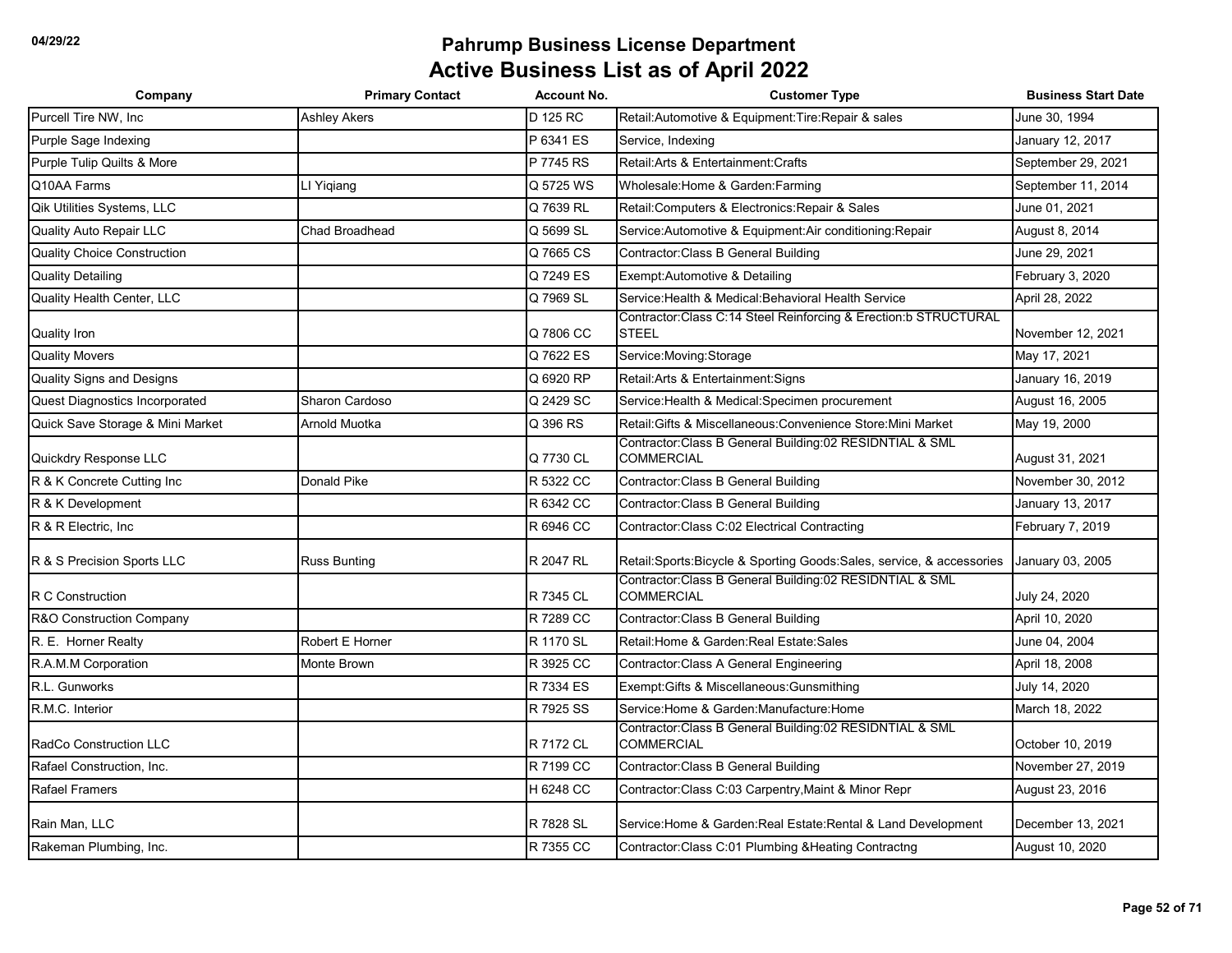| Company                            | <b>Primary Contact</b> | <b>Account No.</b> | <b>Customer Type</b>                                                           | <b>Business Start Date</b> |
|------------------------------------|------------------------|--------------------|--------------------------------------------------------------------------------|----------------------------|
| Purcell Tire NW, Inc               | <b>Ashley Akers</b>    | D 125 RC           | Retail: Automotive & Equipment: Tire: Repair & sales                           | June 30, 1994              |
| Purple Sage Indexing               |                        | P 6341 ES          | Service, Indexing                                                              | January 12, 2017           |
| Purple Tulip Quilts & More         |                        | P 7745 RS          | Retail:Arts & Entertainment:Crafts                                             | September 29, 2021         |
| Q10AA Farms                        | LI Yiqiang             | Q 5725 WS          | Wholesale:Home & Garden:Farming                                                | September 11, 2014         |
| <b>Qik Utilities Systems, LLC</b>  |                        | Q 7639 RL          | Retail: Computers & Electronics: Repair & Sales                                | June 01, 2021              |
| <b>Quality Auto Repair LLC</b>     | Chad Broadhead         | Q 5699 SL          | Service: Automotive & Equipment: Air conditioning: Repair                      | August 8, 2014             |
| <b>Quality Choice Construction</b> |                        | Q7665 CS           | Contractor:Class B General Building                                            | June 29, 2021              |
| <b>Quality Detailing</b>           |                        | Q 7249 ES          | Exempt:Automotive & Detailing                                                  | February 3, 2020           |
| Quality Health Center, LLC         |                        | Q 7969 SL          | Service: Health & Medical: Behavioral Health Service                           | April 28, 2022             |
| <b>Quality Iron</b>                |                        | Q7806 CC           | Contractor: Class C:14 Steel Reinforcing & Erection: b STRUCTURAL<br>STEEL     | November 12, 2021          |
| <b>Quality Movers</b>              |                        | Q 7622 ES          | Service: Moving: Storage                                                       | May 17, 2021               |
| <b>Quality Signs and Designs</b>   |                        | Q 6920 RP          | Retail: Arts & Entertainment: Signs                                            | January 16, 2019           |
| Quest Diagnostics Incorporated     | Sharon Cardoso         | Q 2429 SC          | Service: Health & Medical: Specimen procurement                                | August 16, 2005            |
| Quick Save Storage & Mini Market   | Arnold Muotka          | Q 396 RS           | Retail: Gifts & Miscellaneous: Convenience Store: Mini Market                  | May 19, 2000               |
| Quickdry Response LLC              |                        | Q 7730 CL          | Contractor: Class B General Building: 02 RESIDNTIAL & SML<br>COMMERCIAL        | August 31, 2021            |
| R & K Concrete Cutting Inc         | Donald Pike            | R 5322 CC          | Contractor: Class B General Building                                           | November 30, 2012          |
| R & K Development                  |                        | R 6342 CC          | Contractor: Class B General Building                                           | January 13, 2017           |
| R & R Electric, Inc.               |                        | R 6946 CC          | Contractor: Class C:02 Electrical Contracting                                  | February 7, 2019           |
| R & S Precision Sports LLC         | <b>Russ Bunting</b>    | R 2047 RL          | Retail:Sports:Bicycle & Sporting Goods:Sales, service, & accessories           | January 03, 2005           |
| R C Construction                   |                        | R 7345 CL          | Contractor: Class B General Building: 02 RESIDNTIAL & SML<br>COMMERCIAL        | July 24, 2020              |
| R&O Construction Company           |                        | R 7289 CC          | Contractor: Class B General Building                                           | April 10, 2020             |
| R. E. Horner Realty                | Robert E Horner        | R 1170 SL          | Retail: Home & Garden: Real Estate: Sales                                      | June 04, 2004              |
| R.A.M.M Corporation                | Monte Brown            | R 3925 CC          | Contractor: Class A General Engineering                                        | April 18, 2008             |
| R.L. Gunworks                      |                        | R 7334 ES          | Exempt: Gifts & Miscellaneous: Gunsmithing                                     | July 14, 2020              |
| R.M.C. Interior                    |                        | R 7925 SS          | Service:Home & Garden:Manufacture:Home                                         | March 18, 2022             |
| RadCo Construction LLC             |                        | R 7172 CL          | Contractor: Class B General Building: 02 RESIDNTIAL & SML<br><b>COMMERCIAL</b> | October 10, 2019           |
| Rafael Construction, Inc.          |                        | R 7199 CC          | Contractor: Class B General Building                                           | November 27, 2019          |
| Rafael Framers                     |                        | H 6248 CC          | Contractor: Class C:03 Carpentry, Maint & Minor Repr                           | August 23, 2016            |
| Rain Man, LLC                      |                        | R 7828 SL          | Service:Home & Garden:Real Estate:Rental & Land Development                    | December 13, 2021          |
| Rakeman Plumbing, Inc.             |                        | R 7355 CC          | Contractor: Class C:01 Plumbing & Heating Contractng                           | August 10, 2020            |
|                                    |                        |                    |                                                                                |                            |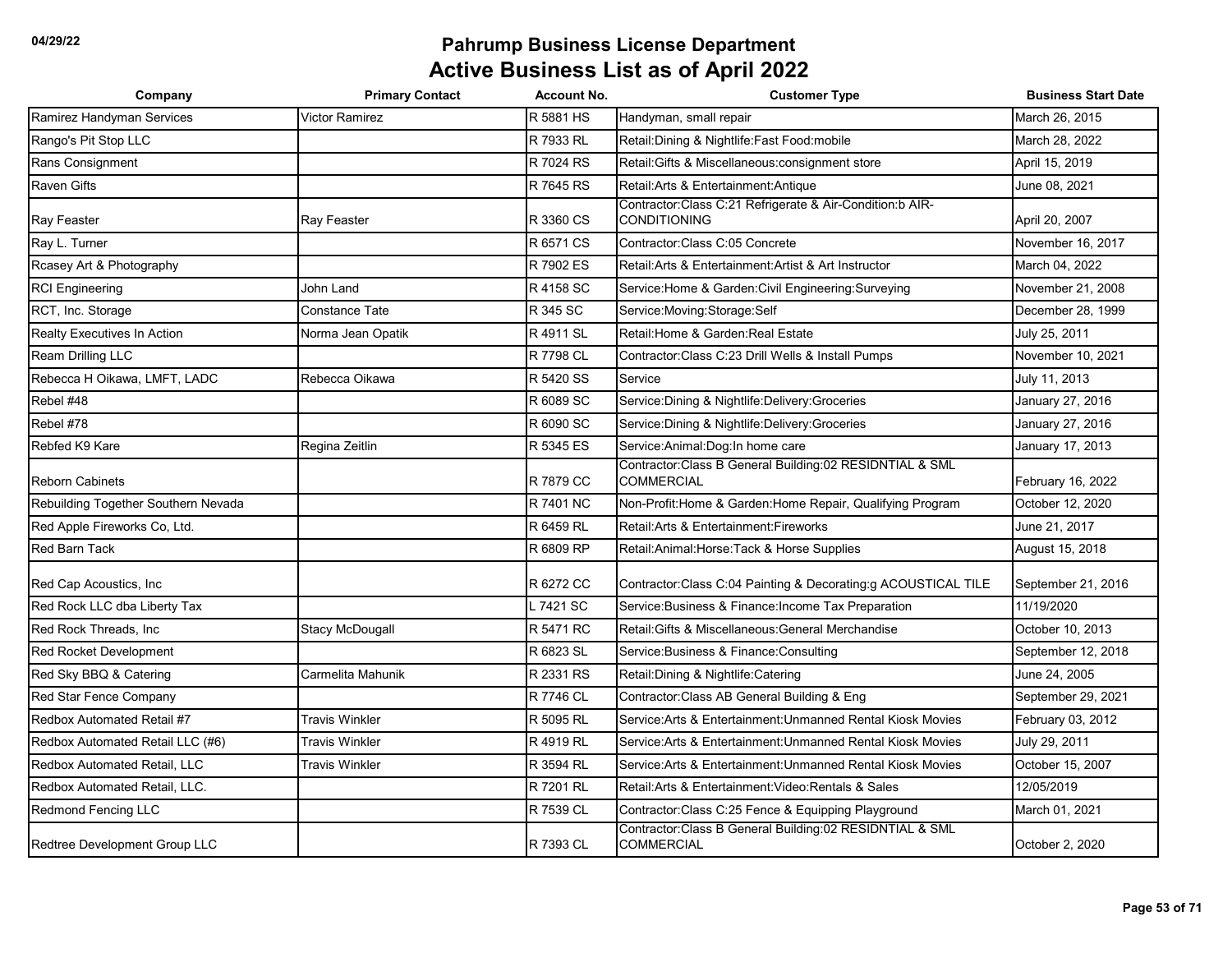| Company                             | <b>Primary Contact</b> | <b>Account No.</b> | <b>Customer Type</b>                                                              | <b>Business Start Date</b> |
|-------------------------------------|------------------------|--------------------|-----------------------------------------------------------------------------------|----------------------------|
| Ramirez Handyman Services           | <b>Victor Ramirez</b>  | R 5881 HS          | Handyman, small repair                                                            | March 26, 2015             |
| Rango's Pit Stop LLC                |                        | R 7933 RL          | Retail: Dining & Nightlife: Fast Food: mobile                                     | March 28, 2022             |
| Rans Consignment                    |                        | R 7024 RS          | Retail:Gifts & Miscellaneous:consignment store                                    | April 15, 2019             |
| Raven Gifts                         |                        | R 7645 RS          | Retail: Arts & Entertainment: Antique                                             | June 08, 2021              |
| Ray Feaster                         | Ray Feaster            | R 3360 CS          | Contractor: Class C:21 Refrigerate & Air-Condition: b AIR-<br><b>CONDITIONING</b> | April 20, 2007             |
| Ray L. Turner                       |                        | R 6571 CS          | Contractor: Class C:05 Concrete                                                   | November 16, 2017          |
| Rcasey Art & Photography            |                        | R 7902 ES          | Retail:Arts & Entertainment:Artist & Art Instructor                               | March 04, 2022             |
| <b>RCI</b> Engineering              | John Land              | R 4158 SC          | Service: Home & Garden: Civil Engineering: Surveying                              | November 21, 2008          |
| RCT, Inc. Storage                   | <b>Constance Tate</b>  | R 345 SC           | Service: Moving: Storage: Self                                                    | December 28, 1999          |
| Realty Executives In Action         | Norma Jean Opatik      | R 4911 SL          | Retail: Home & Garden: Real Estate                                                | July 25, 2011              |
| Ream Drilling LLC                   |                        | R 7798 CL          | Contractor: Class C:23 Drill Wells & Install Pumps                                | November 10, 2021          |
| Rebecca H Oikawa, LMFT, LADC        | Rebecca Oikawa         | R 5420 SS          | Service                                                                           | July 11, 2013              |
| Rebel #48                           |                        | R 6089 SC          | Service: Dining & Nightlife: Delivery: Groceries                                  | January 27, 2016           |
| Rebel #78                           |                        | R 6090 SC          | Service: Dining & Nightlife: Delivery: Groceries                                  | January 27, 2016           |
| Rebfed K9 Kare                      | Regina Zeitlin         | R 5345 ES          | Service: Animal: Dog: In home care                                                | January 17, 2013           |
| <b>Reborn Cabinets</b>              |                        | R 7879 CC          | Contractor: Class B General Building: 02 RESIDNTIAL & SML<br><b>COMMERCIAL</b>    | February 16, 2022          |
| Rebuilding Together Southern Nevada |                        | R 7401 NC          | Non-Profit: Home & Garden: Home Repair, Qualifying Program                        | October 12, 2020           |
| Red Apple Fireworks Co, Ltd.        |                        | R 6459 RL          | Retail: Arts & Entertainment: Fireworks                                           | June 21, 2017              |
| <b>Red Barn Tack</b>                |                        | R 6809 RP          | Retail: Animal: Horse: Tack & Horse Supplies                                      | August 15, 2018            |
| Red Cap Acoustics, Inc.             |                        | R 6272 CC          | Contractor:Class C:04 Painting & Decorating:g ACOUSTICAL TILE                     | September 21, 2016         |
| Red Rock LLC dba Liberty Tax        |                        | L 7421 SC          | Service: Business & Finance: Income Tax Preparation                               | 11/19/2020                 |
| Red Rock Threads, Inc               | <b>Stacy McDougall</b> | R 5471 RC          | Retail: Gifts & Miscellaneous: General Merchandise                                | October 10, 2013           |
| <b>Red Rocket Development</b>       |                        | R 6823 SL          | Service: Business & Finance: Consulting                                           | September 12, 2018         |
| Red Sky BBQ & Catering              | Carmelita Mahunik      | R 2331 RS          | Retail: Dining & Nightlife: Catering                                              | June 24, 2005              |
| Red Star Fence Company              |                        | R 7746 CL          | Contractor: Class AB General Building & Eng                                       | September 29, 2021         |
| Redbox Automated Retail #7          | <b>Travis Winkler</b>  | R 5095 RL          | Service: Arts & Entertainment: Unmanned Rental Kiosk Movies                       | February 03, 2012          |
| Redbox Automated Retail LLC (#6)    | <b>Travis Winkler</b>  | R 4919 RL          | Service: Arts & Entertainment: Unmanned Rental Kiosk Movies                       | July 29, 2011              |
| Redbox Automated Retail, LLC        | Travis Winkler         | R 3594 RL          | Service: Arts & Entertainment: Unmanned Rental Kiosk Movies                       | October 15, 2007           |
| Redbox Automated Retail, LLC.       |                        | R 7201 RL          | Retail: Arts & Entertainment: Video: Rentals & Sales                              | 12/05/2019                 |
| Redmond Fencing LLC                 |                        | R 7539 CL          | Contractor: Class C:25 Fence & Equipping Playground                               | March 01, 2021             |
| Redtree Development Group LLC       |                        | R 7393 CL          | Contractor: Class B General Building: 02 RESIDNTIAL & SML<br><b>COMMERCIAL</b>    | October 2, 2020            |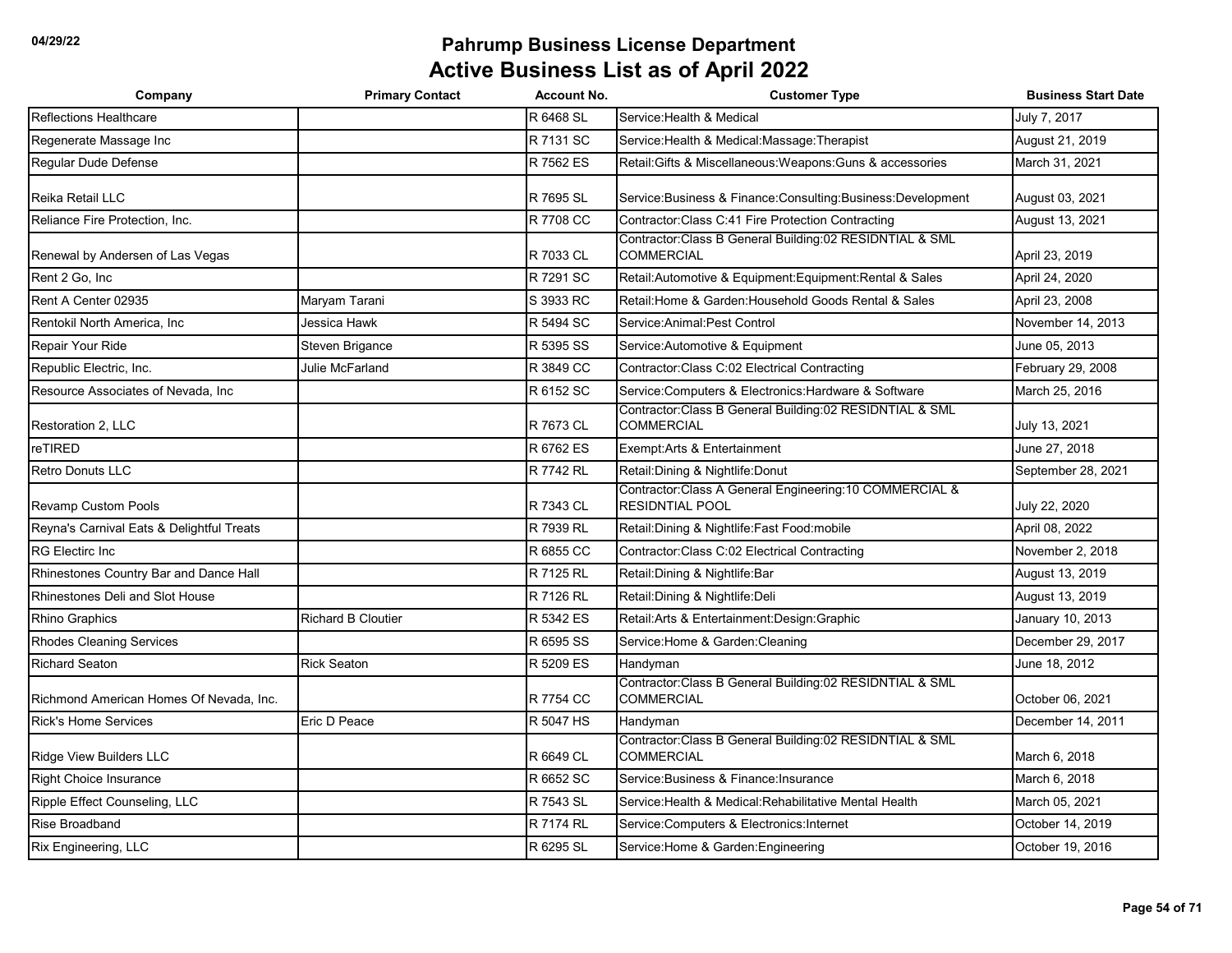| Company                                   | <b>Primary Contact</b>    | <b>Account No.</b> | <b>Customer Type</b>                                                               | <b>Business Start Date</b> |
|-------------------------------------------|---------------------------|--------------------|------------------------------------------------------------------------------------|----------------------------|
| <b>Reflections Healthcare</b>             |                           | R 6468 SL          | Service: Health & Medical                                                          | July 7, 2017               |
| Regenerate Massage Inc                    |                           | R 7131 SC          | Service: Health & Medical: Massage: Therapist                                      | August 21, 2019            |
| Regular Dude Defense                      |                           | R 7562 ES          | Retail: Gifts & Miscellaneous: Weapons: Guns & accessories                         | March 31, 2021             |
| Reika Retail LLC                          |                           | R 7695 SL          | Service: Business & Finance: Consulting: Business: Development                     | August 03, 2021            |
| Reliance Fire Protection, Inc.            |                           | R 7708 CC          | Contractor: Class C:41 Fire Protection Contracting                                 | August 13, 2021            |
| Renewal by Andersen of Las Vegas          |                           | R 7033 CL          | Contractor: Class B General Building: 02 RESIDNTIAL & SML<br><b>COMMERCIAL</b>     | April 23, 2019             |
| Rent 2 Go, Inc                            |                           | R 7291 SC          | Retail:Automotive & Equipment:Equipment:Rental & Sales                             | April 24, 2020             |
| Rent A Center 02935                       | Maryam Tarani             | S 3933 RC          | Retail: Home & Garden: Household Goods Rental & Sales                              | April 23, 2008             |
| Rentokil North America. Inc               | Jessica Hawk              | R 5494 SC          | Service: Animal: Pest Control                                                      | November 14, 2013          |
| Repair Your Ride                          | Steven Brigance           | R 5395 SS          | Service: Automotive & Equipment                                                    | June 05, 2013              |
| Republic Electric, Inc.                   | Julie McFarland           | R 3849 CC          | Contractor: Class C:02 Electrical Contracting                                      | February 29, 2008          |
| Resource Associates of Nevada, Inc.       |                           | R 6152 SC          | Service: Computers & Electronics: Hardware & Software                              | March 25, 2016             |
| Restoration 2, LLC                        |                           | R 7673 CL          | Contractor: Class B General Building: 02 RESIDNTIAL & SML<br><b>COMMERCIAL</b>     | July 13, 2021              |
| reTIRED                                   |                           | R 6762 ES          | Exempt: Arts & Entertainment                                                       | June 27, 2018              |
| <b>Retro Donuts LLC</b>                   |                           | R 7742 RL          | Retail: Dining & Nightlife: Donut                                                  | September 28, 2021         |
| <b>Revamp Custom Pools</b>                |                           | R 7343 CL          | Contractor: Class A General Engineering: 10 COMMERCIAL &<br><b>RESIDNTIAL POOL</b> | July 22, 2020              |
| Reyna's Carnival Eats & Delightful Treats |                           | R 7939 RL          | Retail: Dining & Nightlife: Fast Food: mobile                                      | April 08, 2022             |
| <b>RG Electirc Inc.</b>                   |                           | R 6855 CC          | Contractor: Class C:02 Electrical Contracting                                      | November 2, 2018           |
| Rhinestones Country Bar and Dance Hall    |                           | R 7125 RL          | Retail: Dining & Nightlife: Bar                                                    | August 13, 2019            |
| Rhinestones Deli and Slot House           |                           | R 7126 RL          | Retail: Dining & Nightlife: Deli                                                   | August 13, 2019            |
| Rhino Graphics                            | <b>Richard B Cloutier</b> | R 5342 ES          | Retail: Arts & Entertainment: Design: Graphic                                      | January 10, 2013           |
| <b>Rhodes Cleaning Services</b>           |                           | R 6595 SS          | Service: Home & Garden: Cleaning                                                   | December 29, 2017          |
| <b>Richard Seaton</b>                     | <b>Rick Seaton</b>        | R 5209 ES          | Handyman                                                                           | June 18, 2012              |
| Richmond American Homes Of Nevada, Inc.   |                           | R 7754 CC          | Contractor: Class B General Building: 02 RESIDNTIAL & SML<br><b>COMMERCIAL</b>     | October 06, 2021           |
| <b>Rick's Home Services</b>               | Eric D Peace              | R 5047 HS          | Handyman                                                                           | December 14, 2011          |
| <b>Ridge View Builders LLC</b>            |                           | R 6649 CL          | Contractor: Class B General Building: 02 RESIDNTIAL & SML<br><b>COMMERCIAL</b>     | March 6, 2018              |
| Right Choice Insurance                    |                           | R 6652 SC          | Service: Business & Finance: Insurance                                             | March 6, 2018              |
| Ripple Effect Counseling, LLC             |                           | R 7543 SL          | Service: Health & Medical: Rehabilitative Mental Health                            | March 05, 2021             |
| <b>Rise Broadband</b>                     |                           | R 7174 RL          | Service:Computers & Electronics:Internet                                           | October 14, 2019           |
| Rix Engineering, LLC                      |                           | R 6295 SL          | Service: Home & Garden: Engineering                                                | October 19, 2016           |
|                                           |                           |                    |                                                                                    |                            |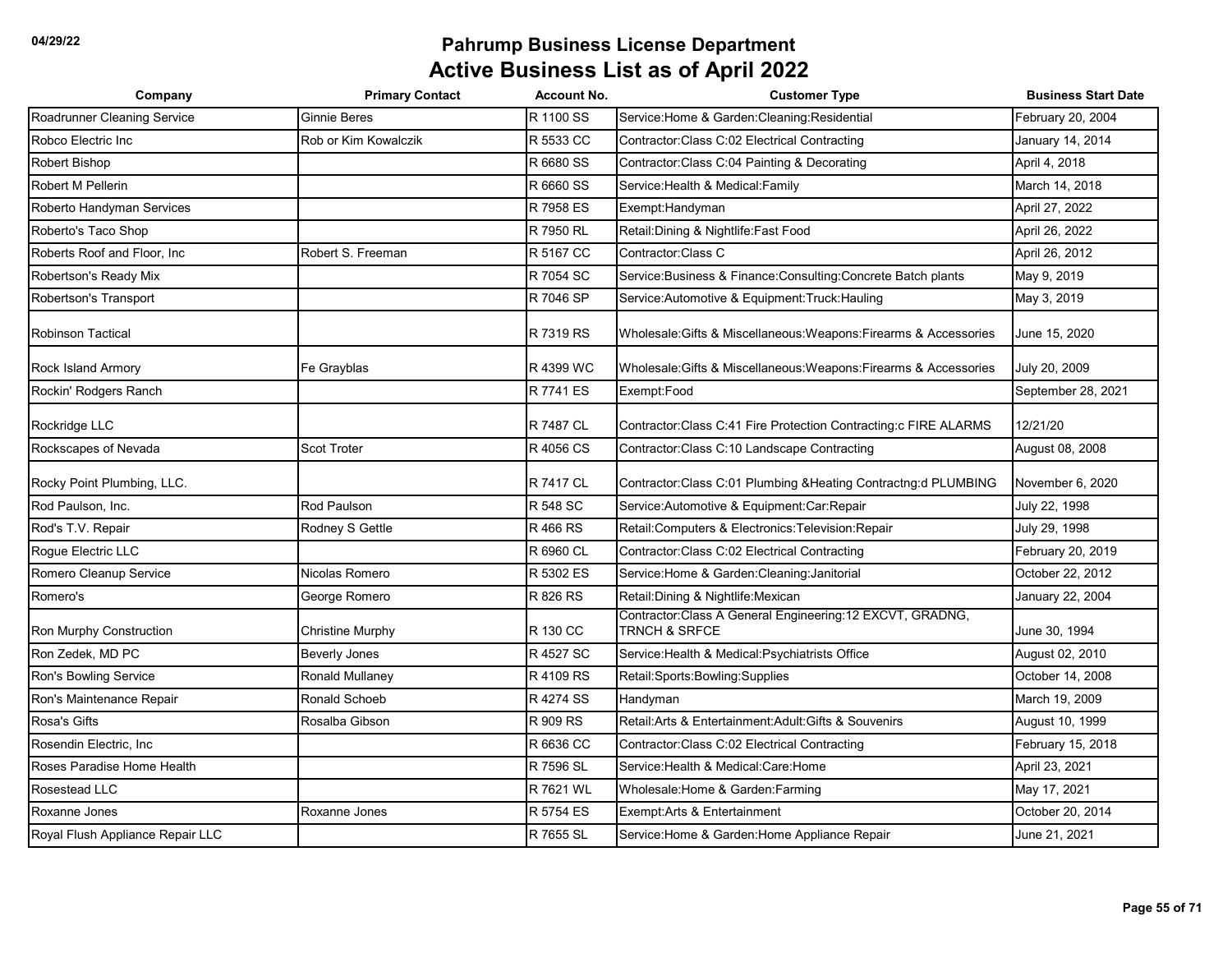| Company                          | <b>Primary Contact</b> | <b>Account No.</b> | <b>Customer Type</b>                                                      | <b>Business Start Date</b> |
|----------------------------------|------------------------|--------------------|---------------------------------------------------------------------------|----------------------------|
| Roadrunner Cleaning Service      | <b>Ginnie Beres</b>    | R 1100 SS          | Service: Home & Garden: Cleaning: Residential                             | February 20, 2004          |
| Robco Electric Inc               | Rob or Kim Kowalczik   | R 5533 CC          | Contractor: Class C:02 Electrical Contracting                             | January 14, 2014           |
| Robert Bishop                    |                        | R 6680 SS          | Contractor: Class C:04 Painting & Decorating                              | April 4, 2018              |
| Robert M Pellerin                |                        | R 6660 SS          | Service: Health & Medical: Family                                         | March 14, 2018             |
| Roberto Handyman Services        |                        | R 7958 ES          | Exempt:Handyman                                                           | April 27, 2022             |
| Roberto's Taco Shop              |                        | R 7950 RL          | Retail: Dining & Nightlife: Fast Food                                     | April 26, 2022             |
| Roberts Roof and Floor, Inc.     | Robert S. Freeman      | R 5167 CC          | Contractor: Class C                                                       | April 26, 2012             |
| Robertson's Ready Mix            |                        | R 7054 SC          | Service: Business & Finance: Consulting: Concrete Batch plants            | May 9, 2019                |
| Robertson's Transport            |                        | R 7046 SP          | Service: Automotive & Equipment: Truck: Hauling                           | May 3, 2019                |
| <b>Robinson Tactical</b>         |                        | R 7319 RS          | Wholesale: Gifts & Miscellaneous: Weapons: Firearms & Accessories         | June 15, 2020              |
| <b>Rock Island Armory</b>        | Fe Grayblas            | R 4399 WC          | Wholesale: Gifts & Miscellaneous: Weapons: Firearms & Accessories         | July 20, 2009              |
| Rockin' Rodgers Ranch            |                        | R 7741 ES          | Exempt:Food                                                               | September 28, 2021         |
| Rockridge LLC                    |                        | R 7487 CL          | Contractor:Class C:41 Fire Protection Contracting:c FIRE ALARMS           | 12/21/20                   |
| Rockscapes of Nevada             | Scot Troter            | R 4056 CS          | Contractor: Class C:10 Landscape Contracting                              | August 08, 2008            |
| Rocky Point Plumbing, LLC.       |                        | R 7417 CL          | Contractor: Class C:01 Plumbing & Heating Contractng: d PLUMBING          | November 6, 2020           |
| Rod Paulson, Inc.                | Rod Paulson            | R 548 SC           | Service: Automotive & Equipment: Car: Repair                              | July 22, 1998              |
| Rod's T.V. Repair                | Rodney S Gettle        | R 466 RS           | Retail: Computers & Electronics: Television: Repair                       | July 29, 1998              |
| Rogue Electric LLC               |                        | R 6960 CL          | Contractor: Class C:02 Electrical Contracting                             | February 20, 2019          |
| Romero Cleanup Service           | Nicolas Romero         | R 5302 ES          | Service: Home & Garden: Cleaning: Janitorial                              | October 22, 2012           |
| Romero's                         | George Romero          | R 826 RS           | Retail: Dining & Nightlife: Mexican                                       | January 22, 2004           |
| Ron Murphy Construction          | Christine Murphy       | R 130 CC           | Contractor:Class A General Engineering:12 EXCVT, GRADNG,<br>TRNCH & SRFCE | June 30, 1994              |
| Ron Zedek, MD PC                 | Beverly Jones          | R 4527 SC          | Service: Health & Medical: Psychiatrists Office                           | August 02, 2010            |
| Ron's Bowling Service            | Ronald Mullaney        | R 4109 RS          | Retail:Sports:Bowling:Supplies                                            | October 14, 2008           |
| Ron's Maintenance Repair         | Ronald Schoeb          | R 4274 SS          | Handyman                                                                  | March 19, 2009             |
| Rosa's Gifts                     | Rosalba Gibson         | R 909 RS           | Retail: Arts & Entertainment: Adult: Gifts & Souvenirs                    | August 10, 1999            |
| Rosendin Electric, Inc.          |                        | R 6636 CC          | Contractor: Class C:02 Electrical Contracting                             | February 15, 2018          |
| Roses Paradise Home Health       |                        | R 7596 SL          | Service: Health & Medical: Care: Home                                     | April 23, 2021             |
| Rosestead LLC                    |                        | R 7621 WL          | Wholesale:Home & Garden:Farming                                           | May 17, 2021               |
| Roxanne Jones                    | Roxanne Jones          | R 5754 ES          | Exempt: Arts & Entertainment                                              | October 20, 2014           |
| Royal Flush Appliance Repair LLC |                        | R 7655 SL          | Service: Home & Garden: Home Appliance Repair                             | June 21, 2021              |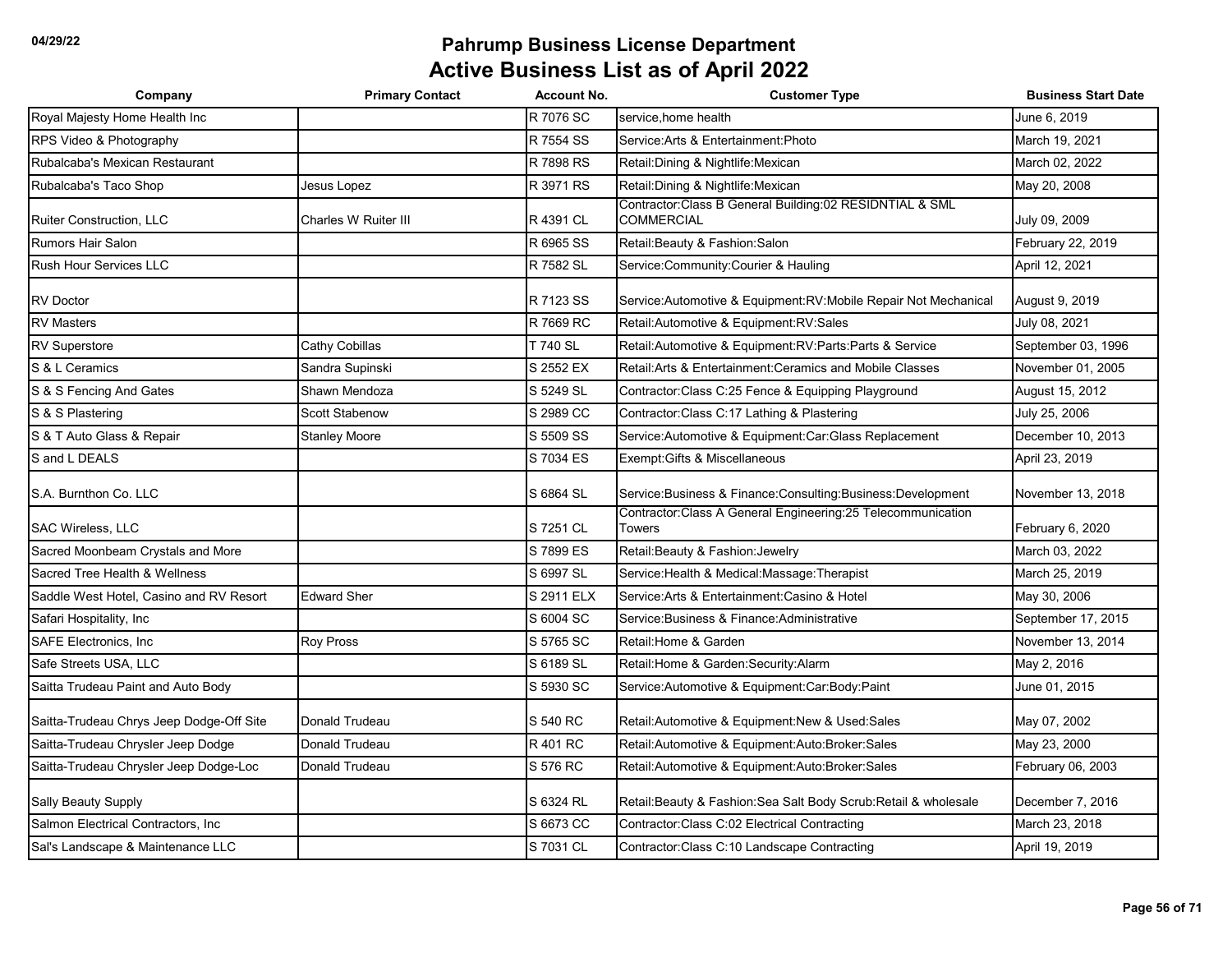| Company                                  | <b>Primary Contact</b>      | <b>Account No.</b> | <b>Customer Type</b>                                                           | <b>Business Start Date</b> |
|------------------------------------------|-----------------------------|--------------------|--------------------------------------------------------------------------------|----------------------------|
| Royal Majesty Home Health Inc            |                             | R 7076 SC          | service,home health                                                            | June 6, 2019               |
| RPS Video & Photography                  |                             | R 7554 SS          | Service: Arts & Entertainment: Photo                                           | March 19, 2021             |
| Rubalcaba's Mexican Restaurant           |                             | R 7898 RS          | Retail: Dining & Nightlife: Mexican                                            | March 02, 2022             |
| Rubalcaba's Taco Shop                    | Jesus Lopez                 | R 3971 RS          | Retail: Dining & Nightlife: Mexican                                            | May 20, 2008               |
| <b>Ruiter Construction, LLC</b>          | <b>Charles W Ruiter III</b> | R 4391 CL          | Contractor: Class B General Building: 02 RESIDNTIAL & SML<br><b>COMMERCIAL</b> | July 09, 2009              |
| <b>Rumors Hair Salon</b>                 |                             | R 6965 SS          | Retail: Beauty & Fashion: Salon                                                | February 22, 2019          |
| <b>Rush Hour Services LLC</b>            |                             | R 7582 SL          | Service:Community:Courier & Hauling                                            | April 12, 2021             |
| <b>RV</b> Doctor                         |                             | R 7123 SS          | Service: Automotive & Equipment: RV: Mobile Repair Not Mechanical              | August 9, 2019             |
| <b>RV Masters</b>                        |                             | R 7669 RC          | Retail: Automotive & Equipment: RV: Sales                                      | July 08, 2021              |
| <b>RV Superstore</b>                     | Cathy Cobillas              | T 740 SL           | Retail: Automotive & Equipment: RV: Parts: Parts & Service                     | September 03, 1996         |
| S & L Ceramics                           | Sandra Supinski             | S 2552 EX          | Retail:Arts & Entertainment:Ceramics and Mobile Classes                        | November 01, 2005          |
| S & S Fencing And Gates                  | Shawn Mendoza               | S 5249 SL          | Contractor: Class C:25 Fence & Equipping Playground                            | August 15, 2012            |
| S & S Plastering                         | Scott Stabenow              | S 2989 CC          | Contractor: Class C:17 Lathing & Plastering                                    | July 25, 2006              |
| S & T Auto Glass & Repair                | <b>Stanley Moore</b>        | S 5509 SS          | Service: Automotive & Equipment: Car: Glass Replacement                        | December 10, 2013          |
| S and L DEALS                            |                             | S 7034 ES          | Exempt: Gifts & Miscellaneous                                                  | April 23, 2019             |
| S.A. Burnthon Co. LLC                    |                             | S 6864 SL          | Service: Business & Finance: Consulting: Business: Development                 | November 13, 2018          |
| SAC Wireless, LLC                        |                             | S 7251 CL          | Contractor: Class A General Engineering: 25 Telecommunication<br>Towers        | February 6, 2020           |
| Sacred Moonbeam Crystals and More        |                             | S 7899 ES          | Retail: Beauty & Fashion: Jewelry                                              | March 03, 2022             |
| Sacred Tree Health & Wellness            |                             | S 6997 SL          | Service: Health & Medical: Massage: Therapist                                  | March 25, 2019             |
| Saddle West Hotel, Casino and RV Resort  | <b>Edward Sher</b>          | S 2911 ELX         | Service: Arts & Entertainment: Casino & Hotel                                  | May 30, 2006               |
| Safari Hospitality, Inc                  |                             | S 6004 SC          | Service: Business & Finance: Administrative                                    | September 17, 2015         |
| SAFE Electronics, Inc.                   | <b>Roy Pross</b>            | S 5765 SC          | Retail: Home & Garden                                                          | November 13, 2014          |
| Safe Streets USA, LLC                    |                             | S 6189 SL          | Retail: Home & Garden: Security: Alarm                                         | May 2, 2016                |
| Saitta Trudeau Paint and Auto Body       |                             | S 5930 SC          | Service: Automotive & Equipment: Car: Body: Paint                              | June 01, 2015              |
| Saitta-Trudeau Chrys Jeep Dodge-Off Site | Donald Trudeau              | S 540 RC           | Retail: Automotive & Equipment: New & Used: Sales                              | May 07, 2002               |
| Saitta-Trudeau Chrysler Jeep Dodge       | Donald Trudeau              | R 401 RC           | Retail: Automotive & Equipment: Auto: Broker: Sales                            | May 23, 2000               |
| Saitta-Trudeau Chrysler Jeep Dodge-Loc   | Donald Trudeau              | S 576 RC           | Retail:Automotive & Equipment:Auto:Broker:Sales                                | February 06, 2003          |
| Sally Beauty Supply                      |                             | S 6324 RL          | Retail: Beauty & Fashion: Sea Salt Body Scrub: Retail & wholesale              | December 7, 2016           |
| Salmon Electrical Contractors, Inc.      |                             | S 6673 CC          | Contractor: Class C:02 Electrical Contracting                                  | March 23, 2018             |
| Sal's Landscape & Maintenance LLC        |                             | S 7031 CL          | Contractor: Class C:10 Landscape Contracting                                   | April 19, 2019             |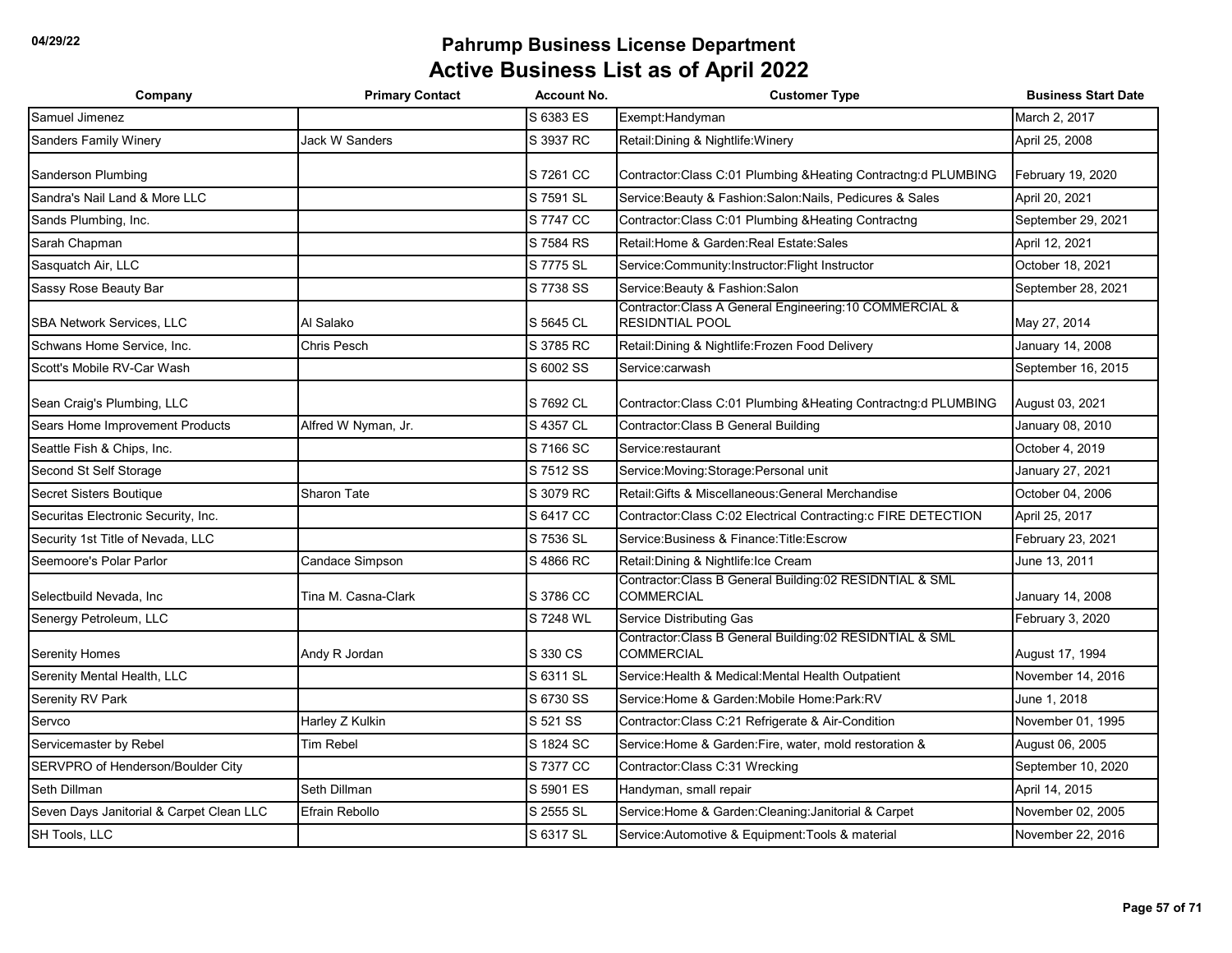| Company                                  | <b>Primary Contact</b> | <b>Account No.</b> | <b>Customer Type</b>                                                               | <b>Business Start Date</b> |
|------------------------------------------|------------------------|--------------------|------------------------------------------------------------------------------------|----------------------------|
| Samuel Jimenez                           |                        | S 6383 ES          | Exempt:Handyman                                                                    | March 2, 2017              |
| <b>Sanders Family Winery</b>             | Jack W Sanders         | S 3937 RC          | Retail: Dining & Nightlife: Winery                                                 | April 25, 2008             |
| Sanderson Plumbing                       |                        | S 7261 CC          | Contractor: Class C:01 Plumbing & Heating Contractng: d PLUMBING                   | February 19, 2020          |
| Sandra's Nail Land & More LLC            |                        | S 7591 SL          | Service: Beauty & Fashion: Salon: Nails, Pedicures & Sales                         | April 20, 2021             |
| Sands Plumbing, Inc.                     |                        | S 7747 CC          | Contractor: Class C:01 Plumbing & Heating Contractng                               | September 29, 2021         |
| Sarah Chapman                            |                        | S 7584 RS          | Retail: Home & Garden: Real Estate: Sales                                          | April 12, 2021             |
| Sasquatch Air, LLC                       |                        | S 7775 SL          | Service:Community:Instructor:Flight Instructor                                     | October 18, 2021           |
| Sassy Rose Beauty Bar                    |                        | S 7738 SS          | Service: Beauty & Fashion: Salon                                                   | September 28, 2021         |
| <b>SBA Network Services, LLC</b>         | Al Salako              | S 5645 CL          | Contractor: Class A General Engineering: 10 COMMERCIAL &<br><b>RESIDNTIAL POOL</b> | May 27, 2014               |
| Schwans Home Service, Inc.               | Chris Pesch            | S 3785 RC          | Retail: Dining & Nightlife: Frozen Food Delivery                                   | January 14, 2008           |
| Scott's Mobile RV-Car Wash               |                        | S 6002 SS          | Service:carwash                                                                    | September 16, 2015         |
| Sean Craig's Plumbing, LLC               |                        | S 7692 CL          | Contractor: Class C:01 Plumbing & Heating Contractng: d PLUMBING                   | August 03, 2021            |
| Sears Home Improvement Products          | Alfred W Nyman, Jr.    | S 4357 CL          | Contractor: Class B General Building                                               | January 08, 2010           |
| Seattle Fish & Chips, Inc.               |                        | S 7166 SC          | Service: restaurant                                                                | October 4, 2019            |
| Second St Self Storage                   |                        | S 7512 SS          | Service: Moving: Storage: Personal unit                                            | January 27, 2021           |
| Secret Sisters Boutique                  | <b>Sharon Tate</b>     | S 3079 RC          | Retail: Gifts & Miscellaneous: General Merchandise                                 | October 04, 2006           |
| Securitas Electronic Security, Inc.      |                        | S 6417 CC          | Contractor:Class C:02 Electrical Contracting:c FIRE DETECTION                      | April 25, 2017             |
| Security 1st Title of Nevada, LLC        |                        | S 7536 SL          | Service: Business & Finance: Title: Escrow                                         | February 23, 2021          |
| Seemoore's Polar Parlor                  | Candace Simpson        | S 4866 RC          | Retail: Dining & Nightlife: Ice Cream                                              | June 13, 2011              |
| Selectbuild Nevada, Inc.                 | Tina M. Casna-Clark    | S 3786 CC          | Contractor: Class B General Building: 02 RESIDNTIAL & SML<br><b>COMMERCIAL</b>     | January 14, 2008           |
| Senergy Petroleum, LLC                   |                        | S 7248 WL          | Service Distributing Gas                                                           | February 3, 2020           |
| <b>Serenity Homes</b>                    | Andy R Jordan          | S 330 CS           | Contractor: Class B General Building: 02 RESIDNTIAL & SML<br><b>COMMERCIAL</b>     | August 17, 1994            |
| Serenity Mental Health, LLC              |                        | S 6311 SL          | Service: Health & Medical: Mental Health Outpatient                                | November 14, 2016          |
| Serenity RV Park                         |                        | S 6730 SS          | Service:Home & Garden:Mobile Home:Park:RV                                          | June 1, 2018               |
| Servco                                   | Harley Z Kulkin        | S 521 SS           | Contractor: Class C:21 Refrigerate & Air-Condition                                 | November 01, 1995          |
| Servicemaster by Rebel                   | <b>Tim Rebel</b>       | S 1824 SC          | Service: Home & Garden: Fire, water, mold restoration &                            | August 06, 2005            |
| SERVPRO of Henderson/Boulder City        |                        | S 7377 CC          | Contractor: Class C: 31 Wrecking                                                   | September 10, 2020         |
| Seth Dillman                             | Seth Dillman           | S 5901 ES          | Handyman, small repair                                                             | April 14, 2015             |
| Seven Days Janitorial & Carpet Clean LLC | Efrain Rebollo         | S 2555 SL          | Service: Home & Garden: Cleaning: Janitorial & Carpet                              | November 02, 2005          |
| SH Tools, LLC                            |                        | S 6317 SL          | Service: Automotive & Equipment: Tools & material                                  | November 22, 2016          |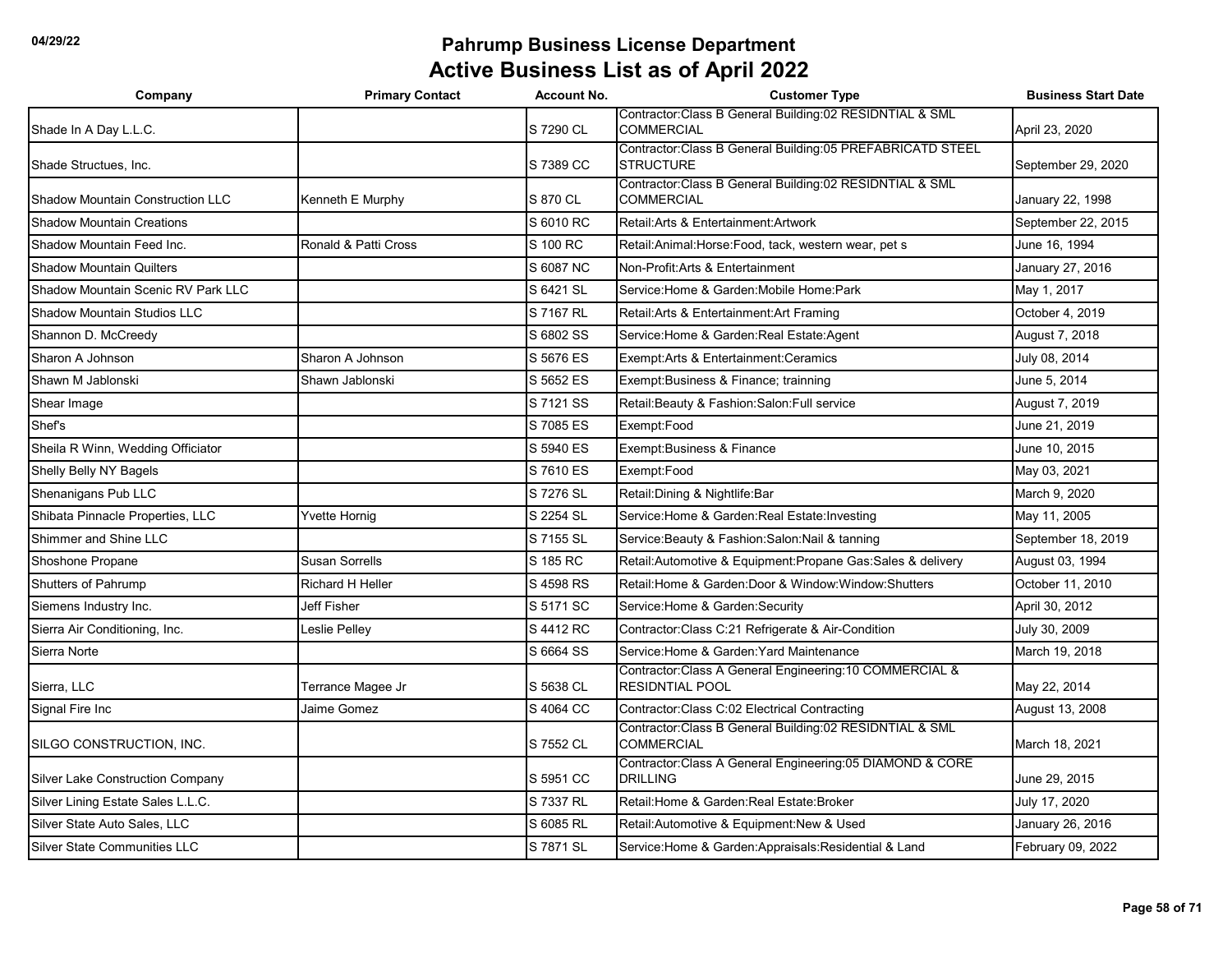| Company                                 | <b>Primary Contact</b>   | <b>Account No.</b> | <b>Customer Type</b>                                                               | <b>Business Start Date</b> |
|-----------------------------------------|--------------------------|--------------------|------------------------------------------------------------------------------------|----------------------------|
| Shade In A Day L.L.C.                   |                          | S 7290 CL          | Contractor: Class B General Building: 02 RESIDNTIAL & SML<br>COMMERCIAL            | April 23, 2020             |
| Shade Structues, Inc.                   |                          | S 7389 CC          | Contractor: Class B General Building: 05 PREFABRICATD STEEL<br><b>STRUCTURE</b>    | September 29, 2020         |
| <b>Shadow Mountain Construction LLC</b> | Kenneth E Murphy         | S 870 CL           | Contractor: Class B General Building: 02 RESIDNTIAL & SML<br><b>COMMERCIAL</b>     | January 22, 1998           |
| <b>Shadow Mountain Creations</b>        |                          | S 6010 RC          | Retail: Arts & Entertainment: Artwork                                              | September 22, 2015         |
| Shadow Mountain Feed Inc.               | Ronald & Patti Cross     | S 100 RC           | Retail:Animal:Horse:Food, tack, western wear, pet s                                | June 16, 1994              |
| <b>Shadow Mountain Quilters</b>         |                          | S 6087 NC          | Non-Profit:Arts & Entertainment                                                    | January 27, 2016           |
| Shadow Mountain Scenic RV Park LLC      |                          | S 6421 SL          | Service: Home & Garden: Mobile Home: Park                                          | May 1, 2017                |
| <b>Shadow Mountain Studios LLC</b>      |                          | S 7167 RL          | Retail: Arts & Entertainment: Art Framing                                          | October 4, 2019            |
| Shannon D. McCreedy                     |                          | S 6802 SS          | Service: Home & Garden: Real Estate: Agent                                         | August 7, 2018             |
| Sharon A Johnson                        | Sharon A Johnson         | S 5676 ES          | Exempt:Arts & Entertainment:Ceramics                                               | July 08, 2014              |
| Shawn M Jablonski                       | Shawn Jablonski          | S 5652 ES          | Exempt:Business & Finance; trainning                                               | June 5, 2014               |
| Shear Image                             |                          | S 7121 SS          | Retail: Beauty & Fashion: Salon: Full service                                      | August 7, 2019             |
| Shef's                                  |                          | S 7085 ES          | Exempt:Food                                                                        | June 21, 2019              |
| Sheila R Winn, Wedding Officiator       |                          | S 5940 ES          | Exempt: Business & Finance                                                         | June 10, 2015              |
| Shelly Belly NY Bagels                  |                          | S 7610 ES          | Exempt:Food                                                                        | May 03, 2021               |
| Shenanigans Pub LLC                     |                          | S 7276 SL          | Retail: Dining & Nightlife: Bar                                                    | March 9, 2020              |
| Shibata Pinnacle Properties, LLC        | Yvette Hornig            | S 2254 SL          | Service: Home & Garden: Real Estate: Investing                                     | May 11, 2005               |
| Shimmer and Shine LLC                   |                          | S 7155 SL          | Service: Beauty & Fashion: Salon: Nail & tanning                                   | September 18, 2019         |
| Shoshone Propane                        | <b>Susan Sorrells</b>    | S 185 RC           | Retail:Automotive & Equipment:Propane Gas:Sales & delivery                         | August 03, 1994            |
| Shutters of Pahrump                     | Richard H Heller         | S 4598 RS          | Retail: Home & Garden: Door & Window: Window: Shutters                             | October 11, 2010           |
| Siemens Industry Inc.                   | Jeff Fisher              | S 5171 SC          | Service: Home & Garden: Security                                                   | April 30, 2012             |
| Sierra Air Conditioning, Inc.           | Leslie Pelley            | S 4412 RC          | Contractor: Class C:21 Refrigerate & Air-Condition                                 | July 30, 2009              |
| Sierra Norte                            |                          | S 6664 SS          | Service: Home & Garden: Yard Maintenance                                           | March 19, 2018             |
| Sierra, LLC                             | <b>Ferrance Magee Jr</b> | S 5638 CL          | Contractor: Class A General Engineering: 10 COMMERCIAL &<br><b>RESIDNTIAL POOL</b> | May 22, 2014               |
| Signal Fire Inc                         | Jaime Gomez              | S 4064 CC          | Contractor: Class C:02 Electrical Contracting                                      | August 13, 2008            |
| SILGO CONSTRUCTION, INC.                |                          | S 7552 CL          | Contractor: Class B General Building: 02 RESIDNTIAL & SML<br><b>COMMERCIAL</b>     | March 18, 2021             |
| Silver Lake Construction Company        |                          | S 5951 CC          | Contractor: Class A General Engineering: 05 DIAMOND & CORE<br>DRILLING             | June 29, 2015              |
| Silver Lining Estate Sales L.L.C.       |                          | S 7337 RL          | Retail:Home & Garden:Real Estate:Broker                                            | July 17, 2020              |
| Silver State Auto Sales, LLC            |                          | S 6085 RL          | Retail: Automotive & Equipment: New & Used                                         | January 26, 2016           |
| <b>Silver State Communities LLC</b>     |                          | S 7871 SL          | Service: Home & Garden: Appraisals: Residential & Land                             | February 09, 2022          |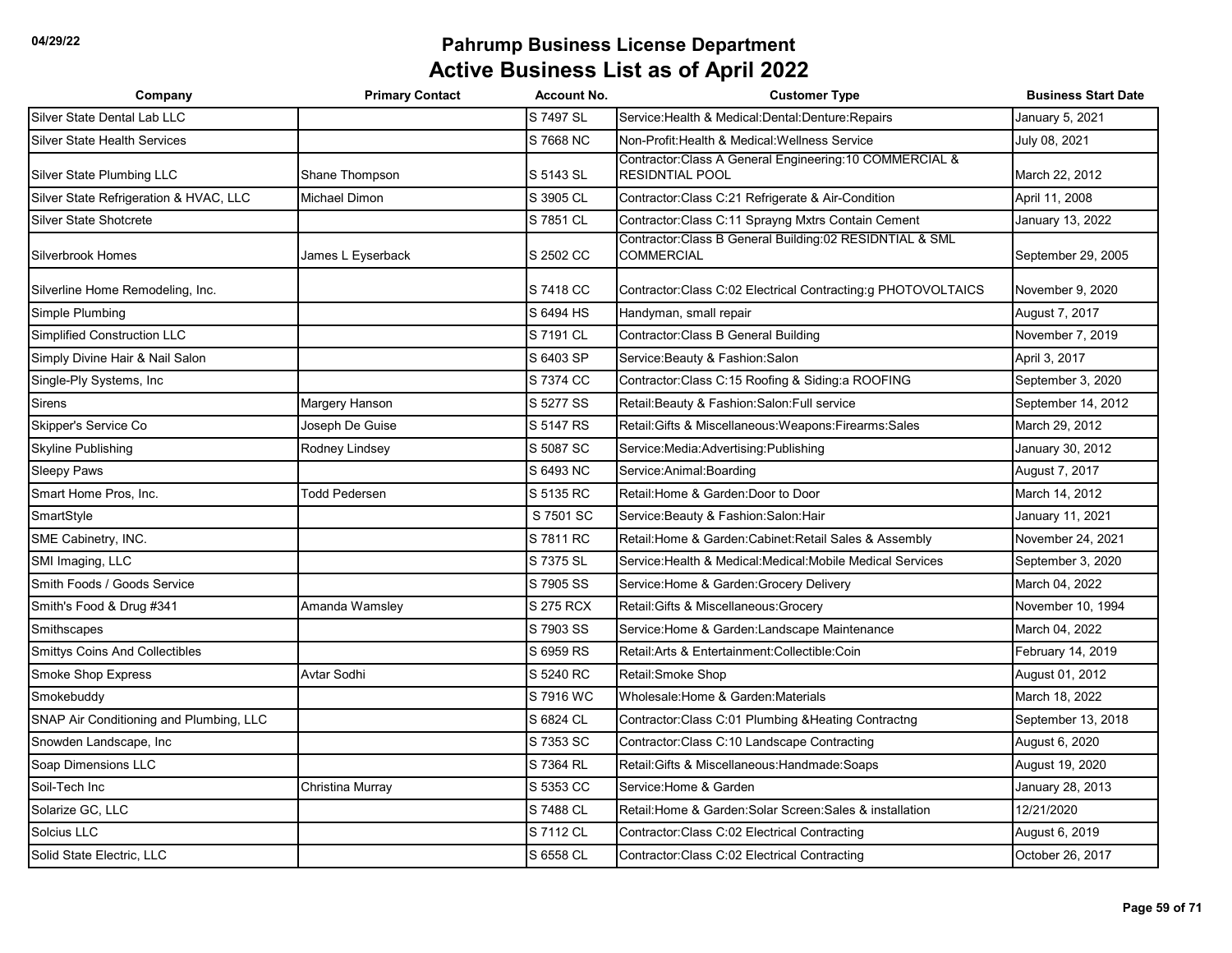| Company                                 | <b>Primary Contact</b> | <b>Account No.</b> | <b>Customer Type</b>                                                               | <b>Business Start Date</b> |
|-----------------------------------------|------------------------|--------------------|------------------------------------------------------------------------------------|----------------------------|
| Silver State Dental Lab LLC             |                        | S 7497 SL          | Service: Health & Medical: Dental: Denture: Repairs                                | January 5, 2021            |
| <b>Silver State Health Services</b>     |                        | S 7668 NC          | Non-Profit: Health & Medical: Wellness Service                                     | July 08, 2021              |
| Silver State Plumbing LLC               | Shane Thompson         | S 5143 SL          | Contractor: Class A General Engineering: 10 COMMERCIAL &<br><b>RESIDNTIAL POOL</b> | March 22, 2012             |
| Silver State Refrigeration & HVAC, LLC  | Michael Dimon          | S 3905 CL          | Contractor: Class C:21 Refrigerate & Air-Condition                                 | April 11, 2008             |
| <b>Silver State Shotcrete</b>           |                        | S 7851 CL          | Contractor: Class C:11 Sprayng Mxtrs Contain Cement                                | January 13, 2022           |
| Silverbrook Homes                       | James L Eyserback      | S 2502 CC          | Contractor:Class B General Building:02 RESIDNTIAL & SML<br><b>COMMERCIAL</b>       | September 29, 2005         |
| Silverline Home Remodeling, Inc.        |                        | S 7418 CC          | Contractor: Class C:02 Electrical Contracting: g PHOTOVOLTAICS                     | November 9, 2020           |
| Simple Plumbing                         |                        | S 6494 HS          | Handyman, small repair                                                             | August 7, 2017             |
| <b>Simplified Construction LLC</b>      |                        | S 7191 CL          | Contractor: Class B General Building                                               | November 7, 2019           |
| Simply Divine Hair & Nail Salon         |                        | S 6403 SP          | Service: Beauty & Fashion: Salon                                                   | April 3, 2017              |
| Single-Ply Systems, Inc.                |                        | S 7374 CC          | Contractor: Class C:15 Roofing & Siding: a ROOFING                                 | September 3, 2020          |
| Sirens                                  | Margery Hanson         | S 5277 SS          | Retail: Beauty & Fashion: Salon: Full service                                      | September 14, 2012         |
| Skipper's Service Co                    | Joseph De Guise        | S 5147 RS          | Retail: Gifts & Miscellaneous: Weapons: Firearms: Sales                            | March 29, 2012             |
| <b>Skyline Publishing</b>               | Rodney Lindsey         | S 5087 SC          | Service: Media: Advertising: Publishing                                            | January 30, 2012           |
| <b>Sleepy Paws</b>                      |                        | S 6493 NC          | Service: Animal: Boarding                                                          | August 7, 2017             |
| Smart Home Pros, Inc.                   | <b>Todd Pedersen</b>   | S 5135 RC          | Retail: Home & Garden: Door to Door                                                | March 14, 2012             |
| SmartStyle                              |                        | S 7501 SC          | Service: Beauty & Fashion: Salon: Hair                                             | January 11, 2021           |
| SME Cabinetry, INC.                     |                        | S 7811 RC          | Retail: Home & Garden: Cabinet: Retail Sales & Assembly                            | November 24, 2021          |
| SMI Imaging, LLC                        |                        | S 7375 SL          | Service: Health & Medical: Medical: Mobile Medical Services                        | September 3, 2020          |
| Smith Foods / Goods Service             |                        | S 7905 SS          | Service: Home & Garden: Grocery Delivery                                           | March 04, 2022             |
| Smith's Food & Drug #341                | Amanda Wamsley         | S 275 RCX          | Retail: Gifts & Miscellaneous: Grocery                                             | November 10, 1994          |
| Smithscapes                             |                        | S 7903 SS          | Service: Home & Garden: Landscape Maintenance                                      | March 04, 2022             |
| <b>Smittys Coins And Collectibles</b>   |                        | S 6959 RS          | Retail: Arts & Entertainment: Collectible: Coin                                    | February 14, 2019          |
| Smoke Shop Express                      | Avtar Sodhi            | S 5240 RC          | Retail:Smoke Shop                                                                  | August 01, 2012            |
| Smokebuddy                              |                        | S 7916 WC          | Wholesale: Home & Garden: Materials                                                | March 18, 2022             |
| SNAP Air Conditioning and Plumbing, LLC |                        | S 6824 CL          | Contractor: Class C:01 Plumbing & Heating Contractng                               | September 13, 2018         |
| Snowden Landscape, Inc                  |                        | S 7353 SC          | Contractor: Class C: 10 Landscape Contracting                                      | August 6, 2020             |
| Soap Dimensions LLC                     |                        | S 7364 RL          | Retail: Gifts & Miscellaneous: Handmade: Soaps                                     | August 19, 2020            |
| Soil-Tech Inc                           | Christina Murray       | S 5353 CC          | Service: Home & Garden                                                             | January 28, 2013           |
| Solarize GC, LLC                        |                        | S 7488 CL          | Retail: Home & Garden: Solar Screen: Sales & installation                          | 12/21/2020                 |
| Solcius LLC                             |                        | S 7112 CL          | Contractor: Class C:02 Electrical Contracting                                      | August 6, 2019             |
| Solid State Electric, LLC               |                        | S 6558 CL          | Contractor: Class C:02 Electrical Contracting                                      | October 26, 2017           |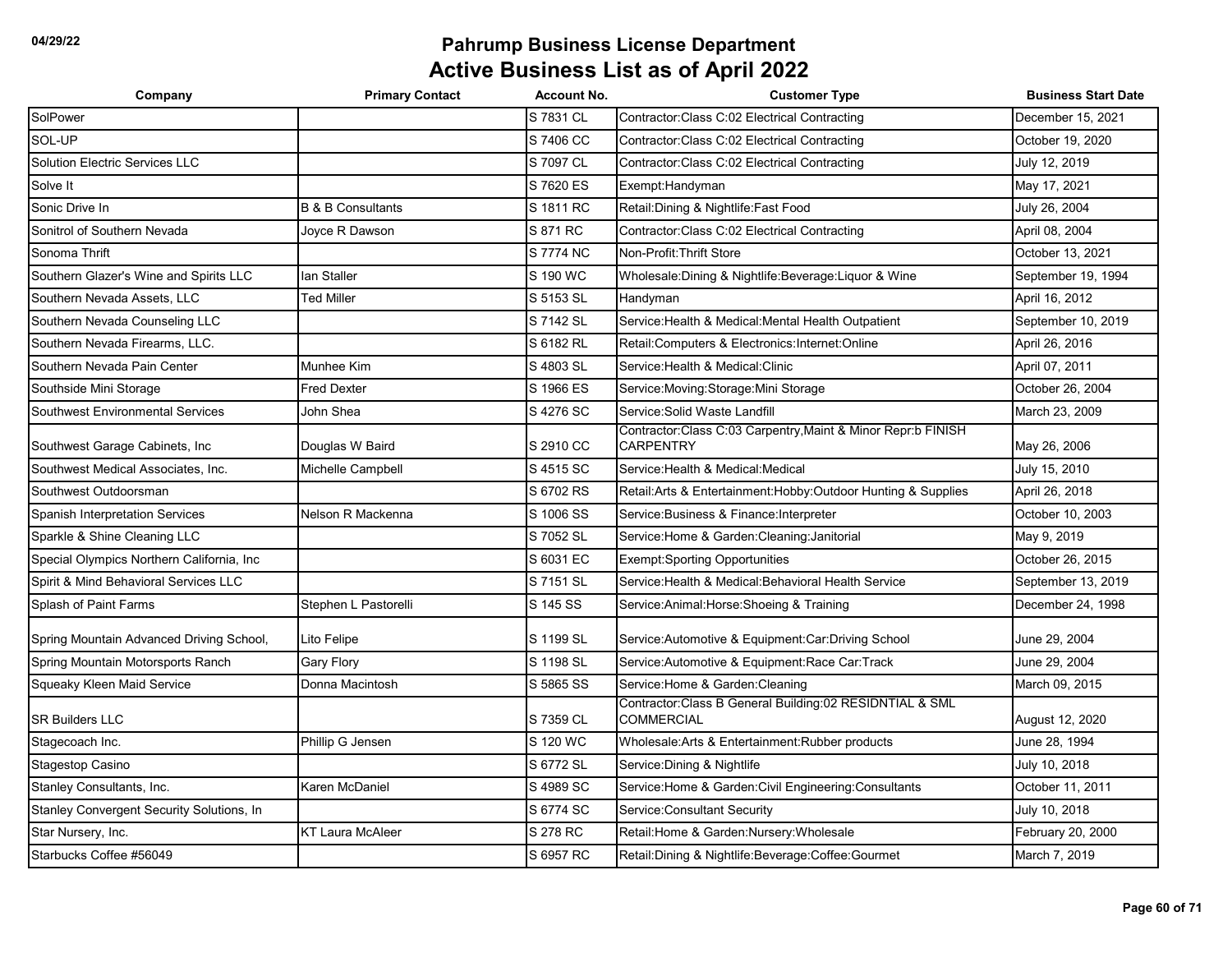| Company                                   | <b>Primary Contact</b>       | <b>Account No.</b> | <b>Customer Type</b>                                                           | <b>Business Start Date</b> |
|-------------------------------------------|------------------------------|--------------------|--------------------------------------------------------------------------------|----------------------------|
| SolPower                                  |                              | S 7831 CL          | Contractor: Class C:02 Electrical Contracting                                  | December 15, 2021          |
| SOL-UP                                    |                              | S 7406 CC          | Contractor:Class C:02 Electrical Contracting                                   | October 19, 2020           |
| Solution Electric Services LLC            |                              | S 7097 CL          | Contractor:Class C:02 Electrical Contracting                                   | July 12, 2019              |
| Solve It                                  |                              | S 7620 ES          | Exempt: Handyman                                                               | May 17, 2021               |
| Sonic Drive In                            | <b>B &amp; B Consultants</b> | S 1811 RC          | Retail: Dining & Nightlife: Fast Food                                          | July 26, 2004              |
| Sonitrol of Southern Nevada               | Joyce R Dawson               | S 871 RC           | Contractor:Class C:02 Electrical Contracting                                   | April 08, 2004             |
| Sonoma Thrift                             |                              | S 7774 NC          | Non-Profit: Thrift Store                                                       | October 13, 2021           |
| Southern Glazer's Wine and Spirits LLC    | lan Staller                  | S 190 WC           | Wholesale: Dining & Nightlife: Beverage: Liquor & Wine                         | September 19, 1994         |
| Southern Nevada Assets, LLC               | <b>Ted Miller</b>            | S 5153 SL          | Handyman                                                                       | April 16, 2012             |
| Southern Nevada Counseling LLC            |                              | S 7142 SL          | Service: Health & Medical: Mental Health Outpatient                            | September 10, 2019         |
| Southern Nevada Firearms, LLC.            |                              | S 6182 RL          | Retail: Computers & Electronics: Internet: Online                              | April 26, 2016             |
| Southern Nevada Pain Center               | Munhee Kim                   | S 4803 SL          | Service: Health & Medical: Clinic                                              | April 07, 2011             |
| Southside Mini Storage                    | Fred Dexter                  | S 1966 ES          | Service: Moving: Storage: Mini Storage                                         | October 26, 2004           |
| <b>Southwest Environmental Services</b>   | John Shea                    | S 4276 SC          | Service:Solid Waste Landfill                                                   | March 23, 2009             |
| Southwest Garage Cabinets, Inc.           | Douglas W Baird              | S 2910 CC          | Contractor: Class C:03 Carpentry, Maint & Minor Repr: b FINISH<br>CARPENTRY    | May 26, 2006               |
| Southwest Medical Associates, Inc.        | Michelle Campbell            | S 4515 SC          | Service: Health & Medical: Medical                                             | July 15, 2010              |
| Southwest Outdoorsman                     |                              | S 6702 RS          | Retail: Arts & Entertainment: Hobby: Outdoor Hunting & Supplies                | April 26, 2018             |
| <b>Spanish Interpretation Services</b>    | Nelson R Mackenna            | S 1006 SS          | Service: Business & Finance: Interpreter                                       | October 10, 2003           |
| Sparkle & Shine Cleaning LLC              |                              | S 7052 SL          | Service:Home & Garden:Cleaning:Janitorial                                      | May 9, 2019                |
| Special Olympics Northern California, Inc |                              | S 6031 EC          | <b>Exempt:Sporting Opportunities</b>                                           | October 26, 2015           |
| Spirit & Mind Behavioral Services LLC     |                              | S 7151 SL          | Service: Health & Medical: Behavioral Health Service                           | September 13, 2019         |
| Splash of Paint Farms                     | Stephen L Pastorelli         | S 145 SS           | Service: Animal: Horse: Shoeing & Training                                     | December 24, 1998          |
| Spring Mountain Advanced Driving School,  | Lito Felipe                  | S 1199 SL          | Service:Automotive & Equipment:Car:Driving School                              | June 29, 2004              |
| Spring Mountain Motorsports Ranch         | Gary Flory                   | S 1198 SL          | Service: Automotive & Equipment: Race Car: Track                               | June 29, 2004              |
| Squeaky Kleen Maid Service                | Donna Macintosh              | S 5865 SS          | Service:Home & Garden:Cleaning                                                 | March 09, 2015             |
| <b>SR Builders LLC</b>                    |                              | S 7359 CL          | Contractor: Class B General Building: 02 RESIDNTIAL & SML<br><b>COMMERCIAL</b> | August 12, 2020            |
| Stagecoach Inc.                           | Phillip G Jensen             | S 120 WC           | Wholesale:Arts & Entertainment:Rubber products                                 | June 28, 1994              |
| Stagestop Casino                          |                              | S 6772 SL          | Service: Dining & Nightlife                                                    | July 10, 2018              |
| Stanley Consultants, Inc.                 | Karen McDaniel               | S 4989 SC          | Service: Home & Garden: Civil Engineering: Consultants                         | October 11, 2011           |
| Stanley Convergent Security Solutions, In |                              | S 6774 SC          | Service:Consultant Security                                                    | July 10, 2018              |
| Star Nursery, Inc.                        | <b>KT Laura McAleer</b>      | S 278 RC           | Retail: Home & Garden: Nursery: Wholesale                                      | February 20, 2000          |
| Starbucks Coffee #56049                   |                              | S 6957 RC          | Retail: Dining & Nightlife: Beverage: Coffee: Gourmet                          | March 7, 2019              |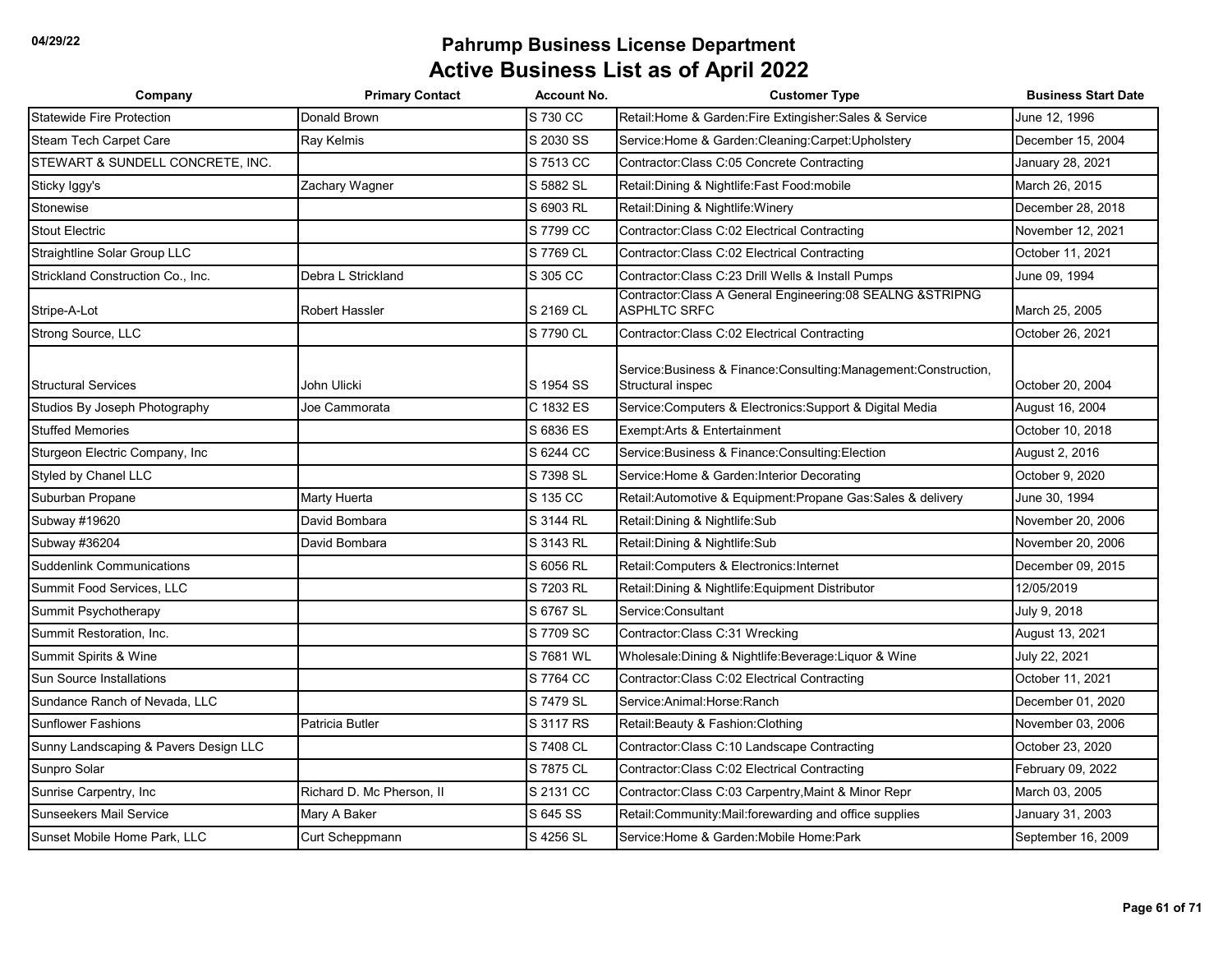| Company                               | <b>Primary Contact</b>    | <b>Account No.</b> | <b>Customer Type</b>                                                                    | <b>Business Start Date</b> |
|---------------------------------------|---------------------------|--------------------|-----------------------------------------------------------------------------------------|----------------------------|
| <b>Statewide Fire Protection</b>      | Donald Brown              | S 730 CC           | Retail: Home & Garden: Fire Extingisher: Sales & Service                                | June 12, 1996              |
| <b>Steam Tech Carpet Care</b>         | Ray Kelmis                | S 2030 SS          | Service: Home & Garden: Cleaning: Carpet: Upholstery                                    | December 15, 2004          |
| STEWART & SUNDELL CONCRETE, INC.      |                           | S 7513 CC          | Contractor: Class C:05 Concrete Contracting                                             | January 28, 2021           |
| Sticky Iggy's                         | Zachary Wagner            | S 5882 SL          | Retail: Dining & Nightlife: Fast Food: mobile                                           | March 26, 2015             |
| Stonewise                             |                           | S 6903 RL          | Retail: Dining & Nightlife: Winery                                                      | December 28, 2018          |
| <b>Stout Electric</b>                 |                           | S 7799 CC          | Contractor:Class C:02 Electrical Contracting                                            | November 12, 2021          |
| Straightline Solar Group LLC          |                           | S 7769 CL          | Contractor: Class C:02 Electrical Contracting                                           | October 11, 2021           |
| Strickland Construction Co., Inc.     | Debra L Strickland        | S 305 CC           | Contractor: Class C:23 Drill Wells & Install Pumps                                      | June 09, 1994              |
| Stripe-A-Lot                          | <b>Robert Hassler</b>     | S 2169 CL          | Contractor: Class A General Engineering: 08 SEALNG & STRIPNG<br><b>ASPHLTC SRFC</b>     | March 25, 2005             |
| Strong Source, LLC                    |                           | S 7790 CL          | Contractor: Class C:02 Electrical Contracting                                           | October 26, 2021           |
| <b>Structural Services</b>            | John Ulicki               | S 1954 SS          | Service: Business & Finance: Consulting: Management: Construction,<br>Structural inspec | October 20, 2004           |
| Studios By Joseph Photography         | Joe Cammorata             | C 1832 ES          | Service: Computers & Electronics: Support & Digital Media                               | August 16, 2004            |
| <b>Stuffed Memories</b>               |                           | S 6836 ES          | Exempt:Arts & Entertainment                                                             | October 10, 2018           |
| Sturgeon Electric Company, Inc        |                           | S 6244 CC          | Service: Business & Finance: Consulting: Election                                       | August 2, 2016             |
| Styled by Chanel LLC                  |                           | S 7398 SL          | Service:Home & Garden:Interior Decorating                                               | October 9, 2020            |
| Suburban Propane                      | Marty Huerta              | S 135 CC           | Retail: Automotive & Equipment: Propane Gas: Sales & delivery                           | June 30, 1994              |
| Subway #19620                         | David Bombara             | S 3144 RL          | Retail: Dining & Nightlife: Sub                                                         | November 20, 2006          |
| Subway #36204                         | David Bombara             | S 3143 RL          | Retail: Dining & Nightlife: Sub                                                         | November 20, 2006          |
| <b>Suddenlink Communications</b>      |                           | S 6056 RL          | Retail: Computers & Electronics: Internet                                               | December 09, 2015          |
| Summit Food Services, LLC             |                           | S 7203 RL          | Retail:Dining & Nightlife:Equipment Distributor                                         | 12/05/2019                 |
| Summit Psychotherapy                  |                           | S 6767 SL          | Service: Consultant                                                                     | July 9, 2018               |
| Summit Restoration, Inc.              |                           | S 7709 SC          | Contractor:Class C:31 Wrecking                                                          | August 13, 2021            |
| Summit Spirits & Wine                 |                           | S 7681 WL          | Wholesale: Dining & Nightlife: Beverage: Liquor & Wine                                  | July 22, 2021              |
| Sun Source Installations              |                           | S 7764 CC          | Contractor: Class C:02 Electrical Contracting                                           | October 11, 2021           |
| Sundance Ranch of Nevada, LLC         |                           | S 7479 SL          | Service:Animal:Horse:Ranch                                                              | December 01, 2020          |
| <b>Sunflower Fashions</b>             | Patricia Butler           | S 3117 RS          | Retail: Beauty & Fashion: Clothing                                                      | November 03, 2006          |
| Sunny Landscaping & Pavers Design LLC |                           | S 7408 CL          | Contractor: Class C:10 Landscape Contracting                                            | October 23, 2020           |
| Sunpro Solar                          |                           | S 7875 CL          | Contractor:Class C:02 Electrical Contracting                                            | February 09, 2022          |
| Sunrise Carpentry, Inc                | Richard D. Mc Pherson, II | S 2131 CC          | Contractor: Class C:03 Carpentry, Maint & Minor Repr                                    | March 03, 2005             |
| Sunseekers Mail Service               | Mary A Baker              | S 645 SS           | Retail: Community: Mail: forewarding and office supplies                                | January 31, 2003           |
| Sunset Mobile Home Park, LLC          | Curt Scheppmann           | S 4256 SL          | Service: Home & Garden: Mobile Home: Park                                               | September 16, 2009         |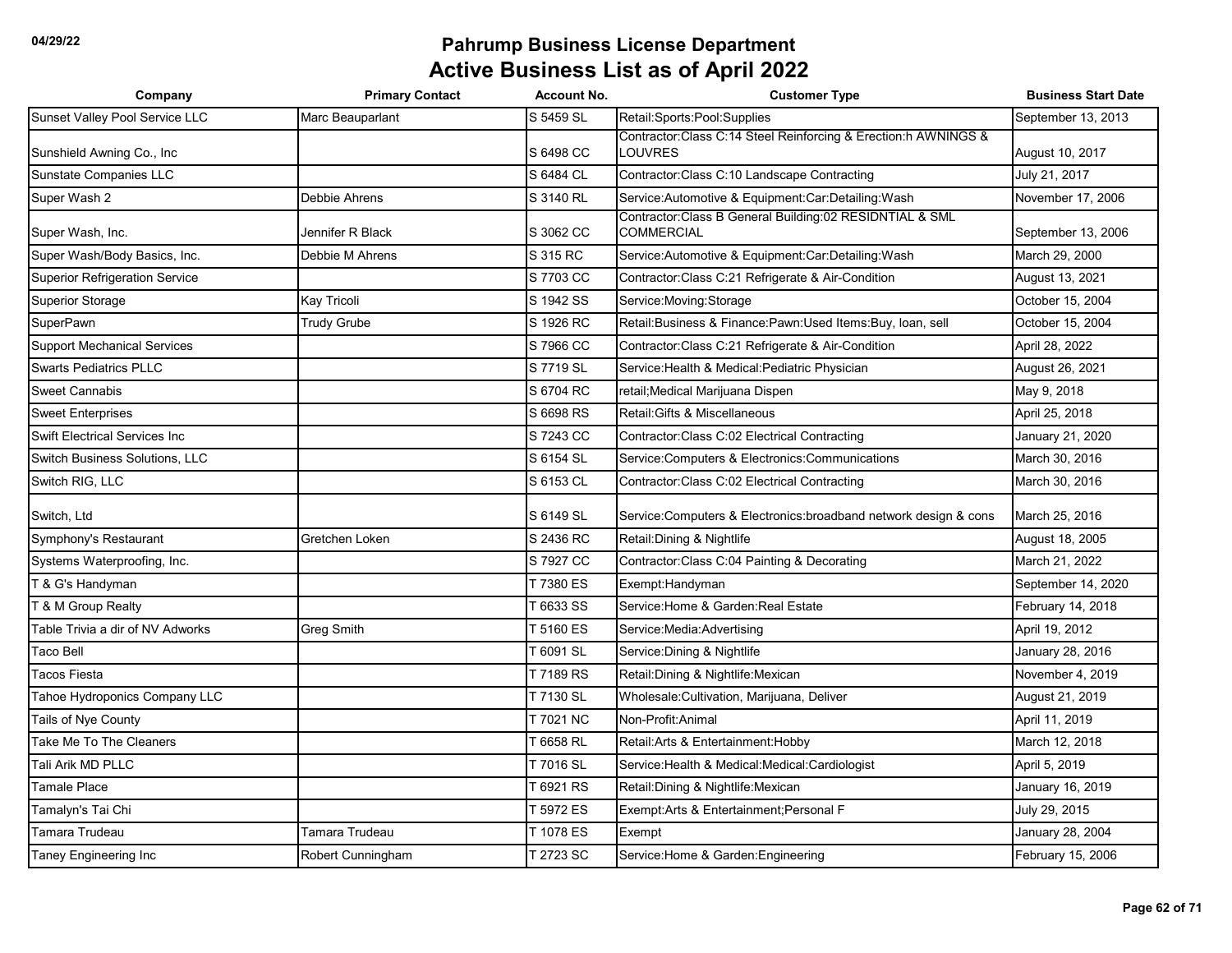| Company                               | <b>Primary Contact</b> | <b>Account No.</b> | <b>Customer Type</b>                                                           | <b>Business Start Date</b> |
|---------------------------------------|------------------------|--------------------|--------------------------------------------------------------------------------|----------------------------|
| Sunset Valley Pool Service LLC        | Marc Beauparlant       | S 5459 SL          | Retail:Sports:Pool:Supplies                                                    | September 13, 2013         |
| Sunshield Awning Co., Inc.            |                        | S 6498 CC          | Contractor:Class C:14 Steel Reinforcing & Erection:h AWNINGS &<br>LOUVRES      | August 10, 2017            |
| Sunstate Companies LLC                |                        | S 6484 CL          | Contractor: Class C:10 Landscape Contracting                                   | July 21, 2017              |
| Super Wash 2                          | Debbie Ahrens          | S 3140 RL          | Service: Automotive & Equipment: Car: Detailing: Wash                          | November 17, 2006          |
| Super Wash, Inc.                      | Jennifer R Black       | S 3062 CC          | Contractor: Class B General Building: 02 RESIDNTIAL & SML<br><b>COMMERCIAL</b> | September 13, 2006         |
| Super Wash/Body Basics, Inc.          | Debbie M Ahrens        | S 315 RC           | Service: Automotive & Equipment: Car: Detailing: Wash                          | March 29, 2000             |
| <b>Superior Refrigeration Service</b> |                        | S 7703 CC          | Contractor: Class C:21 Refrigerate & Air-Condition                             | August 13, 2021            |
| <b>Superior Storage</b>               | Kay Tricoli            | S 1942 SS          | Service: Moving: Storage                                                       | October 15, 2004           |
| SuperPawn                             | <b>Trudy Grube</b>     | S 1926 RC          | Retail: Business & Finance: Pawn: Used Items: Buy, Ioan, sell                  | October 15, 2004           |
| <b>Support Mechanical Services</b>    |                        | S 7966 CC          | Contractor: Class C:21 Refrigerate & Air-Condition                             | April 28, 2022             |
| <b>Swarts Pediatrics PLLC</b>         |                        | S 7719 SL          | Service: Health & Medical: Pediatric Physician                                 | August 26, 2021            |
| Sweet Cannabis                        |                        | S 6704 RC          | retail;Medical Marijuana Dispen                                                | May 9, 2018                |
| <b>Sweet Enterprises</b>              |                        | S 6698 RS          | Retail: Gifts & Miscellaneous                                                  | April 25, 2018             |
| <b>Swift Electrical Services Inc</b>  |                        | S 7243 CC          | Contractor: Class C:02 Electrical Contracting                                  | January 21, 2020           |
| Switch Business Solutions, LLC        |                        | S 6154 SL          | Service: Computers & Electronics: Communications                               | March 30, 2016             |
| Switch RIG, LLC                       |                        | S 6153 CL          | Contractor: Class C:02 Electrical Contracting                                  | March 30, 2016             |
| Switch, Ltd                           |                        | S 6149 SL          | Service:Computers & Electronics:broadband network design & cons                | March 25, 2016             |
| Symphony's Restaurant                 | Gretchen Loken         | S 2436 RC          | Retail: Dining & Nightlife                                                     | August 18, 2005            |
| Systems Waterproofing, Inc.           |                        | S 7927 CC          | Contractor: Class C:04 Painting & Decorating                                   | March 21, 2022             |
| T & G's Handyman                      |                        | T 7380 ES          | Exempt:Handyman                                                                | September 14, 2020         |
| T & M Group Realty                    |                        | T 6633 SS          | Service:Home & Garden:Real Estate                                              | February 14, 2018          |
| Table Trivia a dir of NV Adworks      | Greg Smith             | T 5160 ES          | Service: Media: Advertising                                                    | April 19, 2012             |
| <b>Taco Bell</b>                      |                        | T 6091 SL          | Service: Dining & Nightlife                                                    | January 28, 2016           |
| Tacos Fiesta                          |                        | T 7189 RS          | Retail: Dining & Nightlife: Mexican                                            | November 4, 2019           |
| Tahoe Hydroponics Company LLC         |                        | T 7130 SL          | Wholesale: Cultivation, Marijuana, Deliver                                     | August 21, 2019            |
| Tails of Nye County                   |                        | T 7021 NC          | Non-Profit:Animal                                                              | April 11, 2019             |
| Take Me To The Cleaners               |                        | T 6658 RL          | Retail: Arts & Entertainment: Hobby                                            | March 12, 2018             |
| Tali Arik MD PLLC                     |                        | T 7016 SL          | Service: Health & Medical: Medical: Cardiologist                               | April 5, 2019              |
| Tamale Place                          |                        | T 6921 RS          | Retail: Dining & Nightlife: Mexican                                            | January 16, 2019           |
| Tamalyn's Tai Chi                     |                        | T 5972 ES          | Exempt:Arts & Entertainment;Personal F                                         | July 29, 2015              |
| Tamara Trudeau                        | Tamara Trudeau         | T 1078 ES          | Exempt                                                                         | January 28, 2004           |
| Taney Engineering Inc                 | Robert Cunningham      | T 2723 SC          | Service: Home & Garden: Engineering                                            | February 15, 2006          |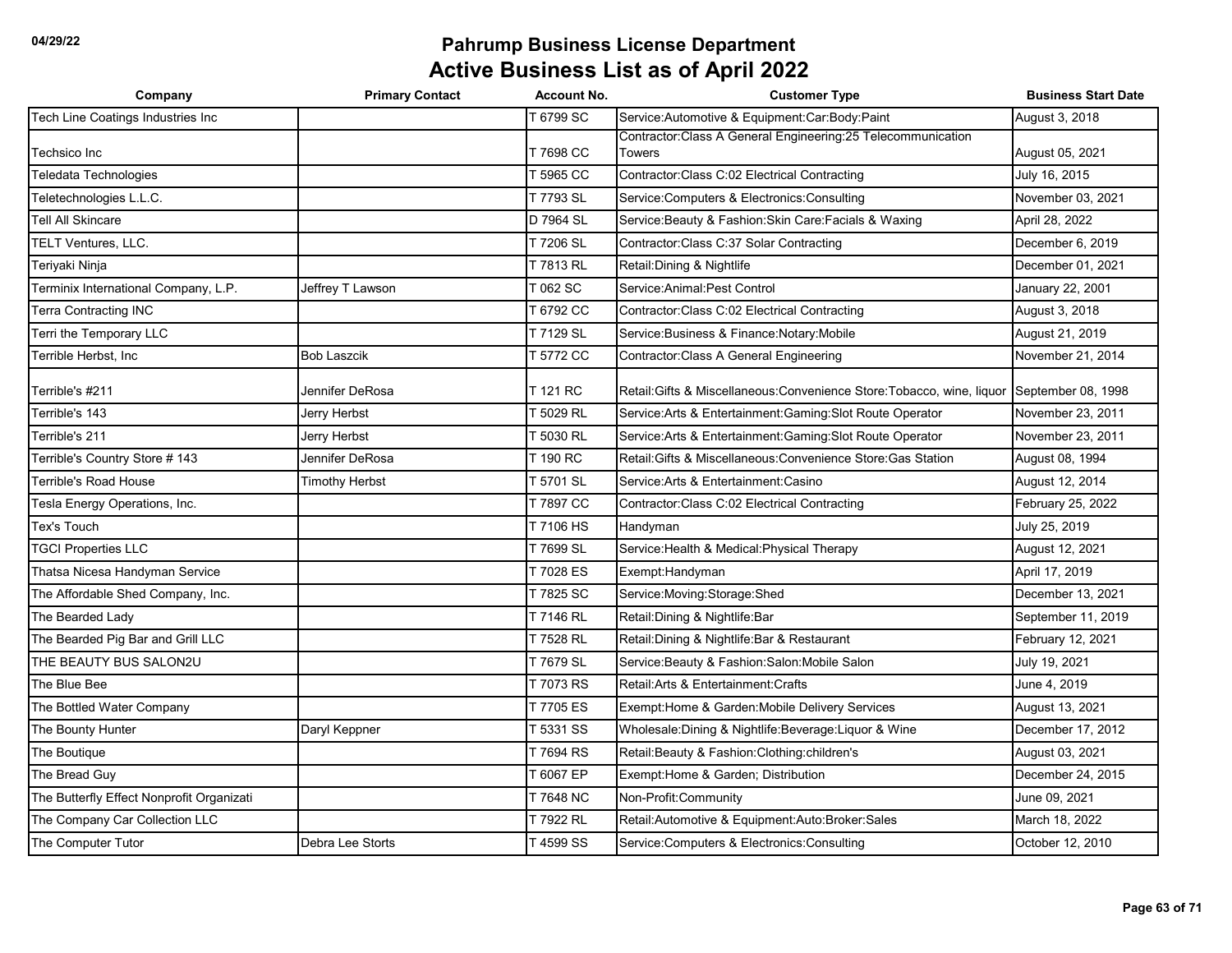| Company                                   | <b>Primary Contact</b> | <b>Account No.</b> | <b>Customer Type</b>                                                                    | <b>Business Start Date</b> |
|-------------------------------------------|------------------------|--------------------|-----------------------------------------------------------------------------------------|----------------------------|
| Tech Line Coatings Industries Inc         |                        | T 6799 SC          | Service: Automotive & Equipment: Car: Body: Paint                                       | August 3, 2018             |
| Techsico Inc                              |                        | T 7698 CC          | Contractor: Class A General Engineering: 25 Telecommunication<br>Towers                 | August 05, 2021            |
| Teledata Technologies                     |                        | T 5965 CC          | Contractor: Class C:02 Electrical Contracting                                           | July 16, 2015              |
| Teletechnologies L.L.C.                   |                        | T 7793 SL          | Service: Computers & Electronics: Consulting                                            | November 03, 2021          |
| Tell All Skincare                         |                        | D 7964 SL          | Service: Beauty & Fashion: Skin Care: Facials & Waxing                                  | April 28, 2022             |
| TELT Ventures, LLC.                       |                        | T 7206 SL          | Contractor: Class C:37 Solar Contracting                                                | December 6, 2019           |
| Teriyaki Ninja                            |                        | T 7813 RL          | Retail: Dining & Nightlife                                                              | December 01, 2021          |
| Terminix International Company, L.P.      | Jeffrey T Lawson       | T 062 SC           | Service: Animal: Pest Control                                                           | January 22, 2001           |
| Terra Contracting INC                     |                        | T 6792 CC          | Contractor: Class C:02 Electrical Contracting                                           | August 3, 2018             |
| Terri the Temporary LLC                   |                        | T 7129 SL          | Service: Business & Finance: Notary: Mobile                                             | August 21, 2019            |
| Terrible Herbst, Inc                      | <b>Bob Laszcik</b>     | T 5772 CC          | Contractor: Class A General Engineering                                                 | November 21, 2014          |
| Terrible's #211                           | Jennifer DeRosa        | T 121 RC           | Retail:Gifts & Miscellaneous:Convenience Store:Tobacco, wine, liquor September 08, 1998 |                            |
| Terrible's 143                            | Jerry Herbst           | T 5029 RL          | Service: Arts & Entertainment: Gaming: Slot Route Operator                              | November 23, 2011          |
| Terrible's 211                            | Jerry Herbst           | T 5030 RL          | Service: Arts & Entertainment: Gaming: Slot Route Operator                              | November 23, 2011          |
| Terrible's Country Store # 143            | Jennifer DeRosa        | T 190 RC           | Retail: Gifts & Miscellaneous: Convenience Store: Gas Station                           | August 08, 1994            |
| Terrible's Road House                     | <b>Timothy Herbst</b>  | T 5701 SL          | Service: Arts & Entertainment: Casino                                                   | August 12, 2014            |
| Tesla Energy Operations, Inc.             |                        | T 7897 CC          | Contractor: Class C:02 Electrical Contracting                                           | February 25, 2022          |
| Tex's Touch                               |                        | T 7106 HS          | Handyman                                                                                | July 25, 2019              |
| <b>TGCI Properties LLC</b>                |                        | T 7699 SL          | Service: Health & Medical: Physical Therapy                                             | August 12, 2021            |
| Thatsa Nicesa Handyman Service            |                        | T 7028 ES          | Exempt:Handyman                                                                         | April 17, 2019             |
| The Affordable Shed Company, Inc.         |                        | T 7825 SC          | Service: Moving: Storage: Shed                                                          | December 13, 2021          |
| The Bearded Lady                          |                        | T 7146 RL          | Retail: Dining & Nightlife: Bar                                                         | September 11, 2019         |
| The Bearded Pig Bar and Grill LLC         |                        | T 7528 RL          | Retail: Dining & Nightlife: Bar & Restaurant                                            | February 12, 2021          |
| THE BEAUTY BUS SALON2U                    |                        | T 7679 SL          | Service: Beauty & Fashion: Salon: Mobile Salon                                          | July 19, 2021              |
| The Blue Bee                              |                        | T 7073 RS          | Retail: Arts & Entertainment: Crafts                                                    | June 4, 2019               |
| The Bottled Water Company                 |                        | T 7705 ES          | Exempt: Home & Garden: Mobile Delivery Services                                         | August 13, 2021            |
| The Bounty Hunter                         | Daryl Keppner          | T 5331 SS          | Wholesale: Dining & Nightlife: Beverage: Liquor & Wine                                  | December 17, 2012          |
| The Boutique                              |                        | T 7694 RS          | Retail: Beauty & Fashion: Clothing: children's                                          | August 03, 2021            |
| The Bread Guy                             |                        | T 6067 EP          | Exempt: Home & Garden; Distribution                                                     | December 24, 2015          |
| The Butterfly Effect Nonprofit Organizati |                        | T 7648 NC          | Non-Profit:Community                                                                    | June 09, 2021              |
| The Company Car Collection LLC            |                        | T 7922 RL          | Retail: Automotive & Equipment: Auto: Broker: Sales                                     | March 18, 2022             |
| The Computer Tutor                        | Debra Lee Storts       | T 4599 SS          | Service: Computers & Electronics: Consulting                                            | October 12, 2010           |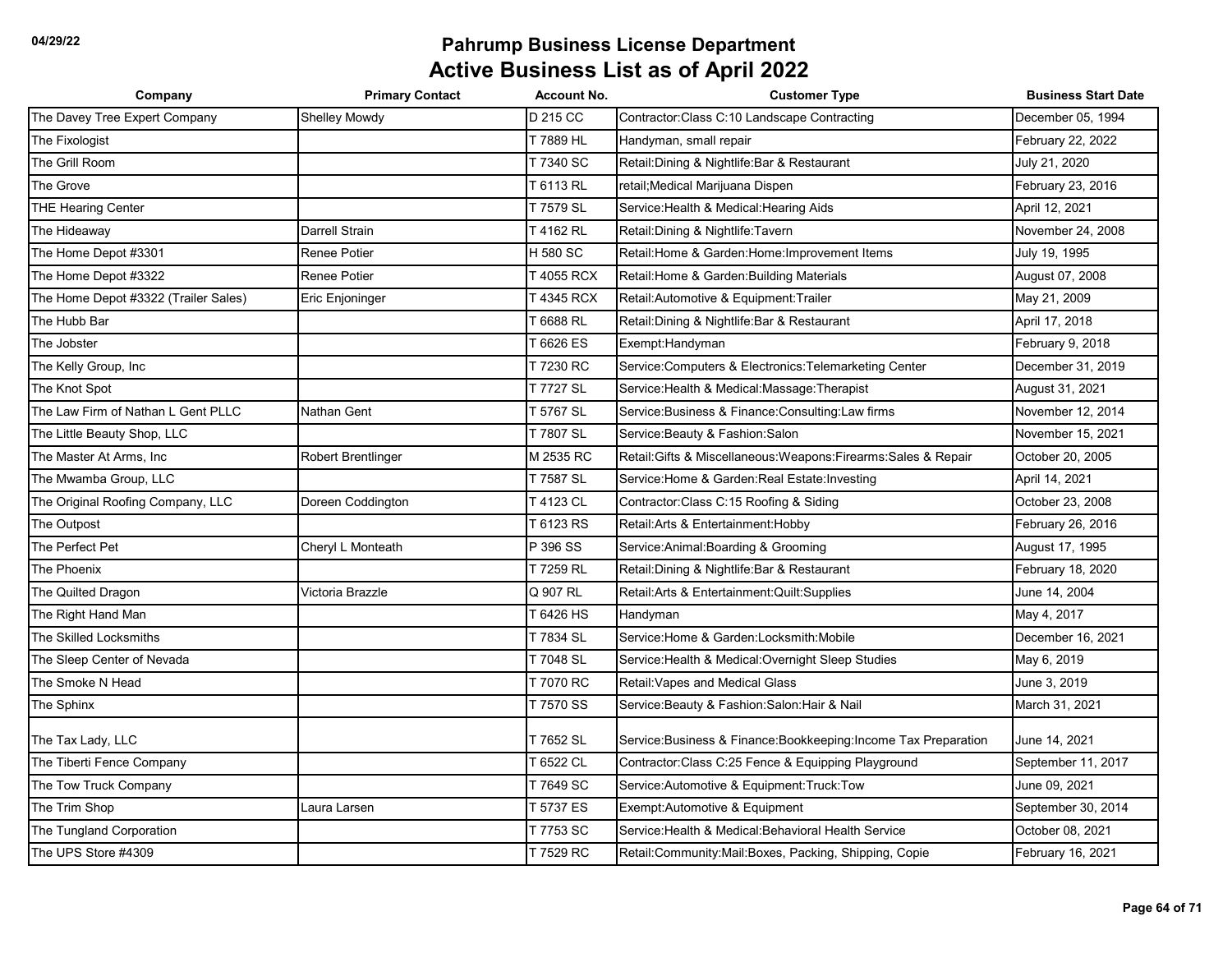| Company                              | <b>Primary Contact</b> | <b>Account No.</b> | <b>Customer Type</b>                                             | <b>Business Start Date</b> |
|--------------------------------------|------------------------|--------------------|------------------------------------------------------------------|----------------------------|
| The Davey Tree Expert Company        | Shelley Mowdy          | D 215 CC           | Contractor: Class C:10 Landscape Contracting                     | December 05, 1994          |
| The Fixologist                       |                        | T 7889 HL          | Handyman, small repair                                           | February 22, 2022          |
| The Grill Room                       |                        | T 7340 SC          | Retail: Dining & Nightlife: Bar & Restaurant                     | July 21, 2020              |
| The Grove                            |                        | T 6113 RL          | retail;Medical Marijuana Dispen                                  | February 23, 2016          |
| THE Hearing Center                   |                        | T 7579 SL          | Service: Health & Medical: Hearing Aids                          | April 12, 2021             |
| The Hideaway                         | <b>Darrell Strain</b>  | T 4162 RL          | Retail: Dining & Nightlife: Tavern                               | November 24, 2008          |
| The Home Depot #3301                 | <b>Renee Potier</b>    | H 580 SC           | Retail: Home & Garden: Home: Improvement Items                   | July 19, 1995              |
| The Home Depot #3322                 | <b>Renee Potier</b>    | T 4055 RCX         | Retail: Home & Garden: Building Materials                        | August 07, 2008            |
| The Home Depot #3322 (Trailer Sales) | Eric Enjoninger        | T 4345 RCX         | Retail: Automotive & Equipment: Trailer                          | May 21, 2009               |
| The Hubb Bar                         |                        | T 6688 RL          | Retail: Dining & Nightlife: Bar & Restaurant                     | April 17, 2018             |
| The Jobster                          |                        | T 6626 ES          | Exempt:Handyman                                                  | February 9, 2018           |
| The Kelly Group, Inc                 |                        | T 7230 RC          | Service: Computers & Electronics: Telemarketing Center           | December 31, 2019          |
| The Knot Spot                        |                        | T 7727 SL          | Service: Health & Medical: Massage: Therapist                    | August 31, 2021            |
| The Law Firm of Nathan L Gent PLLC   | Nathan Gent            | T 5767 SL          | Service: Business & Finance: Consulting: Law firms               | November 12, 2014          |
| The Little Beauty Shop, LLC          |                        | T 7807 SL          | Service: Beauty & Fashion: Salon                                 | November 15, 2021          |
| The Master At Arms, Inc              | Robert Brentlinger     | M 2535 RC          | Retail: Gifts & Miscellaneous: Weapons: Firearms: Sales & Repair | October 20, 2005           |
| The Mwamba Group, LLC                |                        | T 7587 SL          | Service: Home & Garden: Real Estate: Investing                   | April 14, 2021             |
| The Original Roofing Company, LLC    | Doreen Coddington      | T 4123 CL          | Contractor: Class C: 15 Roofing & Siding                         | October 23, 2008           |
| The Outpost                          |                        | T 6123 RS          | Retail: Arts & Entertainment: Hobby                              | February 26, 2016          |
| The Perfect Pet                      | Cheryl L Monteath      | P 396 SS           | Service: Animal: Boarding & Grooming                             | August 17, 1995            |
| The Phoenix                          |                        | T 7259 RL          | Retail: Dining & Nightlife: Bar & Restaurant                     | February 18, 2020          |
| The Quilted Dragon                   | Victoria Brazzle       | Q 907 RL           | Retail: Arts & Entertainment: Quilt: Supplies                    | June 14, 2004              |
| The Right Hand Man                   |                        | T 6426 HS          | Handyman                                                         | May 4, 2017                |
| The Skilled Locksmiths               |                        | T 7834 SL          | Service: Home & Garden: Locksmith: Mobile                        | December 16, 2021          |
| The Sleep Center of Nevada           |                        | T 7048 SL          | Service: Health & Medical: Overnight Sleep Studies               | May 6, 2019                |
| The Smoke N Head                     |                        | T 7070 RC          | Retail: Vapes and Medical Glass                                  | June 3, 2019               |
| The Sphinx                           |                        | T 7570 SS          | Service: Beauty & Fashion: Salon: Hair & Nail                    | March 31, 2021             |
| The Tax Lady, LLC                    |                        | T 7652 SL          | Service: Business & Finance: Bookkeeping: Income Tax Preparation | June 14, 2021              |
| The Tiberti Fence Company            |                        | T 6522 CL          | Contractor: Class C:25 Fence & Equipping Playground              | September 11, 2017         |
| The Tow Truck Company                |                        | T 7649 SC          | Service:Automotive & Equipment:Truck:Tow                         | June 09, 2021              |
| The Trim Shop                        | Laura Larsen           | T 5737 ES          | Exempt: Automotive & Equipment                                   | September 30, 2014         |
| The Tungland Corporation             |                        | T 7753 SC          | Service: Health & Medical: Behavioral Health Service             | October 08, 2021           |
| The UPS Store #4309                  |                        | T 7529 RC          | Retail: Community: Mail: Boxes, Packing, Shipping, Copie         | February 16, 2021          |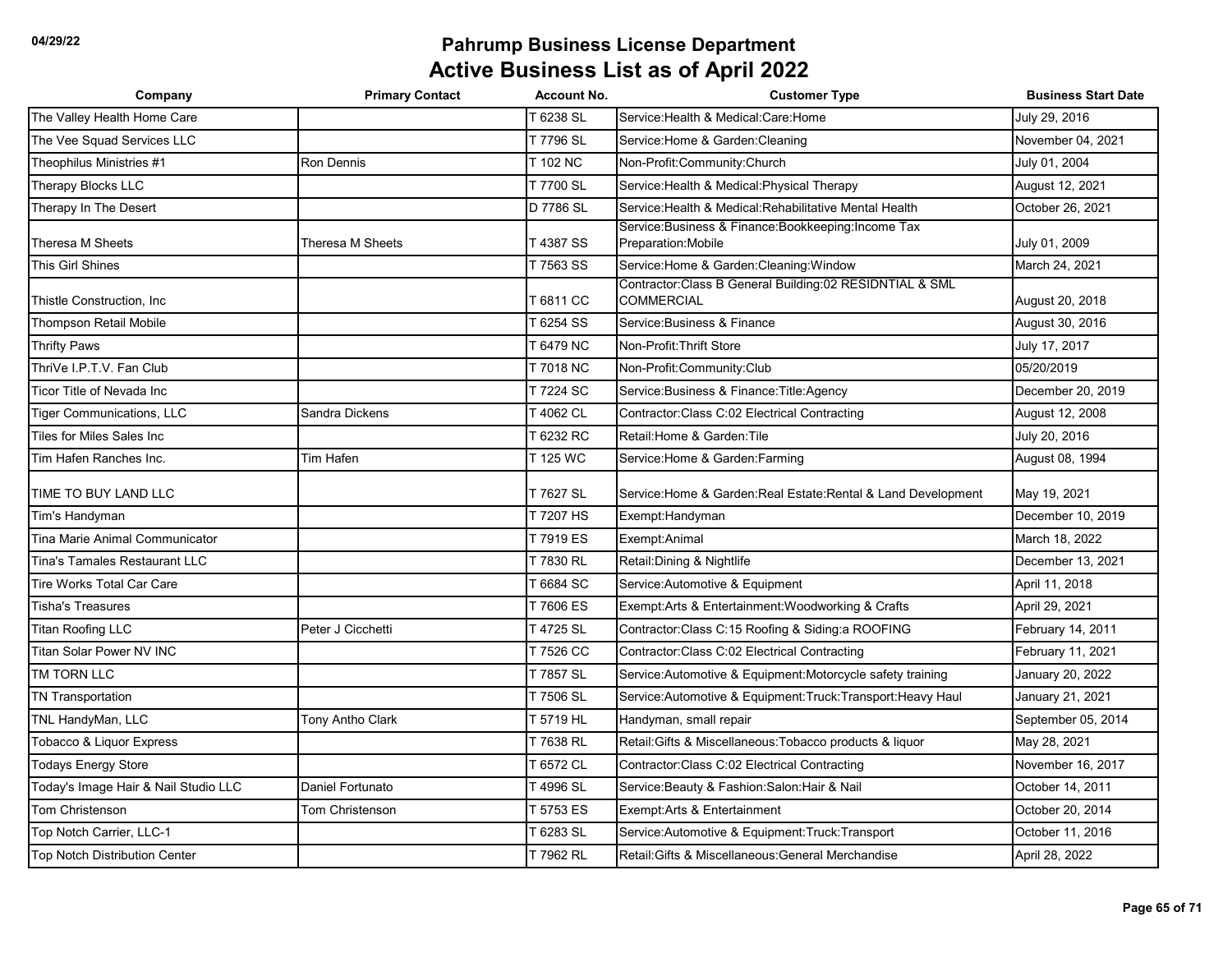| Company                              | <b>Primary Contact</b>  | <b>Account No.</b> | <b>Customer Type</b>                                                         | <b>Business Start Date</b> |
|--------------------------------------|-------------------------|--------------------|------------------------------------------------------------------------------|----------------------------|
| The Valley Health Home Care          |                         | T 6238 SL          | Service: Health & Medical: Care: Home                                        | July 29, 2016              |
| The Vee Squad Services LLC           |                         | T 7796 SL          | Service:Home & Garden:Cleaning                                               | November 04, 2021          |
| Theophilus Ministries #1             | Ron Dennis              | T 102 NC           | Non-Profit:Community:Church                                                  | July 01, 2004              |
| Therapy Blocks LLC                   |                         | T 7700 SL          | Service: Health & Medical: Physical Therapy                                  | August 12, 2021            |
| Therapy In The Desert                |                         | D 7786 SL          | Service: Health & Medical: Rehabilitative Mental Health                      | October 26, 2021           |
| Theresa M Sheets                     | <b>Theresa M Sheets</b> | T4387 SS           | Service: Business & Finance: Bookkeeping: Income Tax<br>Preparation: Mobile  | July 01, 2009              |
| This Girl Shines                     |                         | T 7563 SS          | Service: Home & Garden: Cleaning: Window                                     | March 24, 2021             |
| Thistle Construction, Inc            |                         | T 6811 CC          | Contractor:Class B General Building:02 RESIDNTIAL & SML<br><b>COMMERCIAL</b> | August 20, 2018            |
| Thompson Retail Mobile               |                         | T 6254 SS          | Service: Business & Finance                                                  | August 30, 2016            |
| <b>Thrifty Paws</b>                  |                         | T 6479 NC          | Non-Profit: Thrift Store                                                     | July 17, 2017              |
| ThriVe I.P.T.V. Fan Club             |                         | T 7018 NC          | Non-Profit:Community:Club                                                    | 05/20/2019                 |
| Ticor Title of Nevada Inc            |                         | T 7224 SC          | Service: Business & Finance: Title: Agency                                   | December 20, 2019          |
| <b>Tiger Communications, LLC</b>     | Sandra Dickens          | T 4062 CL          | Contractor: Class C:02 Electrical Contracting                                | August 12, 2008            |
| Tiles for Miles Sales Inc            |                         | T 6232 RC          | Retail: Home & Garden: Tile                                                  | July 20, 2016              |
| Tim Hafen Ranches Inc.               | Tim Hafen               | T 125 WC           | Service: Home & Garden: Farming                                              | August 08, 1994            |
| TIME TO BUY LAND LLC                 |                         | T 7627 SL          | Service: Home & Garden: Real Estate: Rental & Land Development               | May 19, 2021               |
| Tim's Handyman                       |                         | T 7207 HS          | Exempt:Handyman                                                              | December 10, 2019          |
| Tina Marie Animal Communicator       |                         | T 7919 ES          | Exempt: Animal                                                               | March 18, 2022             |
| Tina's Tamales Restaurant LLC        |                         | T 7830 RL          | Retail: Dining & Nightlife                                                   | December 13, 2021          |
| Tire Works Total Car Care            |                         | T 6684 SC          | Service: Automotive & Equipment                                              | April 11, 2018             |
| <b>Tisha's Treasures</b>             |                         | T 7606 ES          | Exempt:Arts & Entertainment:Woodworking & Crafts                             | April 29, 2021             |
| <b>Titan Roofing LLC</b>             | Peter J Cicchetti       | T 4725 SL          | Contractor: Class C:15 Roofing & Siding: a ROOFING                           | February 14, 2011          |
| Titan Solar Power NV INC             |                         | T 7526 CC          | Contractor: Class C:02 Electrical Contracting                                | February 11, 2021          |
| TM TORN LLC                          |                         | T 7857 SL          | Service: Automotive & Equipment: Motorcycle safety training                  | January 20, 2022           |
| TN Transportation                    |                         | T 7506 SL          | Service: Automotive & Equipment: Truck: Transport: Heavy Haul                | January 21, 2021           |
| TNL HandyMan, LLC                    | Tony Antho Clark        | T 5719 HL          | Handyman, small repair                                                       | September 05, 2014         |
| Tobacco & Liquor Express             |                         | T 7638 RL          | Retail: Gifts & Miscellaneous: Tobacco products & liquor                     | May 28, 2021               |
| <b>Todays Energy Store</b>           |                         | T 6572 CL          | Contractor: Class C:02 Electrical Contracting                                | November 16, 2017          |
| Today's Image Hair & Nail Studio LLC | Daniel Fortunato        | T 4996 SL          | Service: Beauty & Fashion: Salon: Hair & Nail                                | October 14, 2011           |
| Tom Christenson                      | Tom Christenson         | T 5753 ES          | Exempt: Arts & Entertainment                                                 | October 20, 2014           |
| Top Notch Carrier, LLC-1             |                         | T 6283 SL          | Service: Automotive & Equipment: Truck: Transport                            | October 11, 2016           |
| <b>Top Notch Distribution Center</b> |                         | T 7962 RL          | Retail: Gifts & Miscellaneous: General Merchandise                           | April 28, 2022             |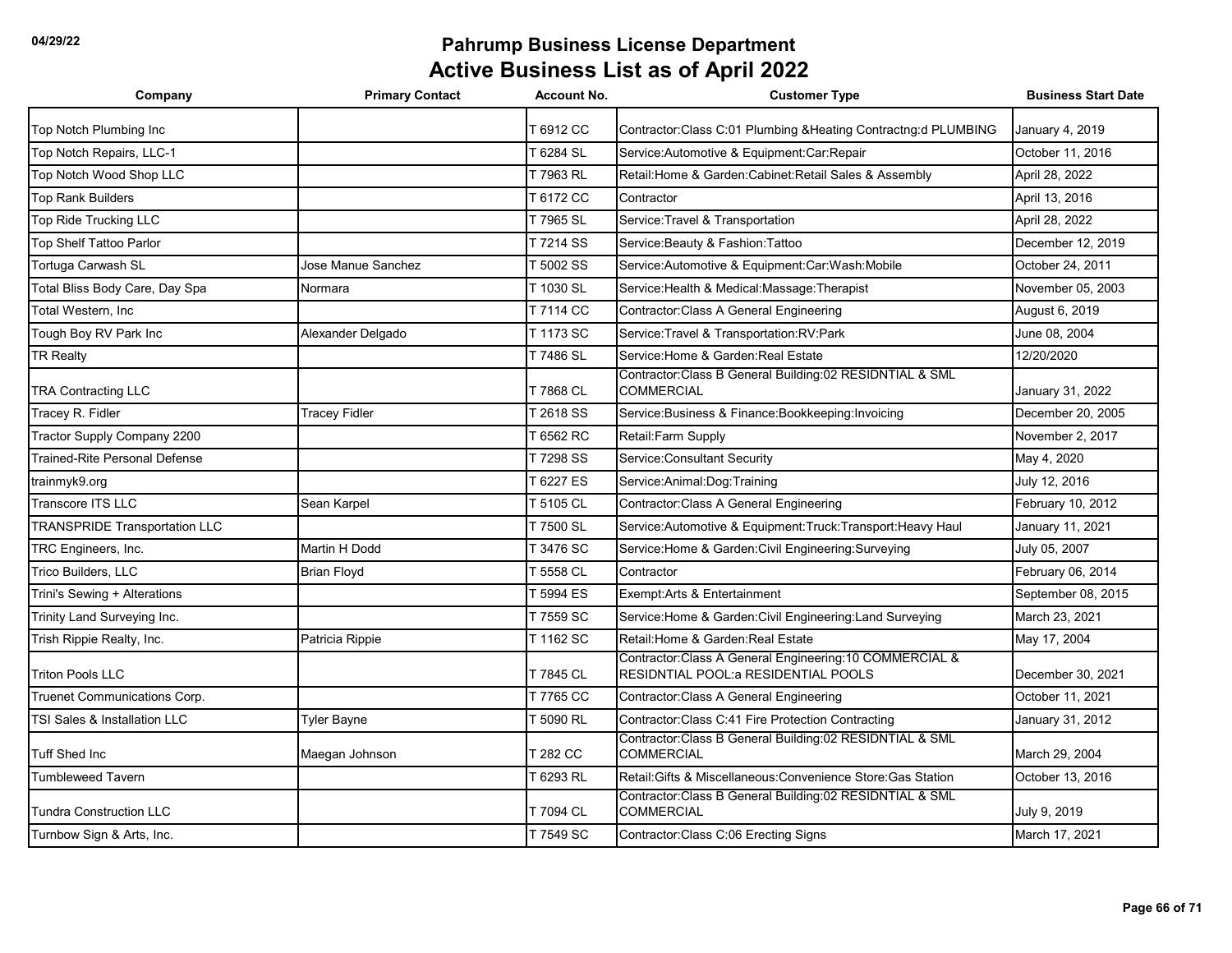| Company                              | <b>Primary Contact</b> | <b>Account No.</b> | <b>Customer Type</b>                                                                             | <b>Business Start Date</b> |
|--------------------------------------|------------------------|--------------------|--------------------------------------------------------------------------------------------------|----------------------------|
| Top Notch Plumbing Inc               |                        | T 6912 CC          | Contractor: Class C:01 Plumbing & Heating Contractng: d PLUMBING                                 | January 4, 2019            |
| Top Notch Repairs, LLC-1             |                        | T 6284 SL          | Service: Automotive & Equipment: Car: Repair                                                     | October 11, 2016           |
| Top Notch Wood Shop LLC              |                        | T 7963 RL          | Retail: Home & Garden: Cabinet: Retail Sales & Assembly                                          | April 28, 2022             |
| <b>Top Rank Builders</b>             |                        | T 6172 CC          | Contractor                                                                                       | April 13, 2016             |
| Top Ride Trucking LLC                |                        | T 7965 SL          | Service: Travel & Transportation                                                                 | April 28, 2022             |
| Top Shelf Tattoo Parlor              |                        | T 7214 SS          | Service: Beauty & Fashion: Tattoo                                                                | December 12, 2019          |
| Tortuga Carwash SL                   | Jose Manue Sanchez     | T 5002 SS          | Service: Automotive & Equipment: Car: Wash: Mobile                                               | October 24, 2011           |
| Total Bliss Body Care, Day Spa       | Normara                | T 1030 SL          | Service: Health & Medical: Massage: Therapist                                                    | November 05, 2003          |
| Total Western, Inc                   |                        | T 7114 CC          | Contractor: Class A General Engineering                                                          | August 6, 2019             |
| Tough Boy RV Park Inc                | Alexander Delgado      | T 1173 SC          | Service: Travel & Transportation: RV: Park                                                       | June 08, 2004              |
| <b>TR Realty</b>                     |                        | T 7486 SL          | Service: Home & Garden: Real Estate                                                              | 12/20/2020                 |
| <b>TRA Contracting LLC</b>           |                        | T 7868 CL          | Contractor: Class B General Building: 02 RESIDNTIAL & SML<br><b>COMMERCIAL</b>                   | January 31, 2022           |
| Tracey R. Fidler                     | <b>Tracey Fidler</b>   | T 2618 SS          | Service: Business & Finance: Bookkeeping: Invoicing                                              | December 20, 2005          |
| Tractor Supply Company 2200          |                        | T 6562 RC          | Retail: Farm Supply                                                                              | November 2, 2017           |
| Trained-Rite Personal Defense        |                        | T 7298 SS          | Service: Consultant Security                                                                     | May 4, 2020                |
| trainmyk9.org                        |                        | T 6227 ES          | Service: Animal: Dog: Training                                                                   | July 12, 2016              |
| Transcore ITS LLC                    | Sean Karpel            | T 5105 CL          | Contractor: Class A General Engineering                                                          | February 10, 2012          |
| <b>TRANSPRIDE Transportation LLC</b> |                        | T 7500 SL          | Service: Automotive & Equipment: Truck: Transport: Heavy Haul                                    | January 11, 2021           |
| TRC Engineers, Inc.                  | Martin H Dodd          | T 3476 SC          | Service: Home & Garden: Civil Engineering: Surveying                                             | July 05, 2007              |
| Trico Builders, LLC                  | <b>Brian Floyd</b>     | T 5558 CL          | Contractor                                                                                       | February 06, 2014          |
| Trini's Sewing + Alterations         |                        | T 5994 ES          | Exempt: Arts & Entertainment                                                                     | September 08, 2015         |
| Trinity Land Surveying Inc.          |                        | T 7559 SC          | Service: Home & Garden: Civil Engineering: Land Surveying                                        | March 23, 2021             |
| Trish Rippie Realty, Inc.            | Patricia Rippie        | T 1162 SC          | Retail: Home & Garden: Real Estate                                                               | May 17, 2004               |
| <b>Triton Pools LLC</b>              |                        | T 7845 CL          | Contractor: Class A General Engineering: 10 COMMERCIAL &<br>RESIDNTIAL POOL: a RESIDENTIAL POOLS | December 30, 2021          |
| Truenet Communications Corp.         |                        | T 7765 CC          | Contractor: Class A General Engineering                                                          | October 11, 2021           |
| TSI Sales & Installation LLC         | Tyler Bayne            | T 5090 RL          | Contractor: Class C:41 Fire Protection Contracting                                               | January 31, 2012           |
| <b>Tuff Shed Inc</b>                 | Maegan Johnson         | T 282 CC           | Contractor: Class B General Building: 02 RESIDNTIAL & SML<br><b>COMMERCIAL</b>                   | March 29, 2004             |
| <b>Tumbleweed Tavern</b>             |                        | T 6293 RL          | Retail: Gifts & Miscellaneous: Convenience Store: Gas Station                                    | October 13, 2016           |
| <b>Tundra Construction LLC</b>       |                        | T 7094 CL          | Contractor:Class B General Building:02 RESIDNTIAL & SML<br><b>COMMERCIAL</b>                     | July 9, 2019               |
| Turnbow Sign & Arts, Inc.            |                        | T 7549 SC          | Contractor: Class C:06 Erecting Signs                                                            | March 17, 2021             |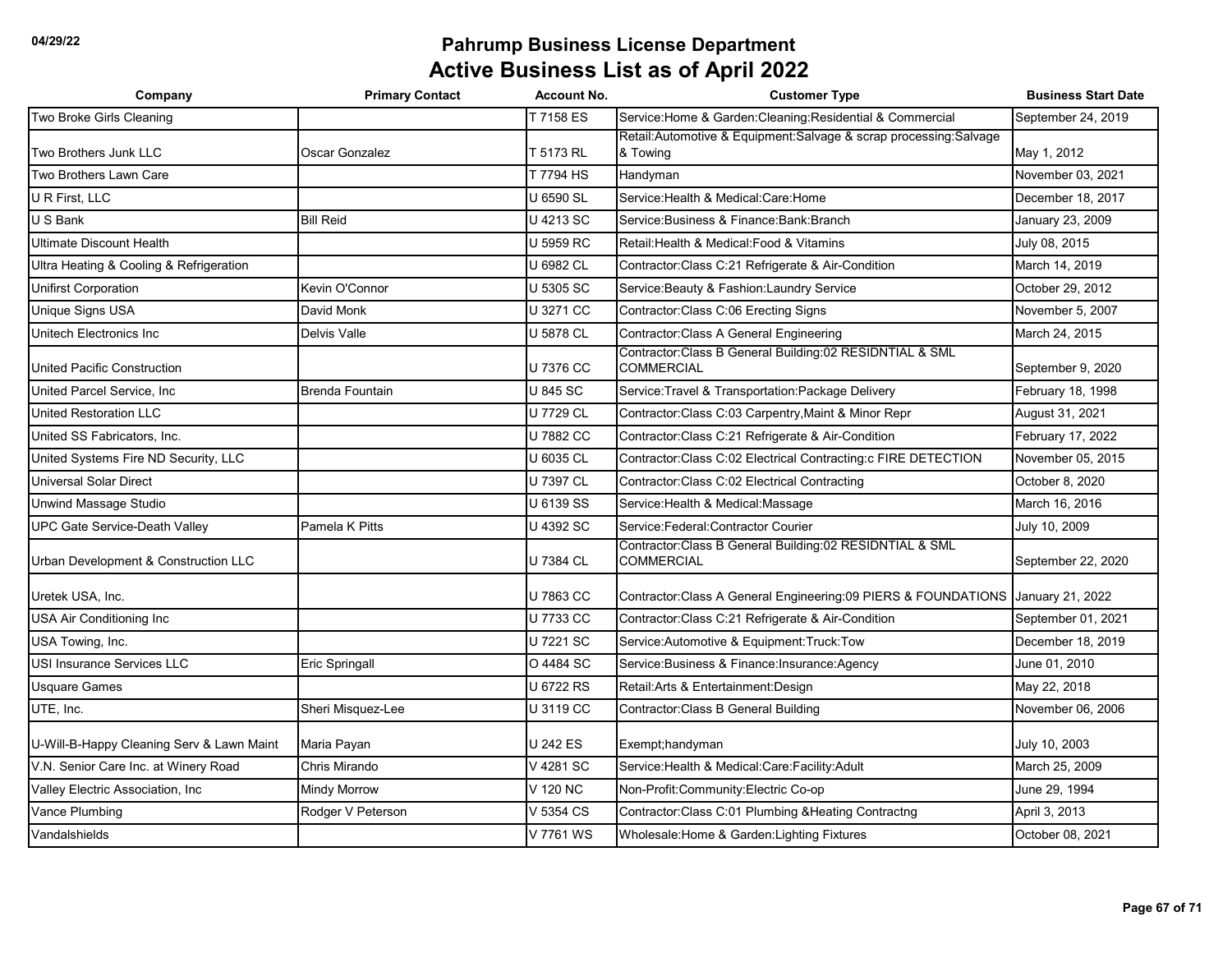| Company                                   | <b>Primary Contact</b> | <b>Account No.</b> | <b>Customer Type</b>                                                           | <b>Business Start Date</b> |
|-------------------------------------------|------------------------|--------------------|--------------------------------------------------------------------------------|----------------------------|
| Two Broke Girls Cleaning                  |                        | T 7158 ES          | Service: Home & Garden: Cleaning: Residential & Commercial                     | September 24, 2019         |
| Two Brothers Junk LLC                     | Oscar Gonzalez         | T 5173 RL          | Retail:Automotive & Equipment:Salvage & scrap processing:Salvage<br>& Towing   | May 1, 2012                |
| Two Brothers Lawn Care                    |                        | T 7794 HS          | Handyman                                                                       | November 03, 2021          |
| U R First, LLC                            |                        | U 6590 SL          | Service: Health & Medical: Care: Home                                          | December 18, 2017          |
| U S Bank                                  | <b>Bill Reid</b>       | U 4213 SC          | Service:Business & Finance:Bank:Branch                                         | January 23, 2009           |
| Ultimate Discount Health                  |                        | U 5959 RC          | Retail: Health & Medical: Food & Vitamins                                      | July 08, 2015              |
| Ultra Heating & Cooling & Refrigeration   |                        | U 6982 CL          | Contractor: Class C:21 Refrigerate & Air-Condition                             | March 14, 2019             |
| Unifirst Corporation                      | Kevin O'Connor         | U 5305 SC          | Service: Beauty & Fashion: Laundry Service                                     | October 29, 2012           |
| Unique Signs USA                          | David Monk             | U 3271 CC          | Contractor: Class C:06 Erecting Signs                                          | November 5, 2007           |
| Unitech Electronics Inc                   | Delvis Valle           | U 5878 CL          | Contractor: Class A General Engineering                                        | March 24, 2015             |
| United Pacific Construction               |                        | U 7376 CC          | Contractor: Class B General Building: 02 RESIDNTIAL & SML<br><b>COMMERCIAL</b> | September 9, 2020          |
| United Parcel Service, Inc.               | <b>Brenda Fountain</b> | <b>U 845 SC</b>    | Service: Travel & Transportation: Package Delivery                             | February 18, 1998          |
| United Restoration LLC                    |                        | U 7729 CL          | Contractor: Class C:03 Carpentry, Maint & Minor Repr                           | August 31, 2021            |
| United SS Fabricators, Inc.               |                        | U 7882 CC          | Contractor: Class C:21 Refrigerate & Air-Condition                             | February 17, 2022          |
| United Systems Fire ND Security, LLC      |                        | U 6035 CL          | Contractor:Class C:02 Electrical Contracting:c FIRE DETECTION                  | November 05, 2015          |
| Universal Solar Direct                    |                        | U 7397 CL          | Contractor: Class C:02 Electrical Contracting                                  | October 8, 2020            |
| Unwind Massage Studio                     |                        | U 6139 SS          | Service: Health & Medical: Massage                                             | March 16, 2016             |
| UPC Gate Service-Death Valley             | Pamela K Pitts         | U 4392 SC          | Service:Federal:Contractor Courier                                             | July 10, 2009              |
| Urban Development & Construction LLC      |                        | U 7384 CL          | Contractor: Class B General Building: 02 RESIDNTIAL & SML<br><b>COMMERCIAL</b> | September 22, 2020         |
| Uretek USA. Inc.                          |                        | U 7863 CC          | Contractor:Class A General Engineering:09 PIERS & FOUNDATIONS January 21, 2022 |                            |
| USA Air Conditioning Inc                  |                        | U 7733 CC          | Contractor: Class C:21 Refrigerate & Air-Condition                             | September 01, 2021         |
| USA Towing, Inc.                          |                        | U 7221 SC          | Service: Automotive & Equipment: Truck: Tow                                    | December 18, 2019          |
| USI Insurance Services LLC                | Eric Springall         | O 4484 SC          | Service: Business & Finance: Insurance: Agency                                 | June 01, 2010              |
| <b>Usquare Games</b>                      |                        | U 6722 RS          | Retail: Arts & Entertainment: Design                                           | May 22, 2018               |
| UTE, Inc.                                 | Sheri Misquez-Lee      | U 3119 CC          | Contractor: Class B General Building                                           | November 06, 2006          |
| U-Will-B-Happy Cleaning Serv & Lawn Maint | Maria Payan            | <b>U 242 ES</b>    | Exempt;handyman                                                                | July 10, 2003              |
| V.N. Senior Care Inc. at Winery Road      | Chris Mirando          | V 4281 SC          | Service: Health & Medical: Care: Facility: Adult                               | March 25, 2009             |
| Valley Electric Association, Inc          | <b>Mindy Morrow</b>    | V 120 NC           | Non-Profit:Community:Electric Co-op                                            | June 29, 1994              |
| Vance Plumbing                            | Rodger V Peterson      | V 5354 CS          | Contractor: Class C:01 Plumbing & Heating Contractng                           | April 3, 2013              |
| Vandalshields                             |                        | V 7761 WS          | Wholesale: Home & Garden: Lighting Fixtures                                    | October 08, 2021           |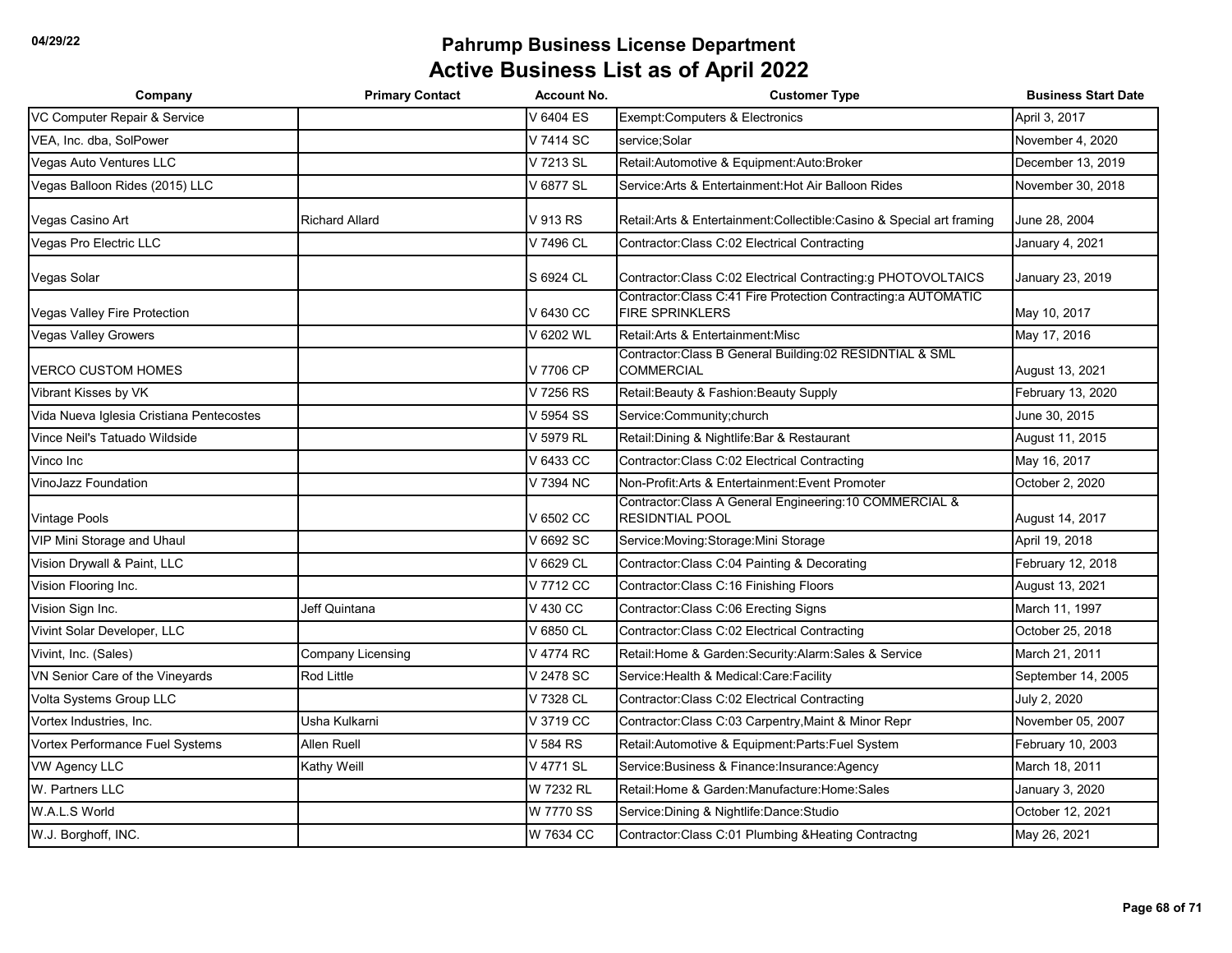| Company                                  | <b>Primary Contact</b> | <b>Account No.</b> | <b>Customer Type</b>                                                                      | <b>Business Start Date</b> |
|------------------------------------------|------------------------|--------------------|-------------------------------------------------------------------------------------------|----------------------------|
| VC Computer Repair & Service             |                        | V 6404 ES          | Exempt:Computers & Electronics                                                            | April 3, 2017              |
| VEA, Inc. dba, SolPower                  |                        | V 7414 SC          | service;Solar                                                                             | November 4, 2020           |
| Vegas Auto Ventures LLC                  |                        | V 7213 SL          | Retail: Automotive & Equipment: Auto: Broker                                              | December 13, 2019          |
| Vegas Balloon Rides (2015) LLC           |                        | V 6877 SL          | Service: Arts & Entertainment: Hot Air Balloon Rides                                      | November 30, 2018          |
| Vegas Casino Art                         | <b>Richard Allard</b>  | V 913 RS           | Retail: Arts & Entertainment: Collectible: Casino & Special art framing                   | June 28, 2004              |
| Vegas Pro Electric LLC                   |                        | V 7496 CL          | Contractor: Class C:02 Electrical Contracting                                             | January 4, 2021            |
| Vegas Solar                              |                        | S 6924 CL          | Contractor:Class C:02 Electrical Contracting:g PHOTOVOLTAICS                              | January 23, 2019           |
| Vegas Valley Fire Protection             |                        | V 6430 CC          | Contractor: Class C:41 Fire Protection Contracting: a AUTOMATIC<br><b>FIRE SPRINKLERS</b> | May 10, 2017               |
| <b>Vegas Valley Growers</b>              |                        | V 6202 WL          | Retail: Arts & Entertainment: Misc                                                        | May 17, 2016               |
| <b>VERCO CUSTOM HOMES</b>                |                        | V 7706 CP          | Contractor: Class B General Building: 02 RESIDNTIAL & SML<br><b>COMMERCIAL</b>            | August 13, 2021            |
| Vibrant Kisses by VK                     |                        | V 7256 RS          | Retail: Beauty & Fashion: Beauty Supply                                                   | February 13, 2020          |
| Vida Nueva Iglesia Cristiana Pentecostes |                        | V 5954 SS          | Service:Community;church                                                                  | June 30, 2015              |
| Vince Neil's Tatuado Wildside            |                        | V 5979 RL          | Retail: Dining & Nightlife: Bar & Restaurant                                              | August 11, 2015            |
| Vinco Inc                                |                        | V 6433 CC          | Contractor: Class C:02 Electrical Contracting                                             | May 16, 2017               |
| VinoJazz Foundation                      |                        | V 7394 NC          | Non-Profit: Arts & Entertainment: Event Promoter                                          | October 2, 2020            |
| Vintage Pools                            |                        | V 6502 CC          | Contractor: Class A General Engineering: 10 COMMERCIAL &<br><b>RESIDNTIAL POOL</b>        | August 14, 2017            |
| VIP Mini Storage and Uhaul               |                        | V 6692 SC          | Service: Moving: Storage: Mini Storage                                                    | April 19, 2018             |
| Vision Drywall & Paint, LLC              |                        | V 6629 CL          | Contractor: Class C:04 Painting & Decorating                                              | February 12, 2018          |
| Vision Flooring Inc.                     |                        | V 7712 CC          | Contractor: Class C: 16 Finishing Floors                                                  | August 13, 2021            |
| Vision Sign Inc.                         | Jeff Quintana          | V 430 CC           | Contractor: Class C:06 Erecting Signs                                                     | March 11, 1997             |
| Vivint Solar Developer, LLC              |                        | V 6850 CL          | Contractor:Class C:02 Electrical Contracting                                              | October 25, 2018           |
| Vivint, Inc. (Sales)                     | Company Licensing      | V 4774 RC          | Retail: Home & Garden: Security: Alarm: Sales & Service                                   | March 21, 2011             |
| VN Senior Care of the Vineyards          | Rod Little             | V 2478 SC          | Service: Health & Medical: Care: Facility                                                 | September 14, 2005         |
| Volta Systems Group LLC                  |                        | V 7328 CL          | Contractor: Class C:02 Electrical Contracting                                             | July 2, 2020               |
| Vortex Industries, Inc.                  | Usha Kulkarni          | V 3719 CC          | Contractor: Class C:03 Carpentry, Maint & Minor Repr                                      | November 05, 2007          |
| Vortex Performance Fuel Systems          | Allen Ruell            | V 584 RS           | Retail: Automotive & Equipment: Parts: Fuel System                                        | February 10, 2003          |
| <b>VW Agency LLC</b>                     | Kathy Weill            | V 4771 SL          | Service: Business & Finance: Insurance: Agency                                            | March 18, 2011             |
| W. Partners LLC                          |                        | W 7232 RL          | Retail:Home & Garden:Manufacture:Home:Sales                                               | January 3, 2020            |
| W.A.L.S World                            |                        | W 7770 SS          | Service: Dining & Nightlife: Dance: Studio                                                | October 12, 2021           |
| W.J. Borghoff, INC.                      |                        | W 7634 CC          | Contractor: Class C:01 Plumbing & Heating Contractng                                      | May 26, 2021               |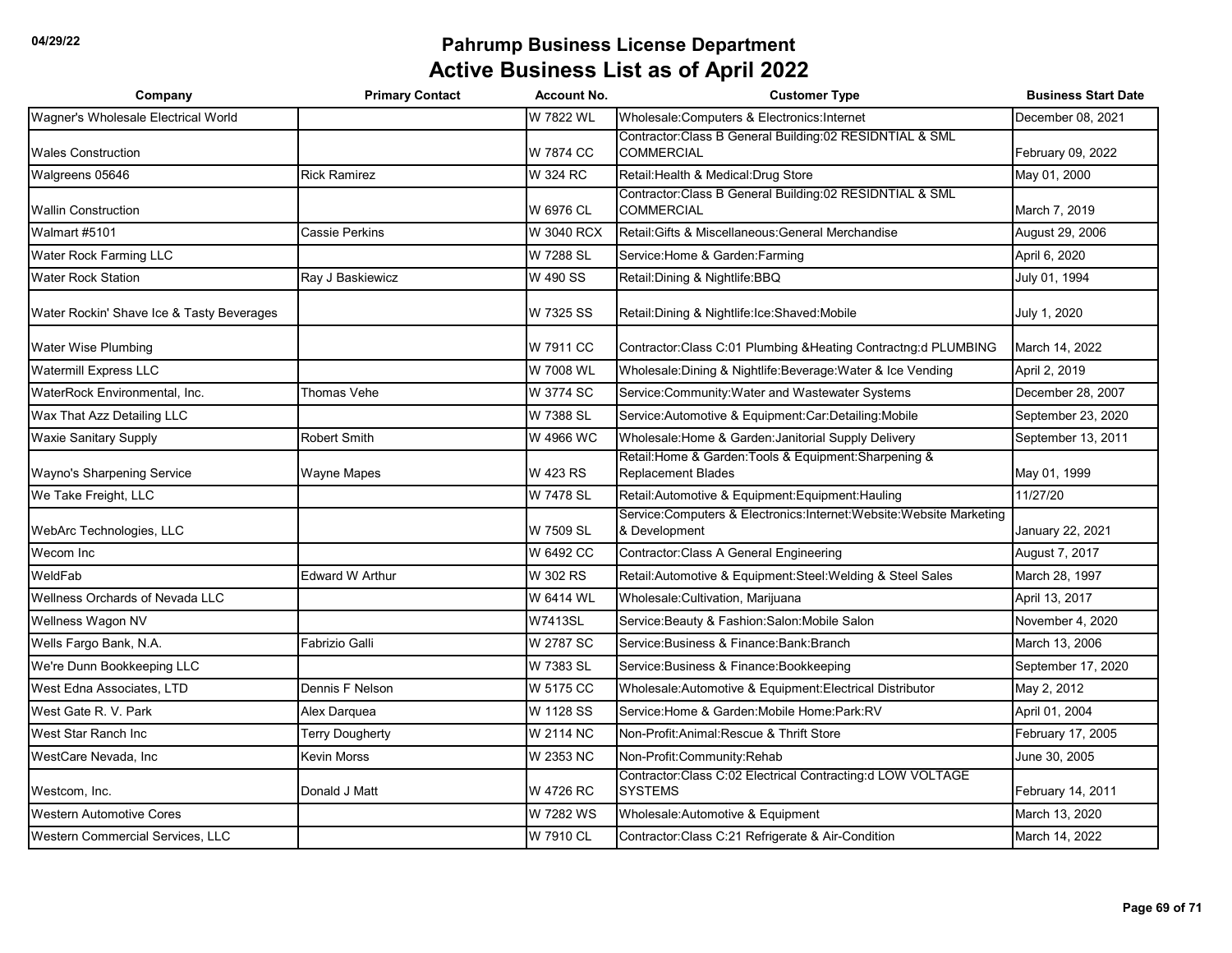| Company                                   | <b>Primary Contact</b> | <b>Account No.</b> | <b>Customer Type</b>                                                                | <b>Business Start Date</b> |
|-------------------------------------------|------------------------|--------------------|-------------------------------------------------------------------------------------|----------------------------|
| Wagner's Wholesale Electrical World       |                        | W 7822 WL          | Wholesale:Computers & Electronics:Internet                                          | December 08, 2021          |
| <b>Wales Construction</b>                 |                        | W 7874 CC          | Contractor: Class B General Building: 02 RESIDNTIAL & SML<br><b>COMMERCIAL</b>      | February 09, 2022          |
| Walgreens 05646                           | <b>Rick Ramirez</b>    | W 324 RC           | Retail: Health & Medical: Drug Store                                                | May 01, 2000               |
| <b>Wallin Construction</b>                |                        | W 6976 CL          | Contractor:Class B General Building:02 RESIDNTIAL & SML<br><b>COMMERCIAL</b>        | March 7, 2019              |
| Walmart #5101                             | Cassie Perkins         | W 3040 RCX         | Retail: Gifts & Miscellaneous: General Merchandise                                  | August 29, 2006            |
| Water Rock Farming LLC                    |                        | W 7288 SL          | Service: Home & Garden: Farming                                                     | April 6, 2020              |
| <b>Water Rock Station</b>                 | Ray J Baskiewicz       | W 490 SS           | Retail: Dining & Nightlife: BBQ                                                     | July 01, 1994              |
| Water Rockin' Shave Ice & Tasty Beverages |                        | W 7325 SS          | Retail:Dining & Nightlife:Ice:Shaved:Mobile                                         | July 1, 2020               |
| Water Wise Plumbing                       |                        | W 7911 CC          | Contractor: Class C:01 Plumbing & Heating Contractng: d PLUMBING                    | March 14, 2022             |
| <b>Watermill Express LLC</b>              |                        | W 7008 WL          | Wholesale: Dining & Nightlife: Beverage: Water & Ice Vending                        | April 2, 2019              |
| WaterRock Environmental, Inc.             | Thomas Vehe            | W 3774 SC          | Service: Community: Water and Wastewater Systems                                    | December 28, 2007          |
| Wax That Azz Detailing LLC                |                        | W 7388 SL          | Service: Automotive & Equipment: Car: Detailing: Mobile                             | September 23, 2020         |
| <b>Waxie Sanitary Supply</b>              | <b>Robert Smith</b>    | W 4966 WC          | Wholesale: Home & Garden: Janitorial Supply Delivery                                | September 13, 2011         |
| Wayno's Sharpening Service                | Wayne Mapes            | W 423 RS           | Retail: Home & Garden: Tools & Equipment: Sharpening &<br><b>Replacement Blades</b> | May 01, 1999               |
| We Take Freight, LLC                      |                        | W 7478 SL          | Retail: Automotive & Equipment: Equipment: Hauling                                  | 11/27/20                   |
| WebArc Technologies, LLC                  |                        | W 7509 SL          | Service:Computers & Electronics:Internet:Website:Website Marketing<br>& Development | January 22, 2021           |
| Wecom Inc                                 |                        | W 6492 CC          | Contractor: Class A General Engineering                                             | August 7, 2017             |
| WeldFab                                   | <b>Edward W Arthur</b> | W 302 RS           | Retail: Automotive & Equipment: Steel: Welding & Steel Sales                        | March 28, 1997             |
| <b>Wellness Orchards of Nevada LLC</b>    |                        | W 6414 WL          | Wholesale: Cultivation, Marijuana                                                   | April 13, 2017             |
| Wellness Wagon NV                         |                        | <b>W7413SL</b>     | Service: Beauty & Fashion: Salon: Mobile Salon                                      | November 4, 2020           |
| Wells Fargo Bank, N.A.                    | Fabrizio Galli         | W 2787 SC          | Service: Business & Finance: Bank: Branch                                           | March 13, 2006             |
| We're Dunn Bookkeeping LLC                |                        | W 7383 SL          | Service: Business & Finance: Bookkeeping                                            | September 17, 2020         |
| West Edna Associates, LTD                 | Dennis F Nelson        | W 5175 CC          | Wholesale:Automotive & Equipment:Electrical Distributor                             | May 2, 2012                |
| West Gate R. V. Park                      | Alex Darquea           | W 1128 SS          | Service: Home & Garden: Mobile Home: Park: RV                                       | April 01, 2004             |
| West Star Ranch Inc.                      | <b>Terry Dougherty</b> | W 2114 NC          | Non-Profit: Animal: Rescue & Thrift Store                                           | February 17, 2005          |
| WestCare Nevada, Inc.                     | Kevin Morss            | W 2353 NC          | Non-Profit:Community:Rehab                                                          | June 30, 2005              |
| Westcom, Inc.                             | Donald J Matt          | W 4726 RC          | Contractor:Class C:02 Electrical Contracting:d LOW VOLTAGE<br><b>SYSTEMS</b>        | February 14, 2011          |
| <b>Western Automotive Cores</b>           |                        | W 7282 WS          | Wholesale: Automotive & Equipment                                                   | March 13, 2020             |
| Western Commercial Services, LLC          |                        | W 7910 CL          | Contractor: Class C:21 Refrigerate & Air-Condition                                  | March 14, 2022             |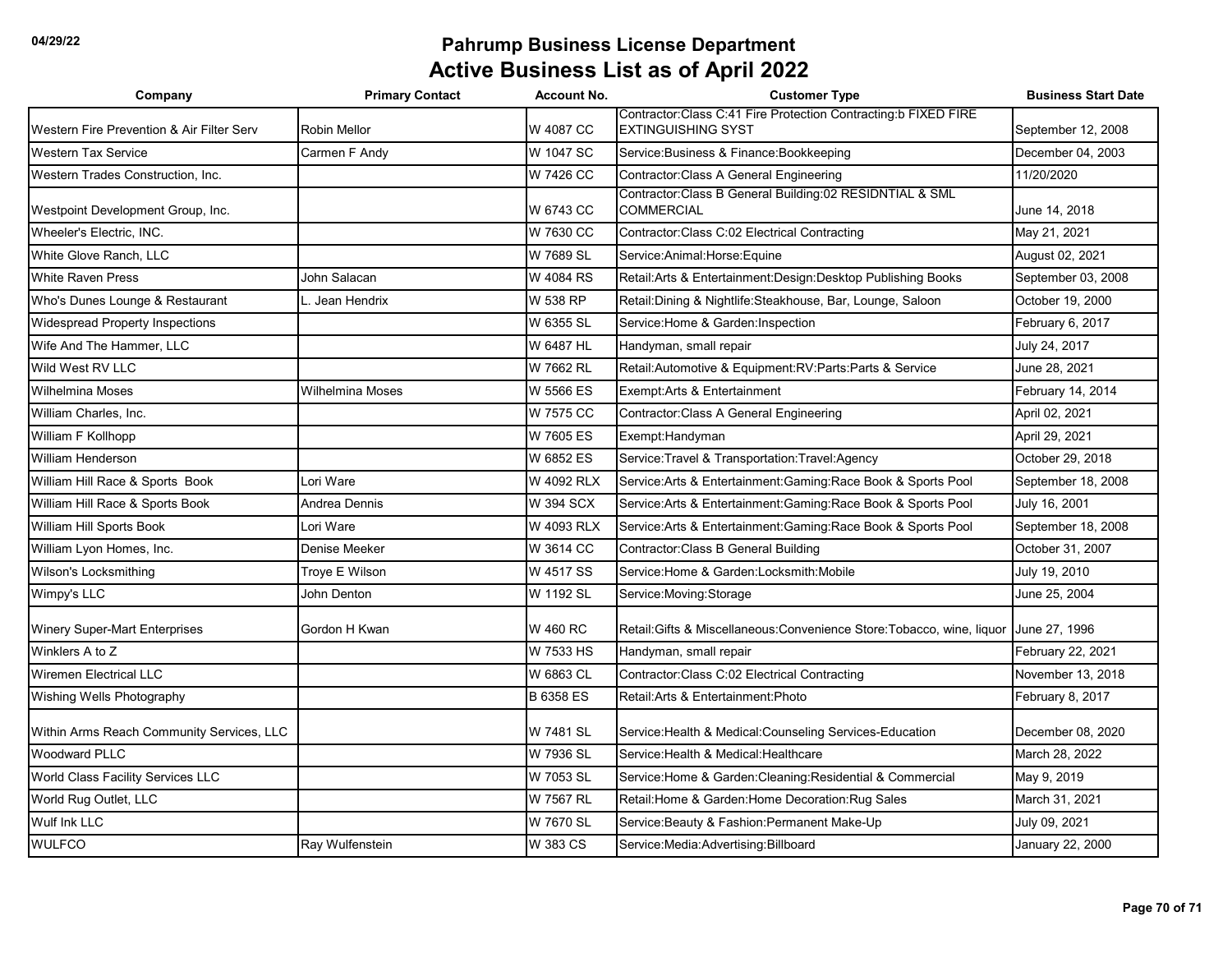| Company                                   | <b>Primary Contact</b>  | <b>Account No.</b> | <b>Customer Type</b>                                                                          | <b>Business Start Date</b> |
|-------------------------------------------|-------------------------|--------------------|-----------------------------------------------------------------------------------------------|----------------------------|
| Western Fire Prevention & Air Filter Serv | Robin Mellor            | W 4087 CC          | Contractor: Class C:41 Fire Protection Contracting: b FIXED FIRE<br><b>EXTINGUISHING SYST</b> | September 12, 2008         |
| <b>Western Tax Service</b>                | Carmen F Andy           | W 1047 SC          | Service: Business & Finance: Bookkeeping                                                      | December 04, 2003          |
| Western Trades Construction, Inc.         |                         | W 7426 CC          | Contractor: Class A General Engineering                                                       | 11/20/2020                 |
| Westpoint Development Group, Inc.         |                         | W 6743 CC          | Contractor:Class B General Building:02 RESIDNTIAL & SML<br><b>COMMERCIAL</b>                  | June 14, 2018              |
| Wheeler's Electric, INC.                  |                         | W 7630 CC          | Contractor: Class C:02 Electrical Contracting                                                 | May 21, 2021               |
| White Glove Ranch, LLC                    |                         | W 7689 SL          | Service: Animal: Horse: Equine                                                                | August 02, 2021            |
| <b>White Raven Press</b>                  | John Salacan            | W 4084 RS          | Retail: Arts & Entertainment: Design: Desktop Publishing Books                                | September 03, 2008         |
| Who's Dunes Lounge & Restaurant           | Jean Hendrix            | W 538 RP           | Retail: Dining & Nightlife: Steakhouse, Bar, Lounge, Saloon                                   | October 19, 2000           |
| Widespread Property Inspections           |                         | W 6355 SL          | Service: Home & Garden: Inspection                                                            | February 6, 2017           |
| Wife And The Hammer, LLC                  |                         | W 6487 HL          | Handyman, small repair                                                                        | July 24, 2017              |
| Wild West RV LLC                          |                         | W 7662 RL          | Retail:Automotive & Equipment:RV:Parts:Parts & Service                                        | June 28, 2021              |
| Wilhelmina Moses                          | <b>Wilhelmina Moses</b> | W 5566 ES          | Exempt: Arts & Entertainment                                                                  | February 14, 2014          |
| William Charles, Inc.                     |                         | W 7575 CC          | Contractor: Class A General Engineering                                                       | April 02, 2021             |
| William F Kollhopp                        |                         | W 7605 ES          | Exempt:Handyman                                                                               | April 29, 2021             |
| William Henderson                         |                         | W 6852 ES          | Service: Travel & Transportation: Travel: Agency                                              | October 29, 2018           |
| William Hill Race & Sports Book           | Lori Ware               | W 4092 RLX         | Service: Arts & Entertainment: Gaming: Race Book & Sports Pool                                | September 18, 2008         |
| William Hill Race & Sports Book           | Andrea Dennis           | W 394 SCX          | Service: Arts & Entertainment: Gaming: Race Book & Sports Pool                                | July 16, 2001              |
| William Hill Sports Book                  | Lori Ware               | W 4093 RLX         | Service: Arts & Entertainment: Gaming: Race Book & Sports Pool                                | September 18, 2008         |
| William Lyon Homes, Inc.                  | Denise Meeker           | W 3614 CC          | <b>Contractor: Class B General Building</b>                                                   | October 31, 2007           |
| Wilson's Locksmithing                     | Troye E Wilson          | W 4517 SS          | Service: Home & Garden: Locksmith: Mobile                                                     | July 19, 2010              |
| Wimpy's LLC                               | John Denton             | W 1192 SL          | Service: Moving: Storage                                                                      | June 25, 2004              |
| Winery Super-Mart Enterprises             | Gordon H Kwan           | W 460 RC           | Retail:Gifts & Miscellaneous:Convenience Store:Tobacco, wine, liquor June 27, 1996            |                            |
| Winklers A to Z                           |                         | W 7533 HS          | Handyman, small repair                                                                        | February 22, 2021          |
| Wiremen Electrical LLC                    |                         | W 6863 CL          | Contractor: Class C:02 Electrical Contracting                                                 | November 13, 2018          |
| Wishing Wells Photography                 |                         | <b>B 6358 ES</b>   | Retail: Arts & Entertainment: Photo                                                           | February 8, 2017           |
| Within Arms Reach Community Services, LLC |                         | W 7481 SL          | Service: Health & Medical: Counseling Services-Education                                      | December 08, 2020          |
| <b>Woodward PLLC</b>                      |                         | W 7936 SL          | Service: Health & Medical: Healthcare                                                         | March 28, 2022             |
| World Class Facility Services LLC         |                         | W 7053 SL          | Service: Home & Garden: Cleaning: Residential & Commercial                                    | May 9, 2019                |
| World Rug Outlet, LLC                     |                         | W 7567 RL          | Retail: Home & Garden: Home Decoration: Rug Sales                                             | March 31, 2021             |
| Wulf Ink LLC                              |                         | W 7670 SL          | Service: Beauty & Fashion: Permanent Make-Up                                                  | July 09, 2021              |
| <b>WULFCO</b>                             | Ray Wulfenstein         | W 383 CS           | Service: Media: Advertising: Billboard                                                        | January 22, 2000           |